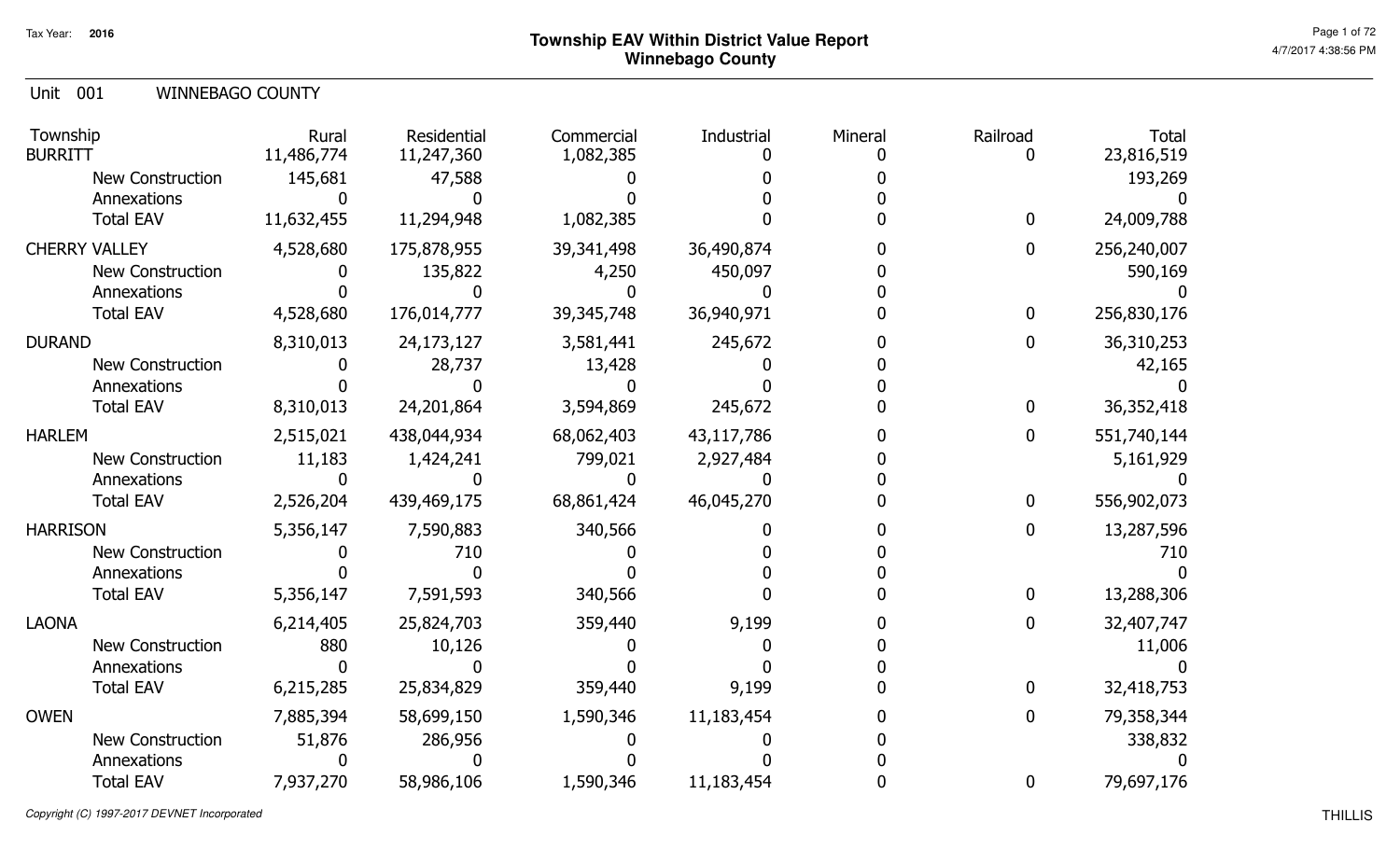#### Unit 001 WINNEBAGO COUNTY

| Township<br><b>BURRITT</b> | Rural<br>11,486,774 | Residential<br>11,247,360 | Commercial<br>1,082,385 | Industrial | Mineral | Railroad<br>O    | <b>Total</b><br>23,816,519 |
|----------------------------|---------------------|---------------------------|-------------------------|------------|---------|------------------|----------------------------|
| <b>New Construction</b>    | 145,681             | 47,588                    |                         |            |         |                  | 193,269                    |
| Annexations                |                     |                           |                         |            |         |                  |                            |
| <b>Total EAV</b>           | 11,632,455          | 11,294,948                | 1,082,385               |            |         | $\bf{0}$         | 24,009,788                 |
| <b>CHERRY VALLEY</b>       | 4,528,680           | 175,878,955               | 39,341,498              | 36,490,874 |         | $\mathbf 0$      | 256,240,007                |
| <b>New Construction</b>    |                     | 135,822                   | 4,250                   | 450,097    |         |                  | 590,169                    |
| Annexations                |                     |                           |                         |            |         |                  |                            |
| <b>Total EAV</b>           | 4,528,680           | 176,014,777               | 39, 345, 748            | 36,940,971 |         | $\boldsymbol{0}$ | 256,830,176                |
| <b>DURAND</b>              | 8,310,013           | 24,173,127                | 3,581,441               | 245,672    |         | $\mathbf{0}$     | 36,310,253                 |
| <b>New Construction</b>    |                     | 28,737                    | 13,428                  |            |         |                  | 42,165                     |
| Annexations                |                     |                           |                         |            |         |                  |                            |
| <b>Total EAV</b>           | 8,310,013           | 24,201,864                | 3,594,869               | 245,672    |         | $\mathbf{0}$     | 36,352,418                 |
| <b>HARLEM</b>              | 2,515,021           | 438,044,934               | 68,062,403              | 43,117,786 |         | $\mathbf{0}$     | 551,740,144                |
| <b>New Construction</b>    | 11,183              | 1,424,241                 | 799,021                 | 2,927,484  |         |                  | 5,161,929                  |
| Annexations                |                     |                           |                         |            |         |                  |                            |
| <b>Total EAV</b>           | 2,526,204           | 439,469,175               | 68,861,424              | 46,045,270 |         | $\bf{0}$         | 556,902,073                |
| <b>HARRISON</b>            | 5,356,147           | 7,590,883                 | 340,566                 |            |         | $\overline{0}$   | 13,287,596                 |
| <b>New Construction</b>    |                     | 710                       |                         |            |         |                  | 710                        |
| Annexations                |                     |                           |                         |            |         |                  |                            |
| <b>Total EAV</b>           | 5,356,147           | 7,591,593                 | 340,566                 |            |         | $\mathbf{0}$     | 13,288,306                 |
| <b>LAONA</b>               | 6,214,405           | 25,824,703                | 359,440                 | 9,199      |         | $\mathbf 0$      | 32,407,747                 |
| <b>New Construction</b>    | 880                 | 10,126                    |                         |            |         |                  | 11,006                     |
| Annexations                |                     |                           |                         |            |         |                  |                            |
| <b>Total EAV</b>           | 6,215,285           | 25,834,829                | 359,440                 | 9,199      |         | $\mathbf{0}$     | 32,418,753                 |
| <b>OWEN</b>                | 7,885,394           | 58,699,150                | 1,590,346               | 11,183,454 |         | $\overline{0}$   | 79,358,344                 |
| <b>New Construction</b>    | 51,876              | 286,956                   |                         |            |         |                  | 338,832                    |
| Annexations                |                     |                           |                         |            |         |                  |                            |
| <b>Total EAV</b>           | 7,937,270           | 58,986,106                | 1,590,346               | 11,183,454 |         | $\bf{0}$         | 79,697,176                 |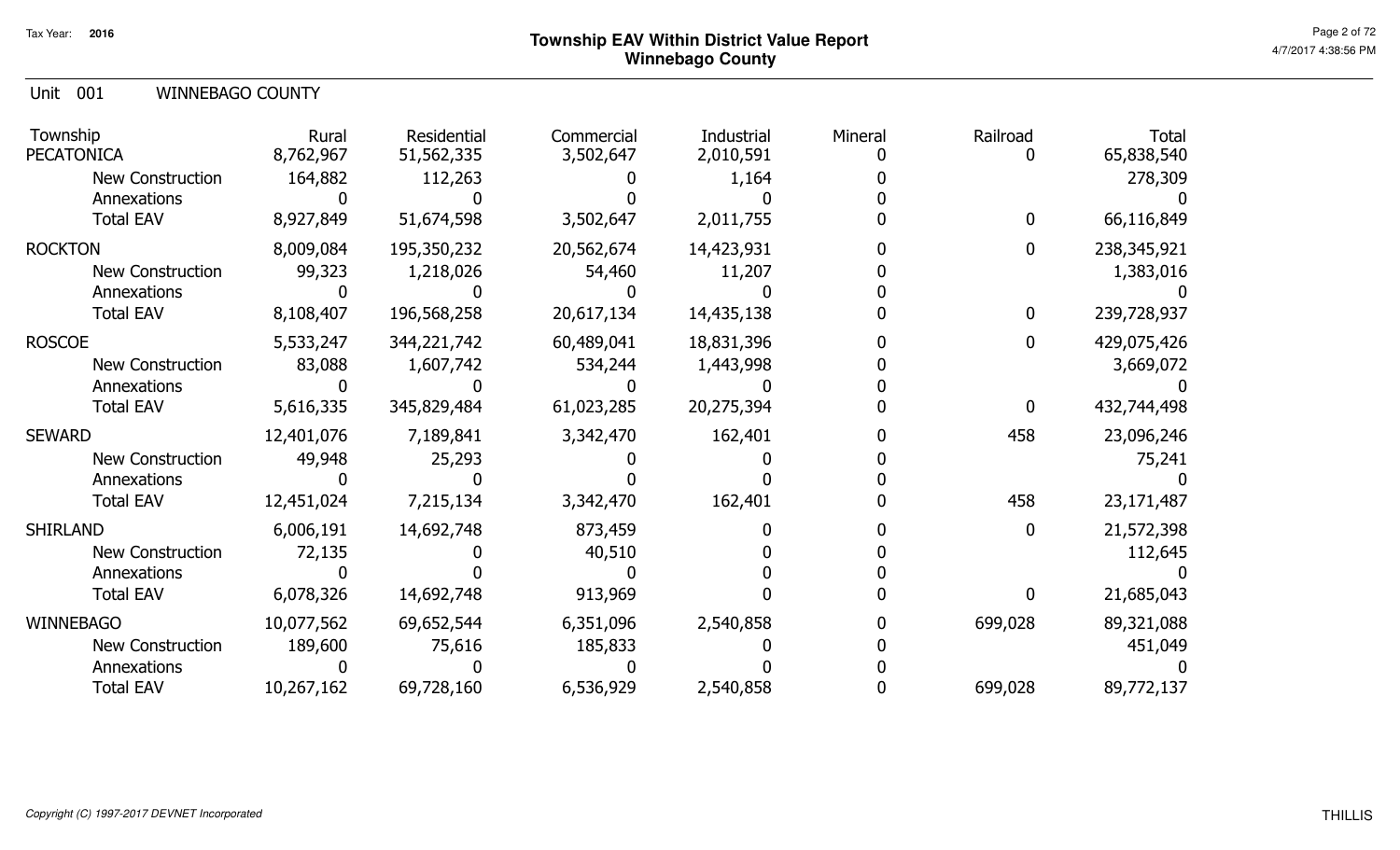Unit 001 WINNEBAGO COUNTY

| Township<br><b>PECATONICA</b> | Rural<br>8,762,967 | Residential<br>51,562,335 | Commercial<br>3,502,647 | Industrial<br>2,010,591 | Mineral | Railroad     | <b>Total</b><br>65,838,540 |
|-------------------------------|--------------------|---------------------------|-------------------------|-------------------------|---------|--------------|----------------------------|
| <b>New Construction</b>       | 164,882            | 112,263                   |                         | 1,164                   |         |              | 278,309                    |
| Annexations                   |                    |                           |                         |                         |         |              |                            |
| <b>Total EAV</b>              | 8,927,849          | 51,674,598                | 3,502,647               | 2,011,755               |         | $\mathbf{0}$ | 66,116,849                 |
| <b>ROCKTON</b>                | 8,009,084          | 195,350,232               | 20,562,674              | 14,423,931              |         | $\mathbf{0}$ | 238, 345, 921              |
| <b>New Construction</b>       | 99,323             | 1,218,026                 | 54,460                  | 11,207                  |         |              | 1,383,016                  |
| Annexations                   |                    |                           |                         |                         |         |              |                            |
| <b>Total EAV</b>              | 8,108,407          | 196,568,258               | 20,617,134              | 14,435,138              |         | $\mathbf 0$  | 239,728,937                |
| <b>ROSCOE</b>                 | 5,533,247          | 344,221,742               | 60,489,041              | 18,831,396              |         | $\Omega$     | 429,075,426                |
| <b>New Construction</b>       | 83,088             | 1,607,742                 | 534,244                 | 1,443,998               |         |              | 3,669,072                  |
| Annexations                   |                    |                           |                         |                         |         |              |                            |
| <b>Total EAV</b>              | 5,616,335          | 345,829,484               | 61,023,285              | 20,275,394              |         | $\mathbf{0}$ | 432,744,498                |
| <b>SEWARD</b>                 | 12,401,076         | 7,189,841                 | 3,342,470               | 162,401                 |         | 458          | 23,096,246                 |
| <b>New Construction</b>       | 49,948             | 25,293                    |                         |                         |         |              | 75,241                     |
| Annexations                   |                    |                           |                         |                         |         |              |                            |
| <b>Total EAV</b>              | 12,451,024         | 7,215,134                 | 3,342,470               | 162,401                 |         | 458          | 23,171,487                 |
| <b>SHIRLAND</b>               | 6,006,191          | 14,692,748                | 873,459                 |                         |         | $\mathbf{0}$ | 21,572,398                 |
| <b>New Construction</b>       | 72,135             |                           | 40,510                  |                         |         |              | 112,645                    |
| Annexations                   |                    |                           |                         |                         |         |              |                            |
| <b>Total EAV</b>              | 6,078,326          | 14,692,748                | 913,969                 |                         |         | <sup>0</sup> | 21,685,043                 |
| <b>WINNEBAGO</b>              | 10,077,562         | 69,652,544                | 6,351,096               | 2,540,858               |         | 699,028      | 89,321,088                 |
| <b>New Construction</b>       | 189,600            | 75,616                    | 185,833                 |                         |         |              | 451,049                    |
| Annexations                   |                    |                           |                         |                         |         |              |                            |
| <b>Total EAV</b>              | 10,267,162         | 69,728,160                | 6,536,929               | 2,540,858               |         | 699,028      | 89,772,137                 |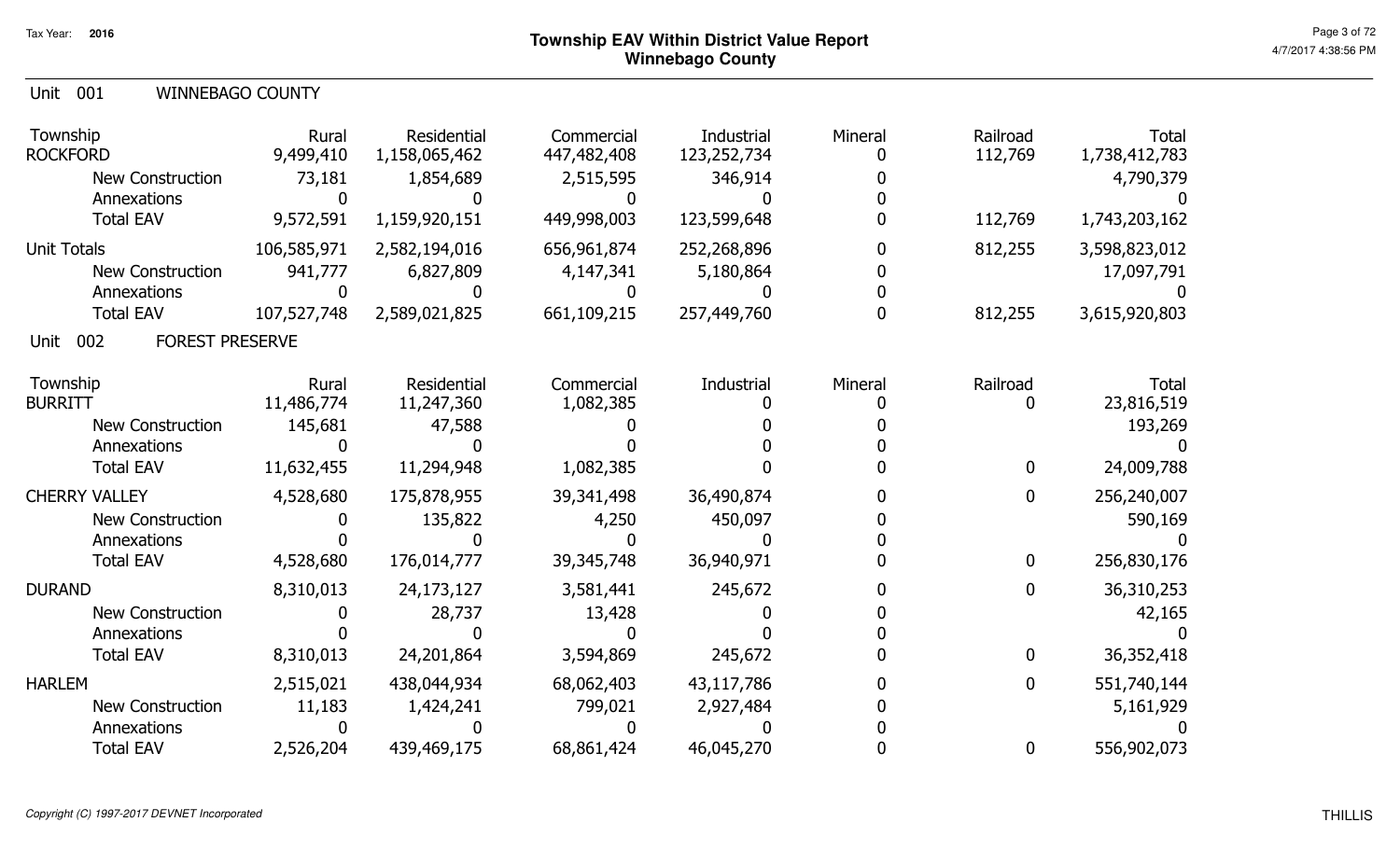#### Unit 001 WINNEBAGO COUNTY

| Township<br><b>ROCKFORD</b><br><b>New Construction</b><br>Annexations<br><b>Total EAV</b>              | Rural<br>9,499,410<br>73,181<br>9,572,591 | Residential<br>1,158,065,462<br>1,854,689<br>1,159,920,151 | Commercial<br>447,482,408<br>2,515,595<br>449,998,003 | Industrial<br>123,252,734<br>346,914<br>123,599,648 | Mineral | Railroad<br>112,769<br>112,769      | <b>Total</b><br>1,738,412,783<br>4,790,379<br>1,743,203,162 |
|--------------------------------------------------------------------------------------------------------|-------------------------------------------|------------------------------------------------------------|-------------------------------------------------------|-----------------------------------------------------|---------|-------------------------------------|-------------------------------------------------------------|
| <b>Unit Totals</b><br><b>New Construction</b><br>Annexations<br><b>Total EAV</b>                       | 106,585,971<br>941,777<br>107,527,748     | 2,582,194,016<br>6,827,809<br>2,589,021,825                | 656,961,874<br>4,147,341<br>661,109,215               | 252,268,896<br>5,180,864<br>257,449,760             |         | 812,255<br>812,255                  | 3,598,823,012<br>17,097,791<br>3,615,920,803                |
| 002<br><b>FOREST PRESERVE</b><br>Unit                                                                  |                                           |                                                            |                                                       |                                                     |         |                                     |                                                             |
| Township<br><b>BURRITT</b><br><b>New Construction</b><br>Annexations                                   | Rural<br>11,486,774<br>145,681            | Residential<br>11,247,360<br>47,588                        | Commercial<br>1,082,385                               | Industrial                                          | Mineral | Railroad<br>0                       | <b>Total</b><br>23,816,519<br>193,269                       |
| <b>Total EAV</b><br><b>CHERRY VALLEY</b><br><b>New Construction</b><br>Annexations<br><b>Total EAV</b> | 11,632,455<br>4,528,680<br>4,528,680      | 11,294,948<br>175,878,955<br>135,822<br>176,014,777        | 1,082,385<br>39,341,498<br>4,250<br>39,345,748        | 36,490,874<br>450,097<br>36,940,971                 |         | $\mathbf 0$<br>$\bf{0}$<br>$\bf{0}$ | 24,009,788<br>256,240,007<br>590,169<br>256,830,176         |
| <b>DURAND</b><br><b>New Construction</b><br>Annexations<br><b>Total EAV</b>                            | 8,310,013<br>8,310,013                    | 24,173,127<br>28,737<br>24,201,864                         | 3,581,441<br>13,428<br>3,594,869                      | 245,672<br>245,672                                  |         | $\mathbf 0$<br>$\bf{0}$             | 36,310,253<br>42,165<br>36,352,418                          |
| <b>HARLEM</b><br><b>New Construction</b><br>Annexations<br><b>Total EAV</b>                            | 2,515,021<br>11,183<br>2,526,204          | 438,044,934<br>1,424,241<br>439,469,175                    | 68,062,403<br>799,021<br>68,861,424                   | 43,117,786<br>2,927,484<br>46,045,270               |         | $\bf{0}$<br>$\bf{0}$                | 551,740,144<br>5,161,929<br>556,902,073                     |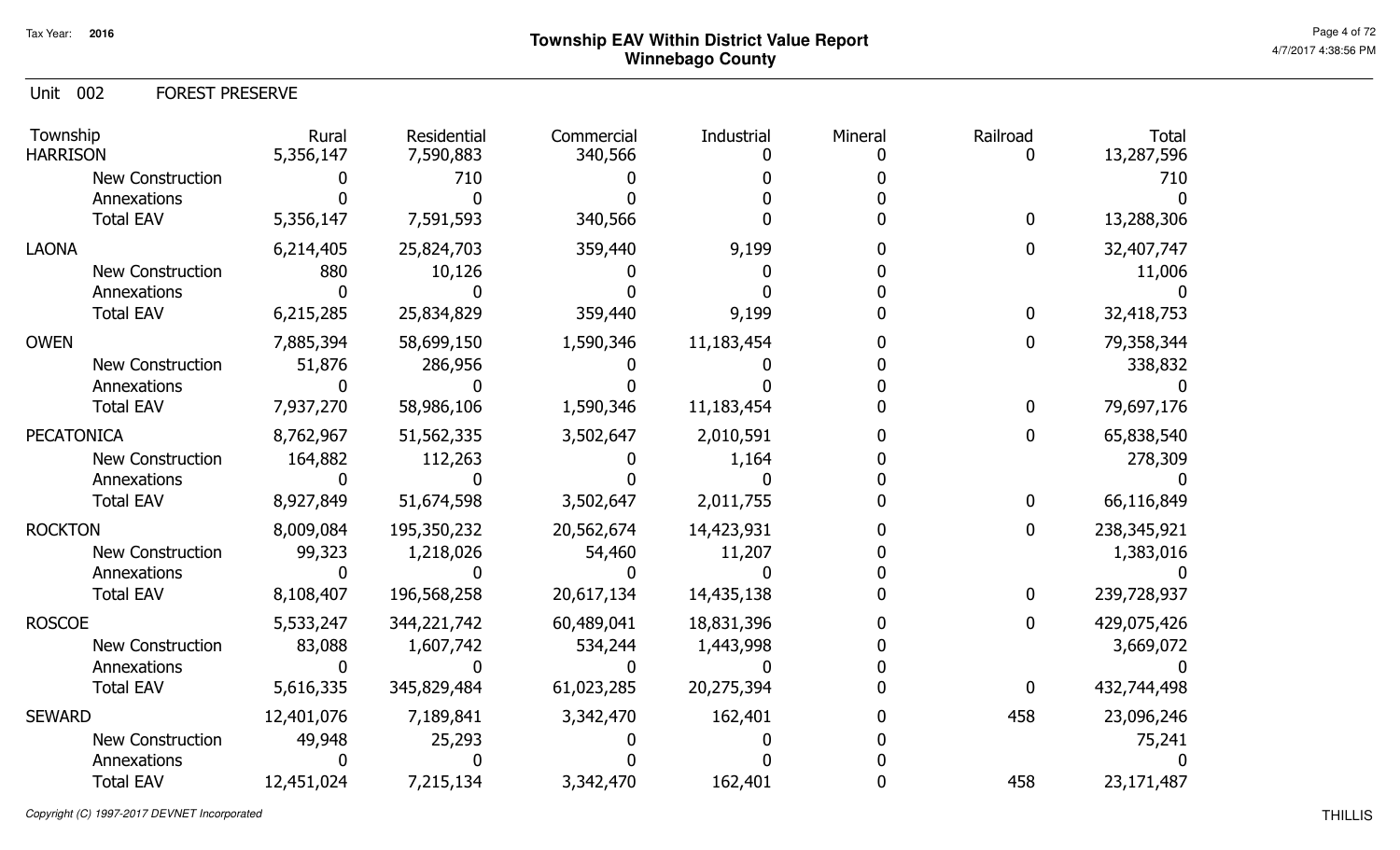Unit 002 FOREST PRESERVE

| Township<br><b>HARRISON</b> | Rural<br>5,356,147 | Residential<br>7,590,883 | Commercial<br>340,566 | Industrial | Mineral | Railroad       | <b>Total</b><br>13,287,596 |
|-----------------------------|--------------------|--------------------------|-----------------------|------------|---------|----------------|----------------------------|
| <b>New Construction</b>     |                    | 710                      |                       |            |         |                | 710                        |
| Annexations                 |                    |                          |                       |            |         |                |                            |
| <b>Total EAV</b>            | 5,356,147          | 7,591,593                | 340,566               |            |         | $\overline{0}$ | 13,288,306                 |
| <b>LAONA</b>                | 6,214,405          | 25,824,703               | 359,440               | 9,199      |         | 0              | 32,407,747                 |
| New Construction            | 880                | 10,126                   |                       |            |         |                | 11,006                     |
| Annexations                 |                    |                          |                       |            |         |                |                            |
| <b>Total EAV</b>            | 6,215,285          | 25,834,829               | 359,440               | 9,199      |         | $\mathbf{0}$   | 32,418,753                 |
| <b>OWEN</b>                 | 7,885,394          | 58,699,150               | 1,590,346             | 11,183,454 |         |                | 79,358,344                 |
| <b>New Construction</b>     | 51,876             | 286,956                  |                       |            |         |                | 338,832                    |
| Annexations                 |                    |                          |                       |            |         |                |                            |
| <b>Total EAV</b>            | 7,937,270          | 58,986,106               | 1,590,346             | 11,183,454 |         | 0              | 79,697,176                 |
| <b>PECATONICA</b>           | 8,762,967          | 51,562,335               | 3,502,647             | 2,010,591  |         | 0              | 65,838,540                 |
| <b>New Construction</b>     | 164,882            | 112,263                  |                       | 1,164      |         |                | 278,309                    |
| Annexations                 |                    |                          |                       |            |         |                |                            |
| <b>Total EAV</b>            | 8,927,849          | 51,674,598               | 3,502,647             | 2,011,755  |         | $\mathbf{0}$   | 66,116,849                 |
| <b>ROCKTON</b>              | 8,009,084          | 195,350,232              | 20,562,674            | 14,423,931 |         | $\mathbf{0}$   | 238, 345, 921              |
| <b>New Construction</b>     | 99,323             | 1,218,026                | 54,460                | 11,207     |         |                | 1,383,016                  |
| Annexations                 |                    |                          |                       |            |         |                |                            |
| <b>Total EAV</b>            | 8,108,407          | 196,568,258              | 20,617,134            | 14,435,138 |         | $\mathbf{0}$   | 239,728,937                |
| <b>ROSCOE</b>               | 5,533,247          | 344,221,742              | 60,489,041            | 18,831,396 |         | $\mathbf{0}$   | 429,075,426                |
| <b>New Construction</b>     | 83,088             | 1,607,742                | 534,244               | 1,443,998  |         |                | 3,669,072                  |
| Annexations                 |                    |                          |                       |            |         |                |                            |
| <b>Total EAV</b>            | 5,616,335          | 345,829,484              | 61,023,285            | 20,275,394 |         | $\mathbf{0}$   | 432,744,498                |
| <b>SEWARD</b>               | 12,401,076         | 7,189,841                | 3,342,470             | 162,401    |         | 458            | 23,096,246                 |
| <b>New Construction</b>     | 49,948             | 25,293                   |                       |            |         |                | 75,241                     |
| Annexations                 |                    |                          |                       |            |         |                |                            |
| <b>Total EAV</b>            | 12,451,024         | 7,215,134                | 3,342,470             | 162,401    |         | 458            | 23,171,487                 |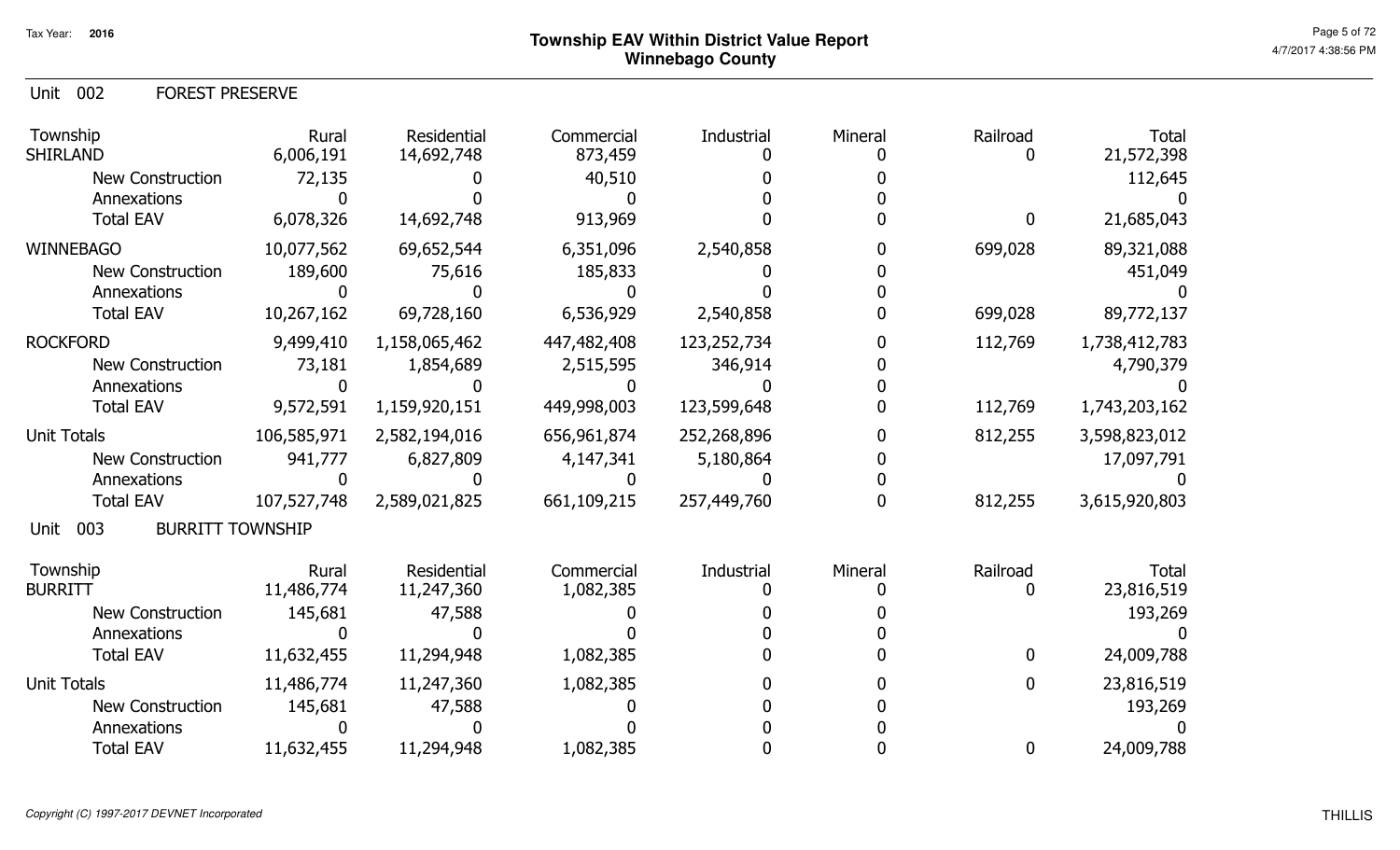Unit 002 FOREST PRESERVE

| Township<br><b>SHIRLAND</b>            | Rural<br>6,006,191 | Residential<br>14,692,748 | Commercial<br>873,459 | Industrial  | Mineral | Railroad     | <b>Total</b><br>21,572,398 |
|----------------------------------------|--------------------|---------------------------|-----------------------|-------------|---------|--------------|----------------------------|
| <b>New Construction</b>                | 72,135             |                           | 40,510                |             |         |              | 112,645                    |
| Annexations                            |                    |                           |                       |             |         |              |                            |
| <b>Total EAV</b>                       | 6,078,326          | 14,692,748                | 913,969               |             |         | $\mathbf{0}$ | 21,685,043                 |
| <b>WINNEBAGO</b>                       | 10,077,562         | 69,652,544                | 6,351,096             | 2,540,858   |         | 699,028      | 89,321,088                 |
| <b>New Construction</b>                | 189,600            | 75,616                    | 185,833               |             |         |              | 451,049                    |
| Annexations                            |                    |                           |                       |             |         |              |                            |
| <b>Total EAV</b>                       | 10,267,162         | 69,728,160                | 6,536,929             | 2,540,858   |         | 699,028      | 89,772,137                 |
| <b>ROCKFORD</b>                        | 9,499,410          | 1,158,065,462             | 447,482,408           | 123,252,734 |         | 112,769      | 1,738,412,783              |
| New Construction                       | 73,181             | 1,854,689                 | 2,515,595             | 346,914     |         |              | 4,790,379                  |
| Annexations                            |                    |                           |                       |             |         |              |                            |
| <b>Total EAV</b>                       | 9,572,591          | 1,159,920,151             | 449,998,003           | 123,599,648 |         | 112,769      | 1,743,203,162              |
| <b>Unit Totals</b>                     | 106,585,971        | 2,582,194,016             | 656,961,874           | 252,268,896 |         | 812,255      | 3,598,823,012              |
| <b>New Construction</b>                | 941,777            | 6,827,809                 | 4,147,341             | 5,180,864   |         |              | 17,097,791                 |
| Annexations                            |                    |                           |                       |             |         |              |                            |
| <b>Total EAV</b>                       | 107,527,748        | 2,589,021,825             | 661,109,215           | 257,449,760 |         | 812,255      | 3,615,920,803              |
| 003<br><b>BURRITT TOWNSHIP</b><br>Unit |                    |                           |                       |             |         |              |                            |
| Township                               | Rural              | Residential               | Commercial            | Industrial  | Mineral | Railroad     | <b>Total</b>               |
| <b>BURRITT</b>                         | 11,486,774         | 11,247,360                | 1,082,385             |             |         | 0            | 23,816,519                 |
| <b>New Construction</b>                | 145,681            | 47,588                    |                       |             |         |              | 193,269                    |
| Annexations                            |                    |                           |                       |             |         |              |                            |
| <b>Total EAV</b>                       | 11,632,455         | 11,294,948                | 1,082,385             |             |         | $\mathbf 0$  | 24,009,788                 |
| <b>Unit Totals</b>                     | 11,486,774         | 11,247,360                | 1,082,385             |             |         | $\mathbf{0}$ | 23,816,519                 |
| <b>New Construction</b>                | 145,681            | 47,588                    |                       |             |         |              | 193,269                    |
| Annexations                            |                    |                           |                       |             |         |              |                            |
| <b>Total EAV</b>                       | 11,632,455         | 11,294,948                | 1,082,385             |             |         | $\bf{0}$     | 24,009,788                 |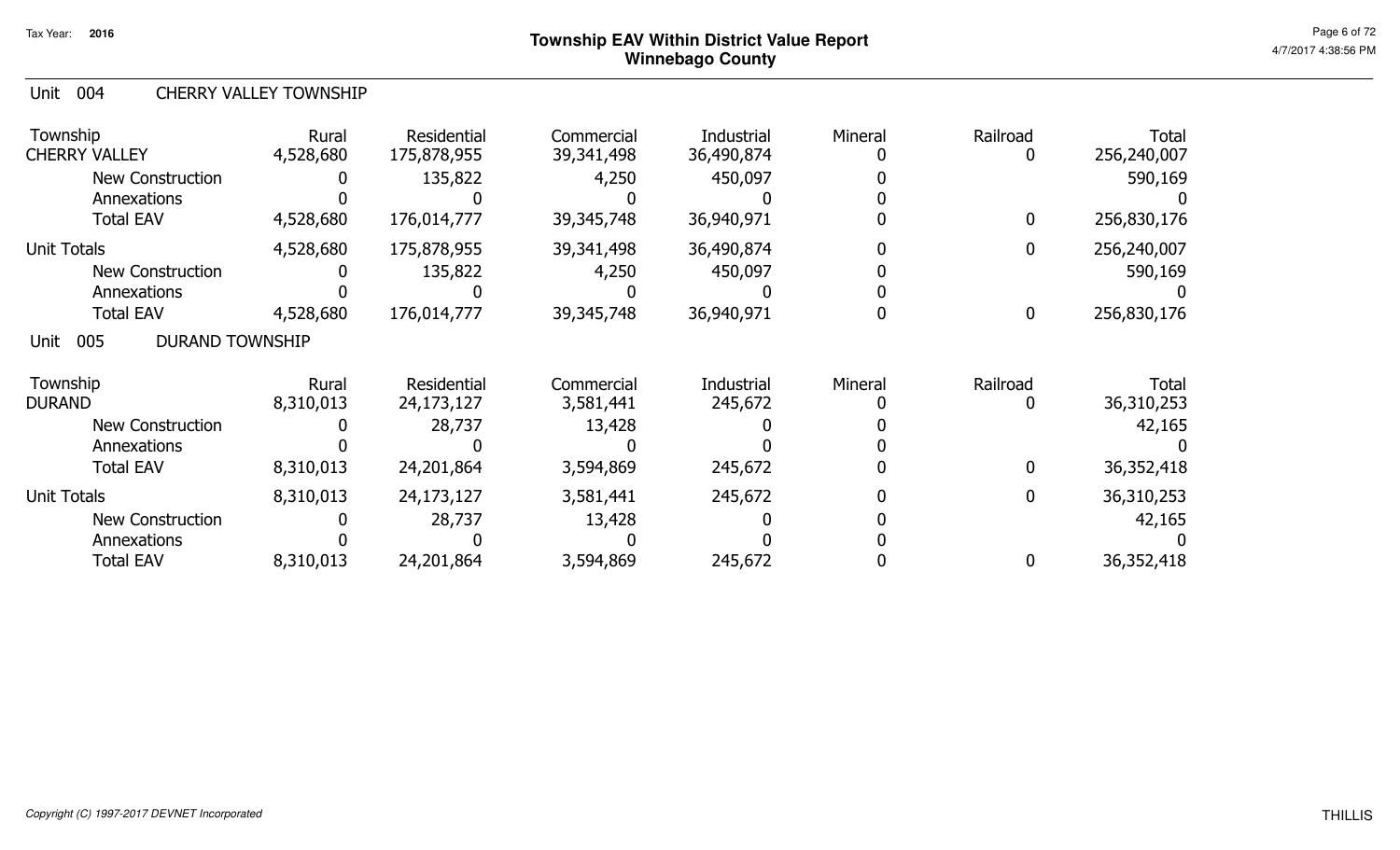#### Unit 004 CHERRY VALLEY TOWNSHIP

| Township<br><b>CHERRY VALLEY</b>      | Rural<br>4,528,680 | Residential<br>175,878,955 | Commercial<br>39,341,498 | Industrial<br>36,490,874 | Mineral | Railroad<br>0    | <b>Total</b><br>256,240,007 |
|---------------------------------------|--------------------|----------------------------|--------------------------|--------------------------|---------|------------------|-----------------------------|
| <b>New Construction</b>               |                    | 135,822                    | 4,250                    | 450,097                  |         |                  | 590,169                     |
| Annexations                           |                    |                            |                          |                          |         |                  |                             |
| <b>Total EAV</b>                      | 4,528,680          | 176,014,777                | 39,345,748               | 36,940,971               |         | $\mathbf 0$      | 256,830,176                 |
| <b>Unit Totals</b>                    | 4,528,680          | 175,878,955                | 39,341,498               | 36,490,874               |         | 0                | 256,240,007                 |
| <b>New Construction</b>               |                    | 135,822                    | 4,250                    | 450,097                  |         |                  | 590,169                     |
| Annexations                           |                    |                            |                          |                          |         |                  |                             |
| <b>Total EAV</b>                      | 4,528,680          | 176,014,777                | 39,345,748               | 36,940,971               |         | $\boldsymbol{0}$ | 256,830,176                 |
| 005<br><b>DURAND TOWNSHIP</b><br>Unit |                    |                            |                          |                          |         |                  |                             |
| Township                              | Rural              | Residential                | Commercial               | Industrial               | Mineral | Railroad         | <b>Total</b>                |
| <b>DURAND</b>                         | 8,310,013          | 24,173,127                 | 3,581,441                | 245,672                  |         | 0                | 36,310,253                  |
| <b>New Construction</b>               |                    | 28,737                     | 13,428                   |                          |         |                  | 42,165                      |
| Annexations                           |                    |                            |                          |                          |         |                  |                             |
| <b>Total EAV</b>                      | 8,310,013          | 24,201,864                 | 3,594,869                | 245,672                  |         | 0                | 36,352,418                  |
| <b>Unit Totals</b>                    | 8,310,013          | 24,173,127                 | 3,581,441                | 245,672                  |         | $\mathbf 0$      | 36,310,253                  |
| New Construction                      |                    | 28,737                     | 13,428                   |                          |         |                  | 42,165                      |
| Annexations                           |                    |                            |                          |                          |         |                  |                             |
| <b>Total EAV</b>                      | 8,310,013          | 24,201,864                 | 3,594,869                | 245,672                  |         | 0                | 36,352,418                  |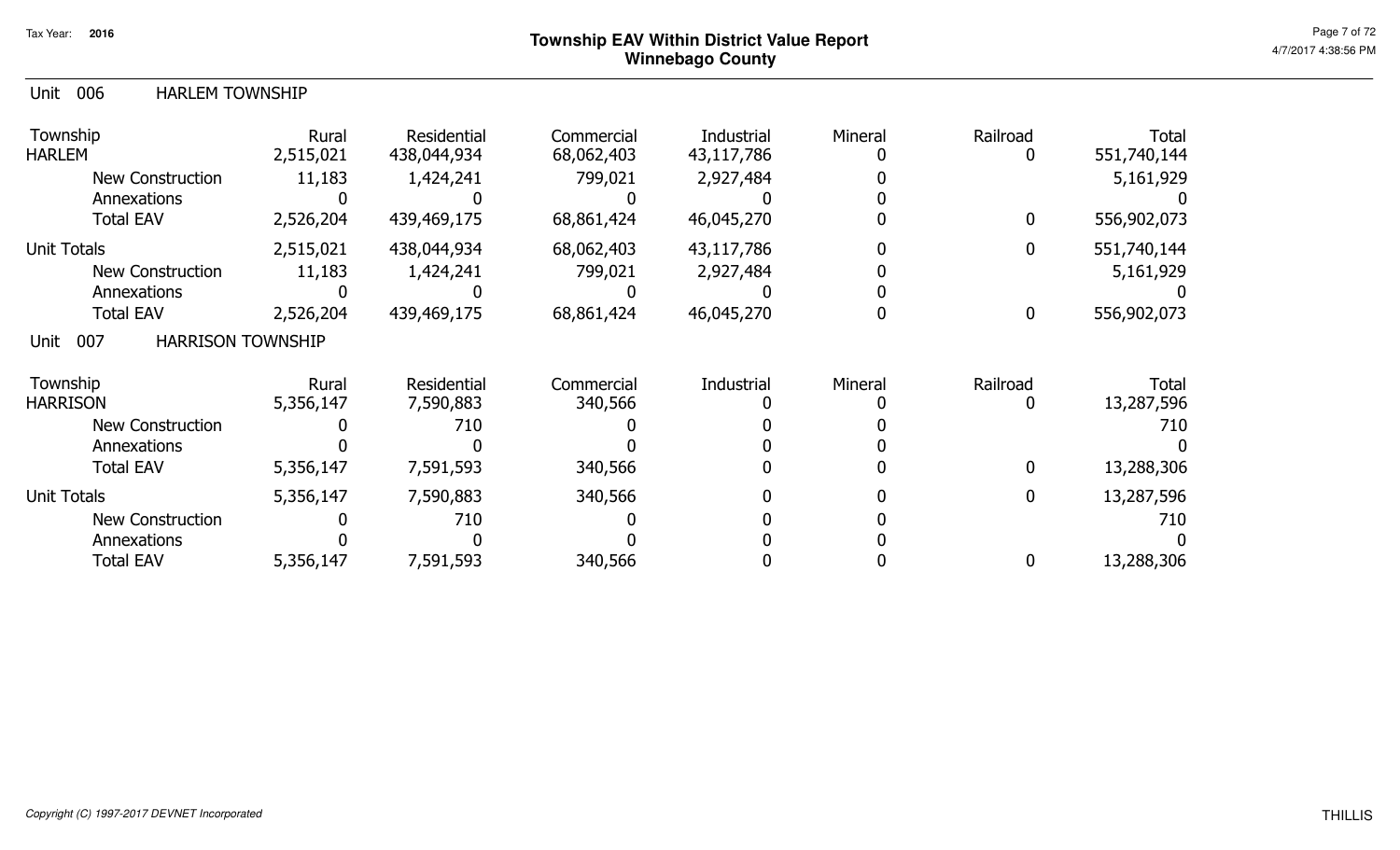#### Unit 006 HARLEM TOWNSHIP

| Township<br><b>HARLEM</b>               | Rural<br>2,515,021 | Residential<br>438,044,934 | Commercial<br>68,062,403 | Industrial<br>43,117,786 | Mineral | Railroad<br>0    | <b>Total</b><br>551,740,144 |
|-----------------------------------------|--------------------|----------------------------|--------------------------|--------------------------|---------|------------------|-----------------------------|
| <b>New Construction</b>                 | 11,183             | 1,424,241                  | 799,021                  | 2,927,484                |         |                  | 5,161,929                   |
| Annexations                             |                    |                            |                          |                          |         |                  |                             |
| <b>Total EAV</b>                        | 2,526,204          | 439,469,175                | 68,861,424               | 46,045,270               |         | 0                | 556,902,073                 |
| <b>Unit Totals</b>                      | 2,515,021          | 438,044,934                | 68,062,403               | 43,117,786               |         | 0                | 551,740,144                 |
| <b>New Construction</b>                 | 11,183             | 1,424,241                  | 799,021                  | 2,927,484                |         |                  | 5,161,929                   |
| Annexations                             |                    |                            |                          |                          |         |                  |                             |
| <b>Total EAV</b>                        | 2,526,204          | 439,469,175                | 68,861,424               | 46,045,270               |         | $\boldsymbol{0}$ | 556,902,073                 |
| 007<br><b>HARRISON TOWNSHIP</b><br>Unit |                    |                            |                          |                          |         |                  |                             |
| Township                                | Rural              | Residential                | Commercial               | Industrial               | Mineral | Railroad         | <b>Total</b>                |
| <b>HARRISON</b>                         | 5,356,147          | 7,590,883                  | 340,566                  |                          |         | 0                | 13,287,596                  |
| <b>New Construction</b>                 |                    | 710                        |                          |                          |         |                  | 710                         |
| Annexations                             |                    |                            |                          |                          |         |                  |                             |
| <b>Total EAV</b>                        | 5,356,147          | 7,591,593                  | 340,566                  |                          |         | $\boldsymbol{0}$ | 13,288,306                  |
| <b>Unit Totals</b>                      | 5,356,147          | 7,590,883                  | 340,566                  |                          |         | $\mathbf 0$      | 13,287,596                  |
| New Construction                        |                    | 710                        |                          |                          |         |                  | 710                         |
| Annexations                             |                    |                            |                          |                          |         |                  |                             |
| <b>Total EAV</b>                        | 5,356,147          | 7,591,593                  | 340,566                  |                          |         | 0                | 13,288,306                  |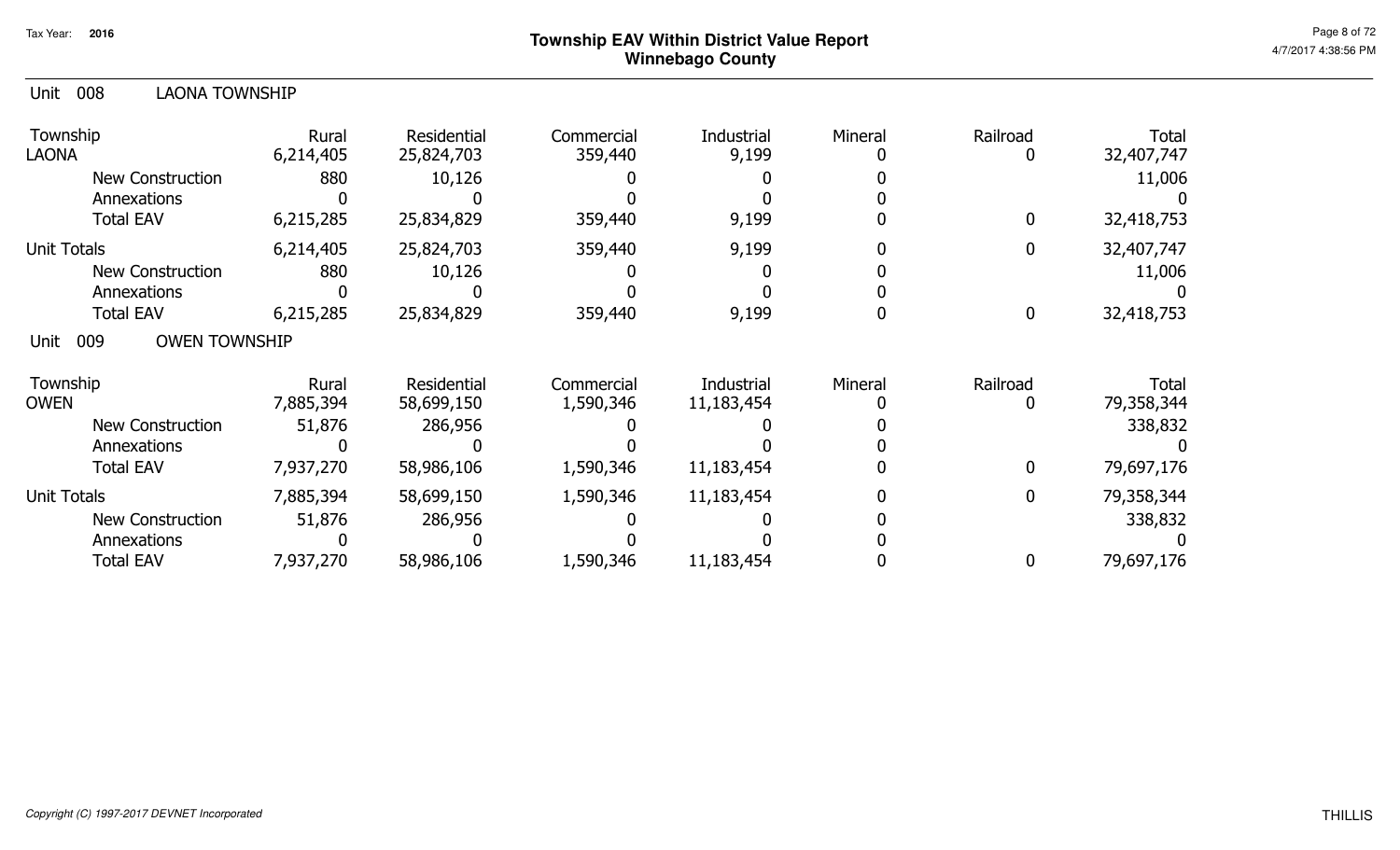| Unit<br>008<br>LAONA TOWNSHIP       |                    |                           |                         |                          |         |             |                            |
|-------------------------------------|--------------------|---------------------------|-------------------------|--------------------------|---------|-------------|----------------------------|
| Township<br><b>LAONA</b>            | Rural<br>6,214,405 | Residential<br>25,824,703 | Commercial<br>359,440   | Industrial<br>9,199      | Mineral | Railroad    | <b>Total</b><br>32,407,747 |
| <b>New Construction</b>             | 880                | 10,126                    |                         |                          |         |             | 11,006                     |
| Annexations                         |                    |                           |                         |                          |         |             |                            |
| <b>Total EAV</b>                    | 6,215,285          | 25,834,829                | 359,440                 | 9,199                    |         | 0           | 32,418,753                 |
| <b>Unit Totals</b>                  | 6,214,405          | 25,824,703                | 359,440                 | 9,199                    |         | 0           | 32,407,747                 |
| <b>New Construction</b>             | 880                | 10,126                    |                         |                          |         |             | 11,006                     |
| Annexations                         |                    |                           |                         |                          |         |             |                            |
| <b>Total EAV</b>                    | 6,215,285          | 25,834,829                | 359,440                 | 9,199                    |         | $\mathbf 0$ | 32,418,753                 |
| <b>OWEN TOWNSHIP</b><br>009<br>Unit |                    |                           |                         |                          |         |             |                            |
| Township<br><b>OWEN</b>             | Rural<br>7,885,394 | Residential<br>58,699,150 | Commercial<br>1,590,346 | Industrial<br>11,183,454 | Mineral | Railroad    | <b>Total</b><br>79,358,344 |
| <b>New Construction</b>             | 51,876             | 286,956                   |                         |                          |         |             | 338,832                    |
| Annexations                         |                    |                           |                         |                          |         |             |                            |
| <b>Total EAV</b>                    | 7,937,270          | 58,986,106                | 1,590,346               | 11,183,454               |         | 0           | 79,697,176                 |
| <b>Unit Totals</b>                  | 7,885,394          | 58,699,150                | 1,590,346               | 11,183,454               |         | 0           | 79,358,344                 |
| <b>New Construction</b>             | 51,876             | 286,956                   |                         |                          |         |             | 338,832                    |
| Annexations                         |                    |                           |                         |                          |         |             |                            |
| <b>Total EAV</b>                    | 7,937,270          | 58,986,106                | 1,590,346               | 11,183,454               |         | 0           | 79,697,176                 |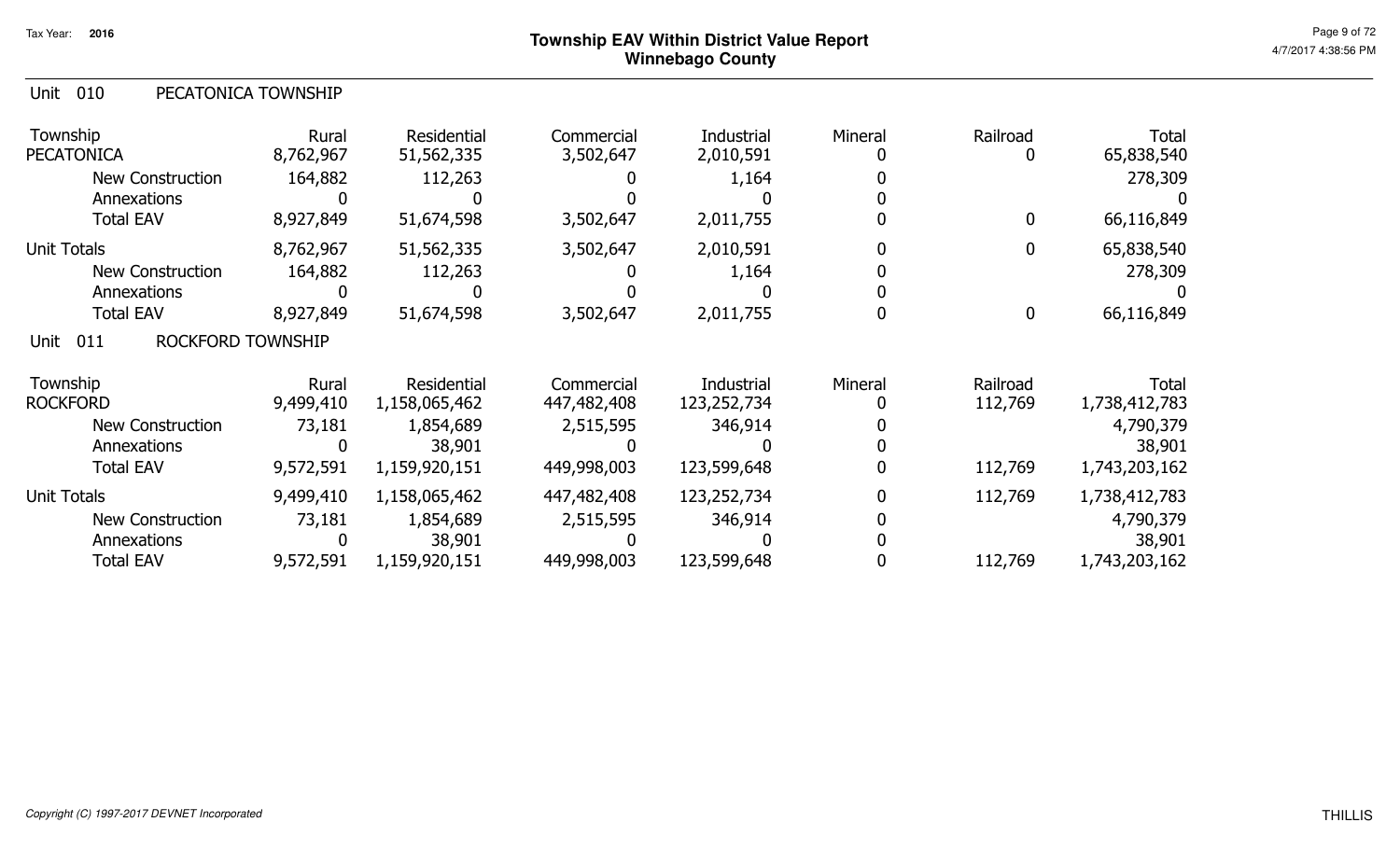| Unit<br>010                      | PECATONICA TOWNSHIP |                           |                         |                         |         |                  |                            |
|----------------------------------|---------------------|---------------------------|-------------------------|-------------------------|---------|------------------|----------------------------|
| Township<br><b>PECATONICA</b>    | Rural<br>8,762,967  | Residential<br>51,562,335 | Commercial<br>3,502,647 | Industrial<br>2,010,591 | Mineral | Railroad<br>0    | <b>Total</b><br>65,838,540 |
| <b>New Construction</b>          | 164,882             | 112,263                   |                         | 1,164                   |         |                  | 278,309                    |
| Annexations                      |                     |                           |                         |                         |         |                  |                            |
| <b>Total EAV</b>                 | 8,927,849           | 51,674,598                | 3,502,647               | 2,011,755               |         | $\boldsymbol{0}$ | 66,116,849                 |
| <b>Unit Totals</b>               | 8,762,967           | 51,562,335                | 3,502,647               | 2,010,591               |         | $\boldsymbol{0}$ | 65,838,540                 |
| <b>New Construction</b>          | 164,882             | 112,263                   |                         | 1,164                   |         |                  | 278,309                    |
| Annexations                      |                     |                           |                         |                         |         |                  |                            |
| <b>Total EAV</b>                 | 8,927,849           | 51,674,598                | 3,502,647               | 2,011,755               |         | $\boldsymbol{0}$ | 66,116,849                 |
| ROCKFORD TOWNSHIP<br>011<br>Unit |                     |                           |                         |                         |         |                  |                            |
| Township                         | Rural               | Residential               | Commercial              | Industrial              | Mineral | Railroad         | <b>Total</b>               |
| <b>ROCKFORD</b>                  | 9,499,410           | 1,158,065,462             | 447,482,408             | 123,252,734             |         | 112,769          | 1,738,412,783              |
| <b>New Construction</b>          | 73,181              | 1,854,689                 | 2,515,595               | 346,914                 |         |                  | 4,790,379                  |
| Annexations                      | 0                   | 38,901                    |                         |                         |         |                  | 38,901                     |
| <b>Total EAV</b>                 | 9,572,591           | 1,159,920,151             | 449,998,003             | 123,599,648             |         | 112,769          | 1,743,203,162              |
| <b>Unit Totals</b>               | 9,499,410           | 1,158,065,462             | 447,482,408             | 123,252,734             | 0       | 112,769          | 1,738,412,783              |
| New Construction                 | 73,181              | 1,854,689                 | 2,515,595               | 346,914                 |         |                  | 4,790,379                  |
| Annexations                      | $\Omega$            | 38,901                    |                         |                         |         |                  | 38,901                     |
| <b>Total EAV</b>                 | 9,572,591           | 1,159,920,151             | 449,998,003             | 123,599,648             |         | 112,769          | 1,743,203,162              |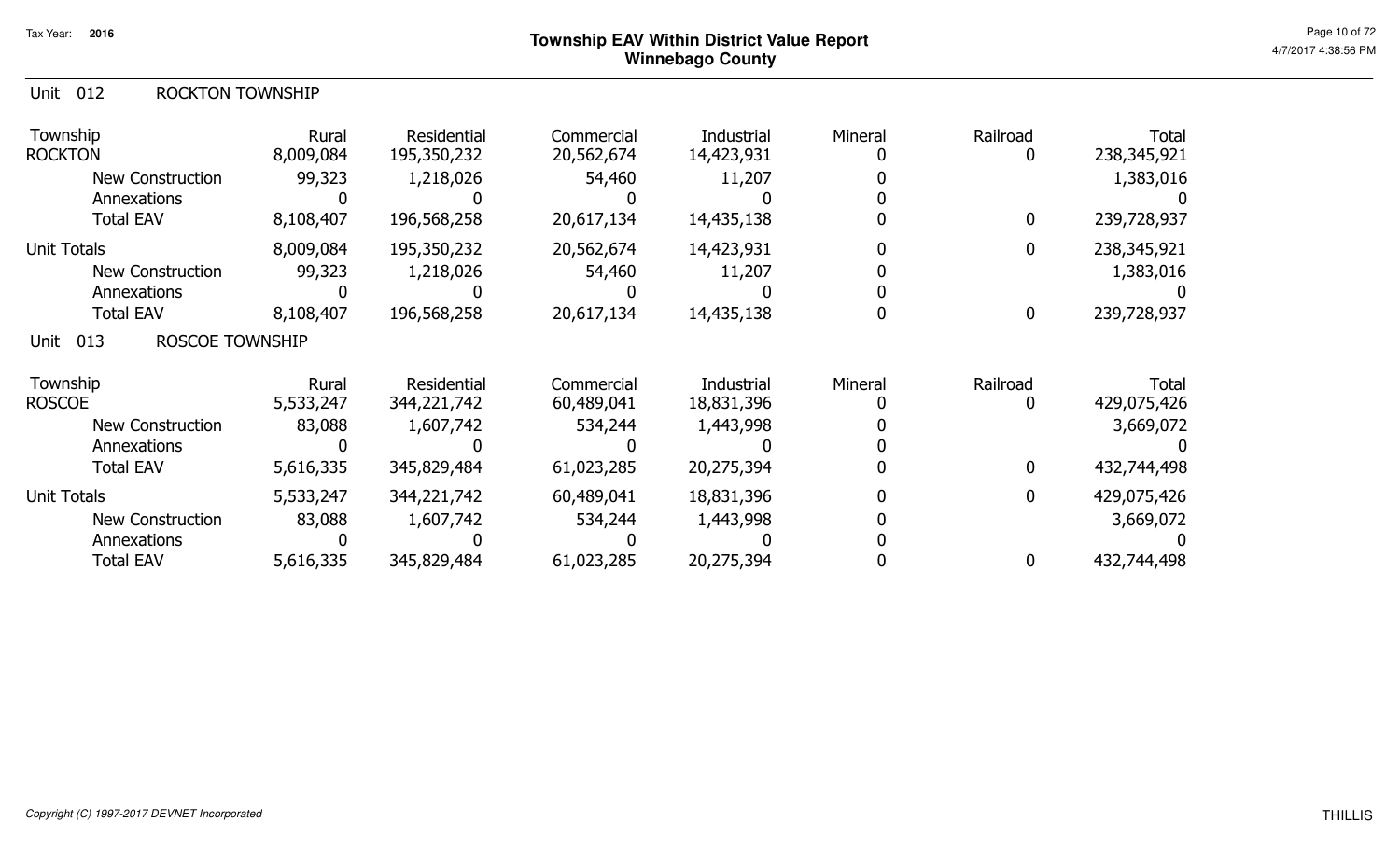#### Unit 012 ROCKTON TOWNSHIP

| Township<br><b>ROCKTON</b>            | Rural<br>8,009,084 | Residential<br>195,350,232 | Commercial<br>20,562,674 | Industrial<br>14,423,931 | Mineral | Railroad    | <b>Total</b><br>238, 345, 921 |
|---------------------------------------|--------------------|----------------------------|--------------------------|--------------------------|---------|-------------|-------------------------------|
| <b>New Construction</b>               | 99,323             | 1,218,026                  | 54,460                   | 11,207                   |         |             | 1,383,016                     |
| Annexations                           |                    |                            |                          |                          |         |             |                               |
| <b>Total EAV</b>                      | 8,108,407          | 196,568,258                | 20,617,134               | 14,435,138               |         | $\mathbf 0$ | 239,728,937                   |
| <b>Unit Totals</b>                    | 8,009,084          | 195,350,232                | 20,562,674               | 14,423,931               |         | 0           | 238,345,921                   |
| <b>New Construction</b>               | 99,323             | 1,218,026                  | 54,460                   | 11,207                   |         |             | 1,383,016                     |
| Annexations                           |                    |                            |                          |                          |         |             |                               |
| <b>Total EAV</b>                      | 8,108,407          | 196,568,258                | 20,617,134               | 14,435,138               |         | $\mathbf 0$ | 239,728,937                   |
| <b>ROSCOE TOWNSHIP</b><br>013<br>Unit |                    |                            |                          |                          |         |             |                               |
| Township                              | Rural              | Residential                | Commercial               | Industrial               | Mineral | Railroad    | <b>Total</b>                  |
| <b>ROSCOE</b>                         | 5,533,247          | 344,221,742                | 60,489,041               | 18,831,396               |         |             | 429,075,426                   |
| <b>New Construction</b>               | 83,088             | 1,607,742                  | 534,244                  | 1,443,998                |         |             | 3,669,072                     |
| Annexations                           |                    |                            |                          |                          |         |             |                               |
| <b>Total EAV</b>                      | 5,616,335          | 345,829,484                | 61,023,285               | 20,275,394               |         | 0           | 432,744,498                   |
| <b>Unit Totals</b>                    | 5,533,247          | 344,221,742                | 60,489,041               | 18,831,396               |         | 0           | 429,075,426                   |
| <b>New Construction</b>               | 83,088             | 1,607,742                  | 534,244                  | 1,443,998                |         |             | 3,669,072                     |
| Annexations                           |                    |                            |                          |                          |         |             |                               |
| <b>Total EAV</b>                      | 5,616,335          | 345,829,484                | 61,023,285               | 20,275,394               |         | 0           | 432,744,498                   |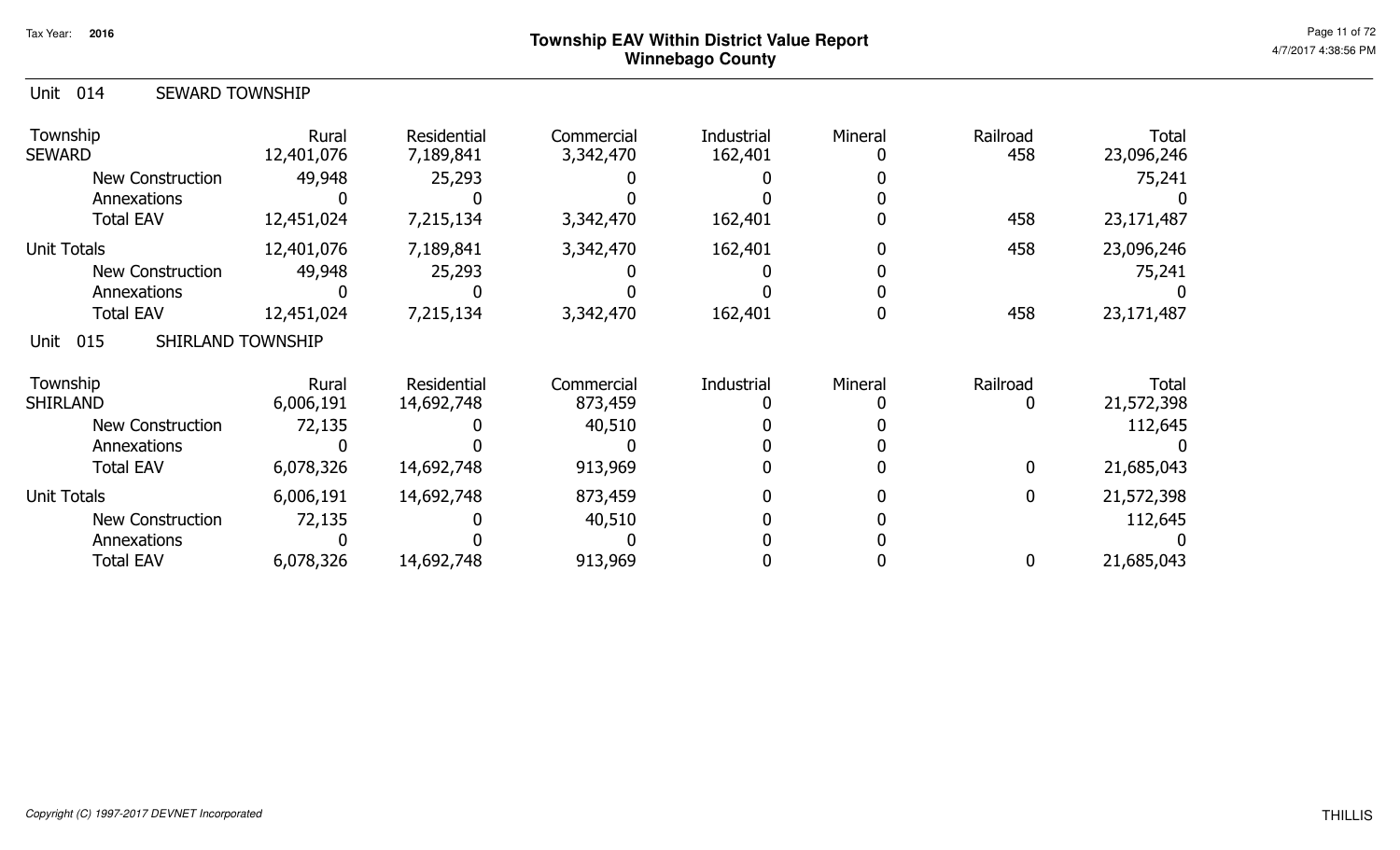| 014<br><b>SEWARD TOWNSHIP</b><br>Unit |                     |                          |                         |                       |         |                 |                     |
|---------------------------------------|---------------------|--------------------------|-------------------------|-----------------------|---------|-----------------|---------------------|
| Township<br><b>SEWARD</b>             | Rural<br>12,401,076 | Residential<br>7,189,841 | Commercial<br>3,342,470 | Industrial<br>162,401 | Mineral | Railroad<br>458 | Total<br>23,096,246 |
| <b>New Construction</b>               | 49,948              | 25,293                   |                         |                       |         |                 | 75,241              |
| Annexations                           |                     |                          |                         |                       |         |                 |                     |
| <b>Total EAV</b>                      | 12,451,024          | 7,215,134                | 3,342,470               | 162,401               |         | 458             | 23,171,487          |
| <b>Unit Totals</b>                    | 12,401,076          | 7,189,841                | 3,342,470               | 162,401               |         | 458             | 23,096,246          |
| New Construction                      | 49,948              | 25,293                   |                         |                       |         |                 | 75,241              |
| Annexations                           |                     |                          |                         |                       |         |                 |                     |
| <b>Total EAV</b>                      | 12,451,024          | 7,215,134                | 3,342,470               | 162,401               |         | 458             | 23,171,487          |
| 015<br>SHIRLAND TOWNSHIP<br>Unit      |                     |                          |                         |                       |         |                 |                     |
| Township                              | Rural               | Residential              | Commercial              | Industrial            | Mineral | Railroad        | <b>Total</b>        |
| <b>SHIRLAND</b>                       | 6,006,191           | 14,692,748               | 873,459                 |                       |         |                 | 21,572,398          |
| <b>New Construction</b>               | 72,135              |                          | 40,510                  |                       |         |                 | 112,645             |
| Annexations                           |                     |                          |                         |                       |         |                 |                     |
| <b>Total EAV</b>                      | 6,078,326           | 14,692,748               | 913,969                 |                       |         | $\Omega$        | 21,685,043          |
| <b>Unit Totals</b>                    | 6,006,191           | 14,692,748               | 873,459                 |                       |         | 0               | 21,572,398          |
| <b>New Construction</b>               | 72,135              |                          | 40,510                  |                       |         |                 | 112,645             |
| Annexations                           |                     |                          |                         |                       |         |                 |                     |
| <b>Total EAV</b>                      | 6,078,326           | 14,692,748               | 913,969                 |                       |         | 0               | 21,685,043          |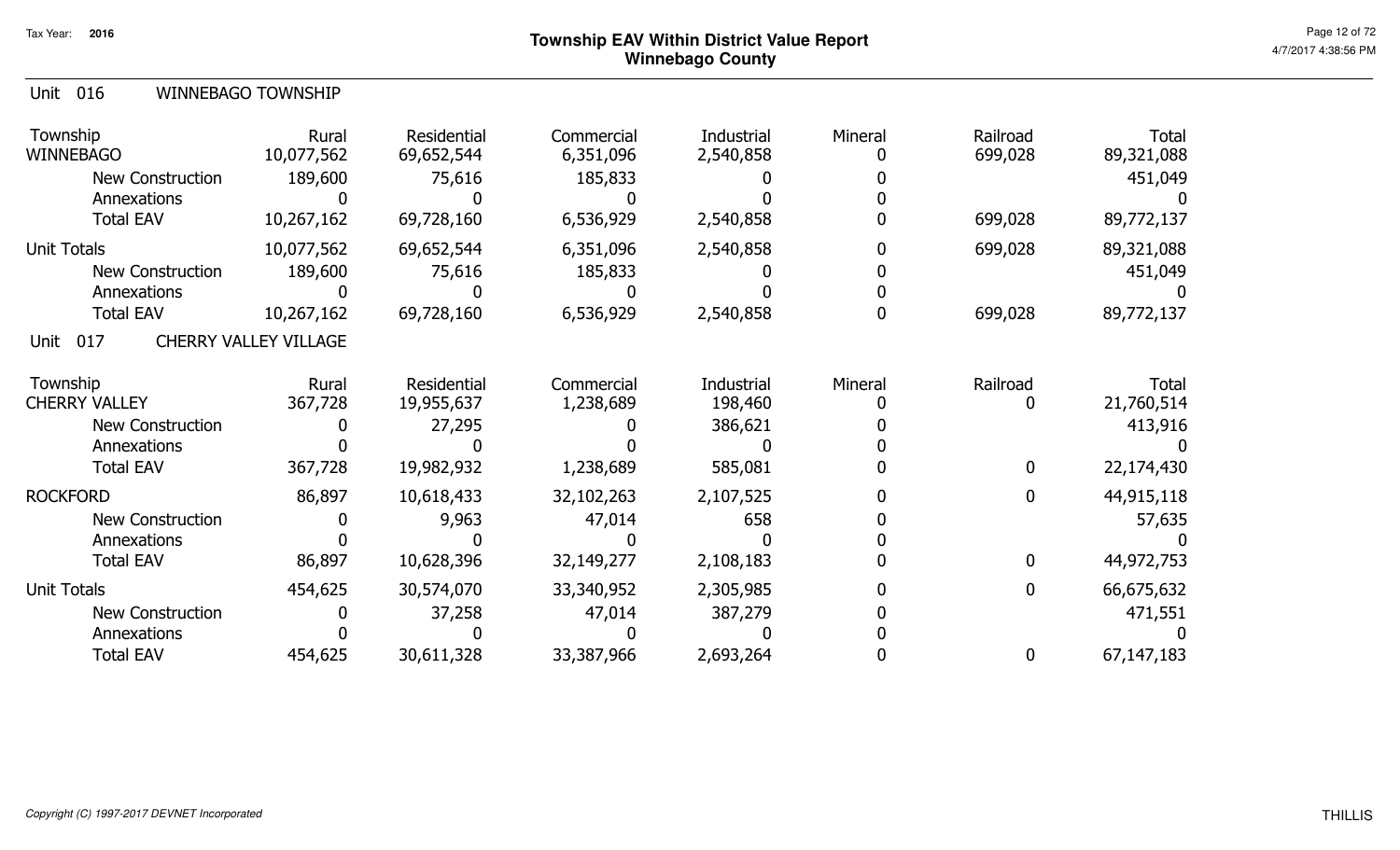| Unit 016 | <b>WINNEBAGO TOWNSHIP</b> |
|----------|---------------------------|
|          |                           |

| Township<br><b>WINNEBAGO</b> | Rural<br>10,077,562          | Residential<br>69,652,544 | Commercial<br>6,351,096 | Industrial<br>2,540,858 | Mineral | Railroad<br>699,028 | <b>Total</b><br>89,321,088 |
|------------------------------|------------------------------|---------------------------|-------------------------|-------------------------|---------|---------------------|----------------------------|
| New Construction             | 189,600                      | 75,616                    | 185,833                 |                         |         |                     | 451,049                    |
| Annexations                  |                              |                           |                         |                         |         |                     |                            |
| <b>Total EAV</b>             | 10,267,162                   | 69,728,160                | 6,536,929               | 2,540,858               |         | 699,028             | 89,772,137                 |
| <b>Unit Totals</b>           | 10,077,562                   | 69,652,544                | 6,351,096               | 2,540,858               |         | 699,028             | 89,321,088                 |
| <b>New Construction</b>      | 189,600                      | 75,616                    | 185,833                 |                         |         |                     | 451,049                    |
| Annexations                  |                              |                           |                         |                         |         |                     |                            |
| <b>Total EAV</b>             | 10,267,162                   | 69,728,160                | 6,536,929               | 2,540,858               |         | 699,028             | 89,772,137                 |
| 017<br>Unit                  | <b>CHERRY VALLEY VILLAGE</b> |                           |                         |                         |         |                     |                            |
| Township                     | Rural                        | Residential               | Commercial              | Industrial              | Mineral | Railroad            | <b>Total</b>               |
| <b>CHERRY VALLEY</b>         | 367,728                      | 19,955,637                | 1,238,689               | 198,460                 |         | 0                   | 21,760,514                 |
| <b>New Construction</b>      |                              | 27,295                    |                         | 386,621                 |         |                     | 413,916                    |
| Annexations                  |                              |                           |                         |                         |         |                     |                            |
| <b>Total EAV</b>             | 367,728                      | 19,982,932                | 1,238,689               | 585,081                 |         | $\mathbf 0$         | 22,174,430                 |
| <b>ROCKFORD</b>              | 86,897                       | 10,618,433                | 32,102,263              | 2,107,525               |         | $\mathbf 0$         | 44,915,118                 |
| <b>New Construction</b>      |                              | 9,963                     | 47,014                  | 658                     |         |                     | 57,635                     |
| Annexations                  |                              |                           |                         |                         |         |                     |                            |
| <b>Total EAV</b>             | 86,897                       | 10,628,396                | 32,149,277              | 2,108,183               |         | $\boldsymbol{0}$    | 44,972,753                 |
| <b>Unit Totals</b>           | 454,625                      | 30,574,070                | 33,340,952              | 2,305,985               |         | $\boldsymbol{0}$    | 66,675,632                 |
| <b>New Construction</b>      |                              | 37,258                    | 47,014                  | 387,279                 |         |                     | 471,551                    |
| Annexations                  |                              |                           |                         |                         |         |                     |                            |
| <b>Total EAV</b>             | 454,625                      | 30,611,328                | 33,387,966              | 2,693,264               |         | 0                   | 67,147,183                 |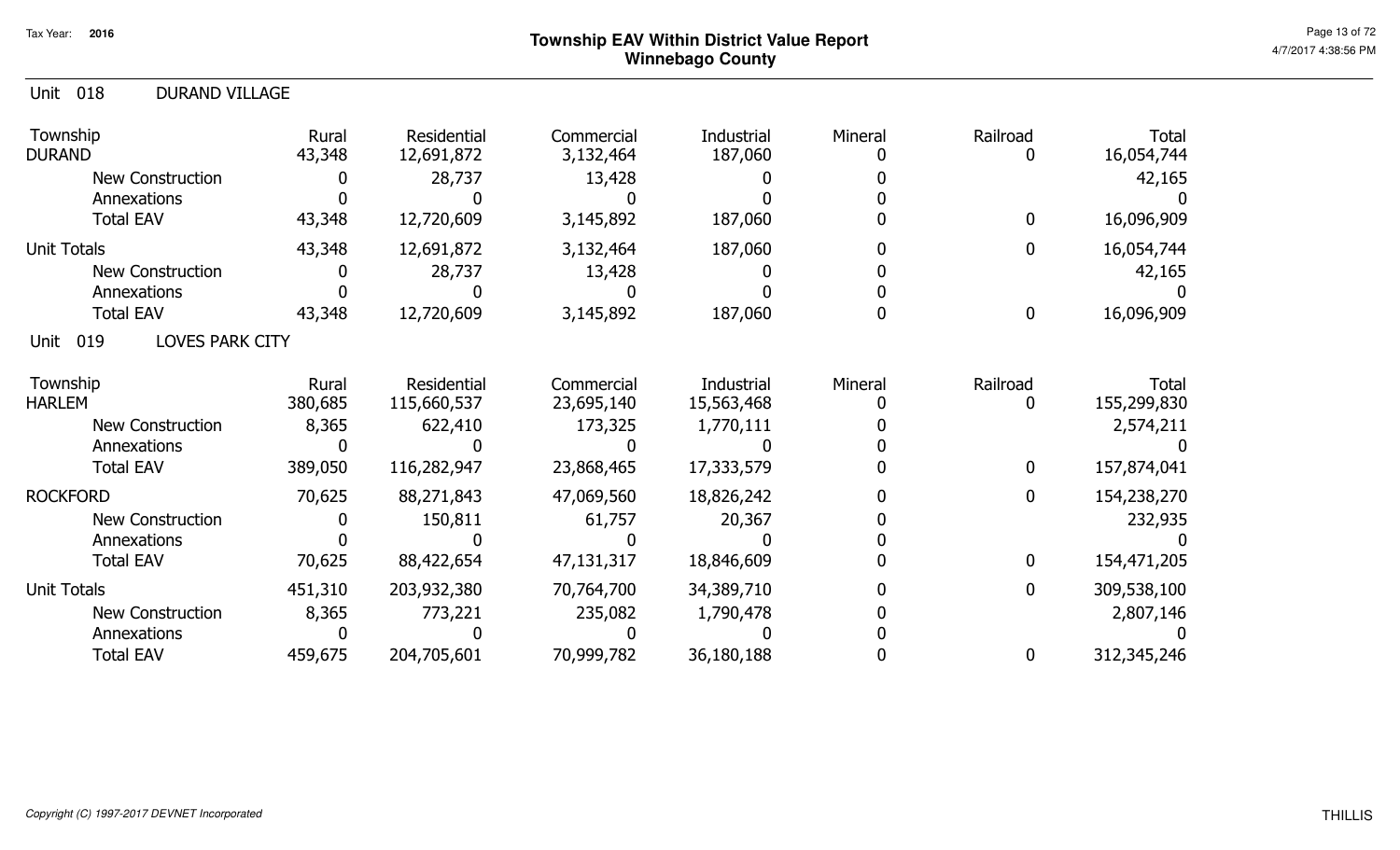| 018<br><b>DURAND VILLAGE</b><br>Unit  |                  |                            |                          |                          |         |                  |                             |
|---------------------------------------|------------------|----------------------------|--------------------------|--------------------------|---------|------------------|-----------------------------|
| Township<br><b>DURAND</b>             | Rural<br>43,348  | Residential<br>12,691,872  | Commercial<br>3,132,464  | Industrial<br>187,060    | Mineral | Railroad<br>0    | <b>Total</b><br>16,054,744  |
| <b>New Construction</b>               | $\mathbf{0}$     | 28,737                     | 13,428                   |                          |         |                  | 42,165                      |
| Annexations                           |                  |                            |                          |                          |         |                  |                             |
| <b>Total EAV</b>                      | 43,348           | 12,720,609                 | 3,145,892                | 187,060                  |         | $\bf{0}$         | 16,096,909                  |
| <b>Unit Totals</b>                    | 43,348           | 12,691,872                 | 3,132,464                | 187,060                  |         | $\bf{0}$         | 16,054,744                  |
| <b>New Construction</b>               |                  | 28,737                     | 13,428                   |                          |         |                  | 42,165                      |
| Annexations                           |                  |                            |                          |                          |         |                  |                             |
| <b>Total EAV</b>                      | 43,348           | 12,720,609                 | 3,145,892                | 187,060                  |         | $\boldsymbol{0}$ | 16,096,909                  |
| <b>LOVES PARK CITY</b><br>019<br>Unit |                  |                            |                          |                          |         |                  |                             |
| Township<br><b>HARLEM</b>             | Rural<br>380,685 | Residential<br>115,660,537 | Commercial<br>23,695,140 | Industrial<br>15,563,468 | Mineral | Railroad<br>0    | <b>Total</b><br>155,299,830 |
| New Construction                      | 8,365            | 622,410                    | 173,325                  | 1,770,111                |         |                  | 2,574,211                   |
| Annexations                           |                  |                            |                          |                          |         |                  |                             |
| <b>Total EAV</b>                      | 389,050          | 116,282,947                | 23,868,465               | 17,333,579               |         | $\bf{0}$         | 157,874,041                 |
| <b>ROCKFORD</b>                       | 70,625           | 88,271,843                 | 47,069,560               | 18,826,242               |         | $\mathbf 0$      | 154,238,270                 |
| <b>New Construction</b>               |                  | 150,811                    | 61,757                   | 20,367                   |         |                  | 232,935                     |
| Annexations                           |                  |                            |                          |                          |         |                  |                             |
| <b>Total EAV</b>                      | 70,625           | 88,422,654                 | 47,131,317               | 18,846,609               |         | $\mathbf 0$      | 154,471,205                 |
| <b>Unit Totals</b>                    | 451,310          | 203,932,380                | 70,764,700               | 34,389,710               |         | $\mathbf 0$      | 309,538,100                 |
| <b>New Construction</b>               | 8,365            | 773,221                    | 235,082                  | 1,790,478                |         |                  | 2,807,146                   |
| Annexations                           |                  |                            |                          |                          |         |                  |                             |
| <b>Total EAV</b>                      | 459,675          | 204,705,601                | 70,999,782               | 36,180,188               |         | $\boldsymbol{0}$ | 312,345,246                 |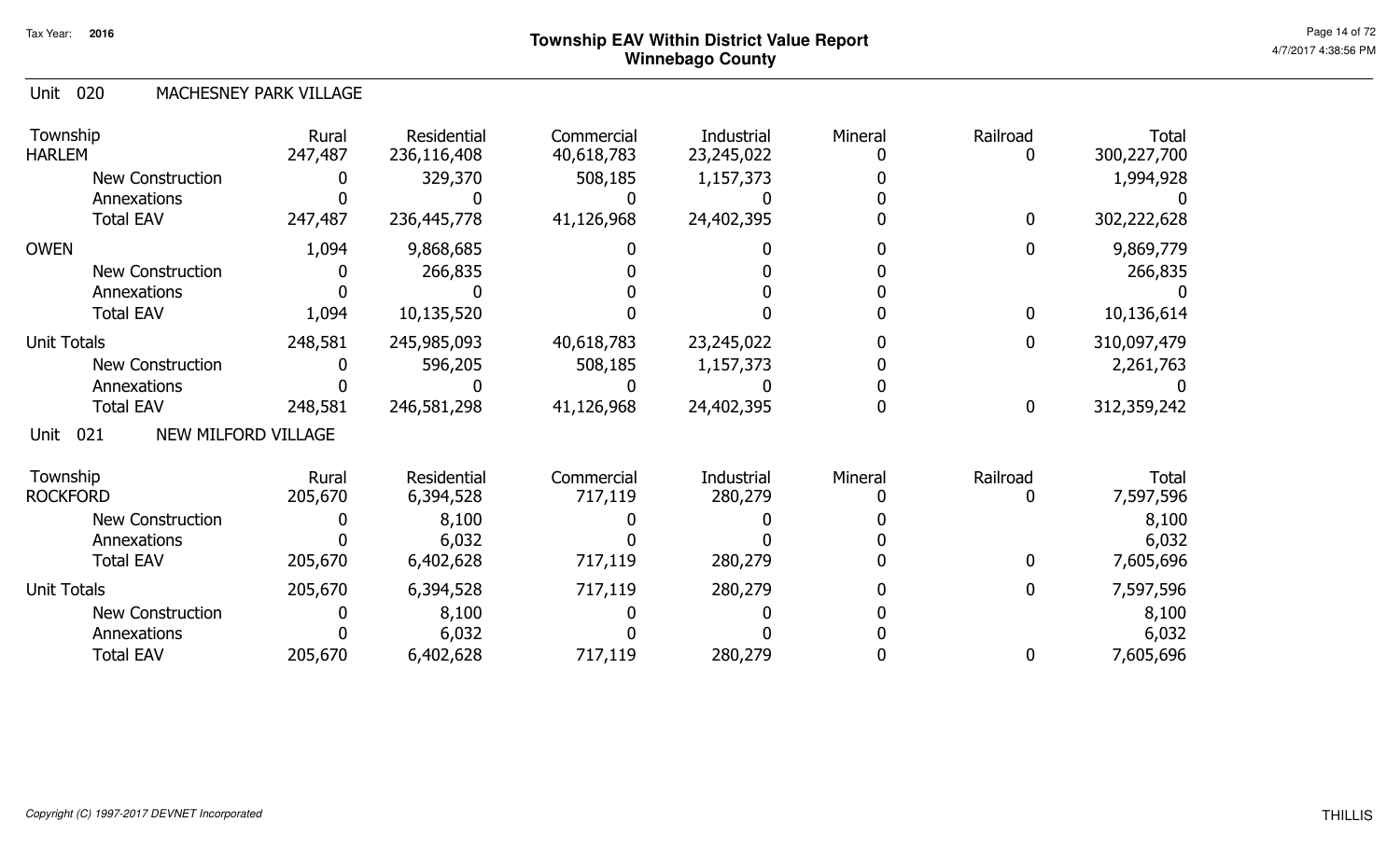#### Unit 020 MACHESNEY PARK VILLAGE

| Township<br><b>HARLEM</b>                 | Rural<br>247,487 | Residential<br>236,116,408 | Commercial<br>40,618,783 | Industrial<br>23,245,022 | Mineral | Railroad     | Total<br>300,227,700 |
|-------------------------------------------|------------------|----------------------------|--------------------------|--------------------------|---------|--------------|----------------------|
| <b>New Construction</b>                   |                  | 329,370                    | 508,185                  | 1,157,373                |         |              | 1,994,928            |
| Annexations                               |                  |                            |                          |                          |         |              |                      |
| <b>Total EAV</b>                          | 247,487          | 236,445,778                | 41,126,968               | 24,402,395               |         | $\mathbf{0}$ | 302,222,628          |
| <b>OWEN</b>                               | 1,094            | 9,868,685                  |                          |                          |         | $\mathbf 0$  | 9,869,779            |
| <b>New Construction</b>                   |                  | 266,835                    |                          |                          |         |              | 266,835              |
| Annexations                               |                  |                            |                          |                          |         |              |                      |
| <b>Total EAV</b>                          | 1,094            | 10,135,520                 |                          |                          |         | $\mathbf 0$  | 10,136,614           |
| <b>Unit Totals</b>                        | 248,581          | 245,985,093                | 40,618,783               | 23,245,022               |         | $\mathbf 0$  | 310,097,479          |
| <b>New Construction</b>                   |                  | 596,205                    | 508,185                  | 1,157,373                |         |              | 2,261,763            |
| Annexations                               |                  |                            |                          |                          |         |              |                      |
| <b>Total EAV</b>                          | 248,581          | 246,581,298                | 41,126,968               | 24,402,395               |         | $\bf{0}$     | 312,359,242          |
| <b>NEW MILFORD VILLAGE</b><br>021<br>Unit |                  |                            |                          |                          |         |              |                      |
| Township                                  | Rural            | Residential                | Commercial               | Industrial               | Mineral | Railroad     | <b>Total</b>         |
| <b>ROCKFORD</b>                           | 205,670          | 6,394,528                  | 717,119                  | 280,279                  |         |              | 7,597,596            |
| <b>New Construction</b>                   |                  | 8,100                      |                          |                          |         |              | 8,100                |
| Annexations                               |                  | 6,032                      |                          |                          |         |              | 6,032                |
| <b>Total EAV</b>                          | 205,670          | 6,402,628                  | 717,119                  | 280,279                  |         | 0            | 7,605,696            |
| <b>Unit Totals</b>                        | 205,670          | 6,394,528                  | 717,119                  | 280,279                  |         | 0            | 7,597,596            |
| New Construction                          |                  | 8,100                      |                          |                          |         |              | 8,100                |
| Annexations                               |                  | 6,032                      |                          |                          |         |              | 6,032                |
| <b>Total EAV</b>                          | 205,670          | 6,402,628                  | 717,119                  | 280,279                  |         |              | 7,605,696            |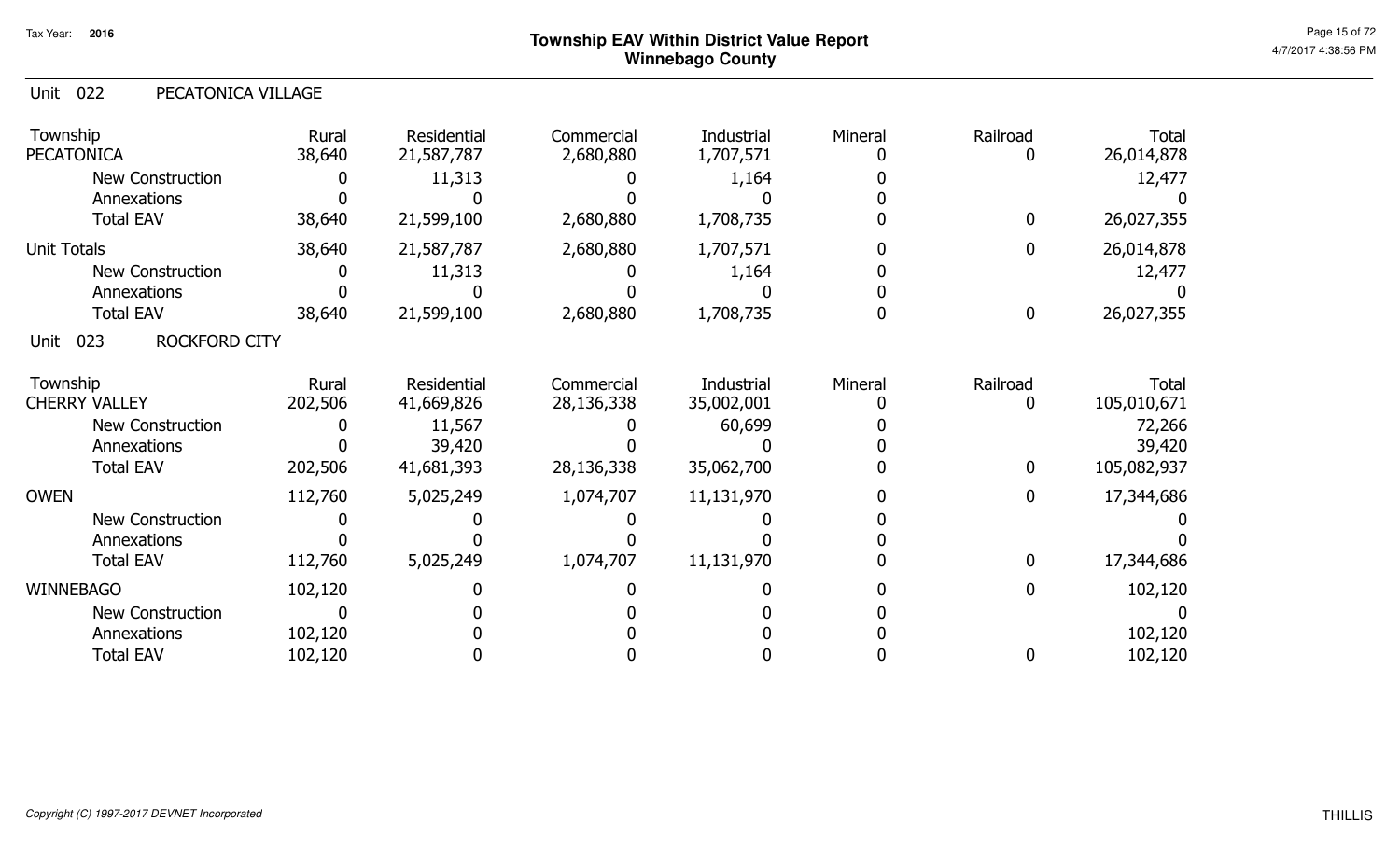| 022<br>Unit<br>PECATONICA VILLAGE   |                  |                           |                          |                                 |         |                  |                             |
|-------------------------------------|------------------|---------------------------|--------------------------|---------------------------------|---------|------------------|-----------------------------|
| Township<br><b>PECATONICA</b>       | Rural<br>38,640  | Residential<br>21,587,787 | Commercial<br>2,680,880  | <b>Industrial</b><br>1,707,571  | Mineral | Railroad         | Total<br>26,014,878         |
| <b>New Construction</b>             |                  | 11,313                    |                          | 1,164                           |         |                  | 12,477                      |
| Annexations                         |                  |                           |                          |                                 |         |                  |                             |
| <b>Total EAV</b>                    | 38,640           | 21,599,100                | 2,680,880                | 1,708,735                       |         | $\bf{0}$         | 26,027,355                  |
| <b>Unit Totals</b>                  | 38,640           | 21,587,787                | 2,680,880                | 1,707,571                       |         | $\mathbf{0}$     | 26,014,878                  |
| <b>New Construction</b>             |                  | 11,313                    |                          | 1,164                           |         |                  | 12,477                      |
| Annexations                         |                  |                           |                          |                                 |         |                  |                             |
| <b>Total EAV</b>                    | 38,640           | 21,599,100                | 2,680,880                | 1,708,735                       |         | $\boldsymbol{0}$ | 26,027,355                  |
| 023<br><b>ROCKFORD CITY</b><br>Unit |                  |                           |                          |                                 |         |                  |                             |
| Township<br><b>CHERRY VALLEY</b>    | Rural<br>202,506 | Residential<br>41,669,826 | Commercial<br>28,136,338 | <b>Industrial</b><br>35,002,001 | Mineral | Railroad<br>0    | <b>Total</b><br>105,010,671 |
| <b>New Construction</b>             |                  | 11,567                    |                          | 60,699                          |         |                  | 72,266                      |
| Annexations                         |                  | 39,420                    |                          |                                 |         |                  | 39,420                      |
| <b>Total EAV</b>                    | 202,506          | 41,681,393                | 28,136,338               | 35,062,700                      |         | $\mathbf 0$      | 105,082,937                 |
| <b>OWEN</b>                         | 112,760          | 5,025,249                 | 1,074,707                | 11,131,970                      |         | $\bf{0}$         | 17,344,686                  |
| New Construction                    |                  |                           |                          |                                 |         |                  |                             |
| Annexations                         |                  |                           |                          |                                 |         |                  |                             |
| <b>Total EAV</b>                    | 112,760          | 5,025,249                 | 1,074,707                | 11,131,970                      |         | $\mathbf 0$      | 17,344,686                  |
| <b>WINNEBAGO</b>                    | 102,120          |                           |                          |                                 |         | $\bf{0}$         | 102,120                     |
| New Construction                    | $\boldsymbol{0}$ |                           |                          |                                 |         |                  |                             |
| Annexations                         | 102,120          |                           |                          |                                 |         |                  | 102,120                     |
| <b>Total EAV</b>                    | 102,120          |                           |                          |                                 |         |                  | 102,120                     |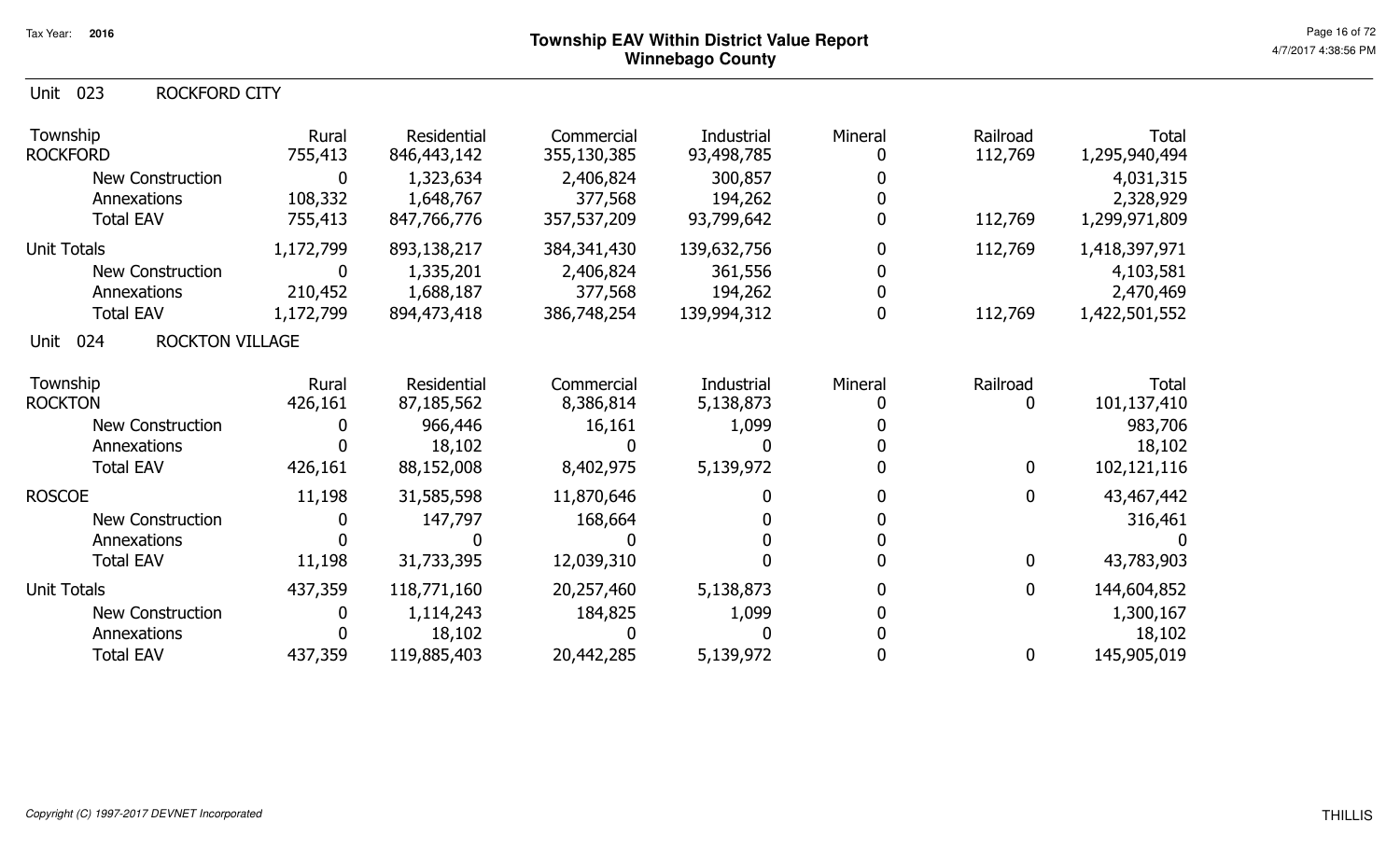#### Unit 023 ROCKFORD CITY

| Township<br><b>ROCKFORD</b>            | Rural<br>755,413 | Residential<br>846, 443, 142 | Commercial<br>355,130,385 | Industrial<br>93,498,785 | Mineral | Railroad<br>112,769 | <b>Total</b><br>1,295,940,494 |
|----------------------------------------|------------------|------------------------------|---------------------------|--------------------------|---------|---------------------|-------------------------------|
| <b>New Construction</b><br>Annexations | 0<br>108,332     | 1,323,634<br>1,648,767       | 2,406,824<br>377,568      | 300,857<br>194,262       |         |                     | 4,031,315<br>2,328,929        |
| <b>Total EAV</b>                       | 755,413          | 847,766,776                  | 357,537,209               | 93,799,642               |         | 112,769             | 1,299,971,809                 |
| <b>Unit Totals</b>                     | 1,172,799        | 893,138,217                  | 384,341,430               | 139,632,756              |         | 112,769             | 1,418,397,971                 |
| New Construction                       | 0                | 1,335,201                    | 2,406,824                 | 361,556                  |         |                     | 4,103,581                     |
| Annexations                            | 210,452          | 1,688,187                    | 377,568                   | 194,262                  |         |                     | 2,470,469                     |
| <b>Total EAV</b>                       | 1,172,799        | 894,473,418                  | 386,748,254               | 139,994,312              |         | 112,769             | 1,422,501,552                 |
| <b>ROCKTON VILLAGE</b><br>024<br>Unit  |                  |                              |                           |                          |         |                     |                               |
| Township                               | Rural            | Residential                  | Commercial                | Industrial               | Mineral | Railroad            | Total                         |
| <b>ROCKTON</b>                         | 426,161          | 87,185,562                   | 8,386,814                 | 5,138,873                |         | 0                   | 101,137,410                   |
| New Construction                       |                  | 966,446                      | 16,161                    | 1,099                    |         |                     | 983,706                       |
| Annexations                            |                  | 18,102                       |                           |                          |         |                     | 18,102                        |
| <b>Total EAV</b>                       | 426,161          | 88,152,008                   | 8,402,975                 | 5,139,972                |         | $\mathbf 0$         | 102,121,116                   |
| <b>ROSCOE</b>                          | 11,198           | 31,585,598                   | 11,870,646                |                          |         | $\mathbf{0}$        | 43,467,442                    |
| <b>New Construction</b>                |                  | 147,797                      | 168,664                   |                          |         |                     | 316,461                       |
| Annexations                            |                  |                              |                           |                          |         |                     |                               |
| <b>Total EAV</b>                       | 11,198           | 31,733,395                   | 12,039,310                |                          |         | $\boldsymbol{0}$    | 43,783,903                    |
| <b>Unit Totals</b>                     | 437,359          | 118,771,160                  | 20,257,460                | 5,138,873                |         | $\boldsymbol{0}$    | 144,604,852                   |
| <b>New Construction</b>                |                  | 1,114,243                    | 184,825                   | 1,099                    |         |                     | 1,300,167                     |
| Annexations                            |                  | 18,102                       |                           |                          |         |                     | 18,102                        |
| <b>Total EAV</b>                       | 437,359          | 119,885,403                  | 20,442,285                | 5,139,972                |         | $\boldsymbol{0}$    | 145,905,019                   |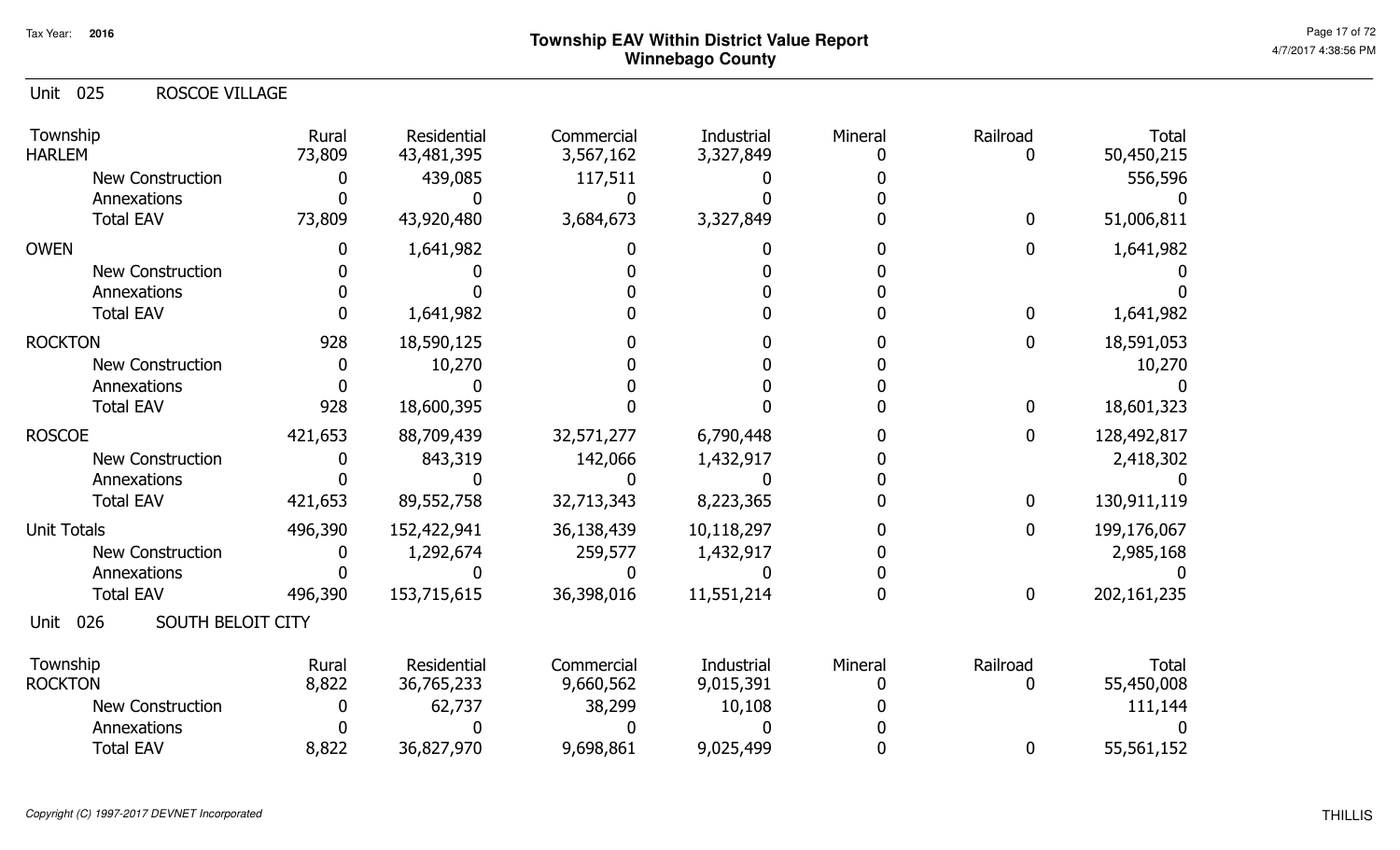| Unit 025 | <b>ROSCOE VILLAGE</b> |  |
|----------|-----------------------|--|
|          |                       |  |

| Township<br><b>HARLEM</b>        | Rural<br>73,809 | Residential<br>43,481,395 | Commercial<br>3,567,162 | <b>Industrial</b><br>3,327,849 | Mineral | Railroad     | <b>Total</b><br>50,450,215 |
|----------------------------------|-----------------|---------------------------|-------------------------|--------------------------------|---------|--------------|----------------------------|
| <b>New Construction</b>          |                 | 439,085                   | 117,511                 |                                |         |              | 556,596                    |
| Annexations                      |                 |                           |                         |                                |         |              |                            |
| <b>Total EAV</b>                 | 73,809          | 43,920,480                | 3,684,673               | 3,327,849                      |         | $\mathbf{0}$ | 51,006,811                 |
| <b>OWEN</b>                      |                 | 1,641,982                 |                         |                                |         | 0            | 1,641,982                  |
| <b>New Construction</b>          |                 |                           |                         |                                |         |              |                            |
| Annexations                      |                 |                           |                         |                                |         |              |                            |
| <b>Total EAV</b>                 |                 | 1,641,982                 |                         |                                |         | $\mathbf{0}$ | 1,641,982                  |
| <b>ROCKTON</b>                   | 928             | 18,590,125                |                         |                                |         | 0            | 18,591,053                 |
| <b>New Construction</b>          | 0               | 10,270                    |                         |                                |         |              | 10,270                     |
| Annexations                      |                 |                           |                         |                                |         |              |                            |
| <b>Total EAV</b>                 | 928             | 18,600,395                |                         |                                |         | $\mathbf{0}$ | 18,601,323                 |
| <b>ROSCOE</b>                    | 421,653         | 88,709,439                | 32,571,277              | 6,790,448                      |         | $\mathbf 0$  | 128,492,817                |
| <b>New Construction</b>          |                 | 843,319                   | 142,066                 | 1,432,917                      |         |              | 2,418,302                  |
| Annexations                      |                 |                           |                         |                                |         |              |                            |
| <b>Total EAV</b>                 | 421,653         | 89,552,758                | 32,713,343              | 8,223,365                      |         | $\mathbf 0$  | 130,911,119                |
| <b>Unit Totals</b>               | 496,390         | 152,422,941               | 36,138,439              | 10,118,297                     |         | $\mathbf{0}$ | 199,176,067                |
| New Construction                 |                 | 1,292,674                 | 259,577                 | 1,432,917                      |         |              | 2,985,168                  |
| Annexations                      |                 |                           |                         |                                |         |              |                            |
| <b>Total EAV</b>                 | 496,390         | 153,715,615               | 36,398,016              | 11,551,214                     |         | $\bf{0}$     | 202,161,235                |
| SOUTH BELOIT CITY<br>026<br>Unit |                 |                           |                         |                                |         |              |                            |
| Township<br><b>ROCKTON</b>       | Rural<br>8,822  | Residential<br>36,765,233 | Commercial<br>9,660,562 | Industrial<br>9,015,391        | Mineral | Railroad     | <b>Total</b><br>55,450,008 |
|                                  |                 |                           |                         |                                |         |              |                            |
| <b>New Construction</b>          |                 | 62,737                    | 38,299                  | 10,108                         |         |              | 111,144                    |
| Annexations                      |                 |                           |                         |                                |         |              |                            |
| <b>Total EAV</b>                 | 8,822           | 36,827,970                | 9,698,861               | 9,025,499                      |         | 0            | 55,561,152                 |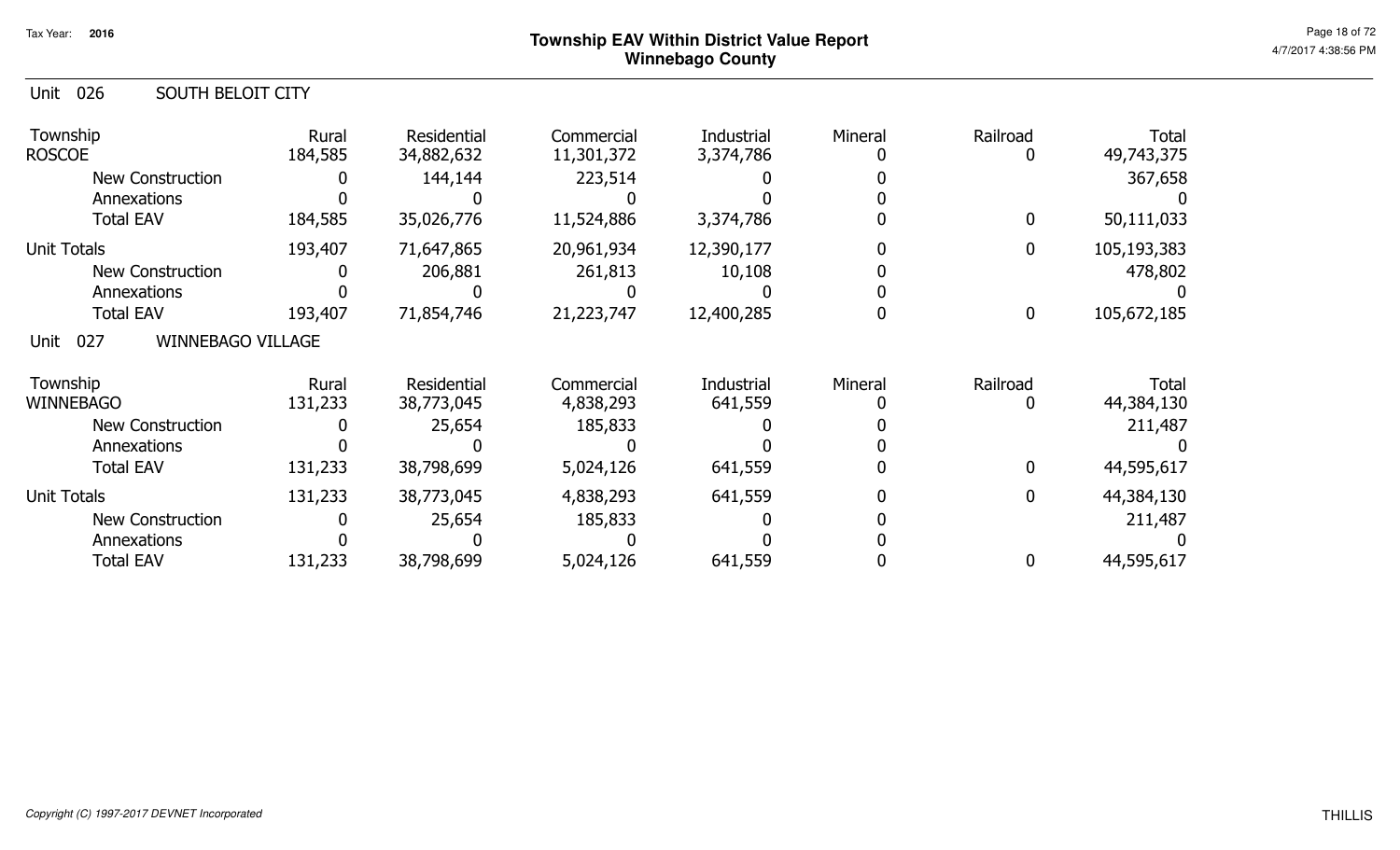| 026<br>Unit<br>SOUTH BELOIT CITY        |                  |                           |                          |                         |         |                  |                     |
|-----------------------------------------|------------------|---------------------------|--------------------------|-------------------------|---------|------------------|---------------------|
| Township<br><b>ROSCOE</b>               | Rural<br>184,585 | Residential<br>34,882,632 | Commercial<br>11,301,372 | Industrial<br>3,374,786 | Mineral | Railroad<br>0    | Total<br>49,743,375 |
| <b>New Construction</b>                 |                  | 144,144                   | 223,514                  |                         |         |                  | 367,658             |
| Annexations                             |                  |                           |                          |                         |         |                  |                     |
| <b>Total EAV</b>                        | 184,585          | 35,026,776                | 11,524,886               | 3,374,786               |         | $\boldsymbol{0}$ | 50,111,033          |
| <b>Unit Totals</b>                      | 193,407          | 71,647,865                | 20,961,934               | 12,390,177              |         | $\overline{0}$   | 105,193,383         |
| <b>New Construction</b>                 |                  | 206,881                   | 261,813                  | 10,108                  |         |                  | 478,802             |
| Annexations                             |                  |                           |                          |                         |         |                  |                     |
| <b>Total EAV</b>                        | 193,407          | 71,854,746                | 21,223,747               | 12,400,285              |         | $\mathbf 0$      | 105,672,185         |
| 027<br><b>WINNEBAGO VILLAGE</b><br>Unit |                  |                           |                          |                         |         |                  |                     |
| Township                                | Rural            | Residential               | Commercial               | Industrial              | Mineral | Railroad         | <b>Total</b>        |
| <b>WINNEBAGO</b>                        | 131,233          | 38,773,045                | 4,838,293                | 641,559                 |         | 0                | 44,384,130          |
| <b>New Construction</b>                 |                  | 25,654                    | 185,833                  |                         |         |                  | 211,487             |
| Annexations                             |                  |                           |                          |                         |         |                  |                     |
| <b>Total EAV</b>                        | 131,233          | 38,798,699                | 5,024,126                | 641,559                 |         | $\overline{0}$   | 44,595,617          |
| <b>Unit Totals</b>                      | 131,233          | 38,773,045                | 4,838,293                | 641,559                 |         | $\overline{0}$   | 44,384,130          |
| <b>New Construction</b>                 |                  | 25,654                    | 185,833                  |                         |         |                  | 211,487             |
| Annexations                             |                  |                           |                          |                         |         |                  |                     |
| <b>Total EAV</b>                        | 131,233          | 38,798,699                | 5,024,126                | 641,559                 |         | 0                | 44,595,617          |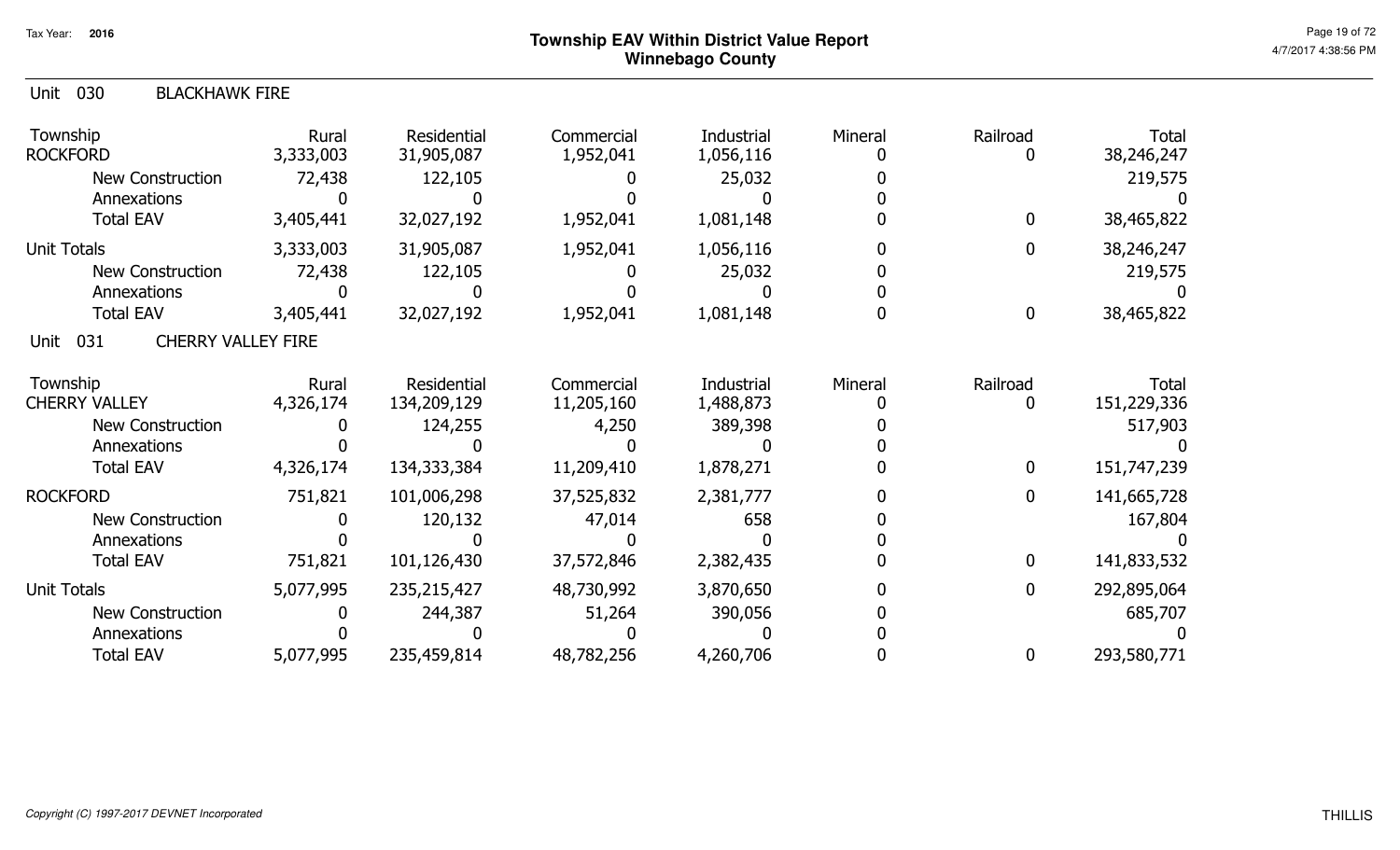| 030<br>Unit<br><b>BLACKHAWK FIRE</b>     |                    |                                   |                          |                                |         |               |                             |
|------------------------------------------|--------------------|-----------------------------------|--------------------------|--------------------------------|---------|---------------|-----------------------------|
| Township<br><b>ROCKFORD</b>              | Rural<br>3,333,003 | <b>Residential</b><br>31,905,087  | Commercial<br>1,952,041  | Industrial<br>1,056,116        | Mineral | Railroad<br>0 | <b>Total</b><br>38,246,247  |
| <b>New Construction</b>                  | 72,438             | 122,105                           |                          | 25,032                         |         |               | 219,575                     |
| Annexations                              |                    |                                   |                          |                                |         |               |                             |
| <b>Total EAV</b>                         | 3,405,441          | 32,027,192                        | 1,952,041                | 1,081,148                      |         | 0             | 38,465,822                  |
| <b>Unit Totals</b>                       | 3,333,003          | 31,905,087                        | 1,952,041                | 1,056,116                      |         | 0             | 38,246,247                  |
| <b>New Construction</b>                  | 72,438             | 122,105                           |                          | 25,032                         |         |               | 219,575                     |
| Annexations                              |                    |                                   |                          |                                |         |               |                             |
| <b>Total EAV</b>                         | 3,405,441          | 32,027,192                        | 1,952,041                | 1,081,148                      |         | 0             | 38,465,822                  |
| 031<br><b>CHERRY VALLEY FIRE</b><br>Unit |                    |                                   |                          |                                |         |               |                             |
| Township<br><b>CHERRY VALLEY</b>         | Rural<br>4,326,174 | <b>Residential</b><br>134,209,129 | Commercial<br>11,205,160 | <b>Industrial</b><br>1,488,873 | Mineral | Railroad<br>0 | <b>Total</b><br>151,229,336 |
| <b>New Construction</b>                  |                    | 124,255                           | 4,250                    | 389,398                        |         |               | 517,903                     |
| Annexations                              |                    |                                   |                          |                                |         |               |                             |
| <b>Total EAV</b>                         | 4,326,174          | 134, 333, 384                     | 11,209,410               | 1,878,271                      |         | 0             | 151,747,239                 |
| <b>ROCKFORD</b>                          | 751,821            | 101,006,298                       | 37,525,832               | 2,381,777                      |         | 0             | 141,665,728                 |
| <b>New Construction</b>                  |                    | 120,132                           | 47,014                   | 658                            |         |               | 167,804                     |
| Annexations                              |                    |                                   |                          |                                |         |               |                             |
| <b>Total EAV</b>                         | 751,821            | 101,126,430                       | 37,572,846               | 2,382,435                      |         | 0             | 141,833,532                 |
| <b>Unit Totals</b>                       | 5,077,995          | 235,215,427                       | 48,730,992               | 3,870,650                      |         | 0             | 292,895,064                 |
| <b>New Construction</b>                  |                    | 244,387                           | 51,264                   | 390,056                        |         |               | 685,707                     |
| Annexations                              |                    |                                   |                          |                                |         |               |                             |
| <b>Total EAV</b>                         | 5,077,995          | 235,459,814                       | 48,782,256               | 4,260,706                      |         | 0             | 293,580,771                 |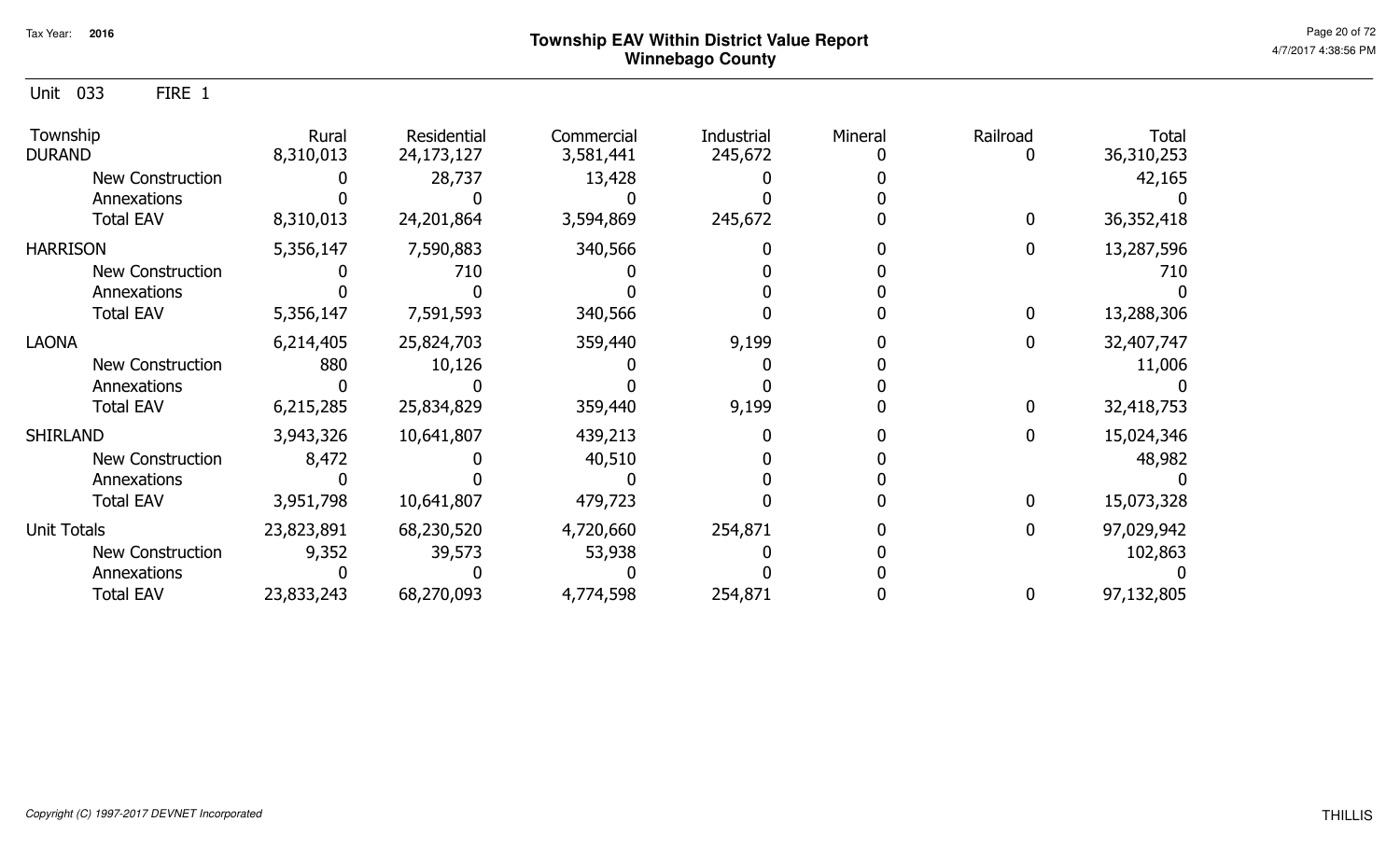Unit 033 FIRE 1

| Township<br><b>DURAND</b> | Rural<br>8,310,013 | Residential<br>24,173,127 | Commercial<br>3,581,441 | Industrial<br>245,672 | Mineral | Railroad | Total<br>36,310,253 |
|---------------------------|--------------------|---------------------------|-------------------------|-----------------------|---------|----------|---------------------|
| <b>New Construction</b>   |                    | 28,737                    | 13,428                  |                       |         |          | 42,165              |
| Annexations               |                    |                           |                         |                       |         |          |                     |
| <b>Total EAV</b>          | 8,310,013          | 24,201,864                | 3,594,869               | 245,672               |         |          | 36,352,418          |
| <b>HARRISON</b>           | 5,356,147          | 7,590,883                 | 340,566                 |                       |         |          | 13,287,596          |
| New Construction          |                    | 710                       |                         |                       |         |          | 710                 |
| Annexations               |                    |                           |                         |                       |         |          |                     |
| <b>Total EAV</b>          | 5,356,147          | 7,591,593                 | 340,566                 |                       |         | 0        | 13,288,306          |
| <b>LAONA</b>              | 6,214,405          | 25,824,703                | 359,440                 | 9,199                 |         | 0        | 32,407,747          |
| New Construction          | 880                | 10,126                    |                         |                       |         |          | 11,006              |
| Annexations               |                    |                           |                         |                       |         |          |                     |
| <b>Total EAV</b>          | 6,215,285          | 25,834,829                | 359,440                 | 9,199                 |         | 0        | 32,418,753          |
| <b>SHIRLAND</b>           | 3,943,326          | 10,641,807                | 439,213                 |                       |         | 0        | 15,024,346          |
| New Construction          | 8,472              |                           | 40,510                  |                       |         |          | 48,982              |
| Annexations               |                    |                           |                         |                       |         |          |                     |
| <b>Total EAV</b>          | 3,951,798          | 10,641,807                | 479,723                 |                       |         | 0        | 15,073,328          |
| <b>Unit Totals</b>        | 23,823,891         | 68,230,520                | 4,720,660               | 254,871               |         |          | 97,029,942          |
| New Construction          | 9,352              | 39,573                    | 53,938                  |                       |         |          | 102,863             |
| Annexations               |                    |                           |                         |                       |         |          |                     |
| <b>Total EAV</b>          | 23,833,243         | 68,270,093                | 4,774,598               | 254,871               |         | 0        | 97,132,805          |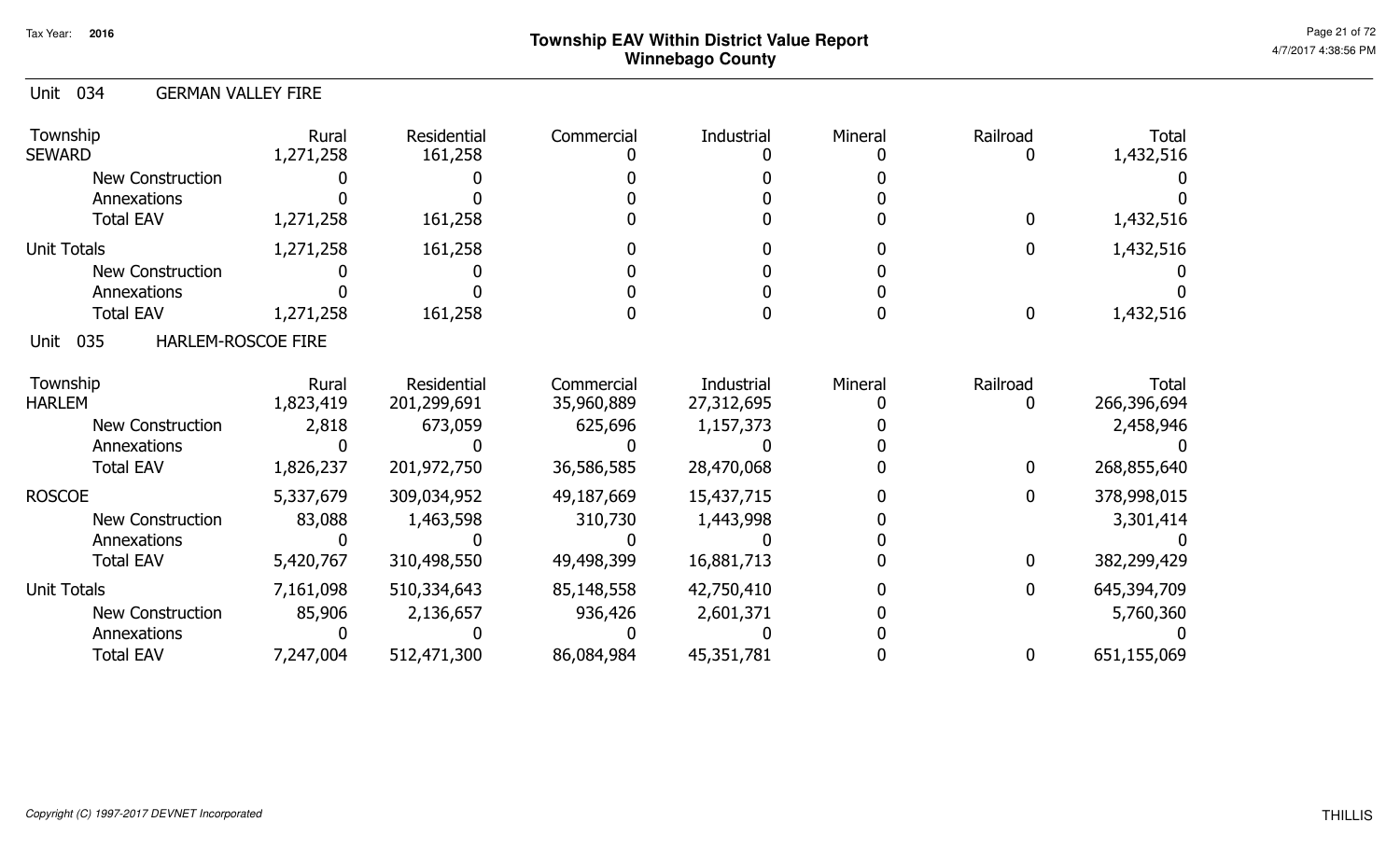#### Unit 034 GERMAN VALLEY FIRE

| Township<br><b>SEWARD</b>                | Rural<br>1,271,258 | Residential<br>161,258 | Commercial | Industrial | Mineral | Railroad     | Total<br>1,432,516 |
|------------------------------------------|--------------------|------------------------|------------|------------|---------|--------------|--------------------|
| <b>New Construction</b>                  |                    |                        |            |            |         |              |                    |
| Annexations                              |                    |                        |            |            |         |              |                    |
| <b>Total EAV</b>                         | 1,271,258          | 161,258                |            |            |         | $\mathbf{0}$ | 1,432,516          |
| <b>Unit Totals</b>                       | 1,271,258          | 161,258                |            |            |         | 0            | 1,432,516          |
| <b>New Construction</b>                  |                    |                        |            |            |         |              |                    |
| Annexations                              |                    |                        |            |            |         |              |                    |
| <b>Total EAV</b>                         | 1,271,258          | 161,258                |            |            |         | $\mathbf 0$  | 1,432,516          |
| <b>HARLEM-ROSCOE FIRE</b><br>035<br>Unit |                    |                        |            |            |         |              |                    |
| Township                                 | Rural              | Residential            | Commercial | Industrial | Mineral | Railroad     | <b>Total</b>       |
| <b>HARLEM</b>                            | 1,823,419          | 201,299,691            | 35,960,889 | 27,312,695 |         | $\mathbf{0}$ | 266,396,694        |
| <b>New Construction</b>                  | 2,818              | 673,059                | 625,696    | 1,157,373  |         |              | 2,458,946          |
| Annexations                              |                    |                        |            |            |         |              |                    |
| <b>Total EAV</b>                         | 1,826,237          | 201,972,750            | 36,586,585 | 28,470,068 |         | $\mathbf{0}$ | 268,855,640        |
| <b>ROSCOE</b>                            | 5,337,679          | 309,034,952            | 49,187,669 | 15,437,715 |         | $\mathbf{0}$ | 378,998,015        |
| <b>New Construction</b>                  | 83,088             | 1,463,598              | 310,730    | 1,443,998  |         |              | 3,301,414          |
| Annexations                              |                    |                        |            |            |         |              |                    |
| <b>Total EAV</b>                         | 5,420,767          | 310,498,550            | 49,498,399 | 16,881,713 |         | 0            | 382,299,429        |
| <b>Unit Totals</b>                       | 7,161,098          | 510,334,643            | 85,148,558 | 42,750,410 |         | $\mathbf{0}$ | 645,394,709        |
| <b>New Construction</b>                  | 85,906             | 2,136,657              | 936,426    | 2,601,371  |         |              | 5,760,360          |
| Annexations                              |                    |                        |            |            |         |              |                    |
| <b>Total EAV</b>                         | 7,247,004          | 512,471,300            | 86,084,984 | 45,351,781 |         | 0            | 651,155,069        |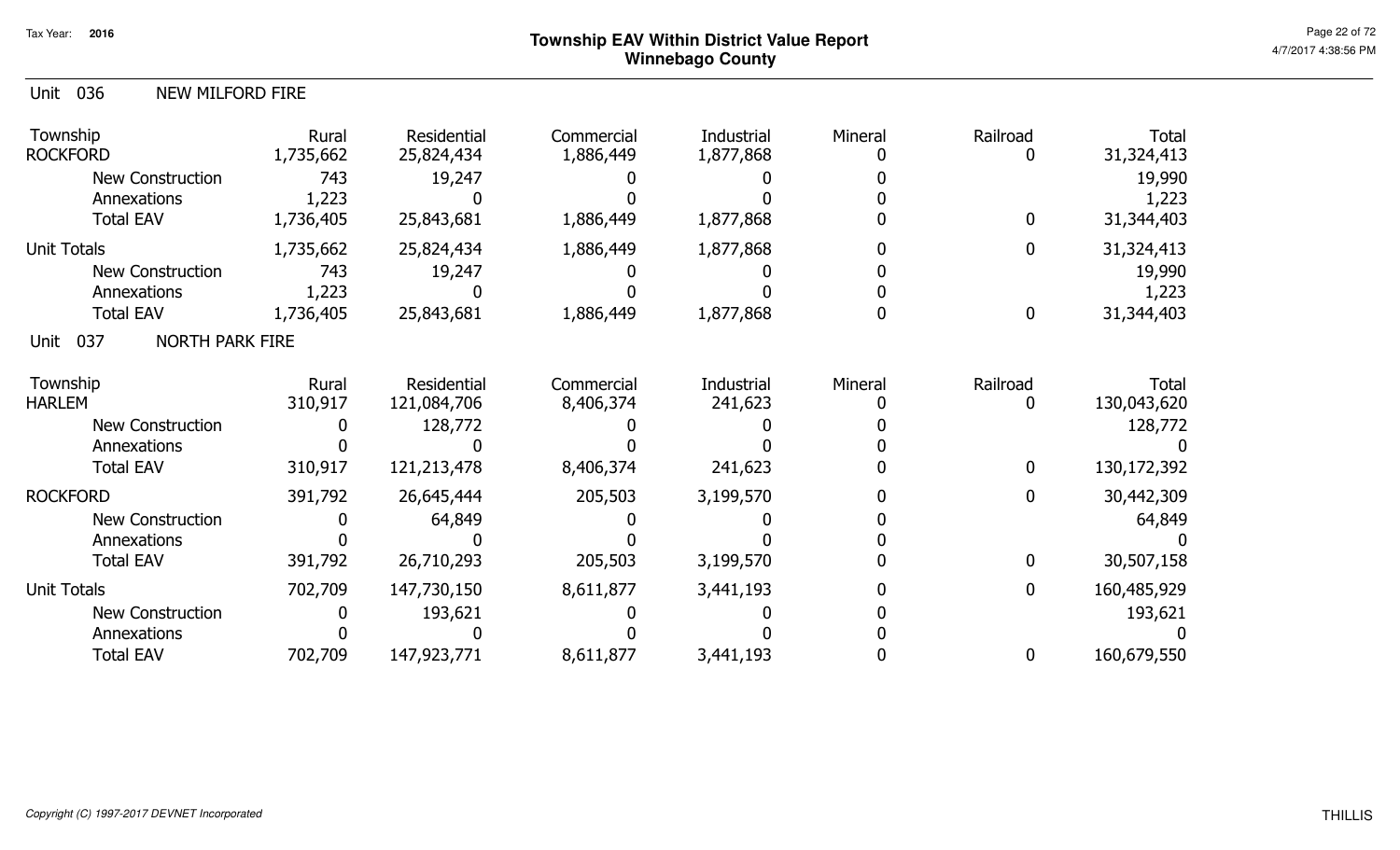| Unit 036<br><b>NEW MILFORD FIRE</b>   |                         |                            |                         |                         |         |              |                             |
|---------------------------------------|-------------------------|----------------------------|-------------------------|-------------------------|---------|--------------|-----------------------------|
| Township<br><b>ROCKFORD</b>           | Rural<br>1,735,662      | Residential<br>25,824,434  | Commercial<br>1,886,449 | Industrial<br>1,877,868 | Mineral | Railroad     | <b>Total</b><br>31,324,413  |
| <b>New Construction</b>               | 743                     | 19,247                     |                         |                         |         |              | 19,990                      |
| Annexations                           | 1,223                   |                            |                         |                         |         |              | 1,223                       |
| <b>Total EAV</b>                      | 1,736,405               | 25,843,681                 | 1,886,449               | 1,877,868               |         | $\mathbf{0}$ | 31,344,403                  |
| <b>Unit Totals</b>                    | 1,735,662               | 25,824,434                 | 1,886,449               | 1,877,868               |         | 0            | 31,324,413                  |
| <b>New Construction</b>               | 743                     | 19,247                     |                         |                         |         |              | 19,990                      |
| Annexations                           | 1,223                   |                            |                         |                         |         |              | 1,223                       |
| <b>Total EAV</b>                      | 1,736,405               | 25,843,681                 | 1,886,449               | 1,877,868               |         | $\mathbf 0$  | 31,344,403                  |
| 037<br><b>NORTH PARK FIRE</b><br>Unit |                         |                            |                         |                         |         |              |                             |
| Township<br><b>HARLEM</b>             | <b>Rural</b><br>310,917 | Residential<br>121,084,706 | Commercial<br>8,406,374 | Industrial<br>241,623   | Mineral | Railroad     | <b>Total</b><br>130,043,620 |
| <b>New Construction</b>               |                         | 128,772                    |                         |                         |         |              | 128,772                     |
| Annexations                           |                         |                            |                         |                         |         |              |                             |
| <b>Total EAV</b>                      | 310,917                 | 121,213,478                | 8,406,374               | 241,623                 |         | $\mathbf 0$  | 130,172,392                 |
| <b>ROCKFORD</b>                       | 391,792                 | 26,645,444                 | 205,503                 | 3,199,570               |         | 0            | 30,442,309                  |
| <b>New Construction</b>               |                         | 64,849                     |                         |                         |         |              | 64,849                      |
| Annexations                           |                         |                            |                         |                         |         |              |                             |
| <b>Total EAV</b>                      | 391,792                 | 26,710,293                 | 205,503                 | 3,199,570               |         | $\mathbf 0$  | 30,507,158                  |
| Unit Totals                           | 702,709                 | 147,730,150                | 8,611,877               | 3,441,193               |         | 0            | 160,485,929                 |
| New Construction                      |                         | 193,621                    |                         |                         |         |              | 193,621                     |
| Annexations                           |                         |                            |                         |                         |         |              |                             |
| <b>Total EAV</b>                      | 702,709                 | 147,923,771                | 8,611,877               | 3,441,193               |         | 0            | 160,679,550                 |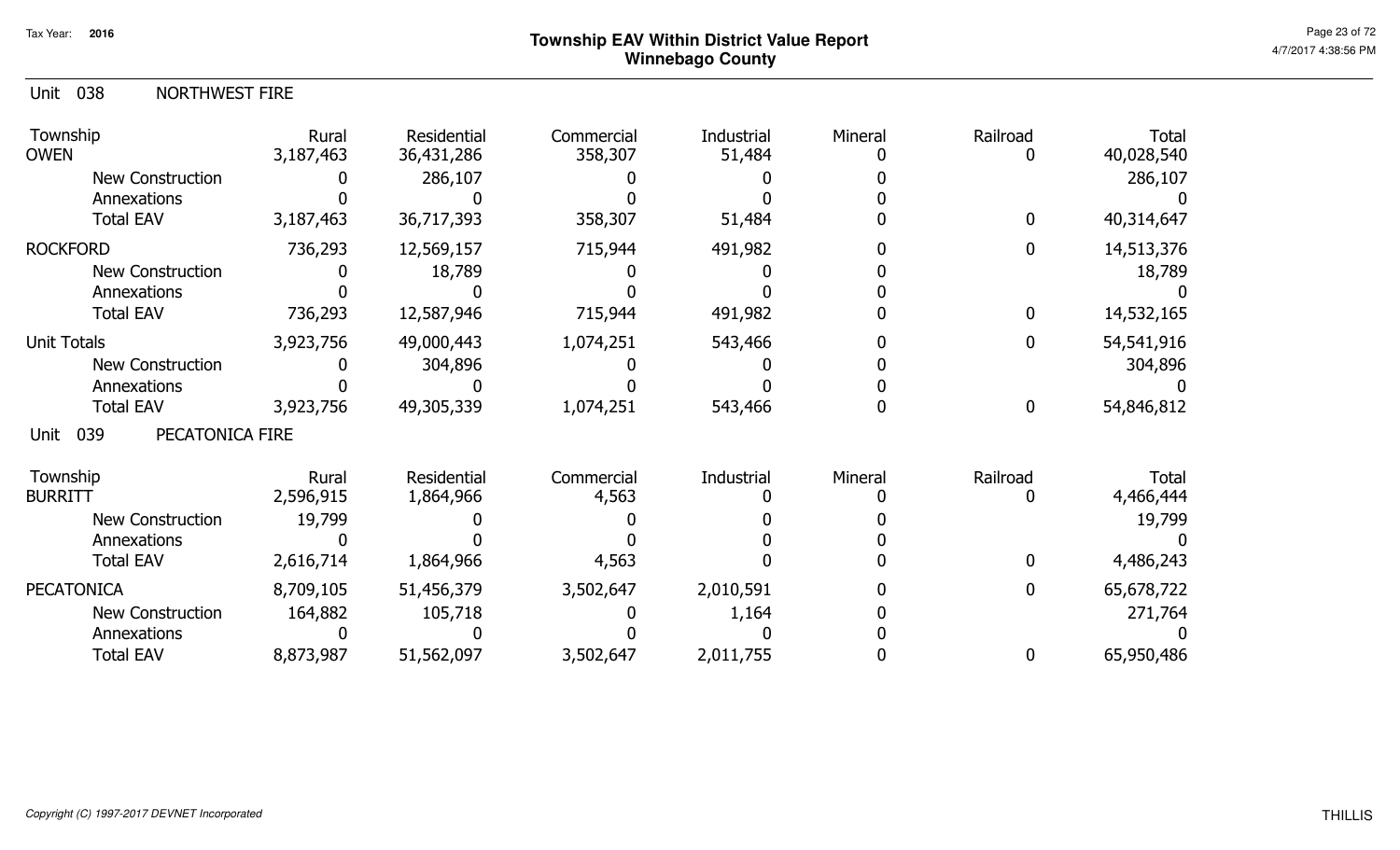| Unit 038 | <b>NORTHWEST FIRE</b> |
|----------|-----------------------|
|          |                       |

| Rural<br>3,187,463 | Residential<br>36,431,286 | Commercial<br>358,307  | Industrial<br>51,484 | Mineral    | Railroad     | <b>Total</b><br>40,028,540 |
|--------------------|---------------------------|------------------------|----------------------|------------|--------------|----------------------------|
|                    |                           |                        |                      |            |              | 286,107                    |
|                    |                           |                        |                      |            |              |                            |
| 3,187,463          | 36,717,393                | 358,307                | 51,484               |            | $\mathbf{0}$ | 40,314,647                 |
| 736,293            | 12,569,157                | 715,944                | 491,982              |            | 0            | 14,513,376                 |
|                    | 18,789                    |                        |                      |            |              | 18,789                     |
|                    |                           |                        |                      |            |              |                            |
| 736,293            | 12,587,946                | 715,944                | 491,982              |            | 0            | 14,532,165                 |
| 3,923,756          | 49,000,443                | 1,074,251              | 543,466              |            | 0            | 54,541,916                 |
|                    | 304,896                   |                        |                      |            |              | 304,896                    |
|                    |                           |                        |                      |            |              |                            |
| 3,923,756          | 49,305,339                | 1,074,251              | 543,466              |            | $\mathbf{0}$ | 54,846,812                 |
| PECATONICA FIRE    |                           |                        |                      |            |              |                            |
|                    |                           |                        |                      |            |              | <b>Total</b>               |
| 2,596,915          | 1,864,966                 | 4,563                  |                      |            |              | 4,466,444                  |
| 19,799             |                           |                        |                      |            |              | 19,799                     |
|                    |                           |                        |                      |            |              |                            |
| 2,616,714          | 1,864,966                 | 4,563                  |                      |            |              | 4,486,243                  |
| 8,709,105          | 51,456,379                | 3,502,647              | 2,010,591            |            | 0            | 65,678,722                 |
| 164,882            | 105,718                   |                        | 1,164                |            |              | 271,764                    |
|                    |                           |                        |                      |            |              |                            |
| 8,873,987          | 51,562,097                | 3,502,647              | 2,011,755            |            |              | 65,950,486                 |
|                    | Rural                     | 286,107<br>Residential | Commercial           | Industrial | Mineral      | Railroad                   |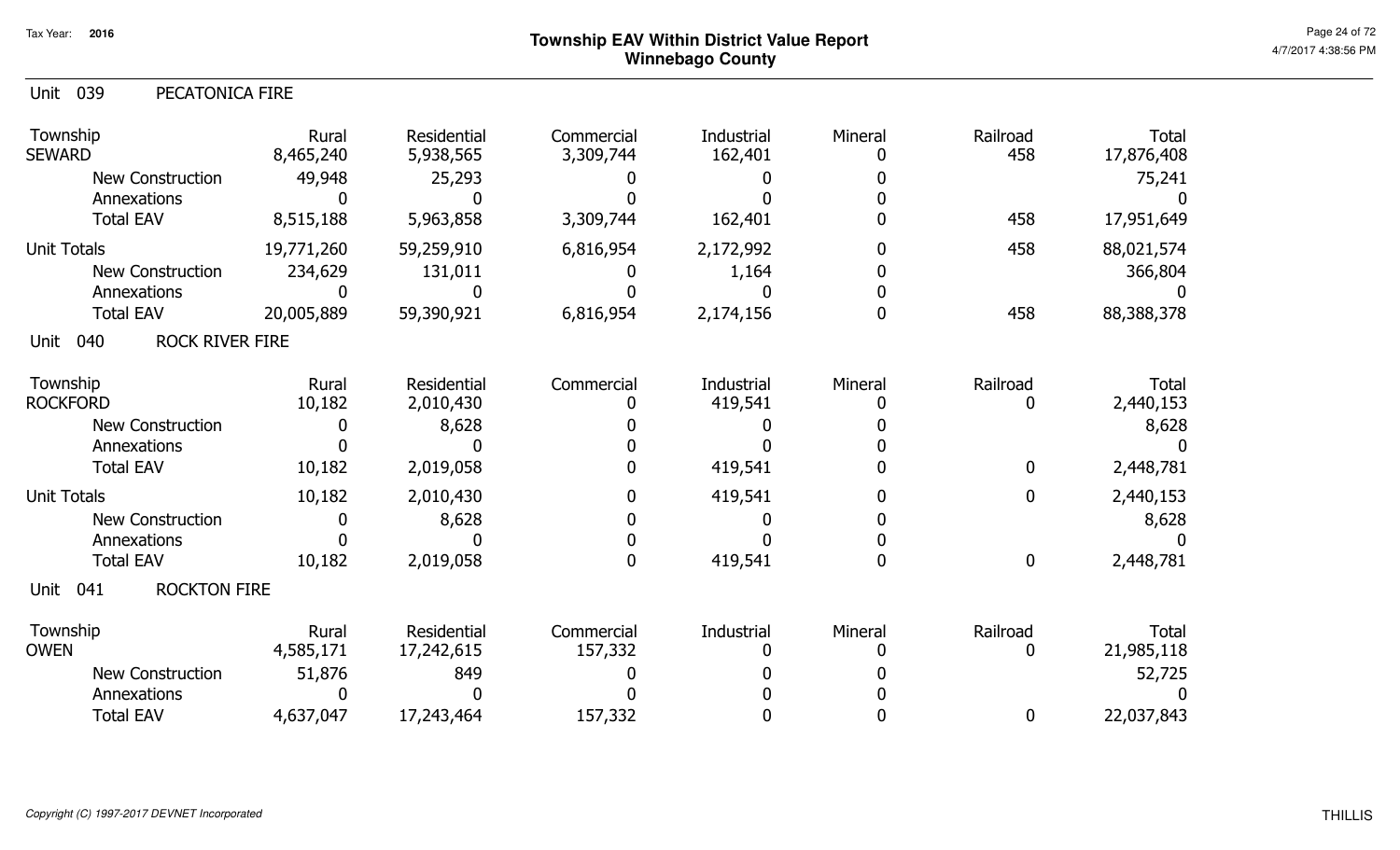| PECATONICA FIRE                    |                                                                    |                                                      |                       |                    |                  |                            |
|------------------------------------|--------------------------------------------------------------------|------------------------------------------------------|-----------------------|--------------------|------------------|----------------------------|
| Rural<br>8,465,240                 | Residential<br>5,938,565                                           | Commercial<br>3,309,744                              | Industrial<br>162,401 | Mineral<br>0       | Railroad<br>458  | <b>Total</b><br>17,876,408 |
| 49,948<br><b>New Construction</b>  | 25,293                                                             |                                                      |                       |                    |                  | 75,241                     |
| O                                  |                                                                    |                                                      |                       |                    |                  |                            |
| 8,515,188                          | 5,963,858                                                          | 3,309,744                                            | 162,401               |                    | 458              | 17,951,649                 |
| 19,771,260                         | 59,259,910                                                         | 6,816,954                                            | 2,172,992             | 0                  | 458              | 88,021,574                 |
| 234,629<br><b>New Construction</b> | 131,011                                                            |                                                      | 1,164                 |                    |                  | 366,804                    |
| 0                                  | 0                                                                  |                                                      |                       |                    |                  |                            |
| 20,005,889                         | 59,390,921                                                         | 6,816,954                                            | 2,174,156             | 0                  | 458              | 88,388,378                 |
| <b>ROCK RIVER FIRE</b>             |                                                                    |                                                      |                       |                    |                  |                            |
| Rural                              | Residential                                                        | Commercial                                           | Industrial            | Mineral            | Railroad         | <b>Total</b>               |
|                                    |                                                                    |                                                      |                       |                    | 0                | 2,440,153                  |
| 0                                  |                                                                    |                                                      |                       |                    |                  | 8,628                      |
|                                    |                                                                    |                                                      |                       |                    |                  |                            |
|                                    |                                                                    |                                                      |                       |                    |                  | 2,448,781                  |
| 10,182                             | 2,010,430                                                          |                                                      | 419,541               | 0                  | $\boldsymbol{0}$ | 2,440,153                  |
| <b>New Construction</b><br>0       | 8,628                                                              |                                                      |                       |                    |                  | 8,628                      |
|                                    |                                                                    |                                                      |                       |                    |                  |                            |
| 10,182                             | 2,019,058                                                          |                                                      | 419,541               | 0                  | $\mathbf 0$      | 2,448,781                  |
| <b>ROCKTON FIRE</b>                |                                                                    |                                                      |                       |                    |                  |                            |
| Rural                              | Residential                                                        | Commercial                                           | Industrial            | Mineral            | Railroad<br>0    | <b>Total</b><br>21,985,118 |
| <b>New Construction</b>            |                                                                    |                                                      |                       |                    |                  | 52,725                     |
| 0                                  |                                                                    |                                                      |                       |                    |                  |                            |
| 4,637,047                          | 17,243,464                                                         | 157,332                                              |                       |                    | 0                | 22,037,843                 |
|                                    | 10,182<br><b>New Construction</b><br>10,182<br>4,585,171<br>51,876 | 2,010,430<br>8,628<br>2,019,058<br>17,242,615<br>849 | 157,332               | 419,541<br>419,541 |                  | $\mathbf{0}$               |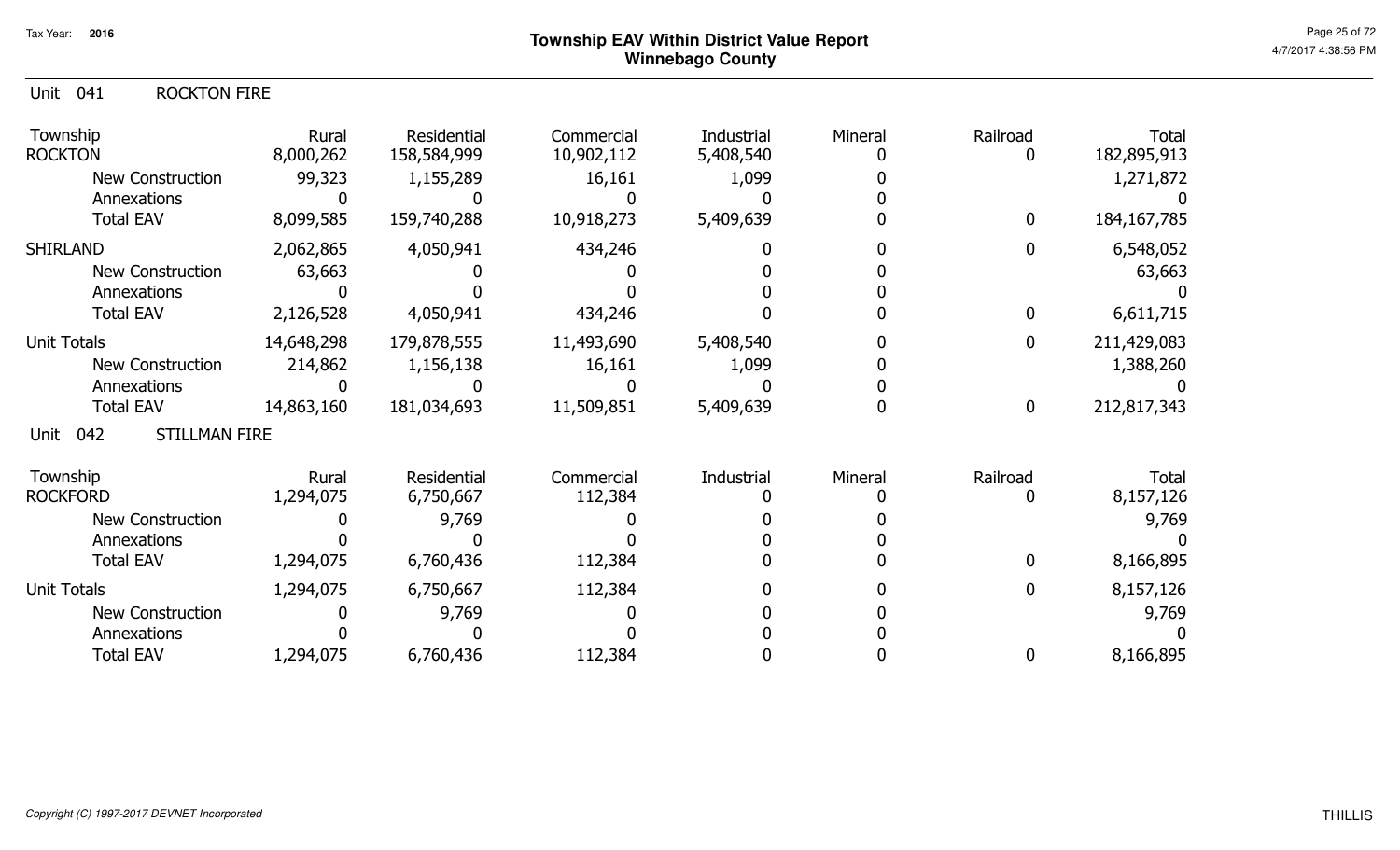#### Unit 041 ROCKTON FIRE

| Township<br><b>ROCKTON</b>          | Rural<br>8,000,262 | Residential<br>158,584,999 | Commercial<br>10,902,112 | Industrial<br>5,408,540 | Mineral | Railroad         | <b>Total</b><br>182,895,913 |
|-------------------------------------|--------------------|----------------------------|--------------------------|-------------------------|---------|------------------|-----------------------------|
| New Construction                    | 99,323             | 1,155,289                  | 16,161                   | 1,099                   |         |                  | 1,271,872                   |
| Annexations                         |                    |                            |                          |                         |         |                  |                             |
| <b>Total EAV</b>                    | 8,099,585          | 159,740,288                | 10,918,273               | 5,409,639               |         | $\mathbf 0$      | 184, 167, 785               |
| <b>SHIRLAND</b>                     | 2,062,865          | 4,050,941                  | 434,246                  |                         |         | 0                | 6,548,052                   |
| New Construction                    | 63,663             |                            |                          |                         |         |                  | 63,663                      |
| Annexations                         |                    |                            |                          |                         |         |                  |                             |
| <b>Total EAV</b>                    | 2,126,528          | 4,050,941                  | 434,246                  |                         |         | 0                | 6,611,715                   |
| <b>Unit Totals</b>                  | 14,648,298         | 179,878,555                | 11,493,690               | 5,408,540               |         | 0                | 211,429,083                 |
| New Construction                    | 214,862            | 1,156,138                  | 16,161                   | 1,099                   |         |                  | 1,388,260                   |
| Annexations                         |                    |                            |                          |                         |         |                  |                             |
| <b>Total EAV</b>                    | 14,863,160         | 181,034,693                | 11,509,851               | 5,409,639               |         | $\boldsymbol{0}$ | 212,817,343                 |
| 042<br><b>STILLMAN FIRE</b><br>Unit |                    |                            |                          |                         |         |                  |                             |
| Township                            | Rural              | Residential                | Commercial               | Industrial              | Mineral | Railroad         | <b>Total</b>                |
| <b>ROCKFORD</b>                     | 1,294,075          | 6,750,667                  | 112,384                  |                         |         |                  | 8,157,126                   |
| New Construction                    |                    | 9,769                      |                          |                         |         |                  | 9,769                       |
| Annexations                         |                    |                            |                          |                         |         |                  |                             |
| <b>Total EAV</b>                    | 1,294,075          | 6,760,436                  | 112,384                  |                         |         |                  | 8,166,895                   |
| <b>Unit Totals</b>                  | 1,294,075          | 6,750,667                  | 112,384                  |                         |         | 0                | 8,157,126                   |
| <b>New Construction</b>             |                    | 9,769                      |                          |                         |         |                  | 9,769                       |
| Annexations                         |                    |                            |                          |                         |         |                  |                             |
| <b>Total EAV</b>                    | 1,294,075          | 6,760,436                  | 112,384                  |                         |         |                  | 8,166,895                   |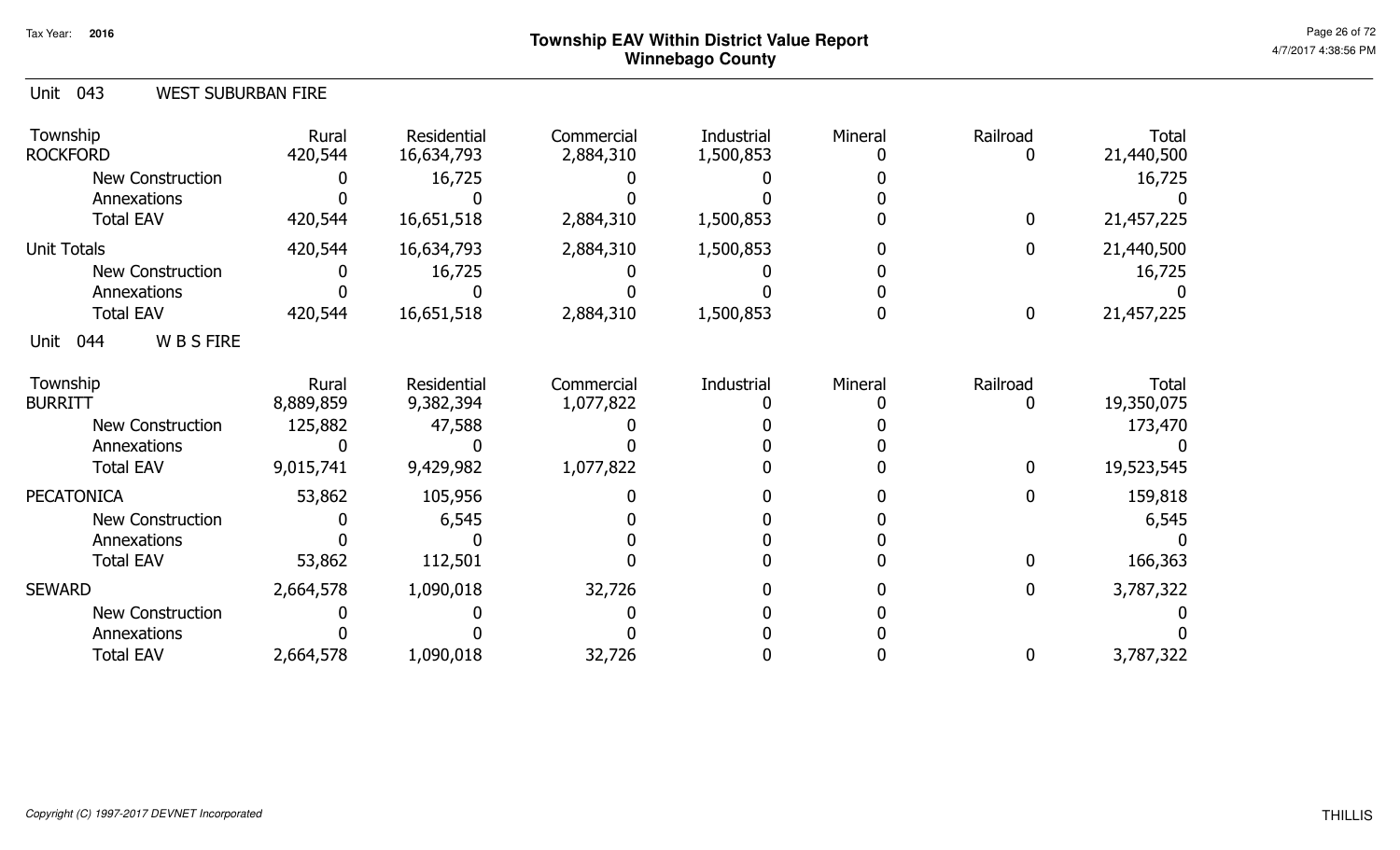| Unit 043<br><b>WEST SUBURBAN FIRE</b> |                    |                           |                         |                         |         |                  |                            |
|---------------------------------------|--------------------|---------------------------|-------------------------|-------------------------|---------|------------------|----------------------------|
| Township<br><b>ROCKFORD</b>           | Rural<br>420,544   | Residential<br>16,634,793 | Commercial<br>2,884,310 | Industrial<br>1,500,853 | Mineral | Railroad<br>0    | Total<br>21,440,500        |
| <b>New Construction</b>               |                    | 16,725                    |                         |                         |         |                  | 16,725                     |
| Annexations                           |                    |                           |                         |                         |         |                  |                            |
| <b>Total EAV</b>                      | 420,544            | 16,651,518                | 2,884,310               | 1,500,853               |         | $\mathbf{0}$     | 21,457,225                 |
| Unit Totals                           | 420,544            | 16,634,793                | 2,884,310               | 1,500,853               |         | 0                | 21,440,500                 |
| New Construction                      |                    | 16,725                    |                         |                         |         |                  | 16,725                     |
| Annexations                           |                    |                           |                         |                         |         |                  |                            |
| <b>Total EAV</b>                      | 420,544            | 16,651,518                | 2,884,310               | 1,500,853               |         | $\boldsymbol{0}$ | 21,457,225                 |
| <b>WBSFIRE</b><br>044<br>Unit         |                    |                           |                         |                         |         |                  |                            |
| Township<br><b>BURRITT</b>            | Rural<br>8,889,859 | Residential<br>9,382,394  | Commercial<br>1,077,822 | Industrial              | Mineral | Railroad<br>0    | <b>Total</b><br>19,350,075 |
| <b>New Construction</b>               | 125,882            | 47,588                    |                         |                         |         |                  | 173,470                    |
| Annexations                           |                    |                           |                         |                         |         |                  |                            |
| <b>Total EAV</b>                      | 9,015,741          | 9,429,982                 | 1,077,822               |                         |         | $\mathbf{0}$     | 19,523,545                 |
| <b>PECATONICA</b>                     | 53,862             | 105,956                   |                         |                         |         | 0                | 159,818                    |
| <b>New Construction</b>               |                    | 6,545                     |                         |                         |         |                  | 6,545                      |
| Annexations                           |                    |                           |                         |                         |         |                  |                            |
| <b>Total EAV</b>                      | 53,862             | 112,501                   |                         |                         |         | $\Omega$         | 166,363                    |
| <b>SEWARD</b>                         | 2,664,578          | 1,090,018                 | 32,726                  |                         |         | 0                | 3,787,322                  |
| <b>New Construction</b>               |                    |                           |                         |                         |         |                  |                            |
| Annexations                           |                    |                           |                         |                         |         |                  |                            |
| <b>Total EAV</b>                      | 2,664,578          | 1,090,018                 | 32,726                  |                         |         | 0                | 3,787,322                  |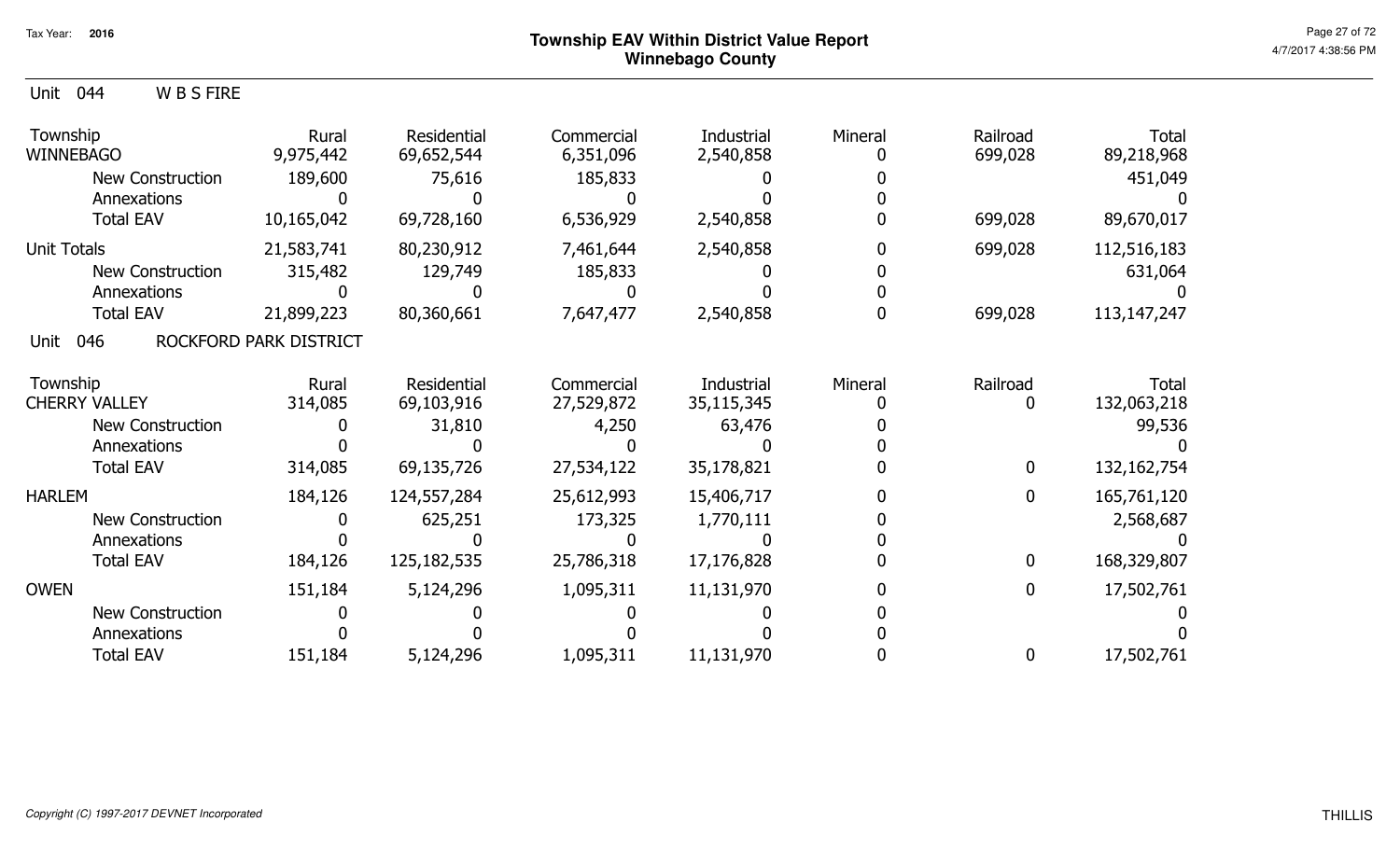5,124,296 1,095,311 11,131,970 <sup>0</sup> <sup>0</sup>

 0 $\mathbf{0}$ 

<sup>0</sup> <sup>0</sup> <sup>0</sup> <sup>0</sup> <sup>0</sup>

 0 $\pmb{0}$ 

 0 $\mathbf 0$ 

17,502,761

 99,536 $\overline{0}$ 

 $\mathbf 0$ 

 0 $\overline{0}$ 

 $\overline{0}$ 

| <b>WBSFIRE</b><br>Unit<br>044 |                        |                           |                         |                         |         |                     |                            |
|-------------------------------|------------------------|---------------------------|-------------------------|-------------------------|---------|---------------------|----------------------------|
| Township<br><b>WINNEBAGO</b>  | Rural<br>9,975,442     | Residential<br>69,652,544 | Commercial<br>6,351,096 | Industrial<br>2,540,858 | Mineral | Railroad<br>699,028 | <b>Total</b><br>89,218,968 |
| New Construction              | 189,600                | 75,616                    | 185,833                 |                         |         |                     | 451,049                    |
| Annexations                   |                        |                           |                         |                         |         |                     |                            |
| <b>Total EAV</b>              | 10,165,042             | 69,728,160                | 6,536,929               | 2,540,858               |         | 699,028             | 89,670,017                 |
| <b>Unit Totals</b>            | 21,583,741             | 80,230,912                | 7,461,644               | 2,540,858               |         | 699,028             | 112,516,183                |
| New Construction              | 315,482                | 129,749                   | 185,833                 |                         |         |                     | 631,064                    |
| Annexations                   |                        |                           |                         |                         |         |                     |                            |
| <b>Total EAV</b>              | 21,899,223             | 80,360,661                | 7,647,477               | 2,540,858               |         | 699,028             | 113, 147, 247              |
| 046<br>Unit                   | ROCKFORD PARK DISTRICT |                           |                         |                         |         |                     |                            |
| Township                      | Rural                  | Residential               | Commercial              | Industrial              | Mineral | Railroad            | <b>Total</b>               |
| <b>CHERRY VALLEY</b>          | 314,085                | 69,103,916                | 27,529,872              | 35,115,345              |         |                     | 132,063,218                |
| <b>New Construction</b>       |                        | 31,810                    | 4,250                   | 63,476                  |         |                     | 99,536                     |
| Annexations                   |                        |                           |                         |                         |         |                     |                            |
| <b>Total EAV</b>              | 314,085                | 69,135,726                | 27,534,122              | 35,178,821              |         | $\mathbf{0}$        | 132,162,754                |
| <b>HARLEM</b>                 | 184,126                | 124,557,284               | 25,612,993              | 15,406,717              |         | $\mathbf{0}$        | 165,761,120                |
| <b>New Construction</b>       |                        | 625,251                   | 173,325                 | 1,770,111               |         |                     | 2,568,687                  |
| Annexations                   |                        |                           |                         |                         |         |                     |                            |
| <b>Total EAV</b>              | 184,126                | 125,182,535               | 25,786,318              | 17,176,828              |         | 0                   | 168,329,807                |
| <b>OWEN</b>                   | 151,184                | 5,124,296                 | 1,095,311               | 11,131,970              |         |                     | 17,502,761                 |

 0 $\mathbf 0$ 

New Construction

AnnexationsTotal EAV

151,184

00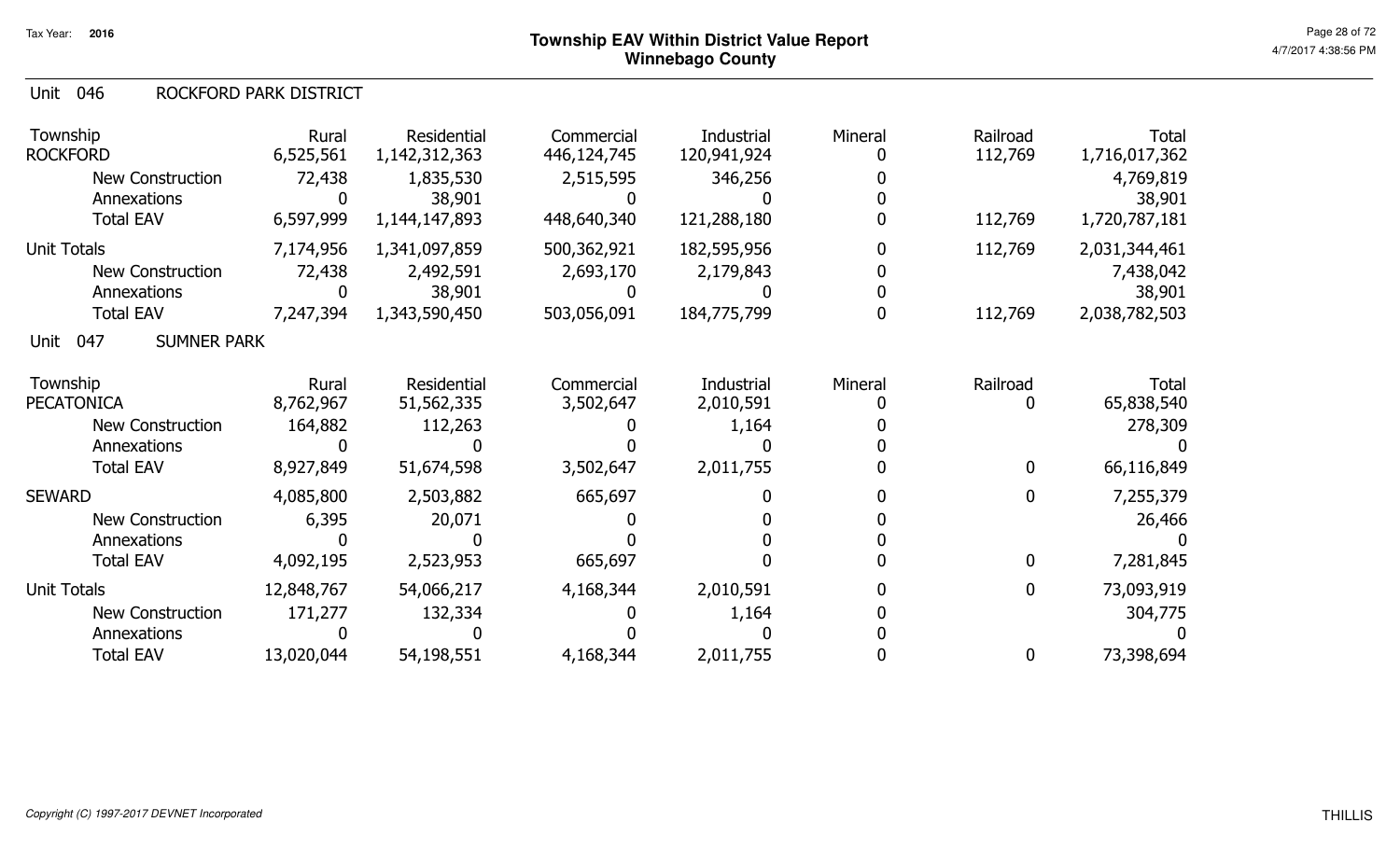#### Unit 046 ROCKFORD PARK DISTRICT

| Township<br><b>ROCKFORD</b> |                           | Rural<br>6,525,561 | Residential<br>1,142,312,363 | Commercial<br>446,124,745 | Industrial<br>120,941,924 | Mineral | Railroad<br>112,769 | Total<br>1,716,017,362 |
|-----------------------------|---------------------------|--------------------|------------------------------|---------------------------|---------------------------|---------|---------------------|------------------------|
|                             | <b>New Construction</b>   | 72,438             | 1,835,530                    | 2,515,595                 | 346,256                   |         |                     | 4,769,819              |
|                             | Annexations               |                    | 38,901                       |                           |                           |         |                     | 38,901                 |
|                             | <b>Total EAV</b>          | 6,597,999          | 1,144,147,893                | 448,640,340               | 121,288,180               |         | 112,769             | 1,720,787,181          |
| <b>Unit Totals</b>          |                           | 7,174,956          | 1,341,097,859                | 500,362,921               | 182,595,956               |         | 112,769             | 2,031,344,461          |
|                             | <b>New Construction</b>   | 72,438             | 2,492,591                    | 2,693,170                 | 2,179,843                 |         |                     | 7,438,042              |
|                             | Annexations               |                    | 38,901                       |                           |                           |         |                     | 38,901                 |
|                             | <b>Total EAV</b>          | 7,247,394          | 1,343,590,450                | 503,056,091               | 184,775,799               |         | 112,769             | 2,038,782,503          |
| Unit                        | <b>SUMNER PARK</b><br>047 |                    |                              |                           |                           |         |                     |                        |
| Township                    |                           | Rural              | Residential                  | Commercial                | Industrial                | Mineral | Railroad            | Total                  |
| <b>PECATONICA</b>           |                           | 8,762,967          | 51,562,335                   | 3,502,647                 | 2,010,591                 |         | $\mathbf 0$         | 65,838,540             |
|                             | New Construction          | 164,882            | 112,263                      |                           | 1,164                     |         |                     | 278,309                |
|                             | Annexations               |                    |                              |                           |                           |         |                     |                        |
|                             | <b>Total EAV</b>          | 8,927,849          | 51,674,598                   | 3,502,647                 | 2,011,755                 |         | $\mathbf 0$         | 66,116,849             |
| <b>SEWARD</b>               |                           | 4,085,800          | 2,503,882                    | 665,697                   |                           |         | $\boldsymbol{0}$    | 7,255,379              |
|                             | <b>New Construction</b>   | 6,395              | 20,071                       |                           |                           |         |                     | 26,466                 |
|                             | Annexations               |                    |                              |                           |                           |         |                     |                        |
|                             | <b>Total EAV</b>          | 4,092,195          | 2,523,953                    | 665,697                   |                           |         | $\boldsymbol{0}$    | 7,281,845              |
| <b>Unit Totals</b>          |                           | 12,848,767         | 54,066,217                   | 4,168,344                 | 2,010,591                 |         | $\mathbf 0$         | 73,093,919             |
|                             | <b>New Construction</b>   | 171,277            | 132,334                      |                           | 1,164                     |         |                     | 304,775                |
|                             | Annexations               |                    |                              |                           |                           |         |                     |                        |
|                             | <b>Total EAV</b>          | 13,020,044         | 54,198,551                   | 4,168,344                 | 2,011,755                 |         | 0                   | 73,398,694             |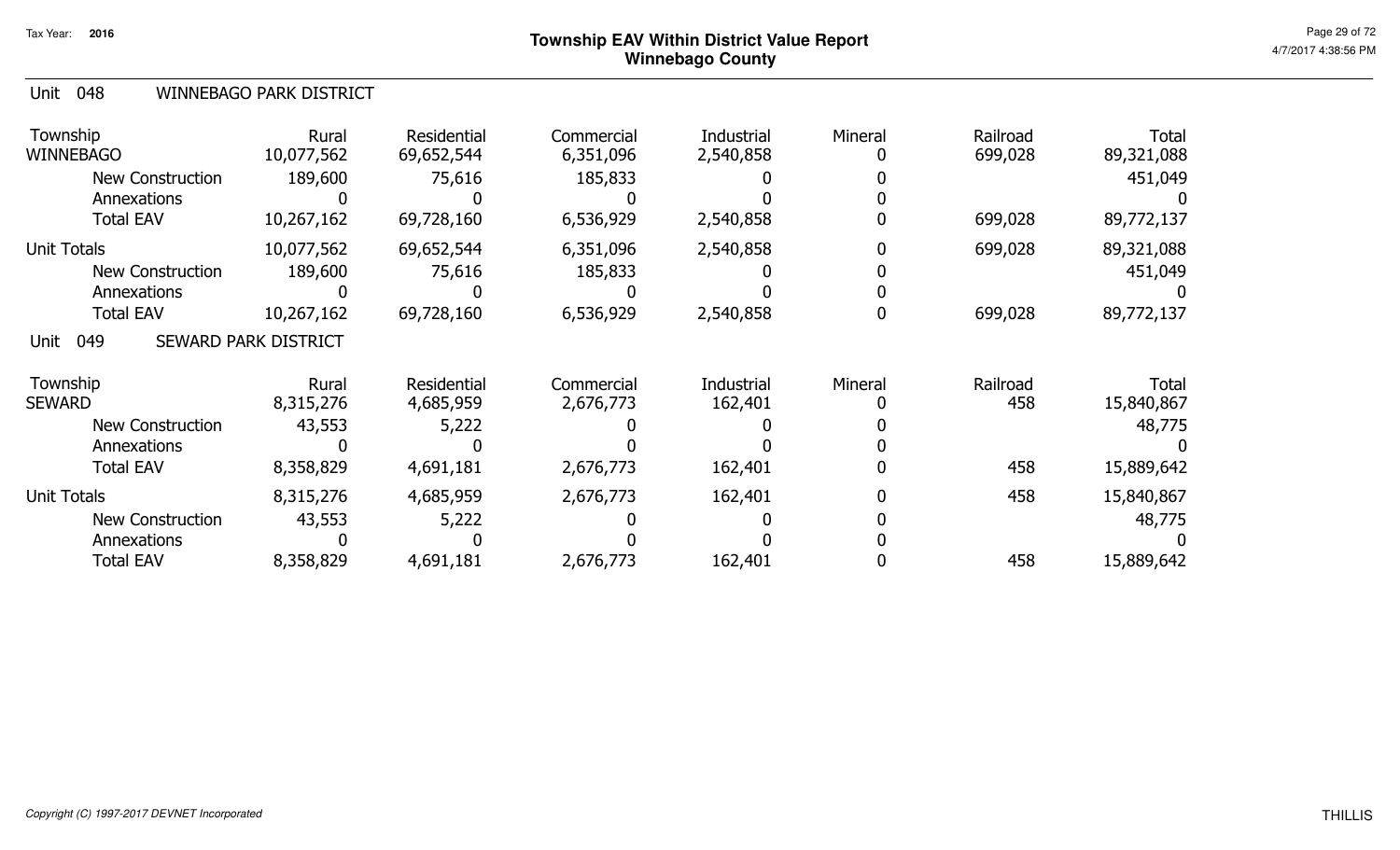#### Unit 048 WINNEBAGO PARK DISTRICT

| Township<br><b>WINNEBAGO</b> | Rural<br>10,077,562         | Residential<br>69,652,544 | Commercial<br>6,351,096 | Industrial<br>2,540,858 | Mineral | Railroad<br>699,028 | Total<br>89,321,088        |
|------------------------------|-----------------------------|---------------------------|-------------------------|-------------------------|---------|---------------------|----------------------------|
| New Construction             | 189,600                     | 75,616                    | 185,833                 |                         |         |                     | 451,049                    |
| Annexations                  |                             |                           |                         |                         |         |                     |                            |
| <b>Total EAV</b>             | 10,267,162                  | 69,728,160                | 6,536,929               | 2,540,858               |         | 699,028             | 89,772,137                 |
| <b>Unit Totals</b>           | 10,077,562                  | 69,652,544                | 6,351,096               | 2,540,858               |         | 699,028             | 89,321,088                 |
| <b>New Construction</b>      | 189,600                     | 75,616                    | 185,833                 |                         |         |                     | 451,049                    |
| Annexations                  |                             |                           |                         |                         |         |                     |                            |
| <b>Total EAV</b>             | 10,267,162                  | 69,728,160                | 6,536,929               | 2,540,858               |         | 699,028             | 89,772,137                 |
| 049<br>Unit                  | <b>SEWARD PARK DISTRICT</b> |                           |                         |                         |         |                     |                            |
| Township<br><b>SEWARD</b>    | Rural<br>8,315,276          | Residential<br>4,685,959  | Commercial<br>2,676,773 | Industrial<br>162,401   | Mineral | Railroad<br>458     | <b>Total</b><br>15,840,867 |
| <b>New Construction</b>      | 43,553                      | 5,222                     |                         |                         |         |                     | 48,775                     |
| Annexations                  |                             |                           |                         |                         |         |                     |                            |
| <b>Total EAV</b>             | 8,358,829                   | 4,691,181                 | 2,676,773               | 162,401                 |         | 458                 | 15,889,642                 |
| <b>Unit Totals</b>           | 8,315,276                   | 4,685,959                 | 2,676,773               | 162,401                 |         | 458                 | 15,840,867                 |
| <b>New Construction</b>      | 43,553                      | 5,222                     |                         |                         |         |                     | 48,775                     |
| Annexations                  |                             |                           |                         |                         |         |                     |                            |
| <b>Total EAV</b>             | 8,358,829                   | 4,691,181                 | 2,676,773               | 162,401                 |         | 458                 | 15,889,642                 |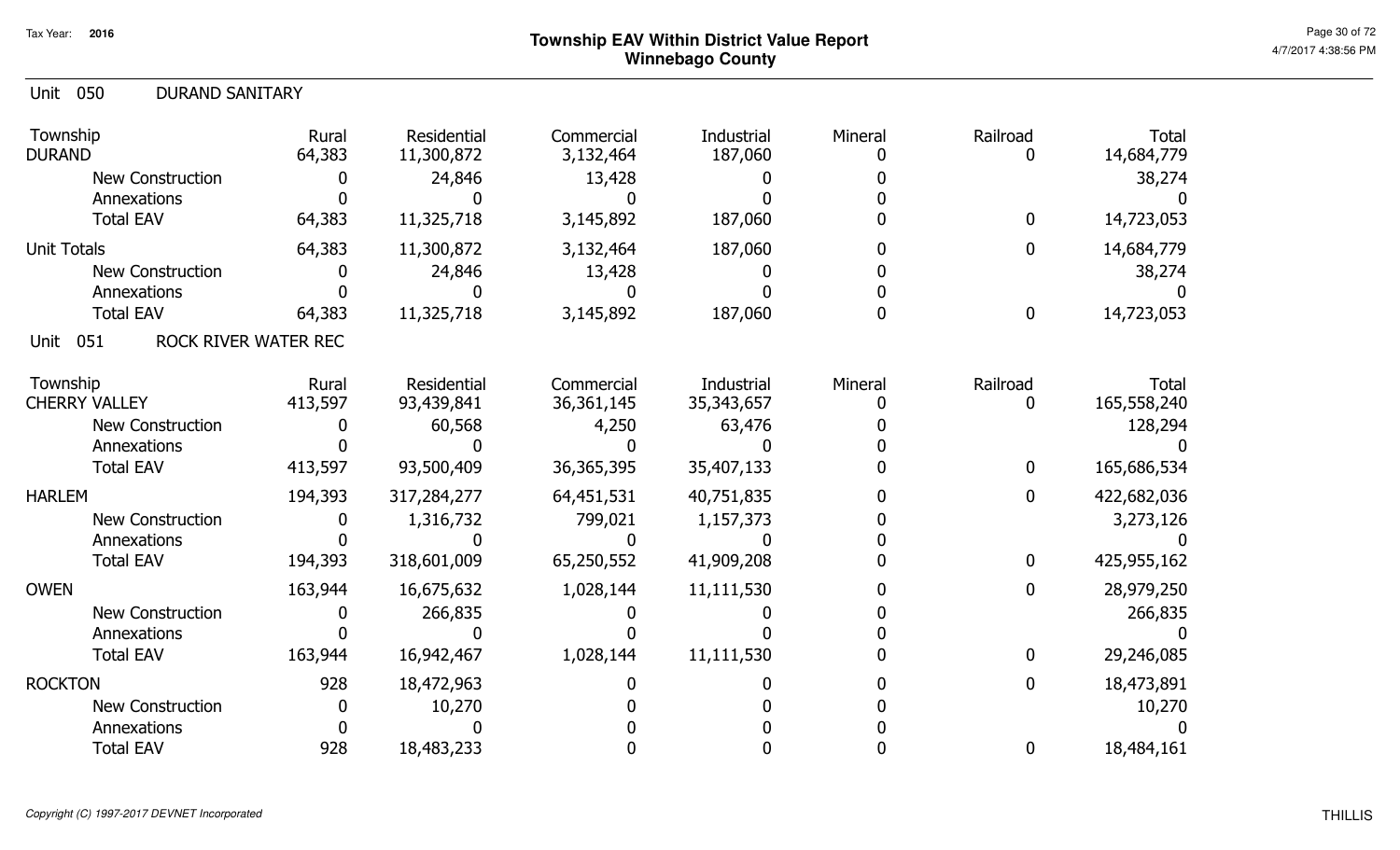| <b>Unit 050</b><br><b>DURAND SANITARY</b> |                 |                           |                         |                       |         |                  |                            |
|-------------------------------------------|-----------------|---------------------------|-------------------------|-----------------------|---------|------------------|----------------------------|
| Township<br><b>DURAND</b>                 | Rural<br>64,383 | Residential<br>11,300,872 | Commercial<br>3,132,464 | Industrial<br>187,060 | Mineral | Railroad<br>0    | <b>Total</b><br>14,684,779 |
| <b>New Construction</b>                   | $\mathbf{0}$    | 24,846                    | 13,428                  |                       |         |                  | 38,274                     |
| Annexations                               |                 |                           |                         |                       |         |                  |                            |
| <b>Total EAV</b>                          | 64,383          | 11,325,718                | 3,145,892               | 187,060               |         | $\boldsymbol{0}$ | 14,723,053                 |
| <b>Unit Totals</b>                        | 64,383          | 11,300,872                | 3,132,464               | 187,060               |         | $\mathbf 0$      | 14,684,779                 |
| <b>New Construction</b>                   | O               | 24,846                    | 13,428                  |                       |         |                  | 38,274                     |
| Annexations                               |                 |                           |                         |                       |         |                  |                            |
| <b>Total EAV</b>                          | 64,383          | 11,325,718                | 3,145,892               | 187,060               |         | $\boldsymbol{0}$ | 14,723,053                 |
| ROCK RIVER WATER REC<br>051<br>Unit       |                 |                           |                         |                       |         |                  |                            |
| Township                                  | Rural           | <b>Residential</b>        | Commercial              | <b>Industrial</b>     | Mineral | Railroad         | <b>Total</b>               |
| <b>CHERRY VALLEY</b>                      | 413,597         | 93,439,841                | 36, 361, 145            | 35, 343, 657          |         | $\mathbf 0$      | 165,558,240                |
| New Construction                          |                 | 60,568                    | 4,250                   | 63,476                |         |                  | 128,294                    |
| Annexations                               |                 |                           |                         |                       |         |                  |                            |
| <b>Total EAV</b>                          | 413,597         | 93,500,409                | 36, 365, 395            | 35,407,133            |         | $\boldsymbol{0}$ | 165,686,534                |
| <b>HARLEM</b>                             | 194,393         | 317,284,277               | 64,451,531              | 40,751,835            |         | $\mathbf 0$      | 422,682,036                |
| <b>New Construction</b>                   |                 | 1,316,732                 | 799,021                 | 1,157,373             |         |                  | 3,273,126                  |
| Annexations                               |                 |                           |                         |                       |         |                  |                            |
| <b>Total EAV</b>                          | 194,393         | 318,601,009               | 65,250,552              | 41,909,208            |         | $\boldsymbol{0}$ | 425,955,162                |
| <b>OWEN</b>                               | 163,944         | 16,675,632                | 1,028,144               | 11,111,530            |         | $\boldsymbol{0}$ | 28,979,250                 |
| <b>New Construction</b>                   | $\mathbf{0}$    | 266,835                   |                         |                       |         |                  | 266,835                    |
| Annexations                               |                 |                           |                         |                       |         |                  |                            |
| <b>Total EAV</b>                          | 163,944         | 16,942,467                | 1,028,144               | 11,111,530            |         | $\mathbf 0$      | 29,246,085                 |
| <b>ROCKTON</b>                            | 928             | 18,472,963                |                         |                       |         | $\mathbf 0$      | 18,473,891                 |
| <b>New Construction</b>                   | 0               | 10,270                    |                         |                       |         |                  | 10,270                     |
| Annexations                               |                 |                           |                         |                       |         |                  |                            |
| <b>Total EAV</b>                          | 928             | 18,483,233                |                         |                       |         | $\boldsymbol{0}$ | 18,484,161                 |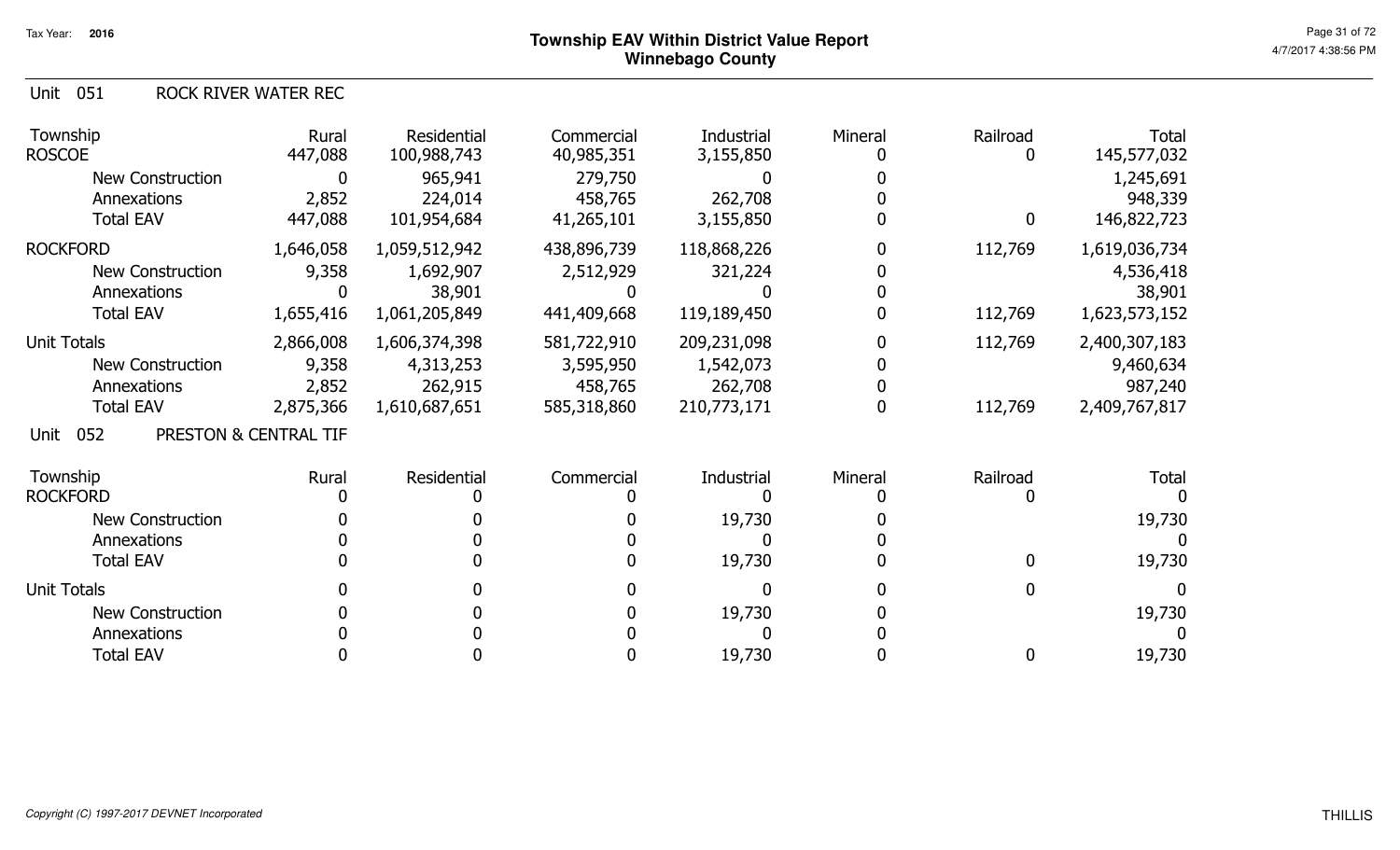Unit 051 ROCK RIVER WATER REC

| Township<br><b>ROSCOE</b>                                                        | Rural<br>447,088                         | Residential<br>100,988,743                             | Commercial<br>40,985,351                           | Industrial<br>3,155,850                            | Mineral | Railroad<br>0      | <b>Total</b><br>145,577,032                            |
|----------------------------------------------------------------------------------|------------------------------------------|--------------------------------------------------------|----------------------------------------------------|----------------------------------------------------|---------|--------------------|--------------------------------------------------------|
| New Construction<br>Annexations<br><b>Total EAV</b>                              | $\mathbf 0$<br>2,852<br>447,088          | 965,941<br>224,014<br>101,954,684                      | 279,750<br>458,765<br>41,265,101                   | 262,708<br>3,155,850                               |         | $\mathbf{0}$       | 1,245,691<br>948,339                                   |
|                                                                                  |                                          |                                                        |                                                    |                                                    |         |                    | 146,822,723                                            |
| <b>ROCKFORD</b><br>New Construction<br>Annexations<br><b>Total EAV</b>           | 1,646,058<br>9,358<br>1,655,416          | 1,059,512,942<br>1,692,907<br>38,901<br>1,061,205,849  | 438,896,739<br>2,512,929<br>441,409,668            | 118,868,226<br>321,224<br>119,189,450              |         | 112,769<br>112,769 | 1,619,036,734<br>4,536,418<br>38,901<br>1,623,573,152  |
| <b>Unit Totals</b><br><b>New Construction</b><br>Annexations<br><b>Total EAV</b> | 2,866,008<br>9,358<br>2,852<br>2,875,366 | 1,606,374,398<br>4,313,253<br>262,915<br>1,610,687,651 | 581,722,910<br>3,595,950<br>458,765<br>585,318,860 | 209,231,098<br>1,542,073<br>262,708<br>210,773,171 |         | 112,769<br>112,769 | 2,400,307,183<br>9,460,634<br>987,240<br>2,409,767,817 |
| 052<br>Unit                                                                      | PRESTON & CENTRAL TIF                    |                                                        |                                                    |                                                    |         |                    |                                                        |
| Township<br><b>ROCKFORD</b><br><b>New Construction</b><br>Annexations            | Rural                                    | Residential                                            | Commercial                                         | Industrial<br>19,730                               | Mineral | Railroad           | <b>Total</b><br>19,730                                 |
| <b>Total EAV</b>                                                                 |                                          |                                                        |                                                    | 19,730                                             |         | $\mathbf{0}$       | 19,730                                                 |
| <b>Unit Totals</b><br><b>New Construction</b><br>Annexations                     |                                          |                                                        |                                                    | 19,730                                             |         |                    | 19,730                                                 |
| <b>Total EAV</b>                                                                 |                                          |                                                        |                                                    | 19,730                                             |         | 0                  | 19,730                                                 |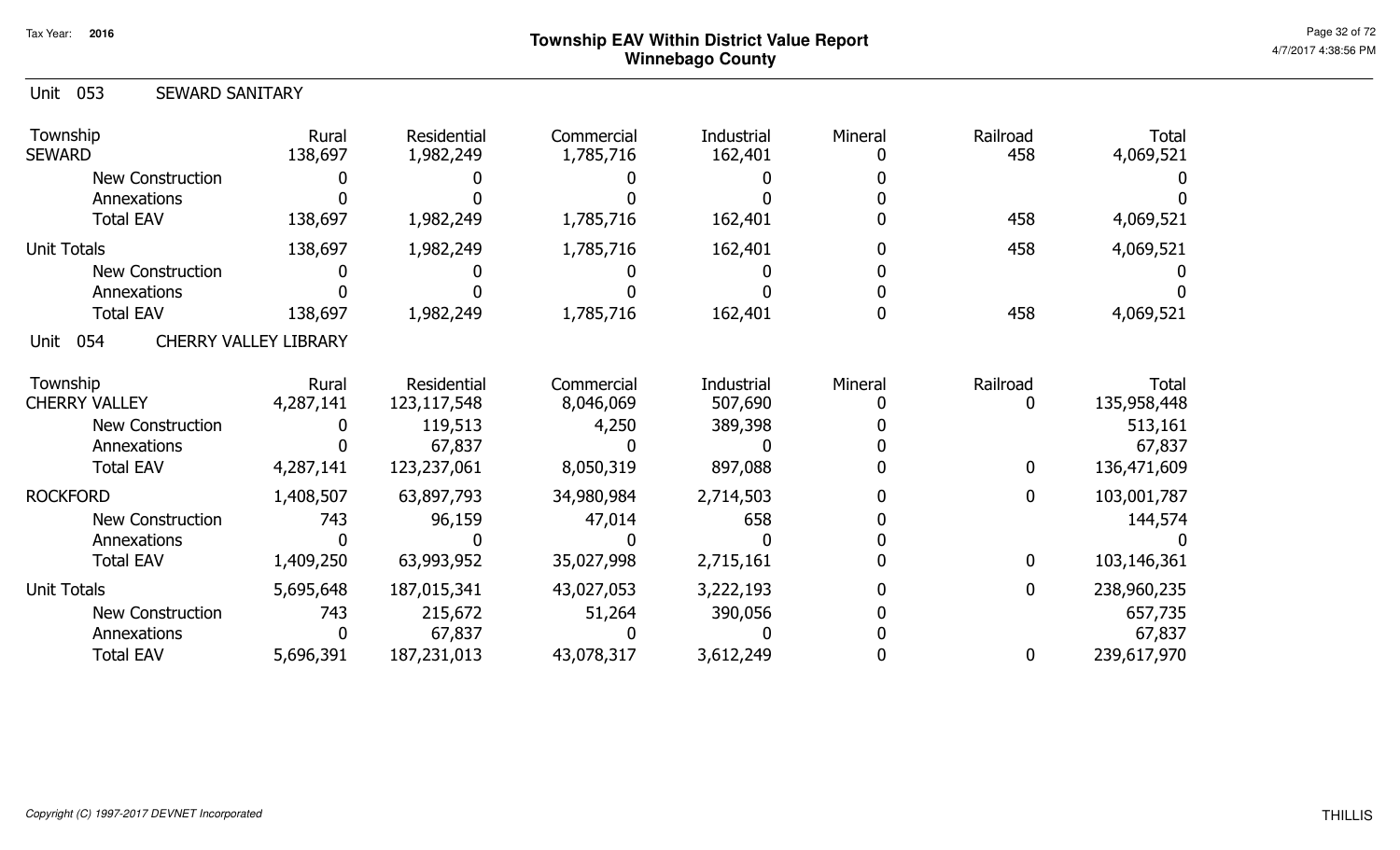| <b>SEWARD SANITARY</b>       |                                          |                                                             |                                                           |                             |                 |                             |
|------------------------------|------------------------------------------|-------------------------------------------------------------|-----------------------------------------------------------|-----------------------------|-----------------|-----------------------------|
| Rural<br>138,697             | Residential<br>1,982,249                 | Commercial<br>1,785,716                                     | <b>Industrial</b><br>162,401                              | Mineral                     | Railroad<br>458 | <b>Total</b><br>4,069,521   |
|                              |                                          |                                                             |                                                           |                             |                 |                             |
|                              |                                          |                                                             |                                                           |                             |                 |                             |
|                              |                                          |                                                             | 162,401                                                   |                             |                 | 4,069,521                   |
| 138,697                      | 1,982,249                                | 1,785,716                                                   | 162,401                                                   |                             | 458             | 4,069,521                   |
|                              |                                          |                                                             |                                                           |                             |                 |                             |
|                              |                                          |                                                             |                                                           |                             |                 |                             |
| 138,697                      | 1,982,249                                | 1,785,716                                                   | 162,401                                                   |                             | 458             | 4,069,521                   |
| <b>CHERRY VALLEY LIBRARY</b> |                                          |                                                             |                                                           |                             |                 |                             |
| Rural<br>4,287,141           | Residential<br>123, 117, 548             | Commercial<br>8,046,069                                     | <b>Industrial</b><br>507,690                              | Mineral                     | Railroad<br>0   | <b>Total</b><br>135,958,448 |
|                              | 119,513                                  | 4,250                                                       | 389,398                                                   |                             |                 | 513,161                     |
|                              | 67,837                                   |                                                             |                                                           |                             |                 | 67,837                      |
| 4,287,141                    | 123,237,061                              | 8,050,319                                                   | 897,088                                                   |                             | $\mathbf{0}$    | 136,471,609                 |
|                              |                                          |                                                             | 2,714,503                                                 |                             | $\mathbf{0}$    | 103,001,787                 |
| 743                          |                                          |                                                             |                                                           |                             |                 | 144,574                     |
|                              |                                          |                                                             |                                                           |                             |                 |                             |
| 1,409,250                    | 63,993,952                               | 35,027,998                                                  | 2,715,161                                                 |                             | $\mathbf{0}$    | 103,146,361                 |
|                              |                                          |                                                             |                                                           |                             | $\mathbf{0}$    | 238,960,235                 |
|                              |                                          |                                                             |                                                           |                             |                 | 657,735                     |
|                              | 67,837                                   |                                                             |                                                           |                             |                 | 67,837                      |
| 5,696,391                    | 187,231,013                              | 43,078,317                                                  | 3,612,249                                                 |                             | $\mathbf 0$     | 239,617,970                 |
|                              | 138,697<br>1,408,507<br>5,695,648<br>743 | 1,982,249<br>63,897,793<br>96,159<br>187,015,341<br>215,672 | 1,785,716<br>34,980,984<br>47,014<br>43,027,053<br>51,264 | 658<br>3,222,193<br>390,056 |                 | 458                         |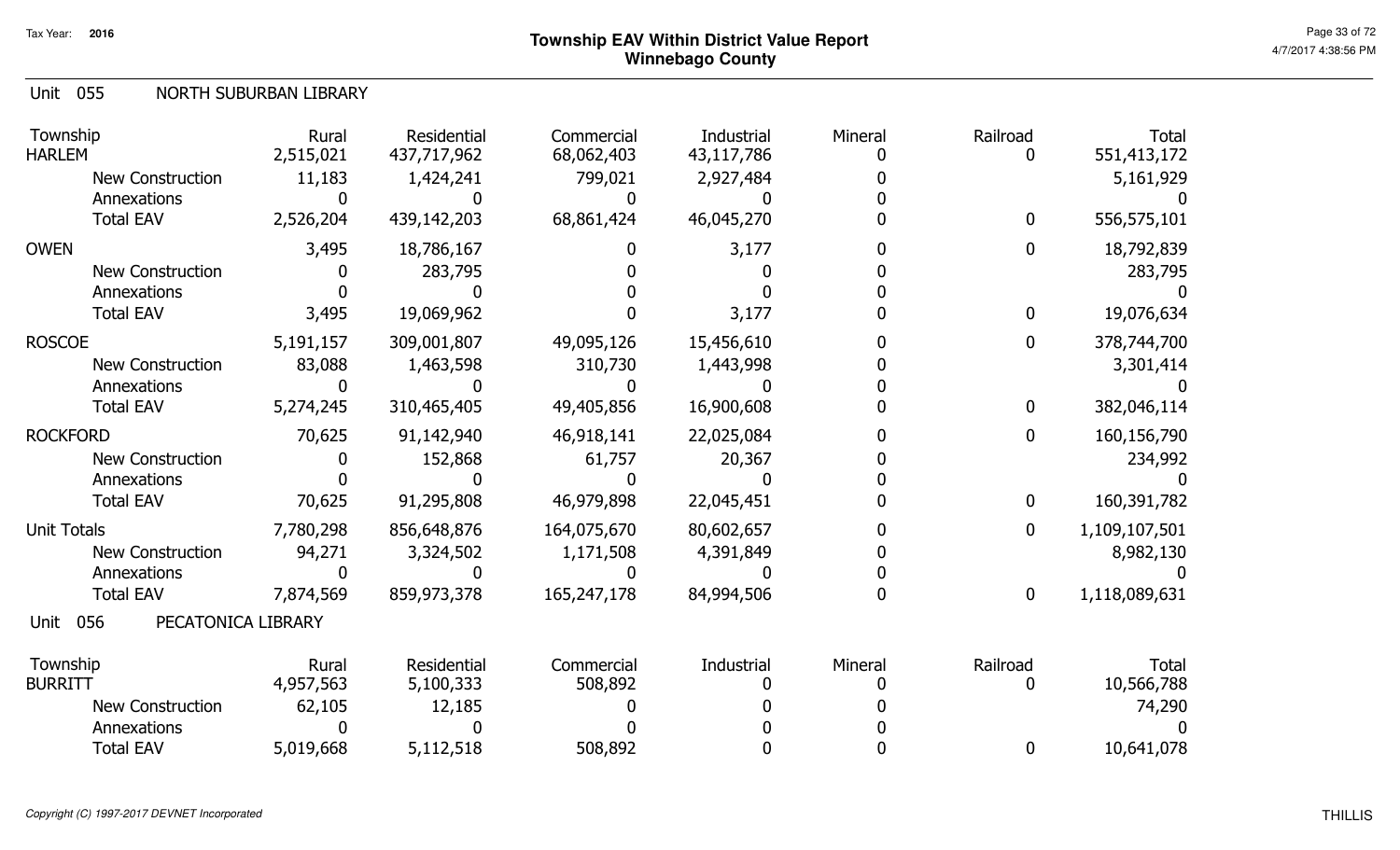#### Unit 055 NORTH SUBURBAN LIBRARY

| Township<br><b>HARLEM</b>         | Rural<br>2,515,021 | Residential<br>437,717,962 | Commercial<br>68,062,403 | Industrial<br>43,117,786 | Mineral | Railroad<br>$\Omega$ | <b>Total</b><br>551,413,172 |
|-----------------------------------|--------------------|----------------------------|--------------------------|--------------------------|---------|----------------------|-----------------------------|
| <b>New Construction</b>           | 11,183             | 1,424,241                  | 799,021                  | 2,927,484                |         |                      | 5,161,929                   |
| Annexations                       |                    |                            |                          |                          |         |                      |                             |
| <b>Total EAV</b>                  | 2,526,204          | 439,142,203                | 68,861,424               | 46,045,270               |         | $\mathbf 0$          | 556,575,101                 |
| <b>OWEN</b>                       | 3,495              | 18,786,167                 |                          | 3,177                    |         | 0                    | 18,792,839                  |
| <b>New Construction</b>           |                    | 283,795                    |                          |                          |         |                      | 283,795                     |
| Annexations                       |                    |                            |                          |                          |         |                      |                             |
| <b>Total EAV</b>                  | 3,495              | 19,069,962                 |                          | 3,177                    |         | 0                    | 19,076,634                  |
| <b>ROSCOE</b>                     | 5,191,157          | 309,001,807                | 49,095,126               | 15,456,610               |         | 0                    | 378,744,700                 |
| <b>New Construction</b>           | 83,088             | 1,463,598                  | 310,730                  | 1,443,998                |         |                      | 3,301,414                   |
| Annexations                       |                    |                            |                          |                          |         |                      |                             |
| <b>Total EAV</b>                  | 5,274,245          | 310,465,405                | 49,405,856               | 16,900,608               |         | $\mathbf 0$          | 382,046,114                 |
| <b>ROCKFORD</b>                   | 70,625             | 91,142,940                 | 46,918,141               | 22,025,084               |         | $\mathbf 0$          | 160,156,790                 |
| <b>New Construction</b>           |                    | 152,868                    | 61,757                   | 20,367                   |         |                      | 234,992                     |
| Annexations                       |                    |                            |                          |                          |         |                      |                             |
| <b>Total EAV</b>                  | 70,625             | 91,295,808                 | 46,979,898               | 22,045,451               |         | $\mathbf{0}$         | 160,391,782                 |
| <b>Unit Totals</b>                | 7,780,298          | 856,648,876                | 164,075,670              | 80,602,657               |         | 0                    | 1,109,107,501               |
| <b>New Construction</b>           | 94,271             | 3,324,502                  | 1,171,508                | 4,391,849                |         |                      | 8,982,130                   |
| Annexations                       |                    |                            |                          |                          |         |                      |                             |
| <b>Total EAV</b>                  | 7,874,569          | 859,973,378                | 165,247,178              | 84,994,506               |         | $\mathbf 0$          | 1,118,089,631               |
| 056<br>PECATONICA LIBRARY<br>Unit |                    |                            |                          |                          |         |                      |                             |
| Township                          | Rural              | Residential                | Commercial               | Industrial               | Mineral | Railroad             | Total                       |
| <b>BURRITT</b>                    | 4,957,563          | 5,100,333                  | 508,892                  |                          |         |                      | 10,566,788                  |
| <b>New Construction</b>           | 62,105             | 12,185                     |                          |                          |         |                      | 74,290                      |
| Annexations                       |                    |                            |                          |                          |         |                      |                             |
| <b>Total EAV</b>                  | 5,019,668          | 5,112,518                  | 508,892                  |                          |         | 0                    | 10,641,078                  |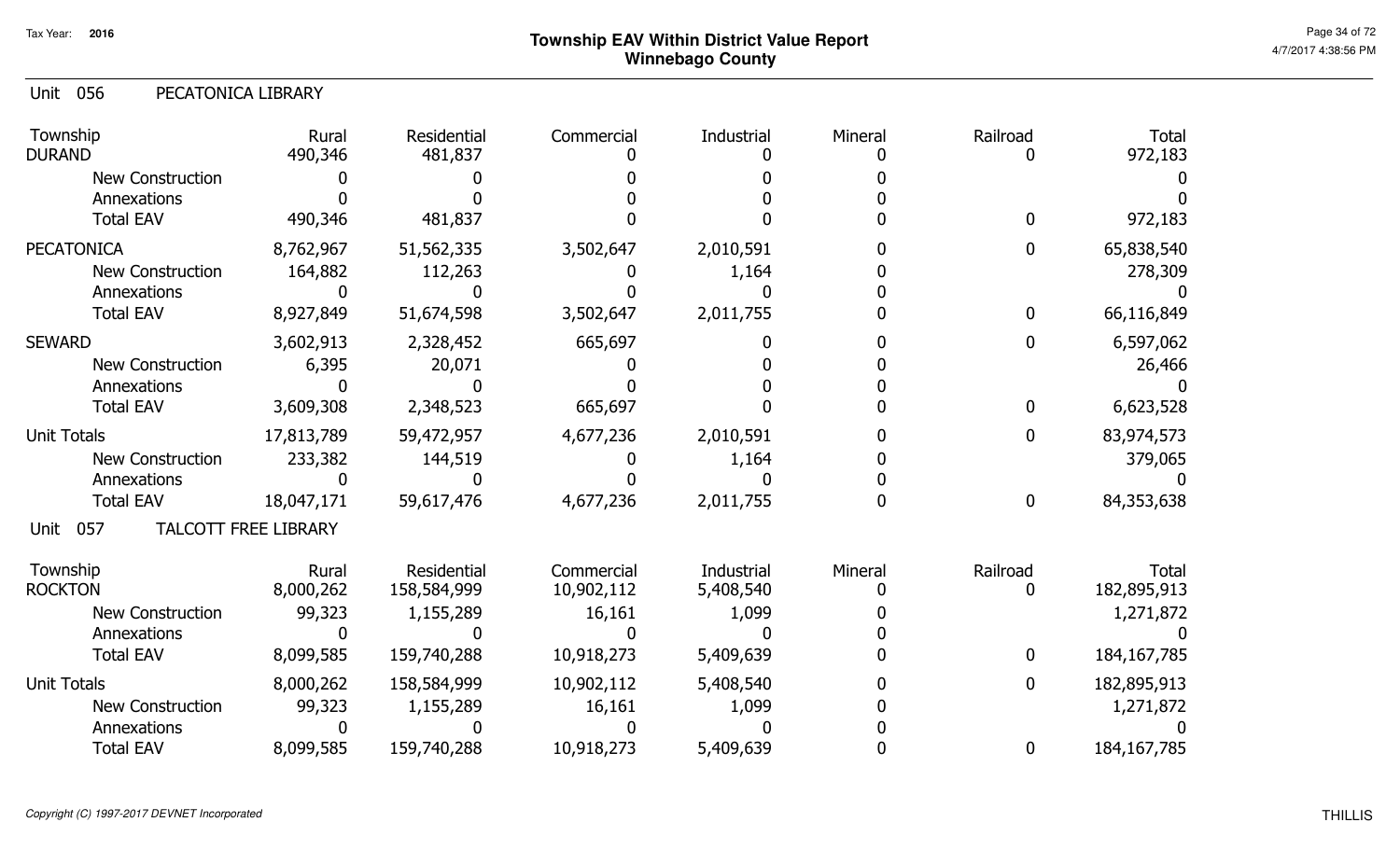Unit 056 PECATONICA LIBRARY

| Township<br><b>DURAND</b> | Rural<br>490,346            | Residential<br>481,837 | Commercial | Industrial | Mineral | Railroad         | <b>Total</b><br>972,183 |
|---------------------------|-----------------------------|------------------------|------------|------------|---------|------------------|-------------------------|
| <b>New Construction</b>   |                             |                        |            |            |         |                  |                         |
| Annexations               |                             |                        |            |            |         |                  |                         |
| <b>Total EAV</b>          | 490,346                     | 481,837                |            |            |         | 0                | 972,183                 |
| <b>PECATONICA</b>         | 8,762,967                   | 51,562,335             | 3,502,647  | 2,010,591  |         | $\mathbf 0$      | 65,838,540              |
| <b>New Construction</b>   | 164,882                     | 112,263                |            | 1,164      |         |                  | 278,309                 |
| Annexations               |                             |                        |            |            |         |                  |                         |
| <b>Total EAV</b>          | 8,927,849                   | 51,674,598             | 3,502,647  | 2,011,755  |         | $\mathbf 0$      | 66,116,849              |
| <b>SEWARD</b>             | 3,602,913                   | 2,328,452              | 665,697    |            |         | 0                | 6,597,062               |
| <b>New Construction</b>   | 6,395                       | 20,071                 |            |            |         |                  | 26,466                  |
| Annexations               |                             |                        |            |            |         |                  |                         |
| <b>Total EAV</b>          | 3,609,308                   | 2,348,523              | 665,697    |            |         | $\boldsymbol{0}$ | 6,623,528               |
| <b>Unit Totals</b>        | 17,813,789                  | 59,472,957             | 4,677,236  | 2,010,591  |         | $\boldsymbol{0}$ | 83,974,573              |
| <b>New Construction</b>   | 233,382                     | 144,519                |            | 1,164      |         |                  | 379,065                 |
| Annexations               |                             |                        |            |            |         |                  |                         |
| <b>Total EAV</b>          | 18,047,171                  | 59,617,476             | 4,677,236  | 2,011,755  |         | $\boldsymbol{0}$ | 84,353,638              |
| 057<br>Unit               | <b>TALCOTT FREE LIBRARY</b> |                        |            |            |         |                  |                         |
| Township                  | Rural                       | Residential            | Commercial | Industrial | Mineral | Railroad         | <b>Total</b>            |
| <b>ROCKTON</b>            | 8,000,262                   | 158,584,999            | 10,902,112 | 5,408,540  |         | 0                | 182,895,913             |
| <b>New Construction</b>   | 99,323                      | 1,155,289              | 16,161     | 1,099      |         |                  | 1,271,872               |
| Annexations               |                             |                        |            |            |         |                  |                         |
| <b>Total EAV</b>          | 8,099,585                   | 159,740,288            | 10,918,273 | 5,409,639  |         | $\mathbf 0$      | 184, 167, 785           |
| <b>Unit Totals</b>        | 8,000,262                   | 158,584,999            | 10,902,112 | 5,408,540  |         | $\boldsymbol{0}$ | 182,895,913             |
| <b>New Construction</b>   | 99,323                      | 1,155,289              | 16,161     | 1,099      |         |                  | 1,271,872               |
| Annexations               |                             |                        |            |            |         |                  |                         |
| <b>Total EAV</b>          | 8,099,585                   | 159,740,288            | 10,918,273 | 5,409,639  |         | $\bf{0}$         | 184, 167, 785           |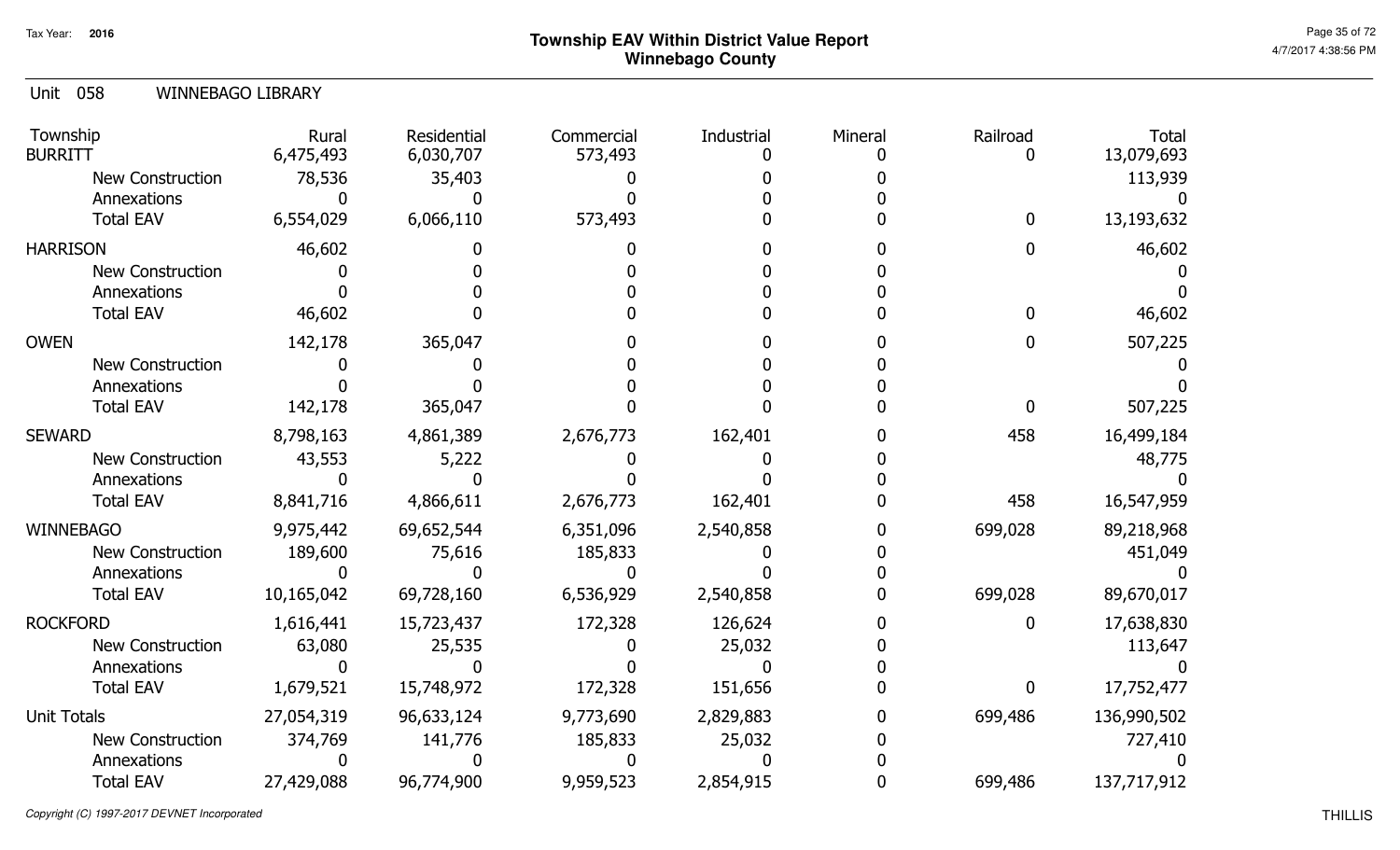|  | Unit 058 |  | <b>WINNEBAGO LIBRARY</b> |
|--|----------|--|--------------------------|
|--|----------|--|--------------------------|

| Township<br><b>BURRITT</b> | Rural<br>6,475,493 | Residential<br>6,030,707 | Commercial<br>573,493 | Industrial<br>O | Mineral | Railroad<br>O | <b>Total</b><br>13,079,693 |
|----------------------------|--------------------|--------------------------|-----------------------|-----------------|---------|---------------|----------------------------|
| <b>New Construction</b>    | 78,536             | 35,403                   |                       |                 |         |               | 113,939                    |
| Annexations                |                    |                          |                       |                 |         |               |                            |
| <b>Total EAV</b>           | 6,554,029          | 6,066,110                | 573,493               |                 |         | $\mathbf 0$   | 13,193,632                 |
| <b>HARRISON</b>            | 46,602             |                          |                       |                 |         | 0             | 46,602                     |
| New Construction           |                    |                          |                       |                 |         |               |                            |
| Annexations                |                    |                          |                       |                 |         |               |                            |
| <b>Total EAV</b>           | 46,602             |                          |                       |                 |         | 0             | 46,602                     |
| <b>OWEN</b>                | 142,178            | 365,047                  |                       |                 |         | 0             | 507,225                    |
| <b>New Construction</b>    |                    |                          |                       |                 |         |               |                            |
| Annexations                |                    |                          |                       |                 |         |               |                            |
| <b>Total EAV</b>           | 142,178            | 365,047                  |                       |                 |         | $\mathbf{0}$  | 507,225                    |
| <b>SEWARD</b>              | 8,798,163          | 4,861,389                | 2,676,773             | 162,401         |         | 458           | 16,499,184                 |
| <b>New Construction</b>    | 43,553             | 5,222                    |                       |                 |         |               | 48,775                     |
| Annexations                |                    |                          |                       |                 |         |               |                            |
| <b>Total EAV</b>           | 8,841,716          | 4,866,611                | 2,676,773             | 162,401         |         | 458           | 16,547,959                 |
| <b>WINNEBAGO</b>           | 9,975,442          | 69,652,544               | 6,351,096             | 2,540,858       |         | 699,028       | 89,218,968                 |
| <b>New Construction</b>    | 189,600            | 75,616                   | 185,833               |                 |         |               | 451,049                    |
| Annexations                |                    |                          |                       |                 |         |               |                            |
| <b>Total EAV</b>           | 10,165,042         | 69,728,160               | 6,536,929             | 2,540,858       |         | 699,028       | 89,670,017                 |
| <b>ROCKFORD</b>            | 1,616,441          | 15,723,437               | 172,328               | 126,624         |         | 0             | 17,638,830                 |
| <b>New Construction</b>    | 63,080             | 25,535                   |                       | 25,032          |         |               | 113,647                    |
| Annexations                |                    |                          |                       |                 |         |               |                            |
| <b>Total EAV</b>           | 1,679,521          | 15,748,972               | 172,328               | 151,656         |         | 0             | 17,752,477                 |
| <b>Unit Totals</b>         | 27,054,319         | 96,633,124               | 9,773,690             | 2,829,883       |         | 699,486       | 136,990,502                |
| <b>New Construction</b>    | 374,769            | 141,776                  | 185,833               | 25,032          |         |               | 727,410                    |
| Annexations                |                    |                          |                       |                 |         |               |                            |
| <b>Total EAV</b>           | 27,429,088         | 96,774,900               | 9,959,523             | 2,854,915       |         | 699,486       | 137,717,912                |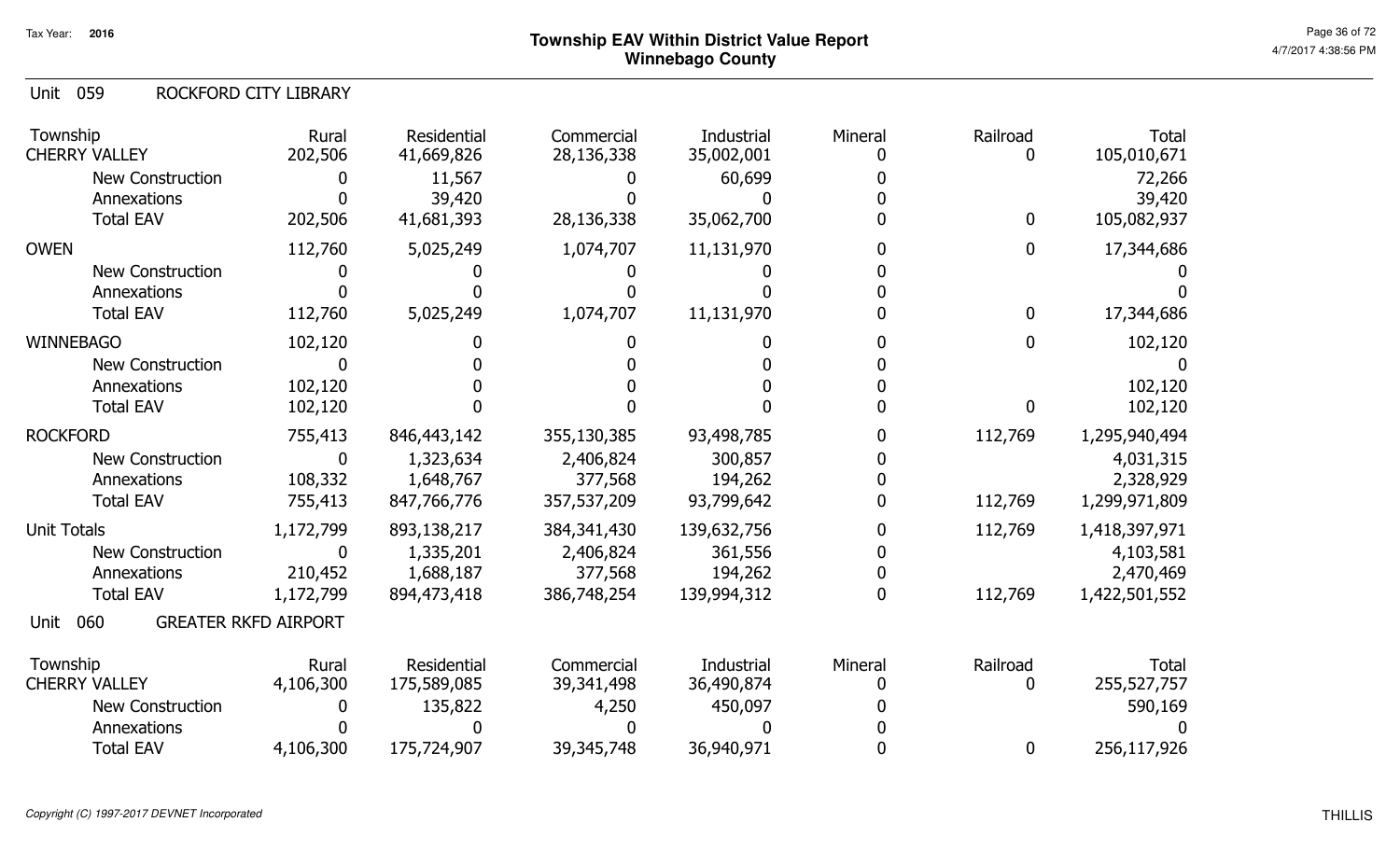Unit 059 ROCKFORD CITY LIBRARY

| Township<br><b>CHERRY VALLEY</b>           | Rural<br>202,506 | Residential<br>41,669,826 | Commercial<br>28,136,338 | Industrial<br>35,002,001 | Mineral | Railroad<br>0 | <b>Total</b><br>105,010,671 |
|--------------------------------------------|------------------|---------------------------|--------------------------|--------------------------|---------|---------------|-----------------------------|
| <b>New Construction</b>                    | 0                | 11,567                    |                          | 60,699                   |         |               | 72,266                      |
| Annexations                                |                  | 39,420                    |                          |                          |         |               | 39,420                      |
| <b>Total EAV</b>                           | 202,506          | 41,681,393                | 28,136,338               | 35,062,700               |         | 0             | 105,082,937                 |
| <b>OWEN</b>                                | 112,760          | 5,025,249                 | 1,074,707                | 11,131,970               |         | 0             | 17,344,686                  |
| <b>New Construction</b>                    |                  |                           |                          |                          |         |               |                             |
| Annexations                                |                  |                           |                          |                          |         |               |                             |
| <b>Total EAV</b>                           | 112,760          | 5,025,249                 | 1,074,707                | 11,131,970               |         | 0             | 17,344,686                  |
| <b>WINNEBAGO</b>                           | 102,120          |                           |                          |                          |         | 0             | 102,120                     |
| <b>New Construction</b>                    | 0                |                           |                          |                          |         |               |                             |
| Annexations                                | 102,120          |                           |                          |                          |         |               | 102,120                     |
| <b>Total EAV</b>                           | 102,120          |                           |                          |                          |         | 0             | 102,120                     |
| <b>ROCKFORD</b>                            | 755,413          | 846,443,142               | 355,130,385              | 93,498,785               |         | 112,769       | 1,295,940,494               |
| <b>New Construction</b>                    | $\mathbf{0}$     | 1,323,634                 | 2,406,824                | 300,857                  |         |               | 4,031,315                   |
| Annexations                                | 108,332          | 1,648,767                 | 377,568                  | 194,262                  |         |               | 2,328,929                   |
| <b>Total EAV</b>                           | 755,413          | 847,766,776               | 357,537,209              | 93,799,642               |         | 112,769       | 1,299,971,809               |
| <b>Unit Totals</b>                         | 1,172,799        | 893,138,217               | 384, 341, 430            | 139,632,756              |         | 112,769       | 1,418,397,971               |
| New Construction                           | 0                | 1,335,201                 | 2,406,824                | 361,556                  |         |               | 4,103,581                   |
| Annexations                                | 210,452          | 1,688,187                 | 377,568                  | 194,262                  |         |               | 2,470,469                   |
| <b>Total EAV</b>                           | 1,172,799        | 894,473,418               | 386,748,254              | 139,994,312              |         | 112,769       | 1,422,501,552               |
| <b>GREATER RKFD AIRPORT</b><br>060<br>Unit |                  |                           |                          |                          |         |               |                             |
| Township                                   | Rural            | Residential               | Commercial               | Industrial               | Mineral | Railroad      | <b>Total</b>                |
| <b>CHERRY VALLEY</b>                       | 4,106,300        | 175,589,085               | 39,341,498               | 36,490,874               |         | 0             | 255,527,757                 |
| <b>New Construction</b>                    | 0                | 135,822                   | 4,250                    | 450,097                  |         |               | 590,169                     |
| Annexations                                |                  |                           |                          |                          |         |               |                             |
| <b>Total EAV</b>                           | 4,106,300        | 175,724,907               | 39,345,748               | 36,940,971               |         | 0             | 256,117,926                 |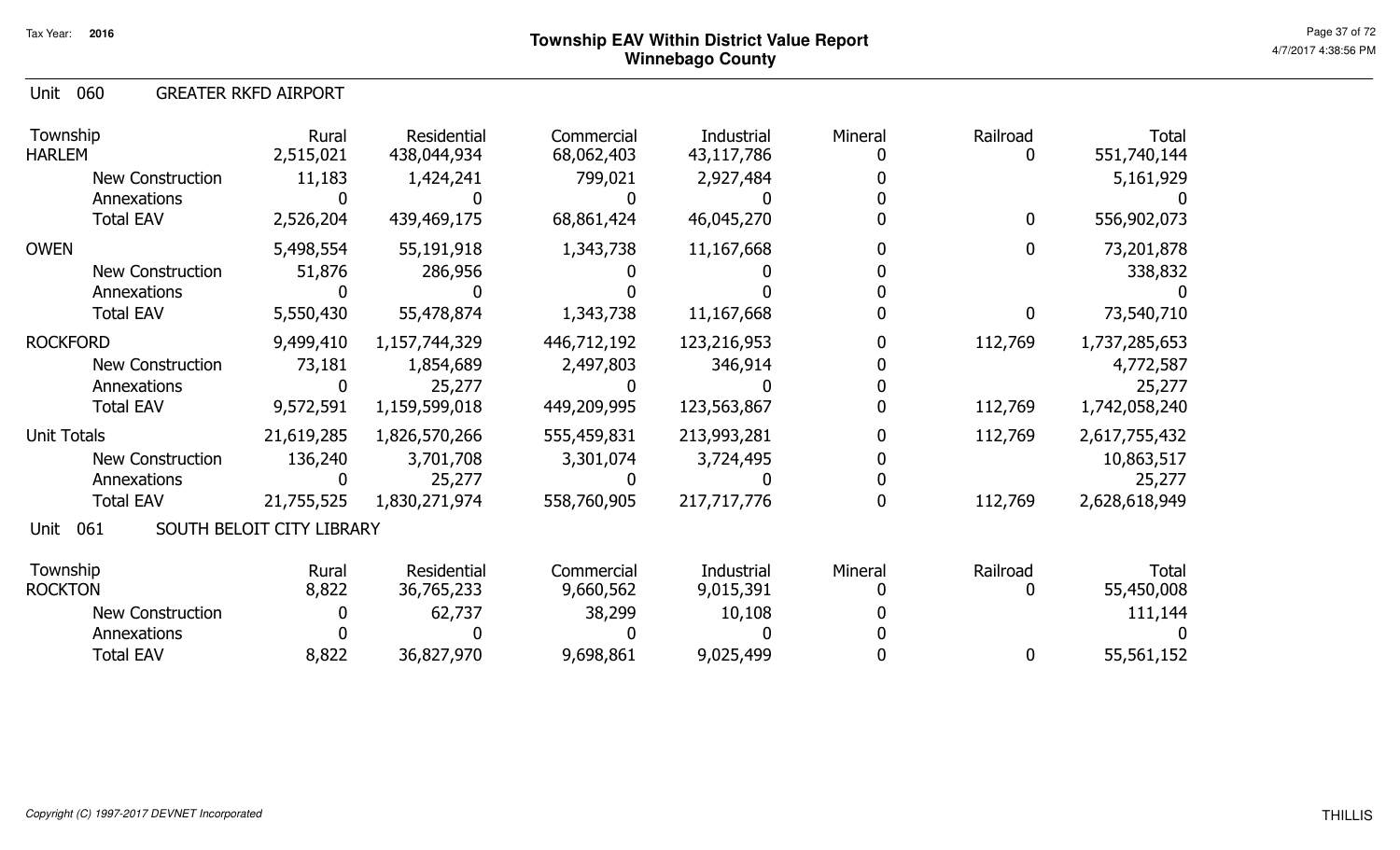Unit 060 GREATER RKFD AIRPORT

| Township<br><b>HARLEM</b> | Rural<br>2,515,021        | Residential<br>438,044,934 | Commercial<br>68,062,403 | Industrial<br>43,117,786 | Mineral | Railroad<br>0 | <b>Total</b><br>551,740,144 |
|---------------------------|---------------------------|----------------------------|--------------------------|--------------------------|---------|---------------|-----------------------------|
| <b>New Construction</b>   | 11,183                    | 1,424,241                  | 799,021                  | 2,927,484                |         |               | 5,161,929                   |
| Annexations               |                           |                            |                          |                          |         |               |                             |
| <b>Total EAV</b>          | 2,526,204                 | 439,469,175                | 68,861,424               | 46,045,270               |         | $\mathbf 0$   | 556,902,073                 |
| <b>OWEN</b>               | 5,498,554                 | 55,191,918                 | 1,343,738                | 11,167,668               |         | 0             | 73,201,878                  |
| <b>New Construction</b>   | 51,876                    | 286,956                    |                          |                          |         |               | 338,832                     |
| Annexations               |                           |                            |                          |                          |         |               |                             |
| <b>Total EAV</b>          | 5,550,430                 | 55,478,874                 | 1,343,738                | 11,167,668               |         | 0             | 73,540,710                  |
| <b>ROCKFORD</b>           | 9,499,410                 | 1,157,744,329              | 446,712,192              | 123,216,953              |         | 112,769       | 1,737,285,653               |
| <b>New Construction</b>   | 73,181                    | 1,854,689                  | 2,497,803                | 346,914                  |         |               | 4,772,587                   |
| Annexations               | 0                         | 25,277                     |                          |                          |         |               | 25,277                      |
| <b>Total EAV</b>          | 9,572,591                 | 1,159,599,018              | 449,209,995              | 123,563,867              |         | 112,769       | 1,742,058,240               |
| <b>Unit Totals</b>        | 21,619,285                | 1,826,570,266              | 555,459,831              | 213,993,281              |         | 112,769       | 2,617,755,432               |
| New Construction          | 136,240                   | 3,701,708                  | 3,301,074                | 3,724,495                |         |               | 10,863,517                  |
| Annexations               |                           | 25,277                     |                          |                          |         |               | 25,277                      |
| <b>Total EAV</b>          | 21,755,525                | 1,830,271,974              | 558,760,905              | 217,717,776              |         | 112,769       | 2,628,618,949               |
| 061<br>Unit               | SOUTH BELOIT CITY LIBRARY |                            |                          |                          |         |               |                             |
| Township                  | Rural                     | Residential                | Commercial               | Industrial               | Mineral | Railroad      | Total                       |
| <b>ROCKTON</b>            | 8,822                     | 36,765,233                 | 9,660,562                | 9,015,391                |         |               | 55,450,008                  |
| <b>New Construction</b>   | 0                         | 62,737                     | 38,299                   | 10,108                   |         |               | 111,144                     |
| Annexations               |                           |                            |                          |                          |         |               |                             |
| <b>Total EAV</b>          | 8,822                     | 36,827,970                 | 9,698,861                | 9,025,499                |         | $\bf{0}$      | 55,561,152                  |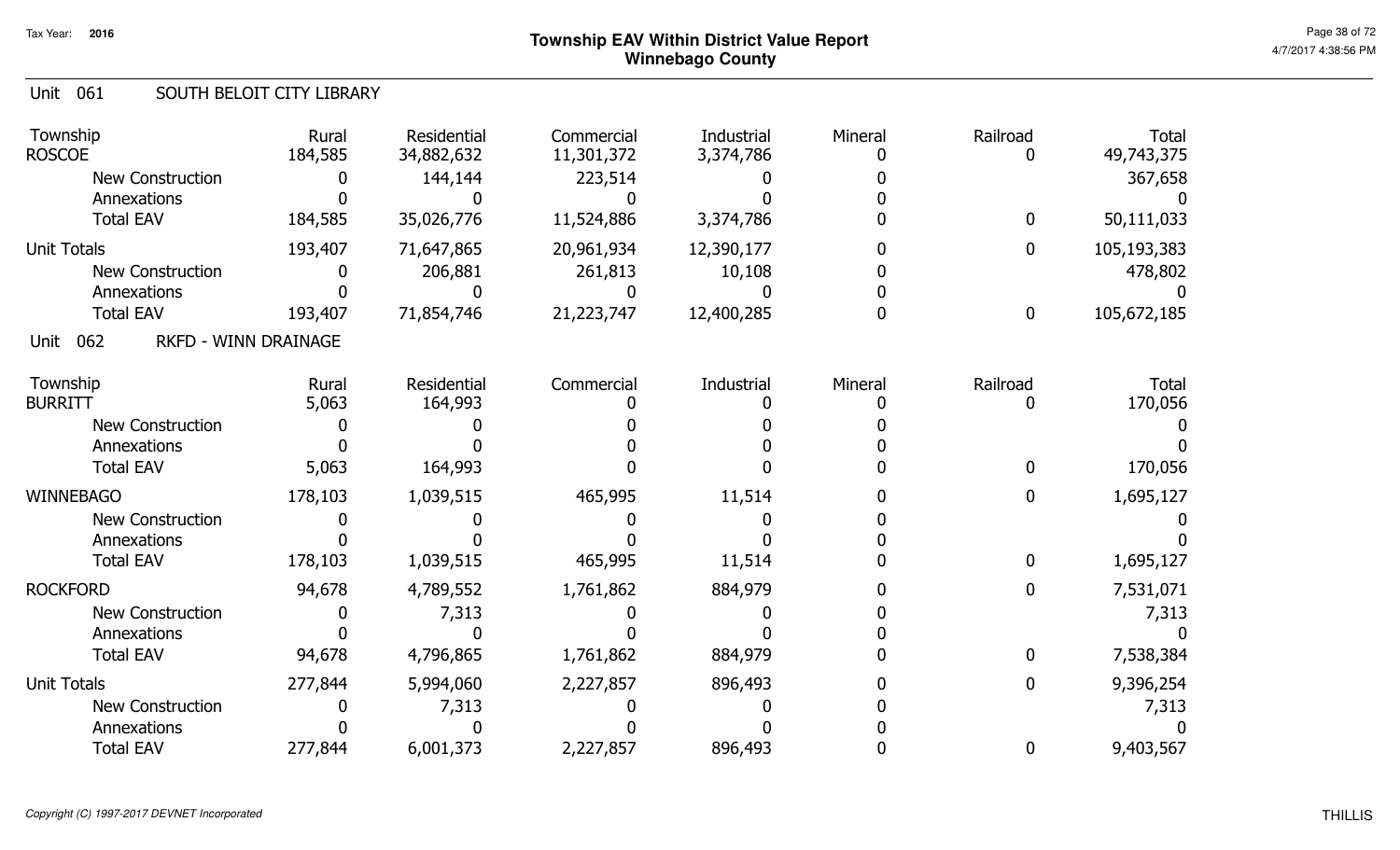#### Unit 061 SOUTH BELOIT CITY LIBRARY

| Township<br><b>ROSCOE</b>       | Rural<br>184,585            | Residential<br>34,882,632 | Commercial<br>11,301,372 | Industrial<br>3,374,786 | Mineral | Railroad<br>0 | <b>Total</b><br>49,743,375 |
|---------------------------------|-----------------------------|---------------------------|--------------------------|-------------------------|---------|---------------|----------------------------|
| <b>New Construction</b>         |                             | 144,144                   | 223,514                  |                         |         |               | 367,658                    |
| Annexations<br><b>Total EAV</b> | 184,585                     | 35,026,776                | 11,524,886               | 3,374,786               |         | 0             | 50,111,033                 |
| <b>Unit Totals</b>              | 193,407                     | 71,647,865                | 20,961,934               | 12,390,177              |         | 0             | 105,193,383                |
| <b>New Construction</b>         |                             | 206,881                   | 261,813                  | 10,108                  |         |               | 478,802                    |
| Annexations                     |                             |                           |                          |                         |         |               |                            |
| <b>Total EAV</b>                | 193,407                     | 71,854,746                | 21,223,747               | 12,400,285              |         | 0             | 105,672,185                |
| 062<br>Unit                     | <b>RKFD - WINN DRAINAGE</b> |                           |                          |                         |         |               |                            |
| Township                        | Rural                       | Residential               | Commercial               | Industrial              | Mineral | Railroad      | <b>Total</b>               |
| <b>BURRITT</b>                  | 5,063                       | 164,993                   |                          |                         |         |               | 170,056                    |
| <b>New Construction</b>         |                             |                           |                          |                         |         |               |                            |
| Annexations<br><b>Total EAV</b> | 5,063                       | 164,993                   |                          |                         |         |               | 170,056                    |
|                                 |                             |                           |                          |                         |         |               |                            |
| <b>WINNEBAGO</b>                | 178,103                     | 1,039,515                 | 465,995                  | 11,514                  |         | 0             | 1,695,127                  |
| <b>New Construction</b>         |                             |                           |                          |                         |         |               |                            |
| Annexations                     |                             |                           |                          |                         |         |               |                            |
| <b>Total EAV</b>                | 178,103                     | 1,039,515                 | 465,995                  | 11,514                  |         | 0             | 1,695,127                  |
| <b>ROCKFORD</b>                 | 94,678                      | 4,789,552                 | 1,761,862                | 884,979                 |         | 0             | 7,531,071                  |
| <b>New Construction</b>         |                             | 7,313                     |                          |                         |         |               | 7,313                      |
| Annexations                     |                             |                           |                          |                         |         |               |                            |
| <b>Total EAV</b>                | 94,678                      | 4,796,865                 | 1,761,862                | 884,979                 |         | 0             | 7,538,384                  |
| <b>Unit Totals</b>              | 277,844                     | 5,994,060                 | 2,227,857                | 896,493                 |         | 0             | 9,396,254                  |
| <b>New Construction</b>         |                             | 7,313                     |                          |                         |         |               | 7,313                      |
| Annexations                     |                             |                           |                          |                         |         |               |                            |
| <b>Total EAV</b>                | 277,844                     | 6,001,373                 | 2,227,857                | 896,493                 |         | 0             | 9,403,567                  |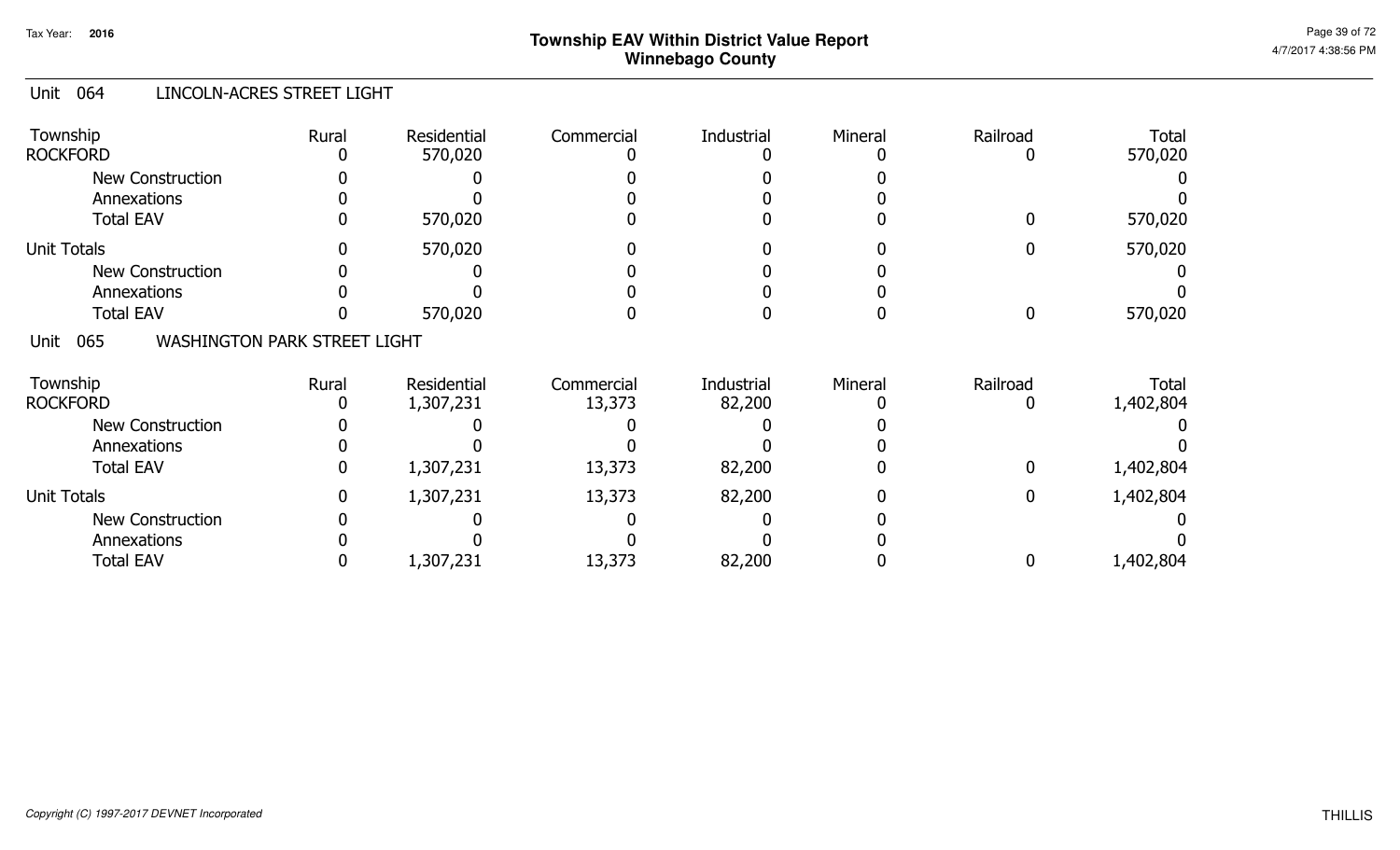#### Unit 064 LINCOLN-ACRES STREET LIGHT

| Township<br><b>ROCKFORD</b>                        | Rural | Residential<br>570,020   | Commercial           | Industrial           | Mineral | Railroad | <b>Total</b><br>570,020 |
|----------------------------------------------------|-------|--------------------------|----------------------|----------------------|---------|----------|-------------------------|
| New Construction<br>Annexations                    |       |                          |                      |                      |         |          |                         |
| <b>Total EAV</b>                                   |       | 570,020                  |                      |                      |         |          | 570,020                 |
| <b>Unit Totals</b>                                 |       | 570,020                  |                      |                      |         |          | 570,020                 |
| New Construction                                   |       |                          |                      |                      |         |          |                         |
| Annexations                                        |       |                          |                      |                      |         |          |                         |
| <b>Total EAV</b>                                   |       | 570,020                  |                      |                      |         |          | 570,020                 |
| <b>WASHINGTON PARK STREET LIGHT</b><br>Unit<br>065 |       |                          |                      |                      |         |          |                         |
| Township<br><b>ROCKFORD</b>                        | Rural | Residential<br>1,307,231 | Commercial<br>13,373 | Industrial<br>82,200 | Mineral | Railroad | Total<br>1,402,804      |
| <b>New Construction</b>                            |       |                          |                      |                      |         |          |                         |
| Annexations                                        |       |                          |                      |                      |         |          |                         |
| <b>Total EAV</b>                                   |       | 1,307,231                | 13,373               | 82,200               |         |          | 1,402,804               |
| <b>Unit Totals</b>                                 |       | 1,307,231                | 13,373               | 82,200               |         |          | 1,402,804               |
| New Construction                                   |       |                          |                      |                      |         |          |                         |
| Annexations                                        |       |                          |                      |                      |         |          |                         |
| <b>Total EAV</b>                                   |       | 1,307,231                | 13,373               | 82,200               |         |          | 1,402,804               |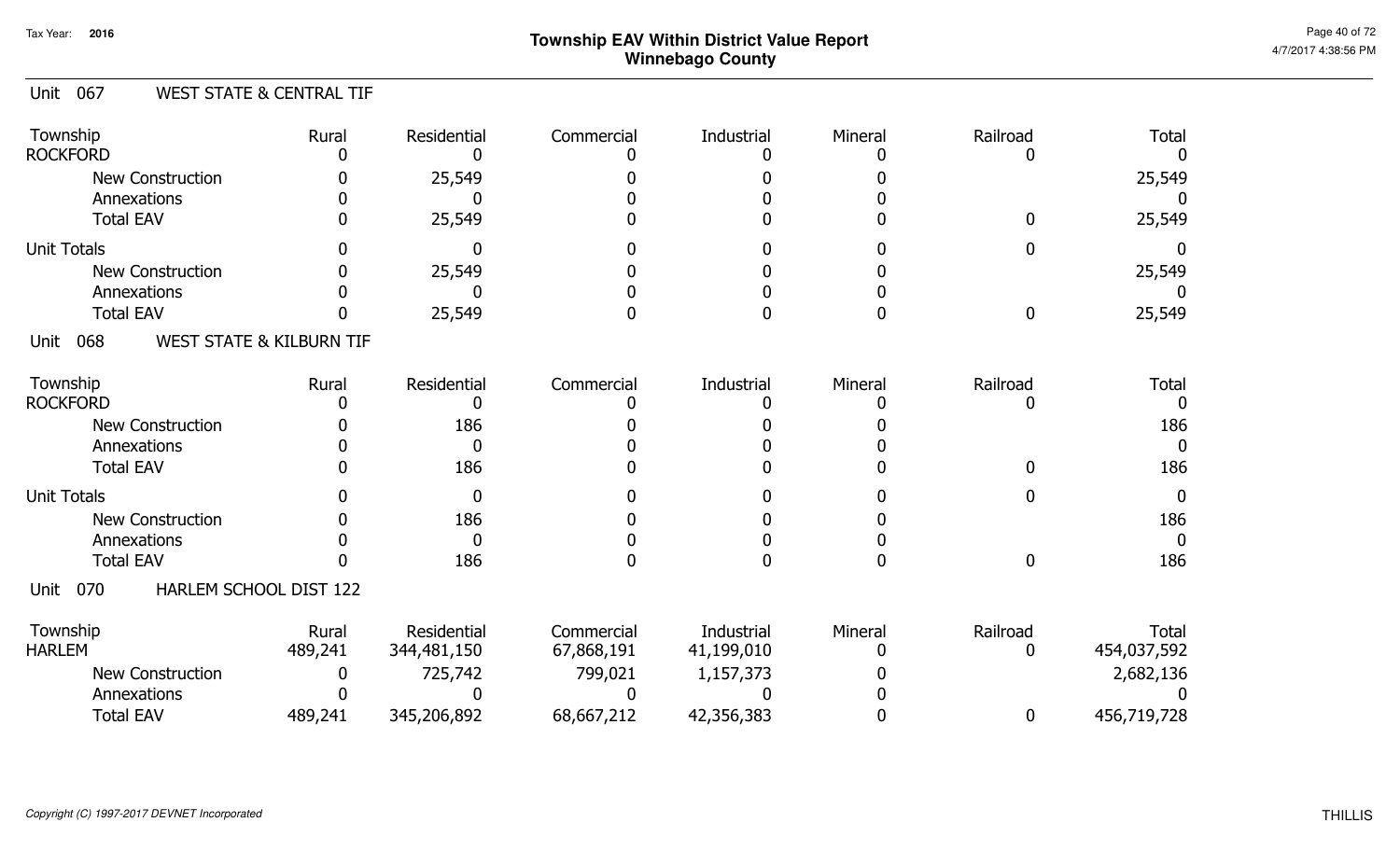#### Unit 067 WEST STATE & CENTRAL TIF

| Township<br><b>ROCKFORD</b>           | Rural                               | Residential  | Commercial | Industrial | Mineral | Railroad     | <b>Total</b> |
|---------------------------------------|-------------------------------------|--------------|------------|------------|---------|--------------|--------------|
| <b>New Construction</b>               |                                     | 25,549       |            |            |         |              | 25,549       |
| Annexations                           |                                     |              |            |            |         |              |              |
| <b>Total EAV</b>                      |                                     | 25,549       |            |            |         |              | 25,549       |
| <b>Unit Totals</b>                    |                                     |              |            |            |         |              | $\Box$       |
| <b>New Construction</b>               |                                     | 25,549       |            |            |         |              | 25,549       |
| Annexations                           |                                     |              |            |            |         |              |              |
| <b>Total EAV</b>                      |                                     | 25,549       |            |            |         | 0            | 25,549       |
| 068<br>Unit                           | <b>WEST STATE &amp; KILBURN TIF</b> |              |            |            |         |              |              |
| Township                              | Rural                               | Residential  | Commercial | Industrial | Mineral | Railroad     | <b>Total</b> |
| <b>ROCKFORD</b>                       |                                     |              |            |            |         |              |              |
| <b>New Construction</b>               |                                     | 186          |            |            |         |              | 186          |
| Annexations                           |                                     | <sup>0</sup> |            |            |         |              |              |
| <b>Total EAV</b>                      |                                     | 186          |            |            |         |              | 186          |
| <b>Unit Totals</b>                    |                                     |              |            |            |         |              | 0            |
| <b>New Construction</b>               |                                     | 186          |            |            |         |              | 186          |
| Annexations                           |                                     | <sup>n</sup> |            |            |         |              | O            |
| <b>Total EAV</b>                      |                                     | 186          |            |            |         | $\mathbf{0}$ | 186          |
| HARLEM SCHOOL DIST 122<br>070<br>Unit |                                     |              |            |            |         |              |              |
| Township                              | Rural                               | Residential  | Commercial | Industrial | Mineral | Railroad     | <b>Total</b> |
| <b>HARLEM</b>                         | 489,241                             | 344,481,150  | 67,868,191 | 41,199,010 |         |              | 454,037,592  |
| <b>New Construction</b>               |                                     | 725,742      | 799,021    | 1,157,373  |         |              | 2,682,136    |
| Annexations                           |                                     |              |            |            |         |              |              |
| <b>Total EAV</b>                      | 489,241                             | 345,206,892  | 68,667,212 | 42,356,383 |         | 0            | 456,719,728  |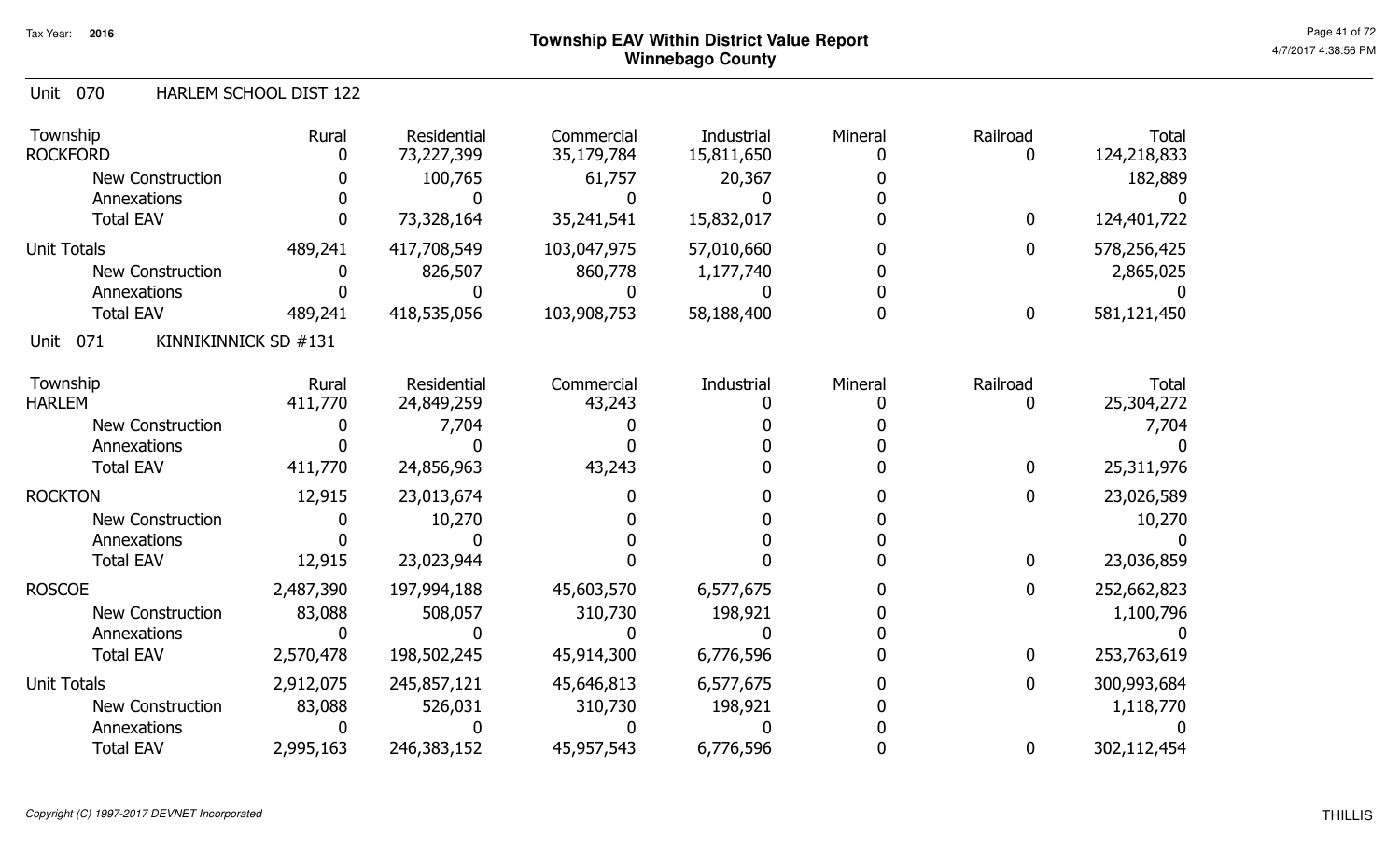ROSCOE

Unit Totals

#### **Township EAV Within District Value ReportWinnebago County**

Total<br>2013 - م

0

0

0

0

124,218,833182,889

124,401,722

 $\mathbf{0}$ 

Total

 7,704 $\bf{0}$ 

25,304,272

25,311,976

#### Unit 070 Townshipp Rural ResidentialCommercial Industrial Mineral Railroad HARLEM SCHOOL DIST 12200 73,328,164 35,241,541 15,832,017 0 0 0 ROCKFORDD 0 0 073,227,399 100,765 $\mathbf{0}$ 35,179,784 61,757 $\mathbf{0}$ 15,811,650 20,367 $\mathbf{0}$ 0 0 $\mathbf 0$ New ConstructionAnnexationsTotal EAV <sup>0</sup> <sup>0</sup> <sup>0</sup> <sup>0</sup> <sup>0</sup> Unit Totals New ConstructionAnnexationsTotal EAV489,2411 418,535,056 103,908,753 58,188,400 0 0 0 581,121,450 489,241 417,708,549 103,047,975 <sup>0</sup> 578,256,425 00 826,507 860,778 1,177,740 0 2,865,025 103,908,75357,010,660 1,177,740 $\mathbf{0}$ 58,188,4000 $0$  0 0 0 0 0 0 Unit 071 Townshipp Rural ResidentialCommercial Industrial Mineral Railroad KINNIKINNICK SD #131411,7700 24,856,963 43,243 0 0 0 0 HARLEM 411,770 0 024,849,259 7,704 $\mathbf{0}$ 43,243 0 $\overline{0}$ 0 0 $\boldsymbol{0}$ 0 0 $\mathbf 0$ New ConstructionAnnexationsTotal EAV <sup>0</sup> <sup>0</sup> <sup>0</sup> <sup>0</sup> <sup>0</sup> 12,915ROCKTON 12,915  $\sqrt{2}$ 23,013,67410,270000000New ConstructionAnnexationsTotal EAV0

| 10,270<br>12,915<br>23,023,944<br>2,487,390<br>197,994,188<br>45,603,570<br>6,577,675<br>0<br>310,730<br>198,921<br>83,088<br>508,057<br>2,570,478<br>45,914,300<br>198,502,245<br>6,776,596<br>0<br>2,912,075<br>45,646,813<br>245,857,121<br>6,577,675<br>0<br>83,088<br>526,031<br>310,730<br>198,921<br>2,995,163<br>246,383,152<br>6,776,596<br>45,957,543<br>0 | 23,026,589  |  |  | 23,013,674 | 12,915 |
|----------------------------------------------------------------------------------------------------------------------------------------------------------------------------------------------------------------------------------------------------------------------------------------------------------------------------------------------------------------------|-------------|--|--|------------|--------|
|                                                                                                                                                                                                                                                                                                                                                                      | 10,270      |  |  |            |        |
|                                                                                                                                                                                                                                                                                                                                                                      |             |  |  |            |        |
|                                                                                                                                                                                                                                                                                                                                                                      | 23,036,859  |  |  |            |        |
|                                                                                                                                                                                                                                                                                                                                                                      | 252,662,823 |  |  |            |        |
|                                                                                                                                                                                                                                                                                                                                                                      | 1,100,796   |  |  |            |        |
|                                                                                                                                                                                                                                                                                                                                                                      |             |  |  |            |        |
|                                                                                                                                                                                                                                                                                                                                                                      | 253,763,619 |  |  |            |        |
|                                                                                                                                                                                                                                                                                                                                                                      | 300,993,684 |  |  |            |        |
|                                                                                                                                                                                                                                                                                                                                                                      | 1,118,770   |  |  |            |        |
|                                                                                                                                                                                                                                                                                                                                                                      |             |  |  |            |        |
|                                                                                                                                                                                                                                                                                                                                                                      | 302,112,454 |  |  |            |        |

New Construction

New Construction

AnnexationsTotal EAV

AnnexationsTotal EAV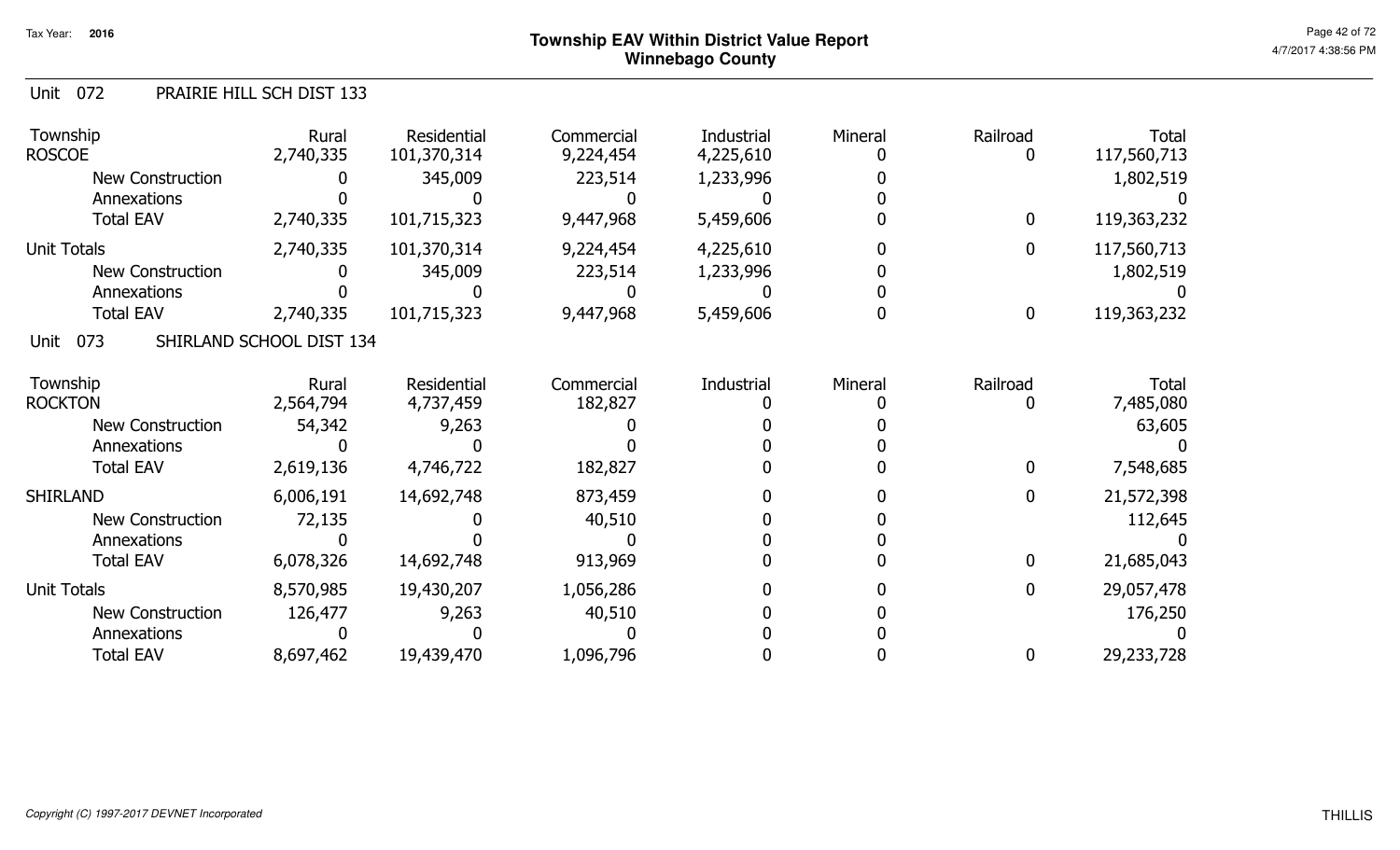#### Unit 072 PRAIRIE HILL SCH DIST 133

| Township<br><b>ROSCOE</b> | Rural<br>2,740,335       | Residential<br>101,370,314 | Commercial<br>9,224,454 | Industrial<br>4,225,610 | Mineral | Railroad     | Total<br>117,560,713 |
|---------------------------|--------------------------|----------------------------|-------------------------|-------------------------|---------|--------------|----------------------|
| New Construction          |                          | 345,009                    | 223,514                 | 1,233,996               |         |              | 1,802,519            |
| Annexations               |                          |                            |                         |                         |         |              |                      |
| <b>Total EAV</b>          | 2,740,335                | 101,715,323                | 9,447,968               | 5,459,606               |         | $\bf{0}$     | 119,363,232          |
| <b>Unit Totals</b>        | 2,740,335                | 101,370,314                | 9,224,454               | 4,225,610               |         | $\mathbf{0}$ | 117,560,713          |
| <b>New Construction</b>   |                          | 345,009                    | 223,514                 | 1,233,996               |         |              | 1,802,519            |
| Annexations               |                          |                            |                         |                         |         |              |                      |
| <b>Total EAV</b>          | 2,740,335                | 101,715,323                | 9,447,968               | 5,459,606               |         | $\mathbf 0$  | 119,363,232          |
| 073<br>Unit               | SHIRLAND SCHOOL DIST 134 |                            |                         |                         |         |              |                      |
| Township                  | Rural                    | Residential                | Commercial              | Industrial              | Mineral | Railroad     | <b>Total</b>         |
| <b>ROCKTON</b>            | 2,564,794                | 4,737,459                  | 182,827                 |                         |         |              | 7,485,080            |
| New Construction          | 54,342                   | 9,263                      |                         |                         |         |              | 63,605               |
| Annexations               |                          |                            |                         |                         |         |              |                      |
| <b>Total EAV</b>          | 2,619,136                | 4,746,722                  | 182,827                 |                         |         | $\mathbf{0}$ | 7,548,685            |
| <b>SHIRLAND</b>           | 6,006,191                | 14,692,748                 | 873,459                 |                         |         | $\mathbf{0}$ | 21,572,398           |
| New Construction          | 72,135                   |                            | 40,510                  |                         |         |              | 112,645              |
| Annexations               |                          |                            |                         |                         |         |              |                      |
| <b>Total EAV</b>          | 6,078,326                | 14,692,748                 | 913,969                 |                         |         | $\mathbf{0}$ | 21,685,043           |
| <b>Unit Totals</b>        | 8,570,985                | 19,430,207                 | 1,056,286               |                         |         | 0            | 29,057,478           |
| <b>New Construction</b>   | 126,477                  | 9,263                      | 40,510                  |                         |         |              | 176,250              |
| Annexations               |                          |                            |                         |                         |         |              |                      |
| <b>Total EAV</b>          | 8,697,462                | 19,439,470                 | 1,096,796               |                         |         | 0            | 29,233,728           |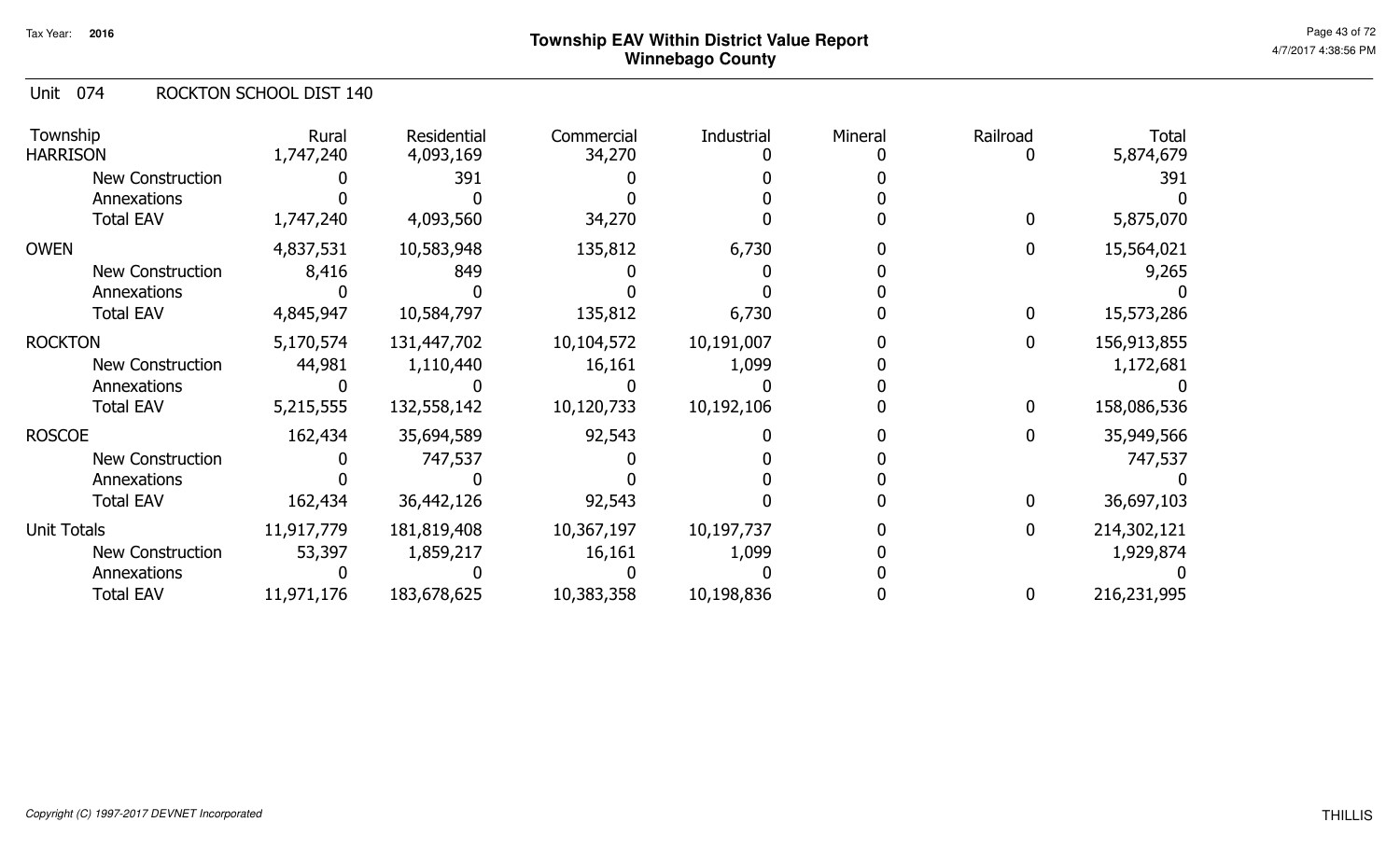#### Unit 074 ROCKTON SCHOOL DIST 140

| Township<br><b>HARRISON</b> | Rural<br>1,747,240 | Residential<br>4,093,169 | Commercial<br>34,270 | Industrial | Mineral | Railroad     | <b>Total</b><br>5,874,679 |
|-----------------------------|--------------------|--------------------------|----------------------|------------|---------|--------------|---------------------------|
| <b>New Construction</b>     |                    | 391                      |                      |            |         |              | 391                       |
| Annexations                 |                    |                          |                      |            |         |              |                           |
| <b>Total EAV</b>            | 1,747,240          | 4,093,560                | 34,270               |            |         | 0            | 5,875,070                 |
| <b>OWEN</b>                 | 4,837,531          | 10,583,948               | 135,812              | 6,730      |         | 0            | 15,564,021                |
| <b>New Construction</b>     | 8,416              | 849                      |                      |            |         |              | 9,265                     |
| Annexations                 |                    |                          |                      |            |         |              |                           |
| <b>Total EAV</b>            | 4,845,947          | 10,584,797               | 135,812              | 6,730      |         | 0            | 15,573,286                |
| <b>ROCKTON</b>              | 5,170,574          | 131,447,702              | 10,104,572           | 10,191,007 |         | $\mathbf 0$  | 156,913,855               |
| New Construction            | 44,981             | 1,110,440                | 16,161               | 1,099      |         |              | 1,172,681                 |
| Annexations                 |                    |                          |                      |            |         |              |                           |
| <b>Total EAV</b>            | 5,215,555          | 132,558,142              | 10,120,733           | 10,192,106 |         | 0            | 158,086,536               |
| <b>ROSCOE</b>               | 162,434            | 35,694,589               | 92,543               |            |         | 0            | 35,949,566                |
| <b>New Construction</b>     |                    | 747,537                  |                      |            |         |              | 747,537                   |
| Annexations                 |                    |                          |                      |            |         |              |                           |
| <b>Total EAV</b>            | 162,434            | 36,442,126               | 92,543               |            |         | $\mathbf{0}$ | 36,697,103                |
| <b>Unit Totals</b>          | 11,917,779         | 181,819,408              | 10,367,197           | 10,197,737 |         | $\mathbf 0$  | 214,302,121               |
| New Construction            | 53,397             | 1,859,217                | 16,161               | 1,099      |         |              | 1,929,874                 |
| Annexations                 |                    |                          |                      |            |         |              |                           |
| <b>Total EAV</b>            | 11,971,176         | 183,678,625              | 10,383,358           | 10,198,836 |         | 0            | 216,231,995               |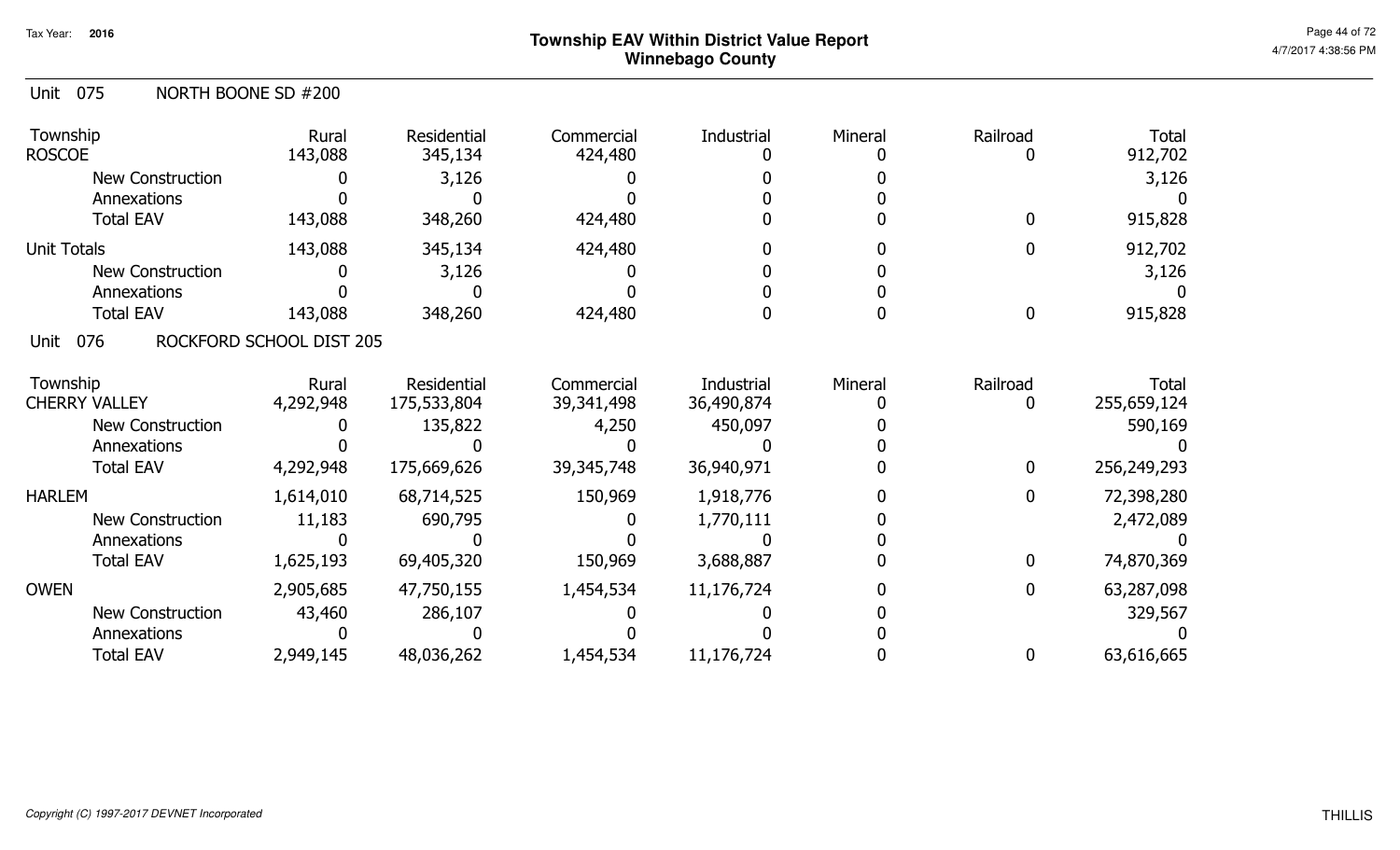| NORTH BOONE SD #200<br>Unit 075 |
|---------------------------------|
|---------------------------------|

| Township<br><b>ROSCOE</b> | Rural<br>143,088         | Residential<br>345,134 | Commercial<br>424,480 | Industrial | Mineral | Railroad<br>0    | <b>Total</b><br>912,702 |
|---------------------------|--------------------------|------------------------|-----------------------|------------|---------|------------------|-------------------------|
| <b>New Construction</b>   |                          | 3,126                  |                       |            |         |                  | 3,126                   |
| Annexations               |                          |                        |                       |            |         |                  |                         |
| <b>Total EAV</b>          | 143,088                  | 348,260                | 424,480               |            |         | $\mathbf{0}$     | 915,828                 |
| <b>Unit Totals</b>        | 143,088                  | 345,134                | 424,480               |            |         | 0                | 912,702                 |
| <b>New Construction</b>   |                          | 3,126                  |                       |            |         |                  | 3,126                   |
| Annexations               |                          |                        |                       |            |         |                  |                         |
| <b>Total EAV</b>          | 143,088                  | 348,260                | 424,480               |            |         | $\boldsymbol{0}$ | 915,828                 |
| 076<br>Unit               | ROCKFORD SCHOOL DIST 205 |                        |                       |            |         |                  |                         |
| Township                  | Rural                    | Residential            | Commercial            | Industrial | Mineral | Railroad         | <b>Total</b>            |
| <b>CHERRY VALLEY</b>      | 4,292,948                | 175,533,804            | 39,341,498            | 36,490,874 |         | 0                | 255,659,124             |
| <b>New Construction</b>   |                          | 135,822                | 4,250                 | 450,097    |         |                  | 590,169                 |
| Annexations               |                          |                        |                       |            |         |                  |                         |
| <b>Total EAV</b>          | 4,292,948                | 175,669,626            | 39, 345, 748          | 36,940,971 |         | $\mathbf 0$      | 256,249,293             |
| <b>HARLEM</b>             | 1,614,010                | 68,714,525             | 150,969               | 1,918,776  |         | $\mathbf 0$      | 72,398,280              |
| <b>New Construction</b>   | 11,183                   | 690,795                |                       | 1,770,111  |         |                  | 2,472,089               |
| Annexations               |                          |                        |                       |            |         |                  |                         |
| <b>Total EAV</b>          | 1,625,193                | 69,405,320             | 150,969               | 3,688,887  |         | $\boldsymbol{0}$ | 74,870,369              |
| <b>OWEN</b>               | 2,905,685                | 47,750,155             | 1,454,534             | 11,176,724 |         | $\mathbf 0$      | 63,287,098              |
| <b>New Construction</b>   | 43,460                   | 286,107                |                       |            |         |                  | 329,567                 |
| Annexations               |                          |                        |                       |            |         |                  |                         |
| <b>Total EAV</b>          | 2,949,145                | 48,036,262             | 1,454,534             | 11,176,724 |         | 0                | 63,616,665              |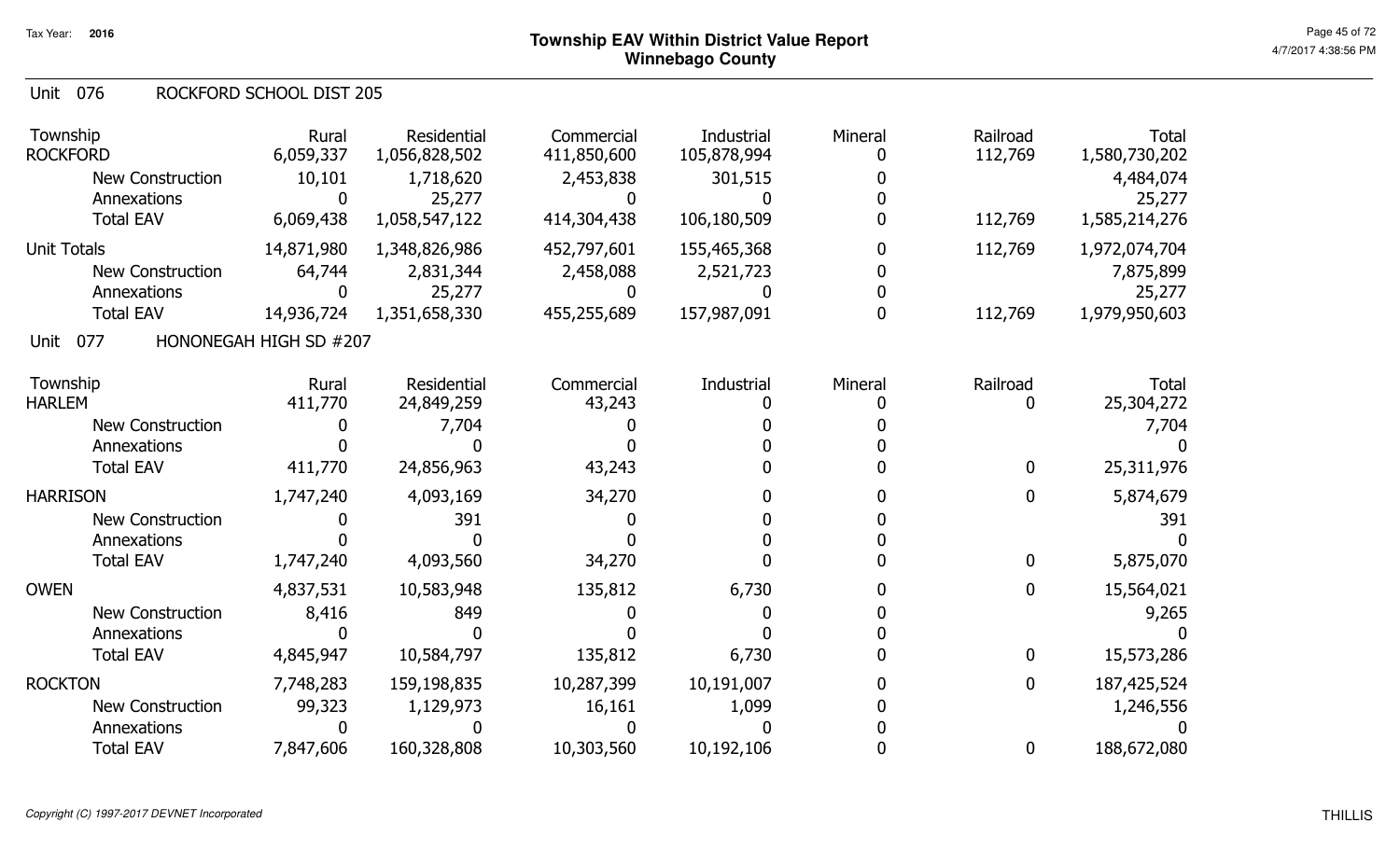#### Unit 076 ROCKFORD SCHOOL DIST 205

| Township<br><b>ROCKFORD</b><br><b>New Construction</b><br>Annexations | Rural<br>6,059,337<br>10,101<br>0 | Residential<br>1,056,828,502<br>1,718,620<br>25,277 | Commercial<br>411,850,600<br>2,453,838<br>$\mathbf{I}$ | Industrial<br>105,878,994<br>301,515 | Mineral | Railroad<br>112,769 | <b>Total</b><br>1,580,730,202<br>4,484,074<br>25,277 |
|-----------------------------------------------------------------------|-----------------------------------|-----------------------------------------------------|--------------------------------------------------------|--------------------------------------|---------|---------------------|------------------------------------------------------|
| <b>Total EAV</b>                                                      | 6,069,438                         | 1,058,547,122                                       | 414,304,438                                            | 106,180,509                          |         | 112,769             | 1,585,214,276                                        |
| <b>Unit Totals</b>                                                    | 14,871,980                        | 1,348,826,986                                       | 452,797,601                                            | 155,465,368                          |         | 112,769             | 1,972,074,704                                        |
| <b>New Construction</b>                                               | 64,744                            | 2,831,344                                           | 2,458,088                                              | 2,521,723                            |         |                     | 7,875,899                                            |
| Annexations                                                           | 0                                 | 25,277                                              |                                                        |                                      |         |                     | 25,277                                               |
| <b>Total EAV</b>                                                      | 14,936,724                        | 1,351,658,330                                       | 455,255,689                                            | 157,987,091                          |         | 112,769             | 1,979,950,603                                        |
| 077<br>Unit                                                           | HONONEGAH HIGH SD #207            |                                                     |                                                        |                                      |         |                     |                                                      |
| Township                                                              | Rural                             | Residential                                         | Commercial                                             | Industrial                           | Mineral | Railroad            | <b>Total</b>                                         |
| <b>HARLEM</b>                                                         | 411,770                           | 24,849,259                                          | 43,243                                                 |                                      |         | 0                   | 25,304,272                                           |
| <b>New Construction</b>                                               |                                   | 7,704                                               |                                                        |                                      |         |                     | 7,704                                                |
| Annexations                                                           |                                   |                                                     |                                                        |                                      |         |                     |                                                      |
| <b>Total EAV</b>                                                      | 411,770                           | 24,856,963                                          | 43,243                                                 |                                      |         | 0                   | 25,311,976                                           |
| <b>HARRISON</b>                                                       | 1,747,240                         | 4,093,169                                           | 34,270                                                 |                                      |         | 0                   | 5,874,679                                            |
| <b>New Construction</b>                                               |                                   | 391                                                 |                                                        |                                      |         |                     | 391                                                  |
| Annexations                                                           |                                   |                                                     |                                                        |                                      |         |                     |                                                      |
| <b>Total EAV</b>                                                      | 1,747,240                         | 4,093,560                                           | 34,270                                                 |                                      |         | $\mathbf{0}$        | 5,875,070                                            |
| <b>OWEN</b>                                                           | 4,837,531                         | 10,583,948                                          | 135,812                                                | 6,730                                |         | 0                   | 15,564,021                                           |
| <b>New Construction</b>                                               | 8,416                             | 849                                                 |                                                        |                                      |         |                     | 9,265                                                |
| Annexations                                                           | 0                                 |                                                     |                                                        |                                      |         |                     |                                                      |
| <b>Total EAV</b>                                                      | 4,845,947                         | 10,584,797                                          | 135,812                                                | 6,730                                |         | 0                   | 15,573,286                                           |
| <b>ROCKTON</b>                                                        | 7,748,283                         | 159,198,835                                         | 10,287,399                                             | 10,191,007                           |         | 0                   | 187,425,524                                          |
| New Construction                                                      | 99,323                            | 1,129,973                                           | 16,161                                                 | 1,099                                |         |                     | 1,246,556                                            |
| Annexations                                                           | 0                                 |                                                     |                                                        |                                      |         |                     |                                                      |
| <b>Total EAV</b>                                                      | 7,847,606                         | 160,328,808                                         | 10,303,560                                             | 10,192,106                           |         | 0                   | 188,672,080                                          |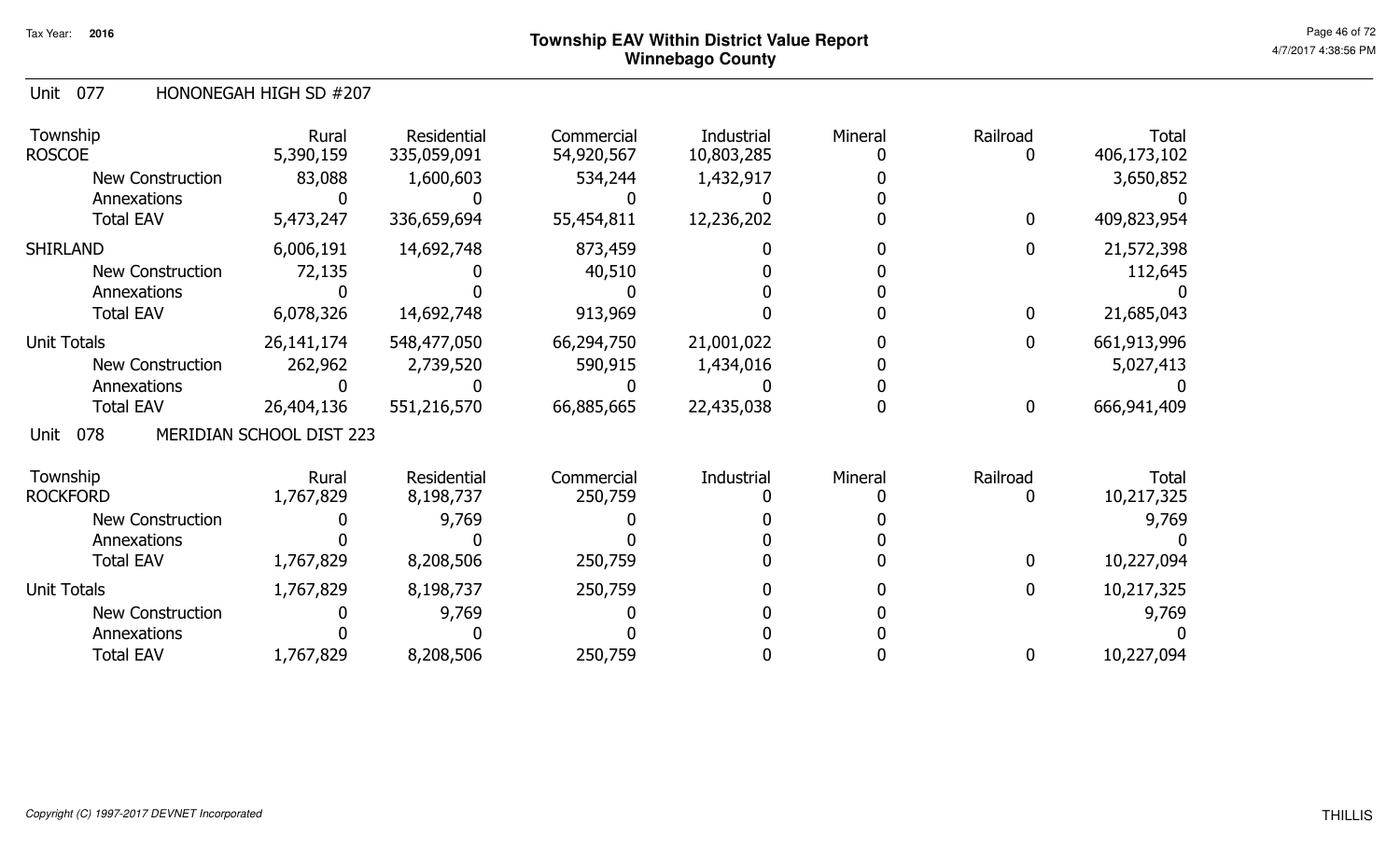#### Unit 077 HONONEGAH HIGH SD #207

| Township<br><b>ROSCOE</b> | Rural<br>5,390,159       | Residential<br>335,059,091 | Commercial<br>54,920,567 | Industrial<br>10,803,285 | Mineral | Railroad     | Total<br>406,173,102 |
|---------------------------|--------------------------|----------------------------|--------------------------|--------------------------|---------|--------------|----------------------|
| New Construction          | 83,088                   | 1,600,603                  | 534,244                  | 1,432,917                |         |              | 3,650,852            |
| Annexations               |                          |                            |                          |                          |         |              |                      |
| <b>Total EAV</b>          | 5,473,247                | 336,659,694                | 55,454,811               | 12,236,202               |         | $\mathbf 0$  | 409,823,954          |
| <b>SHIRLAND</b>           | 6,006,191                | 14,692,748                 | 873,459                  |                          |         | $\mathbf{0}$ | 21,572,398           |
| <b>New Construction</b>   | 72,135                   |                            | 40,510                   |                          |         |              | 112,645              |
| Annexations               |                          |                            |                          |                          |         |              |                      |
| <b>Total EAV</b>          | 6,078,326                | 14,692,748                 | 913,969                  |                          |         | 0            | 21,685,043           |
| <b>Unit Totals</b>        | 26, 141, 174             | 548,477,050                | 66,294,750               | 21,001,022               |         | $\mathbf 0$  | 661,913,996          |
| <b>New Construction</b>   | 262,962                  | 2,739,520                  | 590,915                  | 1,434,016                |         |              | 5,027,413            |
| Annexations               |                          |                            |                          |                          |         |              |                      |
| <b>Total EAV</b>          | 26,404,136               | 551,216,570                | 66,885,665               | 22,435,038               |         | $\mathbf 0$  | 666,941,409          |
| 078<br>Unit               | MERIDIAN SCHOOL DIST 223 |                            |                          |                          |         |              |                      |
| Township                  | Rural                    | Residential                | Commercial               | Industrial               | Mineral | Railroad     | Total                |
| <b>ROCKFORD</b>           | 1,767,829                | 8,198,737                  | 250,759                  |                          |         | 0            | 10,217,325           |
| <b>New Construction</b>   |                          | 9,769                      |                          |                          |         |              | 9,769                |
| Annexations               |                          |                            |                          |                          |         |              |                      |
| <b>Total EAV</b>          | 1,767,829                | 8,208,506                  | 250,759                  |                          |         | $\mathbf{0}$ | 10,227,094           |
| <b>Unit Totals</b>        | 1,767,829                | 8,198,737                  | 250,759                  |                          |         | $\mathbf{0}$ | 10,217,325           |
| New Construction          |                          | 9,769                      |                          |                          |         |              | 9,769                |
| Annexations               |                          |                            |                          |                          |         |              |                      |
| <b>Total EAV</b>          | 1,767,829                | 8,208,506                  | 250,759                  |                          |         | 0            | 10,227,094           |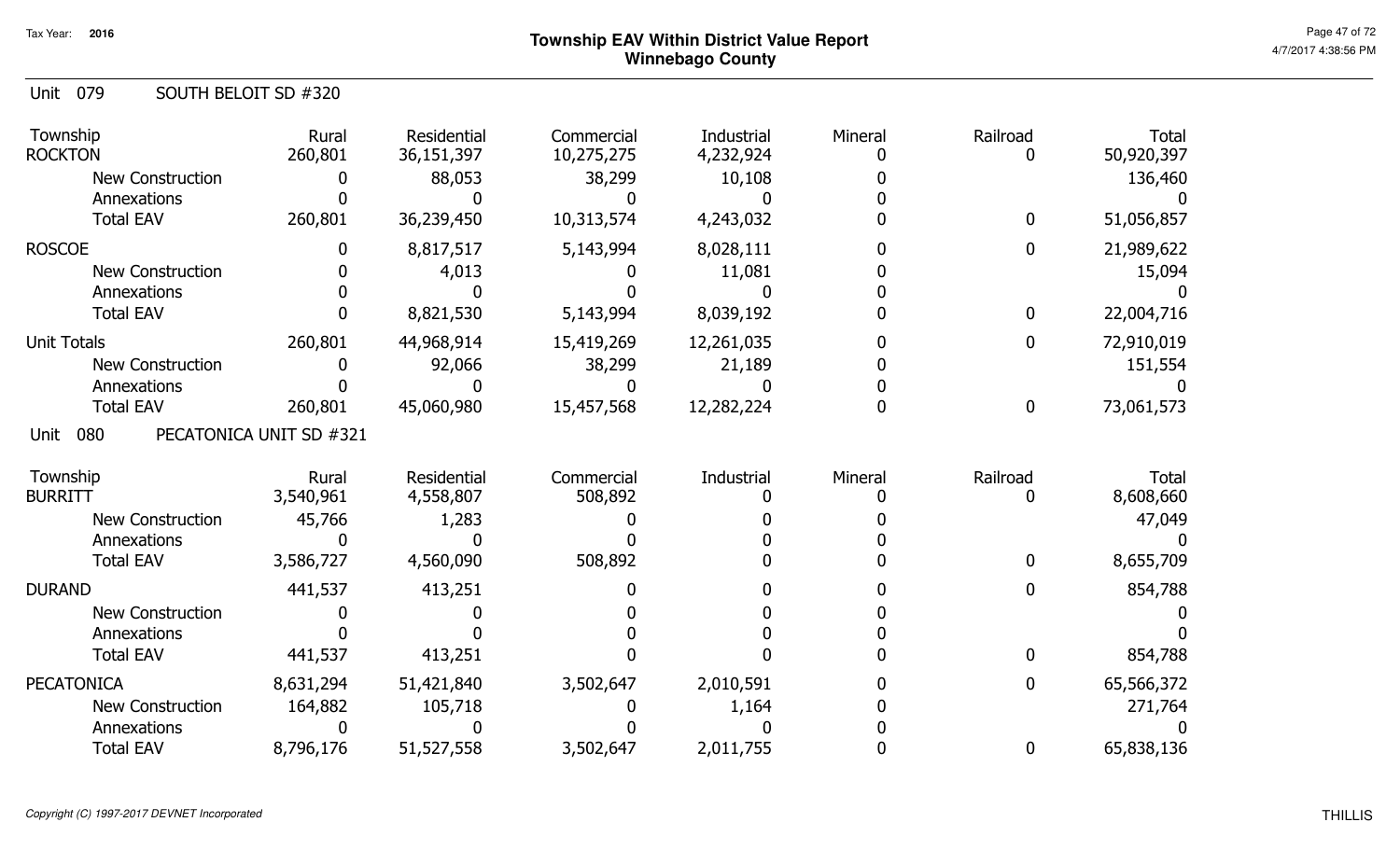| Unit 079 |  | SOUTH BELOIT SD #320 |  |
|----------|--|----------------------|--|
|----------|--|----------------------|--|

| Township<br><b>ROCKTON</b> | Rural<br>260,801        | Residential<br>36,151,397 | Commercial<br>10,275,275 | Industrial<br>4,232,924 | Mineral | Railroad         | <b>Total</b><br>50,920,397 |
|----------------------------|-------------------------|---------------------------|--------------------------|-------------------------|---------|------------------|----------------------------|
| <b>New Construction</b>    |                         | 88,053                    | 38,299                   | 10,108                  |         |                  | 136,460                    |
| Annexations                |                         |                           |                          |                         |         |                  |                            |
| <b>Total EAV</b>           | 260,801                 | 36,239,450                | 10,313,574               | 4,243,032               |         | $\mathbf 0$      | 51,056,857                 |
| <b>ROSCOE</b>              | O                       | 8,817,517                 | 5,143,994                | 8,028,111               |         | $\mathbf 0$      | 21,989,622                 |
| <b>New Construction</b>    |                         | 4,013                     |                          | 11,081                  |         |                  | 15,094                     |
| Annexations                |                         |                           |                          |                         |         |                  |                            |
| <b>Total EAV</b>           |                         | 8,821,530                 | 5,143,994                | 8,039,192               |         | $\mathbf 0$      | 22,004,716                 |
| <b>Unit Totals</b>         | 260,801                 | 44,968,914                | 15,419,269               | 12,261,035              |         | $\mathbf{0}$     | 72,910,019                 |
| New Construction           |                         | 92,066                    | 38,299                   | 21,189                  |         |                  | 151,554                    |
| Annexations                |                         |                           |                          |                         |         |                  |                            |
| <b>Total EAV</b>           | 260,801                 | 45,060,980                | 15,457,568               | 12,282,224              |         | $\bf{0}$         | 73,061,573                 |
| 080<br>Unit                | PECATONICA UNIT SD #321 |                           |                          |                         |         |                  |                            |
| Township                   | Rural                   | Residential               | Commercial               | Industrial              | Mineral | Railroad         | <b>Total</b>               |
| <b>BURRITT</b>             | 3,540,961               | 4,558,807                 | 508,892                  |                         |         |                  | 8,608,660                  |
| <b>New Construction</b>    | 45,766                  | 1,283                     |                          |                         |         |                  | 47,049                     |
| Annexations                |                         |                           |                          |                         |         |                  |                            |
| <b>Total EAV</b>           | 3,586,727               | 4,560,090                 | 508,892                  |                         |         | $\bf{0}$         | 8,655,709                  |
| <b>DURAND</b>              | 441,537                 | 413,251                   |                          |                         |         | 0                | 854,788                    |
| <b>New Construction</b>    |                         |                           |                          |                         |         |                  |                            |
| Annexations                |                         |                           |                          |                         |         |                  |                            |
| <b>Total EAV</b>           | 441,537                 | 413,251                   |                          |                         |         | 0                | 854,788                    |
| <b>PECATONICA</b>          | 8,631,294               | 51,421,840                | 3,502,647                | 2,010,591               |         | $\bf{0}$         | 65,566,372                 |
| <b>New Construction</b>    | 164,882                 | 105,718                   |                          | 1,164                   |         |                  | 271,764                    |
| Annexations                |                         |                           |                          |                         |         |                  |                            |
| <b>Total EAV</b>           | 8,796,176               | 51,527,558                | 3,502,647                | 2,011,755               |         | $\boldsymbol{0}$ | 65,838,136                 |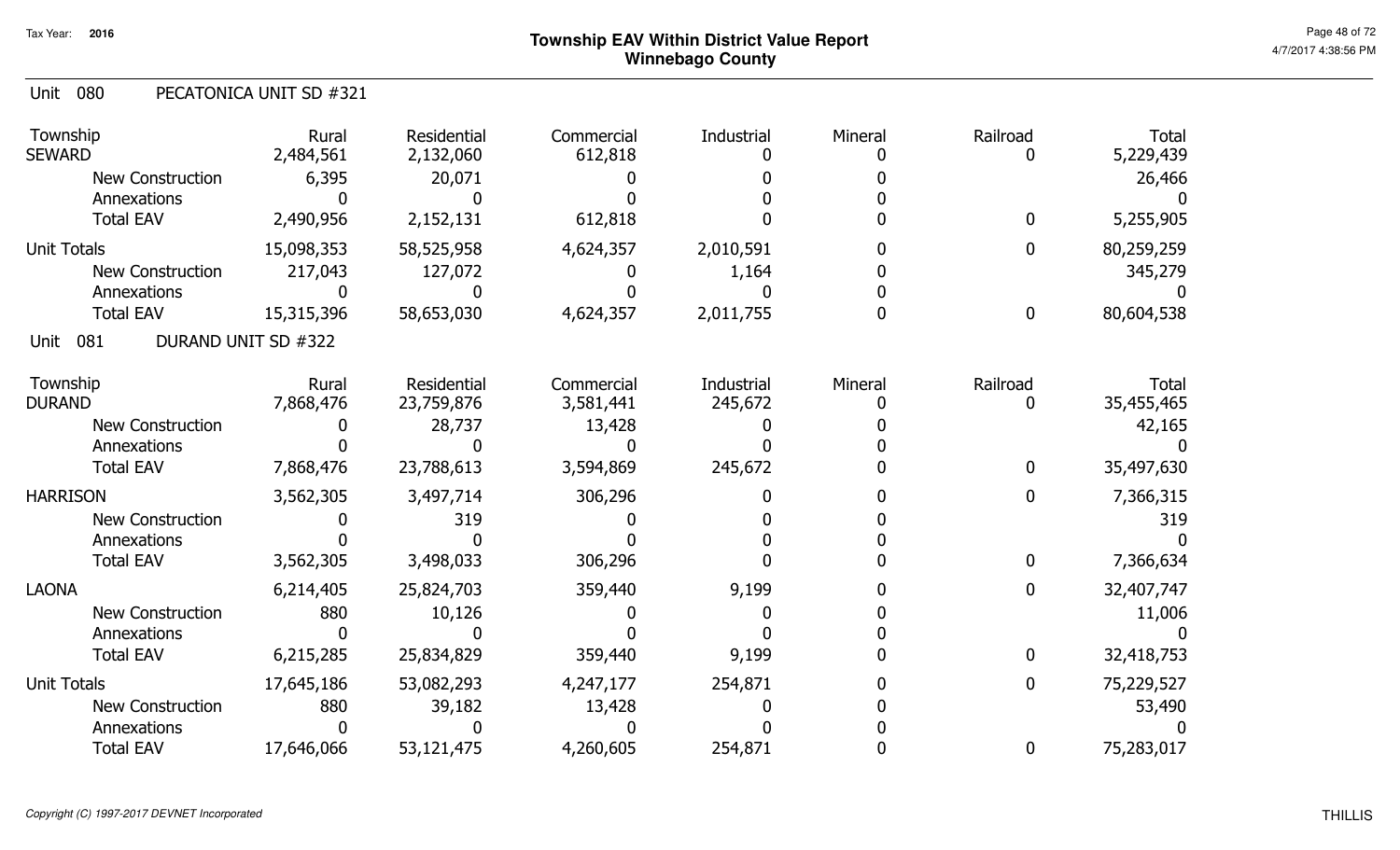#### Unit 080 PECATONICA UNIT SD #321

| Township<br><b>SEWARD</b> | Rural<br>2,484,561  | Residential<br>2,132,060 | Commercial<br>612,818 | Industrial | Mineral | Railroad    | <b>Total</b><br>5,229,439 |
|---------------------------|---------------------|--------------------------|-----------------------|------------|---------|-------------|---------------------------|
| <b>New Construction</b>   | 6,395               | 20,071                   |                       |            |         |             | 26,466                    |
| Annexations               |                     |                          |                       |            |         |             |                           |
| <b>Total EAV</b>          | 2,490,956           | 2,152,131                | 612,818               |            |         | $\bf{0}$    | 5,255,905                 |
| <b>Unit Totals</b>        | 15,098,353          | 58,525,958               | 4,624,357             | 2,010,591  |         | $\mathbf 0$ | 80,259,259                |
| <b>New Construction</b>   | 217,043             | 127,072                  |                       | 1,164      |         |             | 345,279                   |
| Annexations               |                     |                          |                       |            |         |             |                           |
| <b>Total EAV</b>          | 15,315,396          | 58,653,030               | 4,624,357             | 2,011,755  |         | $\bf{0}$    | 80,604,538                |
| 081<br>Unit               | DURAND UNIT SD #322 |                          |                       |            |         |             |                           |
| Township                  | Rural               | Residential              | Commercial            | Industrial | Mineral | Railroad    | <b>Total</b>              |
| <b>DURAND</b>             | 7,868,476           | 23,759,876               | 3,581,441             | 245,672    |         | 0           | 35,455,465                |
| <b>New Construction</b>   |                     | 28,737                   | 13,428                |            |         |             | 42,165                    |
| Annexations               |                     |                          |                       |            |         |             |                           |
| <b>Total EAV</b>          | 7,868,476           | 23,788,613               | 3,594,869             | 245,672    |         | $\bf{0}$    | 35,497,630                |
| <b>HARRISON</b>           | 3,562,305           | 3,497,714                | 306,296               |            |         | 0           | 7,366,315                 |
| New Construction          |                     | 319                      |                       |            |         |             | 319                       |
| Annexations               |                     |                          |                       |            |         |             |                           |
| <b>Total EAV</b>          | 3,562,305           | 3,498,033                | 306,296               |            |         | $\bf{0}$    | 7,366,634                 |
| <b>LAONA</b>              | 6,214,405           | 25,824,703               | 359,440               | 9,199      |         | $\bf{0}$    | 32,407,747                |
| New Construction          | 880                 | 10,126                   |                       |            |         |             | 11,006                    |
| Annexations               |                     |                          |                       |            |         |             |                           |
| <b>Total EAV</b>          | 6,215,285           | 25,834,829               | 359,440               | 9,199      |         | $\bf{0}$    | 32,418,753                |
| <b>Unit Totals</b>        | 17,645,186          | 53,082,293               | 4,247,177             | 254,871    |         | $\bf{0}$    | 75,229,527                |
| New Construction          | 880                 | 39,182                   | 13,428                |            |         |             | 53,490                    |
| Annexations               |                     |                          |                       |            |         |             |                           |
| <b>Total EAV</b>          | 17,646,066          | 53,121,475               | 4,260,605             | 254,871    |         | $\bf{0}$    | 75,283,017                |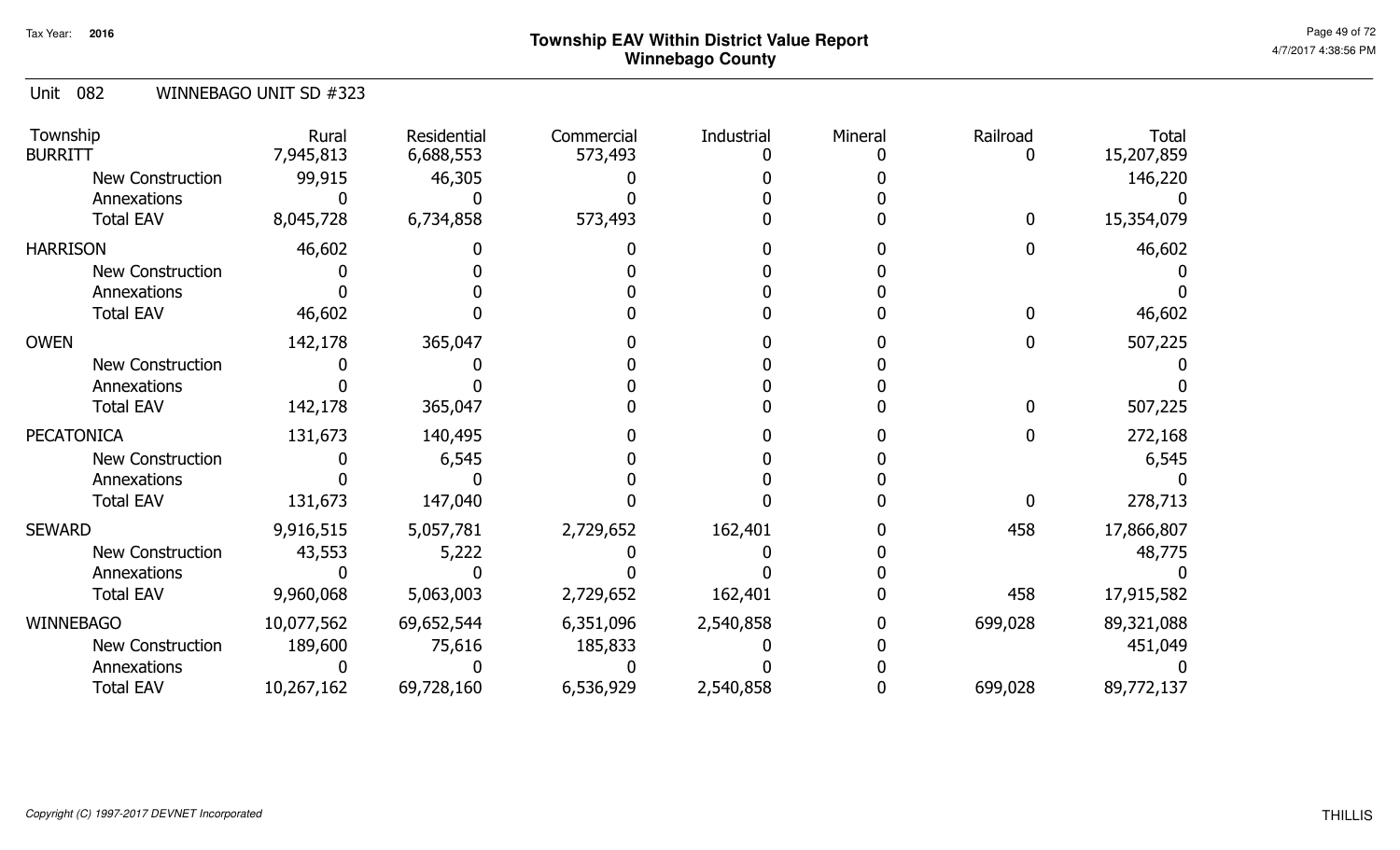| Unit 082 |  | WINNEBAGO UNIT SD #323 |  |
|----------|--|------------------------|--|
|----------|--|------------------------|--|

| Township<br><b>BURRITT</b> | Rural<br>7,945,813 | Residential<br>6,688,553 | Commercial<br>573,493 | Industrial | Mineral | Railroad | <b>Total</b><br>15,207,859 |
|----------------------------|--------------------|--------------------------|-----------------------|------------|---------|----------|----------------------------|
| <b>New Construction</b>    | 99,915             | 46,305                   |                       |            |         |          | 146,220                    |
| Annexations                |                    |                          |                       |            |         |          |                            |
| <b>Total EAV</b>           | 8,045,728          | 6,734,858                | 573,493               |            |         |          | 15,354,079                 |
| <b>HARRISON</b>            | 46,602             |                          |                       |            |         |          | 46,602                     |
| <b>New Construction</b>    |                    |                          |                       |            |         |          |                            |
| Annexations                |                    |                          |                       |            |         |          |                            |
| <b>Total EAV</b>           | 46,602             |                          |                       |            |         |          | 46,602                     |
| <b>OWEN</b>                | 142,178            | 365,047                  |                       |            |         |          | 507,225                    |
| <b>New Construction</b>    |                    |                          |                       |            |         |          |                            |
| Annexations                |                    |                          |                       |            |         |          |                            |
| <b>Total EAV</b>           | 142,178            | 365,047                  |                       |            |         |          | 507,225                    |
| <b>PECATONICA</b>          | 131,673            | 140,495                  |                       |            |         |          | 272,168                    |
| <b>New Construction</b>    |                    | 6,545                    |                       |            |         |          | 6,545                      |
| Annexations                |                    |                          |                       |            |         |          |                            |
| <b>Total EAV</b>           | 131,673            | 147,040                  |                       |            |         |          | 278,713                    |
| <b>SEWARD</b>              | 9,916,515          | 5,057,781                | 2,729,652             | 162,401    |         | 458      | 17,866,807                 |
| New Construction           | 43,553             | 5,222                    |                       |            |         |          | 48,775                     |
| Annexations                |                    |                          |                       |            |         |          |                            |
| <b>Total EAV</b>           | 9,960,068          | 5,063,003                | 2,729,652             | 162,401    |         | 458      | 17,915,582                 |
| <b>WINNEBAGO</b>           | 10,077,562         | 69,652,544               | 6,351,096             | 2,540,858  |         | 699,028  | 89,321,088                 |
| New Construction           | 189,600            | 75,616                   | 185,833               |            |         |          | 451,049                    |
| Annexations                |                    |                          |                       |            |         |          |                            |
| <b>Total EAV</b>           | 10,267,162         | 69,728,160               | 6,536,929             | 2,540,858  |         | 699,028  | 89,772,137                 |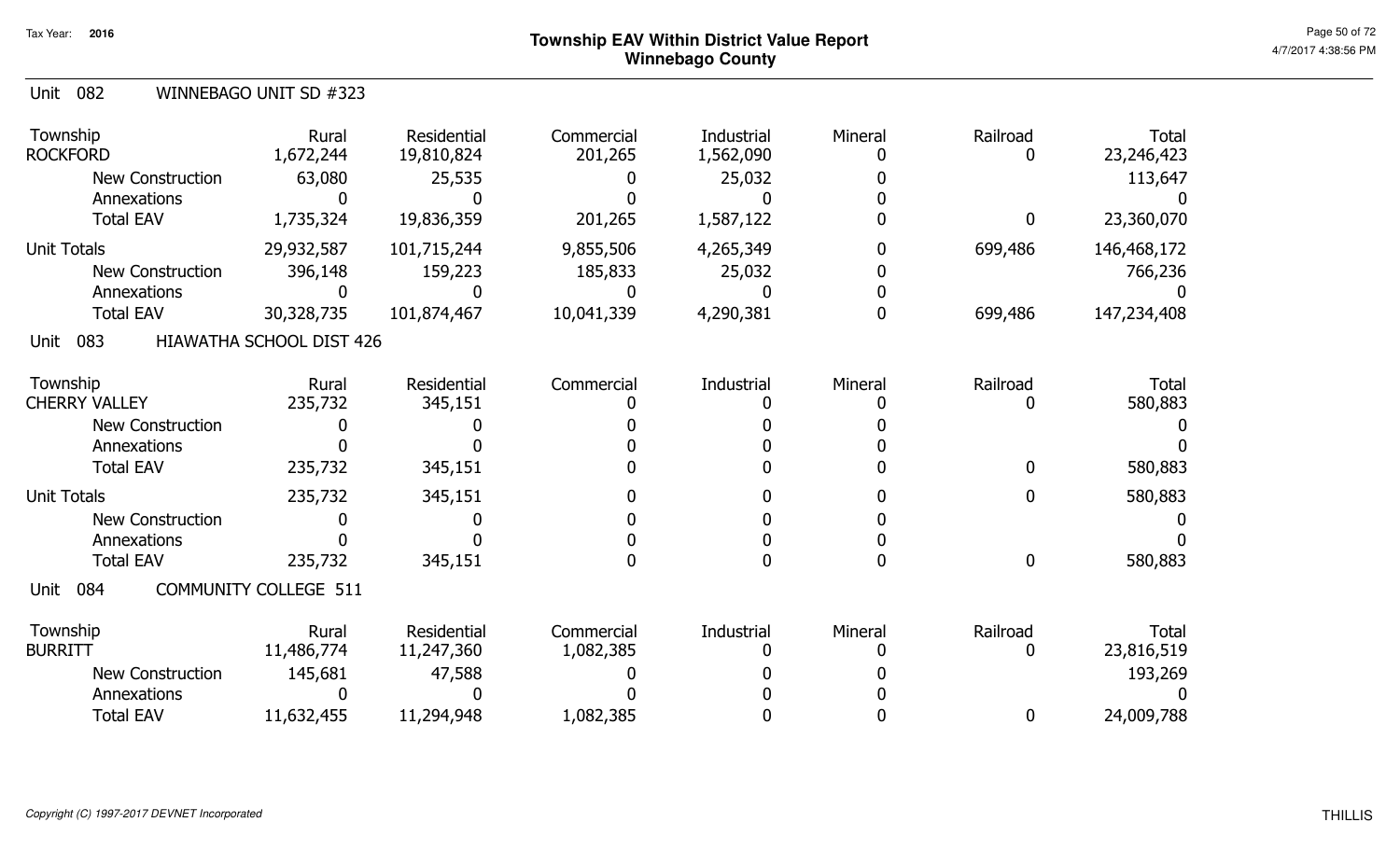| <b>Unit 082</b>             | WINNEBAGO UNIT SD #323       |                           |                       |                         |                         |               |                            |
|-----------------------------|------------------------------|---------------------------|-----------------------|-------------------------|-------------------------|---------------|----------------------------|
| Township<br><b>ROCKFORD</b> | Rural<br>1,672,244           | Residential<br>19,810,824 | Commercial<br>201,265 | Industrial<br>1,562,090 | Mineral<br>$\mathbf{0}$ | Railroad<br>0 | <b>Total</b><br>23,246,423 |
| <b>New Construction</b>     | 63,080                       | 25,535                    |                       | 25,032                  |                         |               | 113,647                    |
| Annexations                 |                              |                           |                       |                         |                         |               |                            |
| <b>Total EAV</b>            | 1,735,324                    | 19,836,359                | 201,265               | 1,587,122               |                         | 0             | 23,360,070                 |
| <b>Unit Totals</b>          | 29,932,587                   | 101,715,244               | 9,855,506             | 4,265,349               |                         | 699,486       | 146,468,172                |
| <b>New Construction</b>     | 396,148                      | 159,223                   | 185,833               | 25,032                  |                         |               | 766,236                    |
| Annexations                 |                              | 0                         |                       |                         |                         |               |                            |
| <b>Total EAV</b>            | 30,328,735                   | 101,874,467               | 10,041,339            | 4,290,381               |                         | 699,486       | 147,234,408                |
| 083<br>Unit                 | HIAWATHA SCHOOL DIST 426     |                           |                       |                         |                         |               |                            |
| Township                    | Rural                        | Residential               | Commercial            | Industrial              | Mineral                 | Railroad      | <b>Total</b>               |
| <b>CHERRY VALLEY</b>        | 235,732                      | 345,151                   |                       |                         |                         |               | 580,883                    |
| <b>New Construction</b>     |                              |                           |                       |                         |                         |               |                            |
| Annexations                 |                              |                           |                       |                         |                         |               |                            |
| <b>Total EAV</b>            | 235,732                      | 345,151                   |                       |                         |                         | <sup>0</sup>  | 580,883                    |
| <b>Unit Totals</b>          | 235,732                      | 345,151                   |                       |                         |                         | 0             | 580,883                    |
| <b>New Construction</b>     | O                            |                           |                       |                         |                         |               |                            |
| Annexations                 |                              |                           |                       |                         |                         |               |                            |
| <b>Total EAV</b>            | 235,732                      | 345,151                   |                       |                         |                         | 0             | 580,883                    |
| 084<br>Unit                 | <b>COMMUNITY COLLEGE 511</b> |                           |                       |                         |                         |               |                            |
| Township                    | Rural                        | Residential               | Commercial            | Industrial              | Mineral                 | Railroad      | Total                      |
| <b>BURRITT</b>              | 11,486,774                   | 11,247,360                | 1,082,385             |                         |                         | 0             | 23,816,519                 |
| <b>New Construction</b>     | 145,681                      | 47,588                    |                       |                         |                         |               | 193,269                    |
| Annexations                 |                              | U                         |                       |                         |                         |               |                            |
| <b>Total EAV</b>            | 11,632,455                   | 11,294,948                | 1,082,385             |                         |                         | 0             | 24,009,788                 |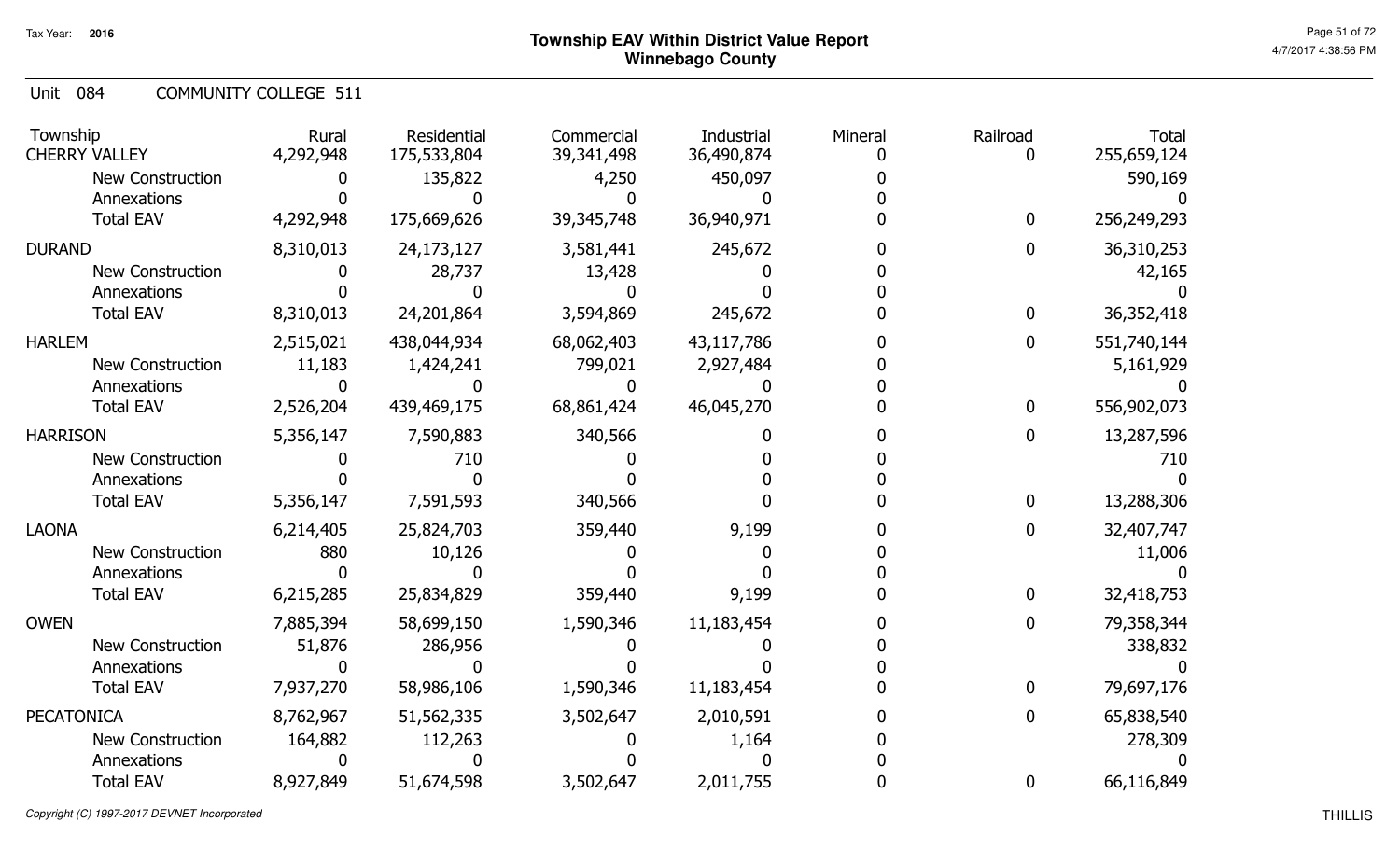Unit 084 COMMUNITY COLLEGE 511

| Township<br><b>CHERRY VALLEY</b> | Rural<br>4,292,948 | Residential<br>175,533,804 | Commercial<br>39,341,498 | Industrial<br>36,490,874 | Mineral | Railroad<br>0 | <b>Total</b><br>255,659,124 |
|----------------------------------|--------------------|----------------------------|--------------------------|--------------------------|---------|---------------|-----------------------------|
| New Construction                 |                    | 135,822                    | 4,250                    | 450,097                  |         |               | 590,169                     |
| Annexations                      |                    |                            |                          |                          |         |               |                             |
| <b>Total EAV</b>                 | 4,292,948          | 175,669,626                | 39, 345, 748             | 36,940,971               |         | 0             | 256,249,293                 |
| <b>DURAND</b>                    | 8,310,013          | 24,173,127                 | 3,581,441                | 245,672                  |         | 0             | 36,310,253                  |
| <b>New Construction</b>          |                    | 28,737                     | 13,428                   |                          |         |               | 42,165                      |
| Annexations                      |                    |                            |                          |                          |         |               |                             |
| <b>Total EAV</b>                 | 8,310,013          | 24,201,864                 | 3,594,869                | 245,672                  |         | 0             | 36,352,418                  |
| <b>HARLEM</b>                    | 2,515,021          | 438,044,934                | 68,062,403               | 43,117,786               |         | 0             | 551,740,144                 |
| <b>New Construction</b>          | 11,183             | 1,424,241                  | 799,021                  | 2,927,484                |         |               | 5,161,929                   |
| Annexations                      |                    |                            |                          |                          |         |               |                             |
| <b>Total EAV</b>                 | 2,526,204          | 439,469,175                | 68,861,424               | 46,045,270               |         | 0             | 556,902,073                 |
| <b>HARRISON</b>                  | 5,356,147          | 7,590,883                  | 340,566                  |                          |         | 0             | 13,287,596                  |
| <b>New Construction</b>          |                    | 710                        |                          |                          |         |               | 710                         |
| Annexations                      |                    |                            |                          |                          |         |               |                             |
| <b>Total EAV</b>                 | 5,356,147          | 7,591,593                  | 340,566                  |                          |         | 0             | 13,288,306                  |
| <b>LAONA</b>                     | 6,214,405          | 25,824,703                 | 359,440                  | 9,199                    |         | 0             | 32,407,747                  |
| <b>New Construction</b>          | 880                | 10,126                     |                          |                          |         |               | 11,006                      |
| Annexations                      |                    |                            |                          |                          |         |               |                             |
| <b>Total EAV</b>                 | 6,215,285          | 25,834,829                 | 359,440                  | 9,199                    |         | 0             | 32,418,753                  |
| <b>OWEN</b>                      | 7,885,394          | 58,699,150                 | 1,590,346                | 11,183,454               |         | 0             | 79,358,344                  |
| <b>New Construction</b>          | 51,876             | 286,956                    |                          |                          |         |               | 338,832                     |
| Annexations                      |                    |                            |                          |                          |         |               |                             |
| <b>Total EAV</b>                 | 7,937,270          | 58,986,106                 | 1,590,346                | 11,183,454               |         | 0             | 79,697,176                  |
| <b>PECATONICA</b>                | 8,762,967          | 51,562,335                 | 3,502,647                | 2,010,591                |         | 0             | 65,838,540                  |
| <b>New Construction</b>          | 164,882            | 112,263                    |                          | 1,164                    |         |               | 278,309                     |
| Annexations                      |                    |                            |                          |                          |         |               |                             |
| <b>Total EAV</b>                 | 8,927,849          | 51,674,598                 | 3,502,647                | 2,011,755                |         | 0             | 66,116,849                  |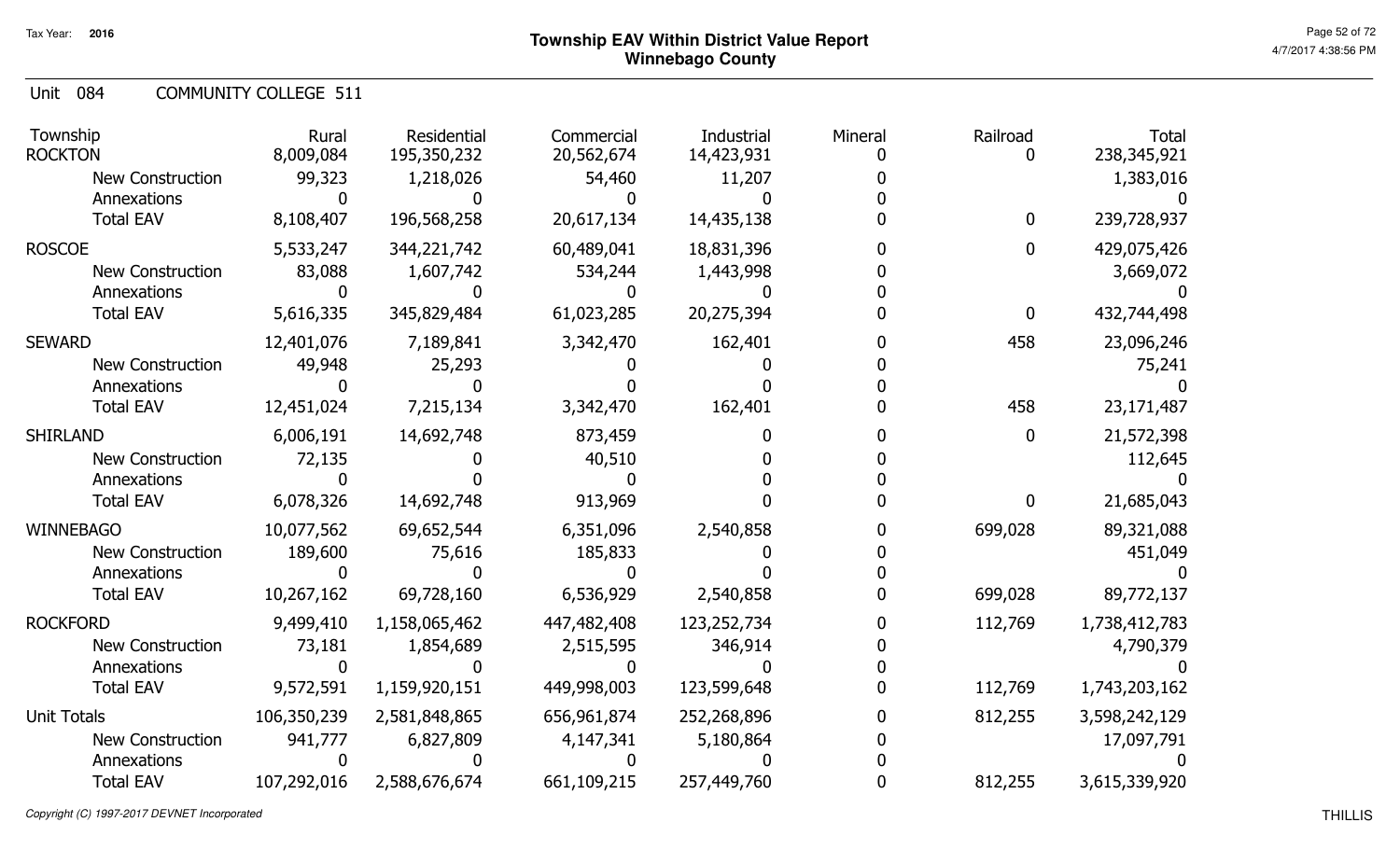Unit 084 COMMUNITY COLLEGE 511

| Township<br><b>ROCKTON</b>      | Rural<br>8,009,084 | Residential<br>195,350,232 | Commercial<br>20,562,674 | Industrial<br>14,423,931 | Mineral | Railroad<br>O    | <b>Total</b><br>238, 345, 921 |
|---------------------------------|--------------------|----------------------------|--------------------------|--------------------------|---------|------------------|-------------------------------|
| <b>New Construction</b>         | 99,323             | 1,218,026                  | 54,460                   | 11,207                   |         |                  | 1,383,016                     |
| Annexations<br><b>Total EAV</b> | 8,108,407          | 196,568,258                | 20,617,134               | 14,435,138               |         | $\mathbf 0$      | 239,728,937                   |
| <b>ROSCOE</b>                   | 5,533,247          | 344,221,742                | 60,489,041               | 18,831,396               |         | $\overline{0}$   | 429,075,426                   |
| <b>New Construction</b>         | 83,088             | 1,607,742                  | 534,244                  | 1,443,998                |         |                  | 3,669,072                     |
| Annexations                     |                    |                            |                          |                          |         |                  |                               |
| <b>Total EAV</b>                | 5,616,335          | 345,829,484                | 61,023,285               | 20,275,394               |         | $\boldsymbol{0}$ | 432,744,498                   |
| <b>SEWARD</b>                   | 12,401,076         | 7,189,841                  | 3,342,470                | 162,401                  |         | 458              | 23,096,246                    |
| <b>New Construction</b>         | 49,948             | 25,293                     |                          |                          |         |                  | 75,241                        |
| Annexations                     |                    |                            |                          |                          |         |                  |                               |
| <b>Total EAV</b>                | 12,451,024         | 7,215,134                  | 3,342,470                | 162,401                  |         | 458              | 23,171,487                    |
| <b>SHIRLAND</b>                 | 6,006,191          | 14,692,748                 | 873,459                  |                          |         | $\boldsymbol{0}$ | 21,572,398                    |
| <b>New Construction</b>         | 72,135             |                            | 40,510                   |                          |         |                  | 112,645                       |
| Annexations                     |                    |                            |                          |                          |         |                  |                               |
| <b>Total EAV</b>                | 6,078,326          | 14,692,748                 | 913,969                  |                          |         | $\mathbf 0$      | 21,685,043                    |
| <b>WINNEBAGO</b>                | 10,077,562         | 69,652,544                 | 6,351,096                | 2,540,858                |         | 699,028          | 89,321,088                    |
| <b>New Construction</b>         | 189,600            | 75,616                     | 185,833                  |                          |         |                  | 451,049                       |
| Annexations                     |                    |                            |                          |                          |         |                  |                               |
| <b>Total EAV</b>                | 10,267,162         | 69,728,160                 | 6,536,929                | 2,540,858                |         | 699,028          | 89,772,137                    |
| <b>ROCKFORD</b>                 | 9,499,410          | 1,158,065,462              | 447,482,408              | 123,252,734              |         | 112,769          | 1,738,412,783                 |
| <b>New Construction</b>         | 73,181             | 1,854,689                  | 2,515,595                | 346,914                  |         |                  | 4,790,379                     |
| Annexations                     |                    |                            |                          |                          |         |                  |                               |
| <b>Total EAV</b>                | 9,572,591          | 1,159,920,151              | 449,998,003              | 123,599,648              |         | 112,769          | 1,743,203,162                 |
| <b>Unit Totals</b>              | 106,350,239        | 2,581,848,865              | 656,961,874              | 252,268,896              |         | 812,255          | 3,598,242,129                 |
| <b>New Construction</b>         | 941,777            | 6,827,809                  | 4,147,341                | 5,180,864                |         |                  | 17,097,791                    |
| Annexations                     |                    |                            |                          |                          |         |                  |                               |
| <b>Total EAV</b>                | 107,292,016        | 2,588,676,674              | 661,109,215              | 257,449,760              |         | 812,255          | 3,615,339,920                 |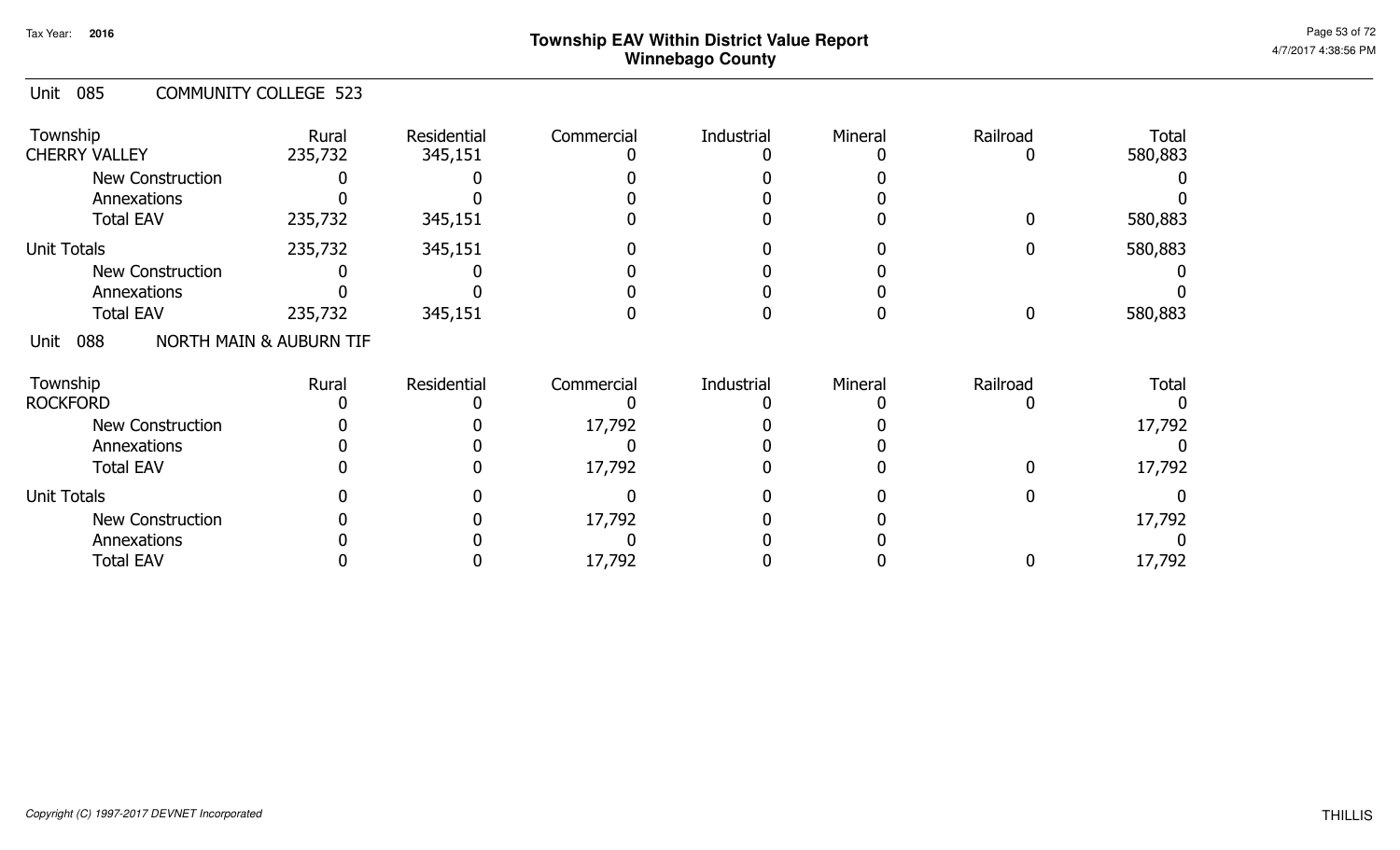#### Unit 085 COMMUNITY COLLEGE 523

| Township<br><b>CHERRY VALLEY</b> | Rural<br>235,732                   | Residential<br>345,151 | Commercial | Industrial | Mineral | Railroad | <b>Total</b><br>580,883 |
|----------------------------------|------------------------------------|------------------------|------------|------------|---------|----------|-------------------------|
| <b>New Construction</b>          |                                    |                        |            |            |         |          |                         |
| Annexations                      |                                    |                        |            |            |         |          |                         |
| <b>Total EAV</b>                 | 235,732                            | 345,151                |            |            |         |          | 580,883                 |
| <b>Unit Totals</b>               | 235,732                            | 345,151                |            |            |         |          | 580,883                 |
| <b>New Construction</b>          |                                    |                        |            |            |         |          |                         |
| Annexations                      |                                    |                        |            |            |         |          |                         |
| <b>Total EAV</b>                 | 235,732                            | 345,151                |            |            |         |          | 580,883                 |
| 088<br>Unit                      | <b>NORTH MAIN &amp; AUBURN TIF</b> |                        |            |            |         |          |                         |
| Township                         | Rural                              | Residential            | Commercial | Industrial | Mineral | Railroad | <b>Total</b>            |
| <b>ROCKFORD</b>                  |                                    |                        |            |            |         |          |                         |
| <b>New Construction</b>          |                                    |                        | 17,792     |            |         |          | 17,792                  |
| Annexations                      |                                    |                        |            |            |         |          |                         |
| <b>Total EAV</b>                 |                                    |                        | 17,792     |            |         |          | 17,792                  |
| <b>Unit Totals</b>               |                                    |                        |            |            |         |          |                         |
| New Construction                 |                                    |                        | 17,792     |            |         |          | 17,792                  |
| Annexations                      |                                    |                        |            |            |         |          |                         |
| <b>Total EAV</b>                 |                                    |                        | 17,792     |            |         |          | 17,792                  |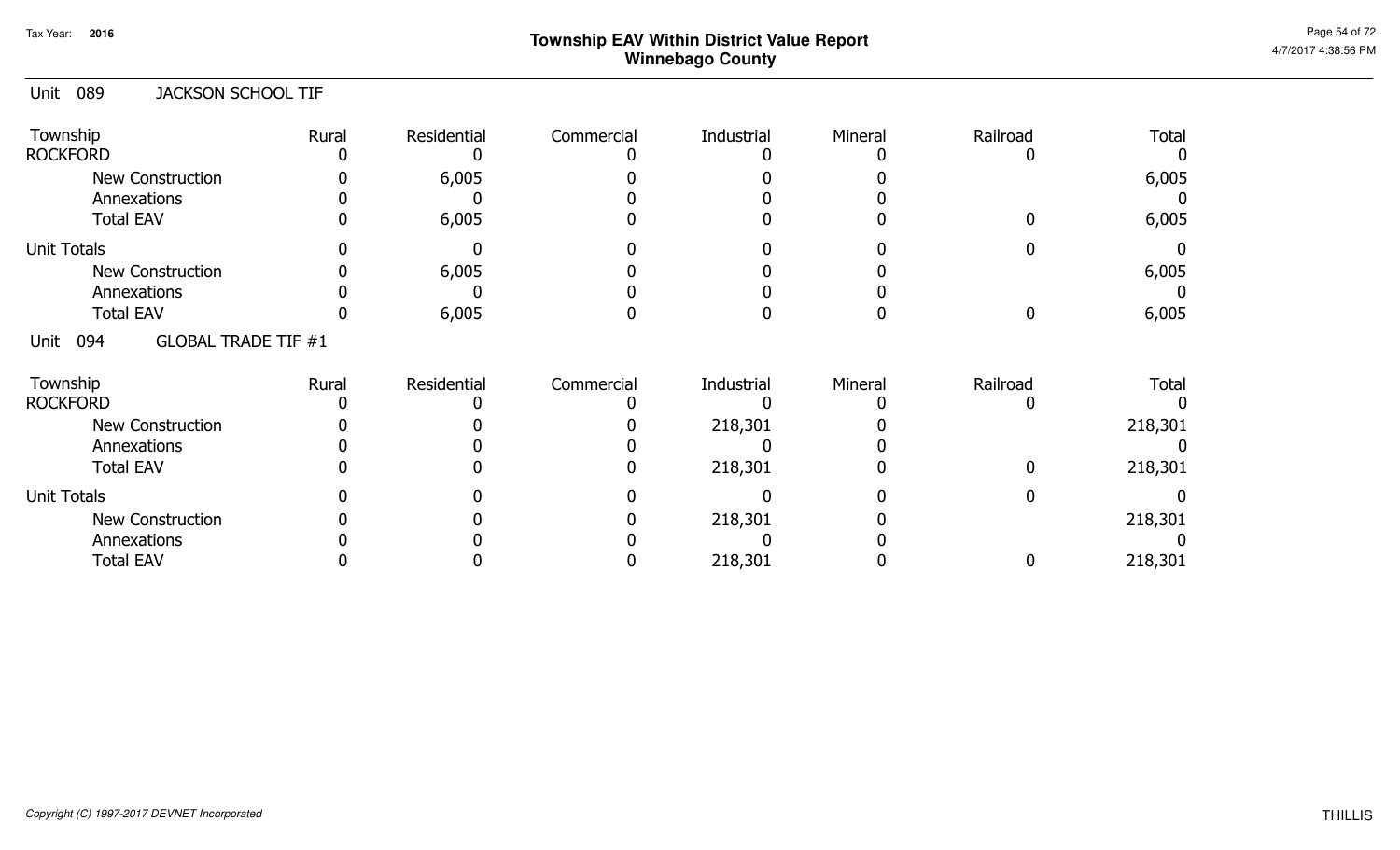#### Unit 089 JACKSON SCHOOL TIF

| Township<br><b>ROCKFORD</b>               | Rural | Residential | Commercial | Industrial | Mineral | Railroad | <b>Total</b> |
|-------------------------------------------|-------|-------------|------------|------------|---------|----------|--------------|
| <b>New Construction</b><br>Annexations    |       | 6,005       |            |            |         |          | 6,005        |
| <b>Total EAV</b>                          |       | 6,005       |            |            |         |          | 6,005        |
| <b>Unit Totals</b>                        |       |             |            |            |         |          |              |
| <b>New Construction</b>                   |       | 6,005       |            |            |         |          | 6,005        |
| Annexations                               |       |             |            |            |         |          |              |
| <b>Total EAV</b>                          |       | 6,005       |            |            |         |          | 6,005        |
| <b>GLOBAL TRADE TIF #1</b><br>094<br>Unit |       |             |            |            |         |          |              |
| Township<br><b>ROCKFORD</b>               | Rural | Residential | Commercial | Industrial | Mineral | Railroad | <b>Total</b> |
| New Construction                          |       |             |            | 218,301    |         |          | 218,301      |
| Annexations                               |       |             |            |            |         |          |              |
| <b>Total EAV</b>                          |       |             |            | 218,301    |         |          | 218,301      |
| <b>Unit Totals</b>                        |       |             |            |            |         |          |              |
| New Construction                          |       |             |            | 218,301    |         |          | 218,301      |
| Annexations                               |       |             |            |            |         |          |              |
| <b>Total EAV</b>                          |       |             |            | 218,301    |         |          | 218,301      |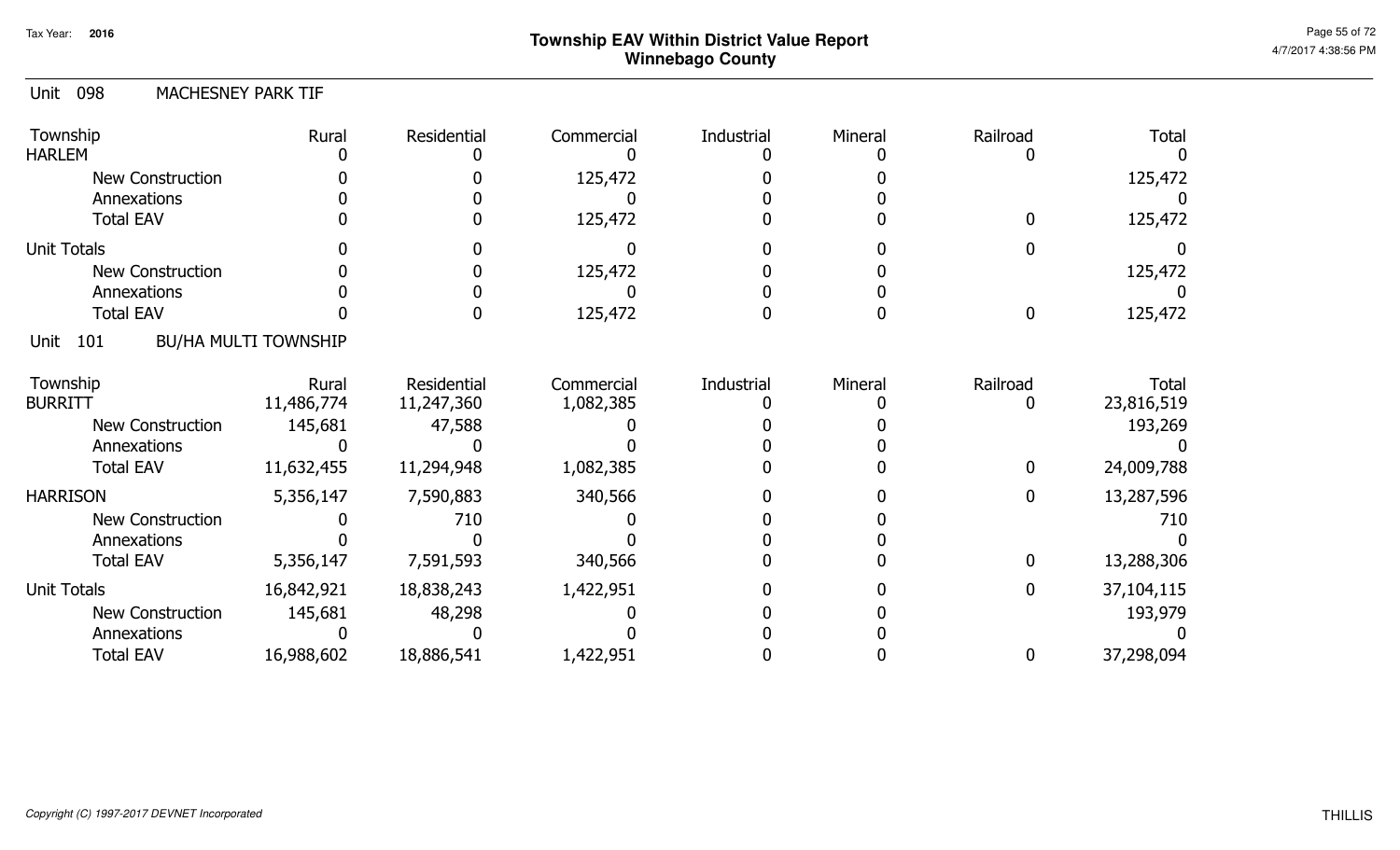#### Unit 098 MACHESNEY PARK TIF

| Township<br><b>HARLEM</b> | Rural                       | Residential | Commercial | Industrial | Mineral | Railroad     | <b>Total</b> |
|---------------------------|-----------------------------|-------------|------------|------------|---------|--------------|--------------|
| New Construction          |                             |             | 125,472    |            |         |              | 125,472      |
| Annexations               |                             |             |            |            |         |              |              |
| <b>Total EAV</b>          |                             |             | 125,472    |            |         | 0            | 125,472      |
| <b>Unit Totals</b>        |                             |             |            |            |         | 0            |              |
| <b>New Construction</b>   |                             |             | 125,472    |            |         |              | 125,472      |
| Annexations               |                             |             |            |            |         |              |              |
| <b>Total EAV</b>          |                             |             | 125,472    |            |         | $\mathbf 0$  | 125,472      |
| 101<br>Unit               | <b>BU/HA MULTI TOWNSHIP</b> |             |            |            |         |              |              |
| Township                  | Rural                       | Residential | Commercial | Industrial | Mineral | Railroad     | Total        |
| <b>BURRITT</b>            | 11,486,774                  | 11,247,360  | 1,082,385  |            |         | 0            | 23,816,519   |
| New Construction          | 145,681                     | 47,588      |            |            |         |              | 193,269      |
| Annexations               |                             |             |            |            |         |              |              |
| <b>Total EAV</b>          | 11,632,455                  | 11,294,948  | 1,082,385  |            |         | $\bf{0}$     | 24,009,788   |
| <b>HARRISON</b>           | 5,356,147                   | 7,590,883   | 340,566    |            |         | $\mathbf 0$  | 13,287,596   |
| <b>New Construction</b>   |                             | 710         |            |            |         |              | 710          |
| Annexations               |                             |             |            |            |         |              |              |
| <b>Total EAV</b>          | 5,356,147                   | 7,591,593   | 340,566    |            |         | 0            | 13,288,306   |
| <b>Unit Totals</b>        | 16,842,921                  | 18,838,243  | 1,422,951  |            |         | $\mathbf{0}$ | 37,104,115   |
| New Construction          | 145,681                     | 48,298      |            |            |         |              | 193,979      |
| Annexations               |                             |             |            |            |         |              |              |
| <b>Total EAV</b>          | 16,988,602                  | 18,886,541  | 1,422,951  |            |         | 0            | 37,298,094   |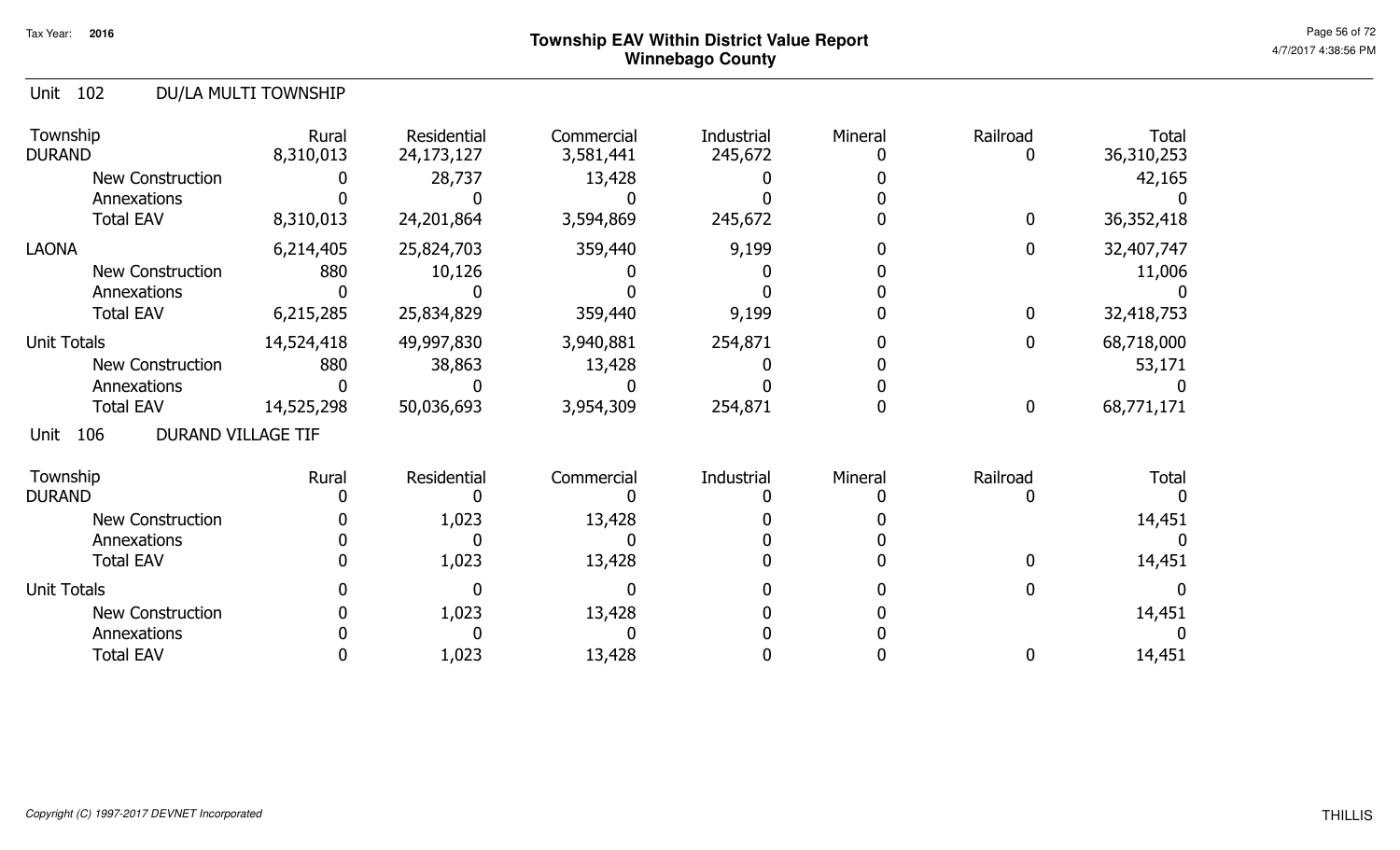#### Unit 102 DU/LA MULTI TOWNSHIP

| Township<br><b>DURAND</b>                | Rural<br>8,310,013 | Residential<br>24,173,127 | Commercial<br>3,581,441 | Industrial<br>245,672 | Mineral | Railroad<br>0 | <b>Total</b><br>36,310,253 |
|------------------------------------------|--------------------|---------------------------|-------------------------|-----------------------|---------|---------------|----------------------------|
| <b>New Construction</b>                  |                    | 28,737                    | 13,428                  |                       |         |               | 42,165                     |
| Annexations                              |                    |                           |                         |                       |         |               |                            |
| <b>Total EAV</b>                         | 8,310,013          | 24,201,864                | 3,594,869               | 245,672               |         | $\mathbf 0$   | 36,352,418                 |
| <b>LAONA</b>                             | 6,214,405          | 25,824,703                | 359,440                 | 9,199                 |         | $\mathbf 0$   | 32,407,747                 |
| <b>New Construction</b>                  | 880                | 10,126                    |                         |                       |         |               | 11,006                     |
| Annexations                              |                    |                           |                         |                       |         |               |                            |
| <b>Total EAV</b>                         | 6,215,285          | 25,834,829                | 359,440                 | 9,199                 |         | $\mathbf 0$   | 32,418,753                 |
| Unit Totals                              | 14,524,418         | 49,997,830                | 3,940,881               | 254,871               |         | $\mathbf 0$   | 68,718,000                 |
| New Construction                         | 880                | 38,863                    | 13,428                  |                       |         |               | 53,171                     |
| Annexations                              |                    |                           |                         |                       |         |               |                            |
| <b>Total EAV</b>                         | 14,525,298         | 50,036,693                | 3,954,309               | 254,871               |         | $\mathbf 0$   | 68,771,171                 |
| <b>DURAND VILLAGE TIF</b><br>106<br>Unit |                    |                           |                         |                       |         |               |                            |
| Township                                 | Rural              | Residential               | Commercial              | Industrial            | Mineral | Railroad      | <b>Total</b>               |
| <b>DURAND</b>                            |                    |                           |                         |                       |         |               |                            |
| <b>New Construction</b>                  |                    | 1,023                     | 13,428                  |                       |         |               | 14,451                     |
| Annexations                              |                    |                           |                         |                       |         |               |                            |
| <b>Total EAV</b>                         |                    | 1,023                     | 13,428                  |                       |         | 0             | 14,451                     |
| <b>Unit Totals</b>                       |                    |                           |                         |                       |         |               |                            |
| <b>New Construction</b>                  |                    | 1,023                     | 13,428                  |                       |         |               | 14,451                     |
| Annexations                              |                    |                           |                         |                       |         |               |                            |
| <b>Total EAV</b>                         |                    | 1,023                     | 13,428                  |                       |         | 0             | 14,451                     |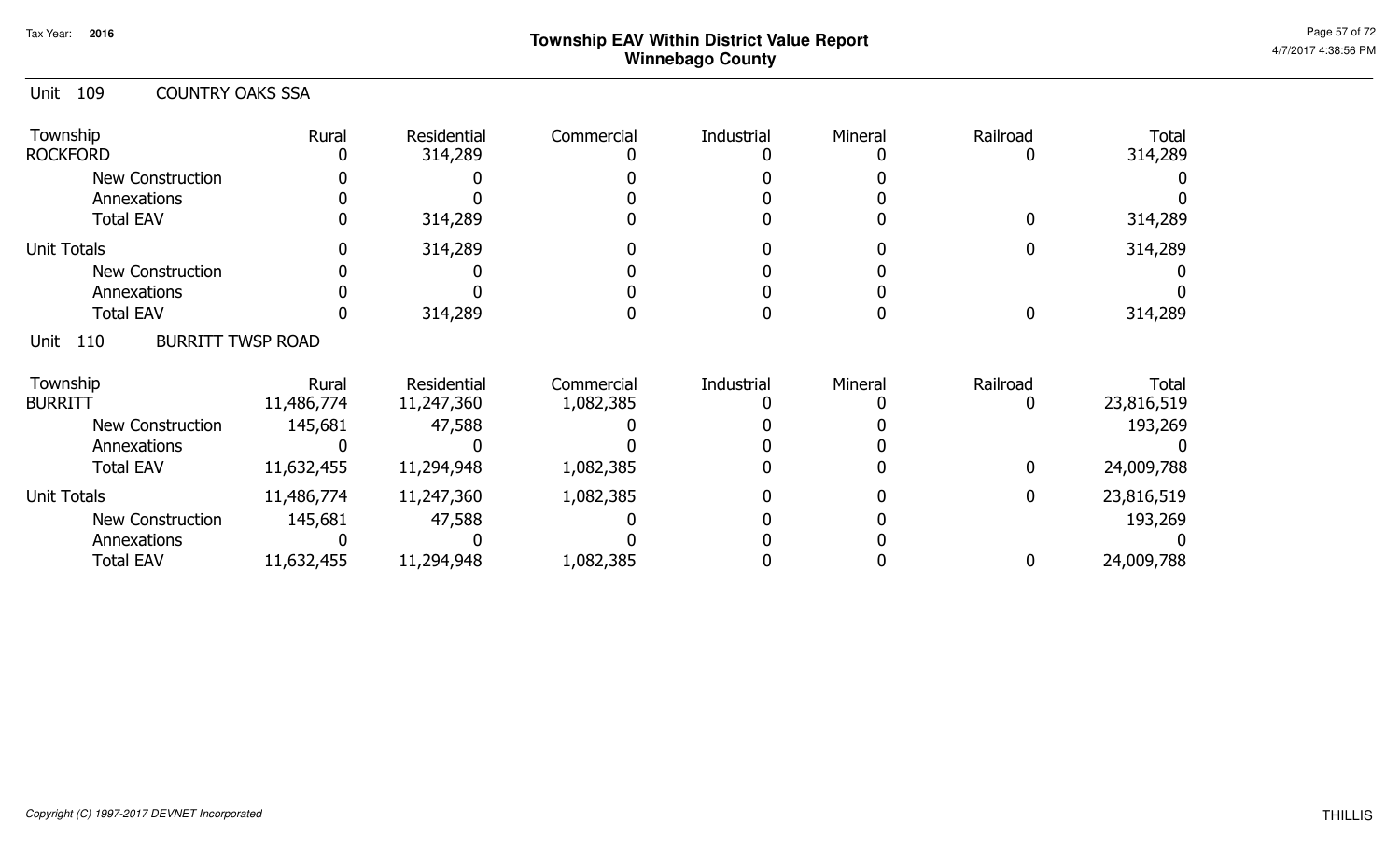| 109<br><b>COUNTRY OAKS SSA</b><br>Unit  |            |             |            |            |         |                |              |
|-----------------------------------------|------------|-------------|------------|------------|---------|----------------|--------------|
| Township                                | Rural      | Residential | Commercial | Industrial | Mineral | Railroad       | Total        |
| <b>ROCKFORD</b>                         |            | 314,289     |            |            |         | $\Box$         | 314,289      |
| New Construction                        |            |             |            |            |         |                |              |
| Annexations                             |            |             |            |            |         |                |              |
| <b>Total EAV</b>                        |            | 314,289     |            |            |         |                | 314,289      |
| <b>Unit Totals</b>                      | O          | 314,289     |            |            |         | 0              | 314,289      |
| New Construction                        |            |             |            |            |         |                |              |
| Annexations                             |            |             |            |            |         |                |              |
| <b>Total EAV</b>                        |            | 314,289     |            |            |         | $\Omega$       | 314,289      |
| <b>BURRITT TWSP ROAD</b><br>110<br>Unit |            |             |            |            |         |                |              |
| Township                                | Rural      | Residential | Commercial | Industrial | Mineral | Railroad       | <b>Total</b> |
| <b>BURRITT</b>                          | 11,486,774 | 11,247,360  | 1,082,385  |            |         | 0              | 23,816,519   |
| New Construction                        | 145,681    | 47,588      |            |            |         |                | 193,269      |
| Annexations                             |            |             |            |            |         |                |              |
| <b>Total EAV</b>                        | 11,632,455 | 11,294,948  | 1,082,385  |            |         | $\Omega$       | 24,009,788   |
| <b>Unit Totals</b>                      | 11,486,774 | 11,247,360  | 1,082,385  |            |         | $\overline{0}$ | 23,816,519   |
| <b>New Construction</b>                 | 145,681    | 47,588      |            |            |         |                | 193,269      |
| Annexations                             |            |             |            |            |         |                |              |
| <b>Total EAV</b>                        | 11,632,455 | 11,294,948  | 1,082,385  |            |         | 0              | 24,009,788   |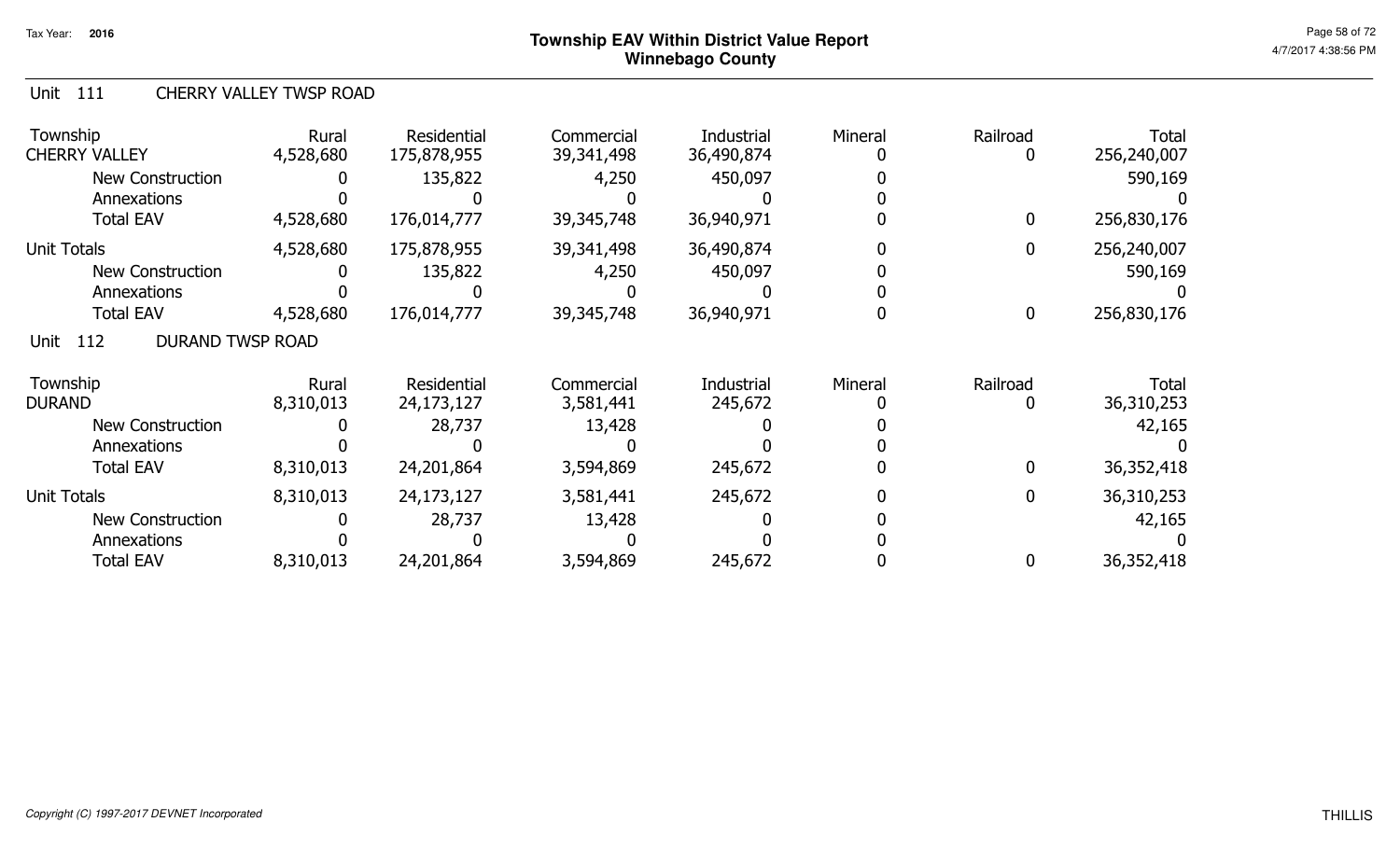#### Unit 111 CHERRY VALLEY TWSP ROAD

| Township<br><b>CHERRY VALLEY</b>       | Rural<br>4,528,680 | Residential<br>175,878,955 | Commercial<br>39,341,498 | Industrial<br>36,490,874 | Mineral | Railroad<br>0    | Total<br>256,240,007       |
|----------------------------------------|--------------------|----------------------------|--------------------------|--------------------------|---------|------------------|----------------------------|
| <b>New Construction</b>                |                    | 135,822                    | 4,250                    | 450,097                  |         |                  | 590,169                    |
| Annexations<br><b>Total EAV</b>        | 4,528,680          | 176,014,777                | 39,345,748               | 36,940,971               |         | 0                | 256,830,176                |
| Unit Totals                            | 4,528,680          | 175,878,955                | 39,341,498               | 36,490,874               |         | 0                | 256,240,007                |
| <b>New Construction</b>                |                    | 135,822                    | 4,250                    | 450,097                  |         |                  | 590,169                    |
| Annexations                            |                    |                            |                          |                          |         |                  |                            |
| <b>Total EAV</b>                       | 4,528,680          | 176,014,777                | 39,345,748               | 36,940,971               |         | $\boldsymbol{0}$ | 256,830,176                |
| <b>DURAND TWSP ROAD</b><br>112<br>Unit |                    |                            |                          |                          |         |                  |                            |
| Township<br><b>DURAND</b>              | Rural<br>8,310,013 | Residential<br>24,173,127  | Commercial<br>3,581,441  | Industrial<br>245,672    | Mineral | Railroad<br>0    | <b>Total</b><br>36,310,253 |
| <b>New Construction</b>                |                    | 28,737                     | 13,428                   |                          |         |                  | 42,165                     |
| Annexations                            |                    |                            |                          |                          |         |                  |                            |
| <b>Total EAV</b>                       | 8,310,013          | 24,201,864                 | 3,594,869                | 245,672                  |         | $\mathbf{0}$     | 36,352,418                 |
| <b>Unit Totals</b>                     | 8,310,013          | 24,173,127                 | 3,581,441                | 245,672                  |         | 0                | 36,310,253                 |
| <b>New Construction</b>                |                    | 28,737                     | 13,428                   |                          |         |                  | 42,165                     |
| Annexations                            |                    |                            |                          |                          |         |                  |                            |
| <b>Total EAV</b>                       | 8,310,013          | 24,201,864                 | 3,594,869                | 245,672                  |         | 0                | 36,352,418                 |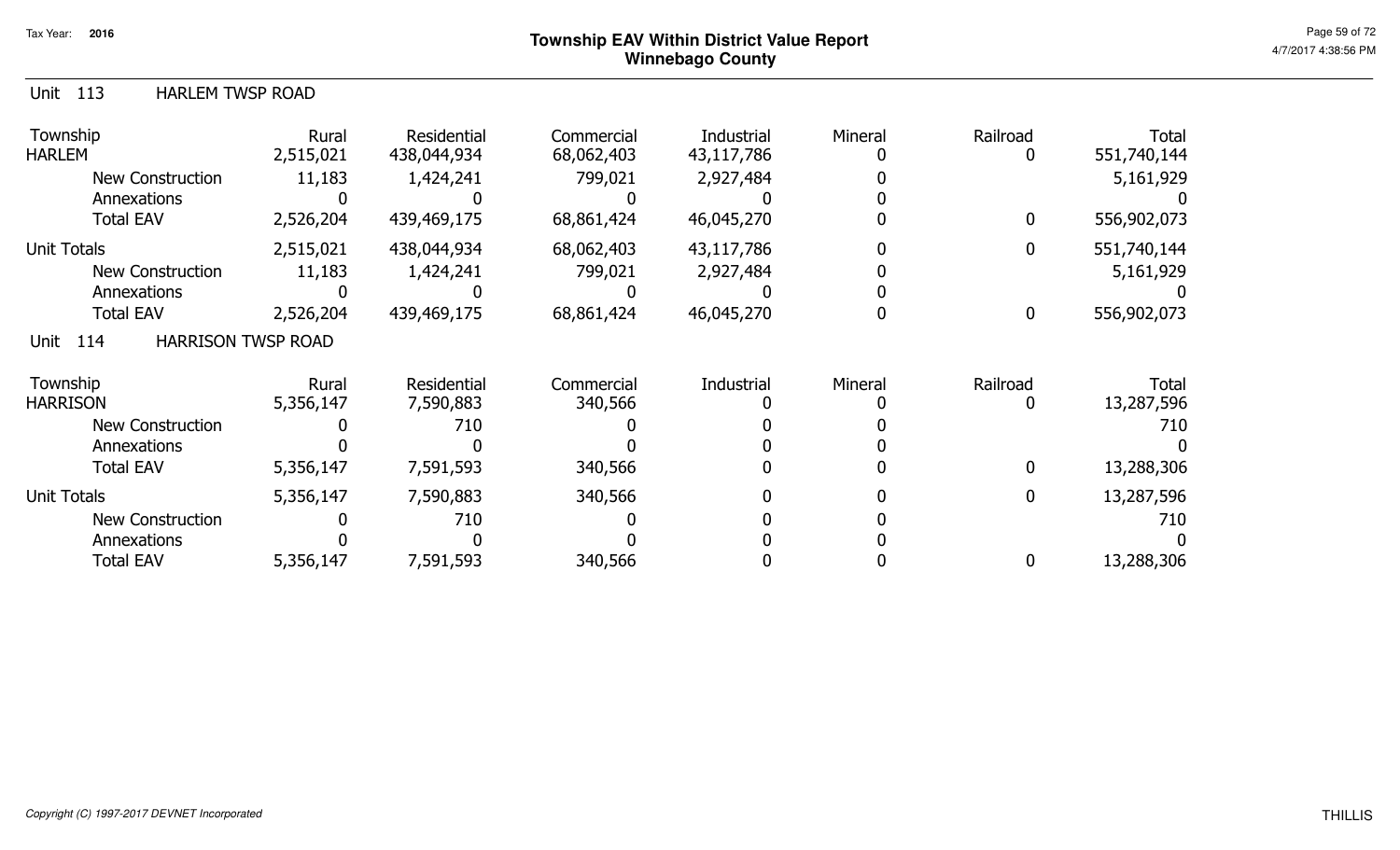#### Unit 113 HARLEM TWSP ROAD

| Township<br><b>HARLEM</b>                | Rural<br>2,515,021 | Residential<br>438,044,934 | Commercial<br>68,062,403 | Industrial<br>43,117,786 | Mineral | Railroad<br>0 | Total<br>551,740,144 |
|------------------------------------------|--------------------|----------------------------|--------------------------|--------------------------|---------|---------------|----------------------|
| <b>New Construction</b>                  | 11,183             | 1,424,241                  | 799,021                  | 2,927,484                |         |               | 5,161,929            |
| Annexations                              |                    |                            |                          |                          |         |               |                      |
| <b>Total EAV</b>                         | 2,526,204          | 439,469,175                | 68,861,424               | 46,045,270               |         | 0             | 556,902,073          |
| <b>Unit Totals</b>                       | 2,515,021          | 438,044,934                | 68,062,403               | 43,117,786               |         | $\mathbf{0}$  | 551,740,144          |
| <b>New Construction</b>                  | 11,183             | 1,424,241                  | 799,021                  | 2,927,484                |         |               | 5,161,929            |
| Annexations                              |                    |                            |                          |                          |         |               |                      |
| <b>Total EAV</b>                         | 2,526,204          | 439,469,175                | 68,861,424               | 46,045,270               |         | $\bf{0}$      | 556,902,073          |
| <b>HARRISON TWSP ROAD</b><br>Unit<br>114 |                    |                            |                          |                          |         |               |                      |
| Township                                 | Rural              | Residential                | Commercial               | Industrial               | Mineral | Railroad      | Total                |
| <b>HARRISON</b>                          | 5,356,147          | 7,590,883                  | 340,566                  |                          |         | 0             | 13,287,596           |
| <b>New Construction</b>                  |                    | 710                        |                          |                          |         |               | 710                  |
| Annexations                              |                    |                            |                          |                          |         |               |                      |
| <b>Total EAV</b>                         | 5,356,147          | 7,591,593                  | 340,566                  |                          |         | 0             | 13,288,306           |
| <b>Unit Totals</b>                       | 5,356,147          | 7,590,883                  | 340,566                  |                          |         | 0             | 13,287,596           |
| <b>New Construction</b>                  |                    | 710                        |                          |                          |         |               | 710                  |
| Annexations                              |                    |                            |                          |                          |         |               |                      |
| <b>Total EAV</b>                         | 5,356,147          | 7,591,593                  | 340,566                  |                          |         | 0             | 13,288,306           |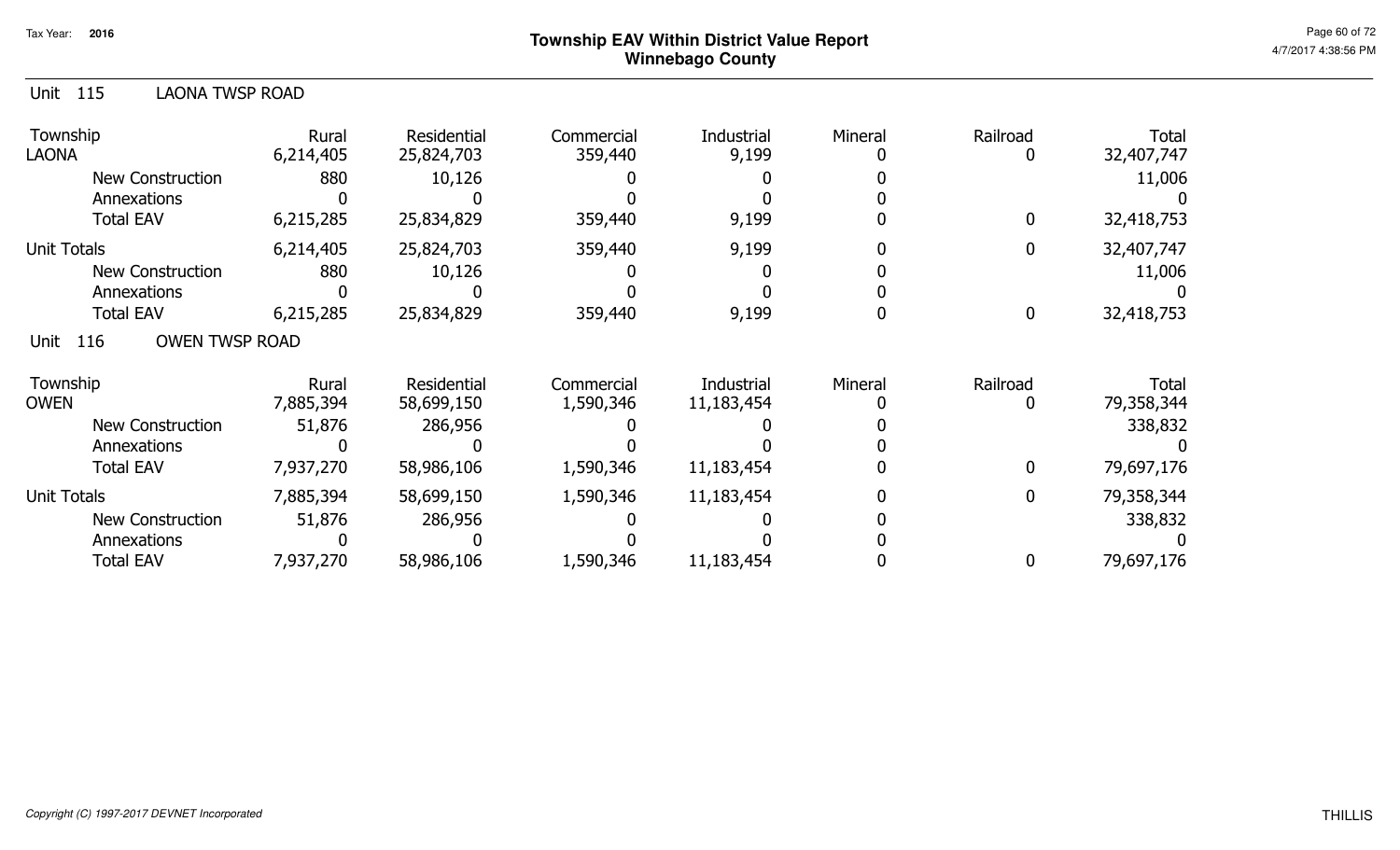| 115<br><b>LAONA TWSP ROAD</b><br>Unit |                    |                           |                         |                          |         |                  |                            |
|---------------------------------------|--------------------|---------------------------|-------------------------|--------------------------|---------|------------------|----------------------------|
| Township<br><b>LAONA</b>              | Rural<br>6,214,405 | Residential<br>25,824,703 | Commercial<br>359,440   | Industrial<br>9,199      | Mineral | Railroad<br>0    | <b>Total</b><br>32,407,747 |
| <b>New Construction</b>               | 880                | 10,126                    |                         |                          |         |                  | 11,006                     |
| Annexations                           |                    |                           |                         |                          |         |                  |                            |
| <b>Total EAV</b>                      | 6,215,285          | 25,834,829                | 359,440                 | 9,199                    |         | $\boldsymbol{0}$ | 32,418,753                 |
| <b>Unit Totals</b>                    | 6,214,405          | 25,824,703                | 359,440                 | 9,199                    |         | $\overline{0}$   | 32,407,747                 |
| <b>New Construction</b>               | 880                | 10,126                    |                         |                          |         |                  | 11,006                     |
| Annexations                           |                    |                           |                         |                          |         |                  |                            |
| <b>Total EAV</b>                      | 6,215,285          | 25,834,829                | 359,440                 | 9,199                    |         | $\overline{0}$   | 32,418,753                 |
| <b>OWEN TWSP ROAD</b><br>116<br>Unit  |                    |                           |                         |                          |         |                  |                            |
| Township<br><b>OWEN</b>               | Rural<br>7,885,394 | Residential<br>58,699,150 | Commercial<br>1,590,346 | Industrial<br>11,183,454 | Mineral | Railroad<br>0    | <b>Total</b><br>79,358,344 |
| <b>New Construction</b>               | 51,876             | 286,956                   |                         |                          |         |                  | 338,832                    |
| Annexations                           |                    |                           |                         |                          |         |                  |                            |
| <b>Total EAV</b>                      | 7,937,270          | 58,986,106                | 1,590,346               | 11,183,454               |         | $\overline{0}$   | 79,697,176                 |
| <b>Unit Totals</b>                    | 7,885,394          | 58,699,150                | 1,590,346               | 11,183,454               |         | $\overline{0}$   | 79,358,344                 |
| <b>New Construction</b>               | 51,876             | 286,956                   |                         |                          |         |                  | 338,832                    |
| Annexations                           |                    |                           |                         |                          |         |                  |                            |
| <b>Total EAV</b>                      | 7,937,270          | 58,986,106                | 1,590,346               | 11,183,454               |         | 0                | 79,697,176                 |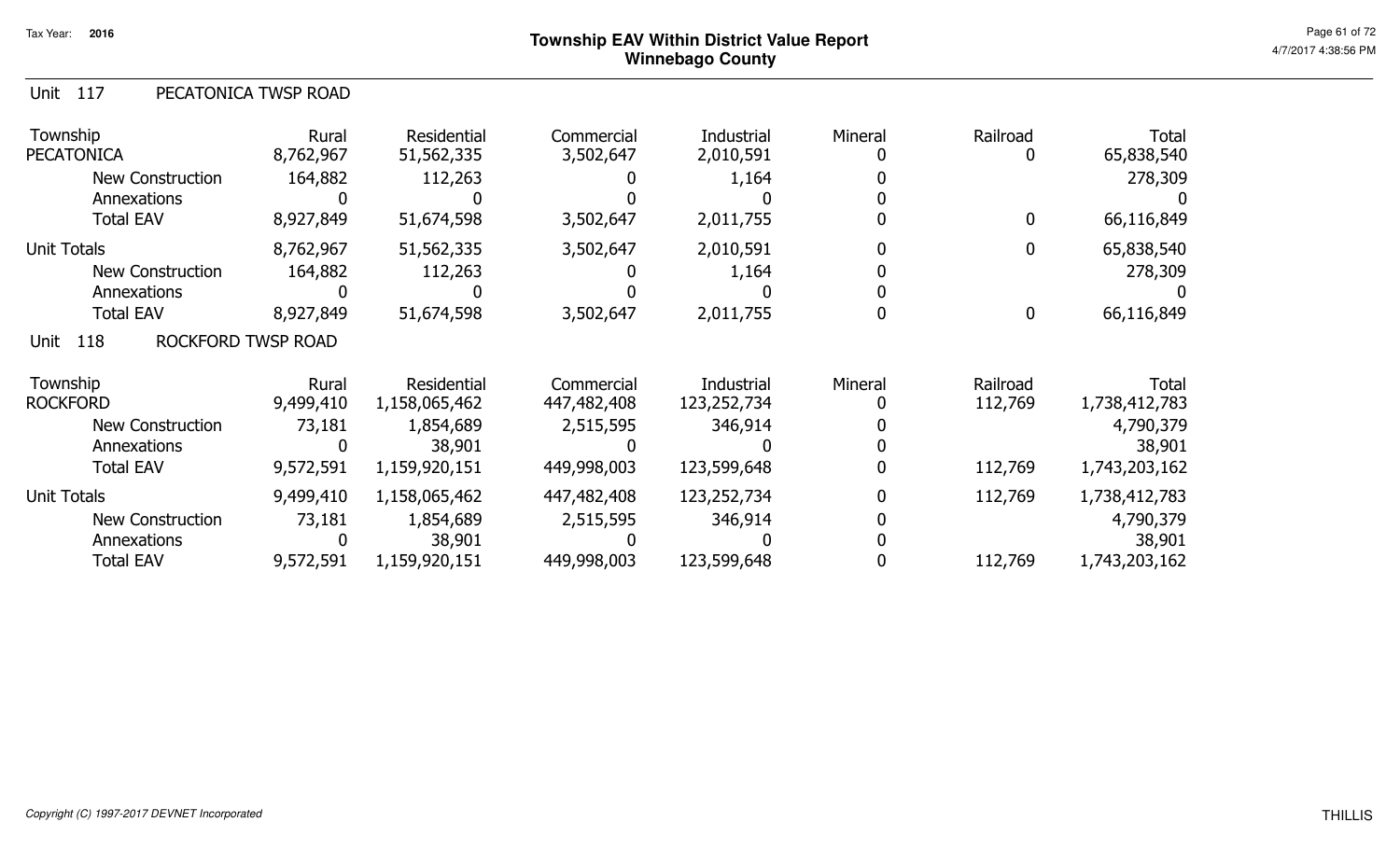|  | Unit 117 | PECATONICA TWSP ROAD |
|--|----------|----------------------|
|--|----------|----------------------|

| Township<br><b>PECATONICA</b>     | Rural<br>8,762,967 | Residential<br>51,562,335 | Commercial<br>3,502,647 | Industrial<br>2,010,591 | Mineral | Railroad         | Total<br>65,838,540 |
|-----------------------------------|--------------------|---------------------------|-------------------------|-------------------------|---------|------------------|---------------------|
| <b>New Construction</b>           | 164,882            | 112,263                   |                         | 1,164                   |         |                  | 278,309             |
| Annexations                       |                    |                           |                         |                         |         |                  |                     |
| <b>Total EAV</b>                  | 8,927,849          | 51,674,598                | 3,502,647               | 2,011,755               |         | 0                | 66,116,849          |
| <b>Unit Totals</b>                | 8,762,967          | 51,562,335                | 3,502,647               | 2,010,591               |         | 0                | 65,838,540          |
| New Construction                  | 164,882            | 112,263                   |                         | 1,164                   |         |                  | 278,309             |
| Annexations                       |                    |                           |                         |                         |         |                  |                     |
| <b>Total EAV</b>                  | 8,927,849          | 51,674,598                | 3,502,647               | 2,011,755               |         | $\boldsymbol{0}$ | 66,116,849          |
| 118<br>ROCKFORD TWSP ROAD<br>Unit |                    |                           |                         |                         |         |                  |                     |
| Township                          | Rural              | Residential               | Commercial              | Industrial              | Mineral | Railroad         | <b>Total</b>        |
| <b>ROCKFORD</b>                   | 9,499,410          | 1,158,065,462             | 447,482,408             | 123,252,734             |         | 112,769          | 1,738,412,783       |
| New Construction                  | 73,181             | 1,854,689                 | 2,515,595               | 346,914                 |         |                  | 4,790,379           |
| Annexations                       |                    | 38,901                    |                         |                         |         |                  | 38,901              |
| <b>Total EAV</b>                  | 9,572,591          | 1,159,920,151             | 449,998,003             | 123,599,648             |         | 112,769          | 1,743,203,162       |
| Unit Totals                       | 9,499,410          | 1,158,065,462             | 447,482,408             | 123,252,734             |         | 112,769          | 1,738,412,783       |
| New Construction                  | 73,181             | 1,854,689                 | 2,515,595               | 346,914                 |         |                  | 4,790,379           |
| Annexations                       |                    | 38,901                    |                         |                         |         |                  | 38,901              |
| <b>Total EAV</b>                  | 9,572,591          | 1,159,920,151             | 449,998,003             | 123,599,648             |         | 112,769          | 1,743,203,162       |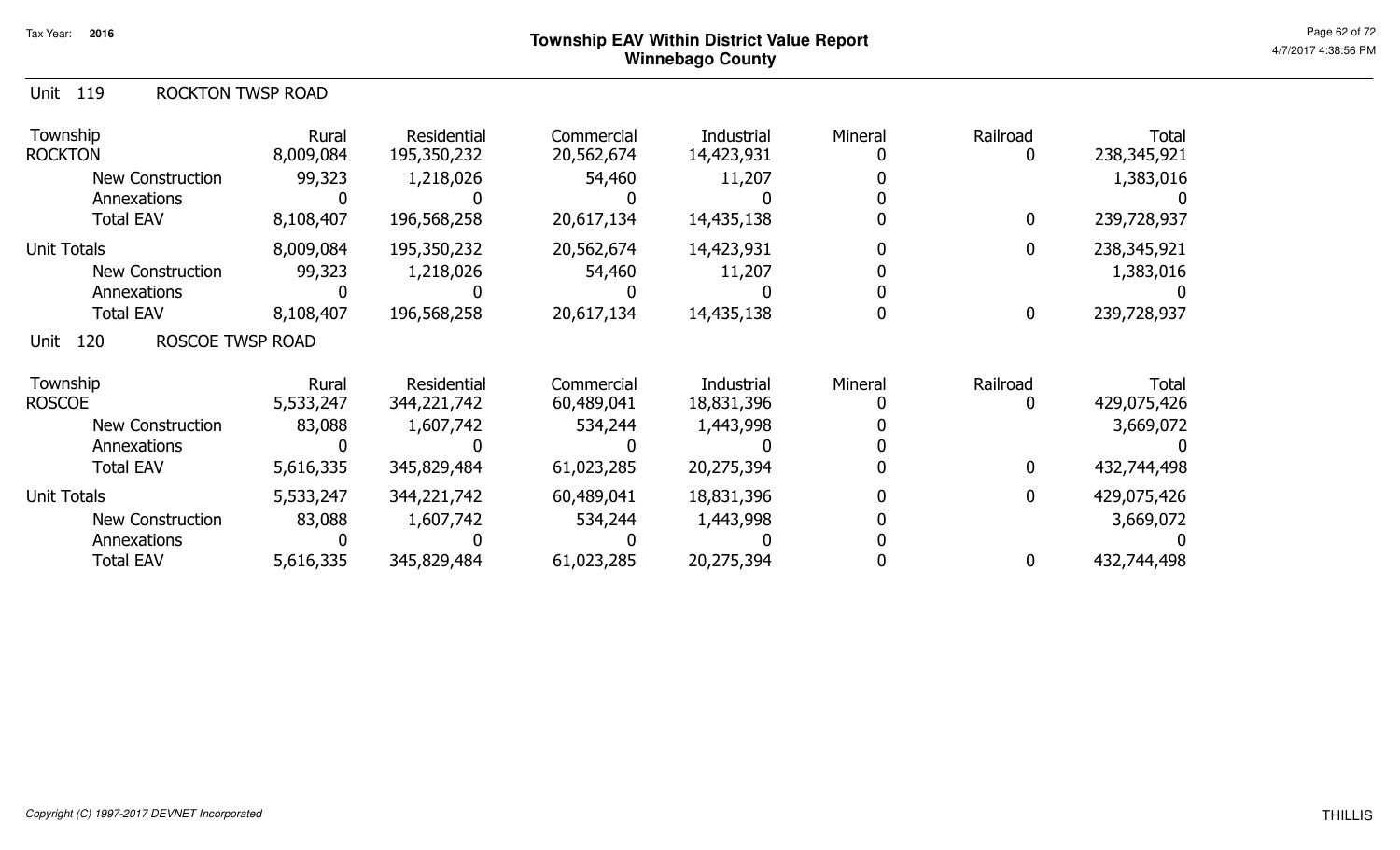| Unit 119 |  | <b>ROCKTON TWSP ROAD</b> |
|----------|--|--------------------------|
|----------|--|--------------------------|

| Township<br><b>ROCKTON</b>      | Rural<br>8,009,084 | Residential<br>195,350,232 | Commercial<br>20,562,674 | Industrial<br>14,423,931 | Mineral | Railroad<br>$\mathbf{0}$ | <b>Total</b><br>238,345,921 |
|---------------------------------|--------------------|----------------------------|--------------------------|--------------------------|---------|--------------------------|-----------------------------|
| <b>New Construction</b>         | 99,323             | 1,218,026                  | 54,460                   | 11,207                   |         |                          | 1,383,016                   |
| Annexations                     |                    |                            |                          |                          |         |                          |                             |
| <b>Total EAV</b>                | 8,108,407          | 196,568,258                | 20,617,134               | 14,435,138               |         | 0                        | 239,728,937                 |
| <b>Unit Totals</b>              | 8,009,084          | 195,350,232                | 20,562,674               | 14,423,931               |         | 0                        | 238,345,921                 |
| <b>New Construction</b>         | 99,323             | 1,218,026                  | 54,460                   | 11,207                   |         |                          | 1,383,016                   |
| Annexations                     |                    |                            |                          |                          |         |                          |                             |
| <b>Total EAV</b>                | 8,108,407          | 196,568,258                | 20,617,134               | 14,435,138               |         | $\bf{0}$                 | 239,728,937                 |
| ROSCOE TWSP ROAD<br>120<br>Unit |                    |                            |                          |                          |         |                          |                             |
| Township                        | Rural              | Residential                | Commercial               | Industrial               | Mineral | Railroad                 | <b>Total</b>                |
| <b>ROSCOE</b>                   | 5,533,247          | 344,221,742                | 60,489,041               | 18,831,396               |         |                          | 429,075,426                 |
| <b>New Construction</b>         | 83,088             | 1,607,742                  | 534,244                  | 1,443,998                |         |                          | 3,669,072                   |
| Annexations                     |                    |                            |                          |                          |         |                          |                             |
| <b>Total EAV</b>                | 5,616,335          | 345,829,484                | 61,023,285               | 20,275,394               |         | 0                        | 432,744,498                 |
| <b>Unit Totals</b>              | 5,533,247          | 344,221,742                | 60,489,041               | 18,831,396               |         | 0                        | 429,075,426                 |
| New Construction                | 83,088             | 1,607,742                  | 534,244                  | 1,443,998                |         |                          | 3,669,072                   |
| Annexations                     |                    |                            |                          |                          |         |                          |                             |
| <b>Total EAV</b>                | 5,616,335          | 345,829,484                | 61,023,285               | 20,275,394               |         | 0                        | 432,744,498                 |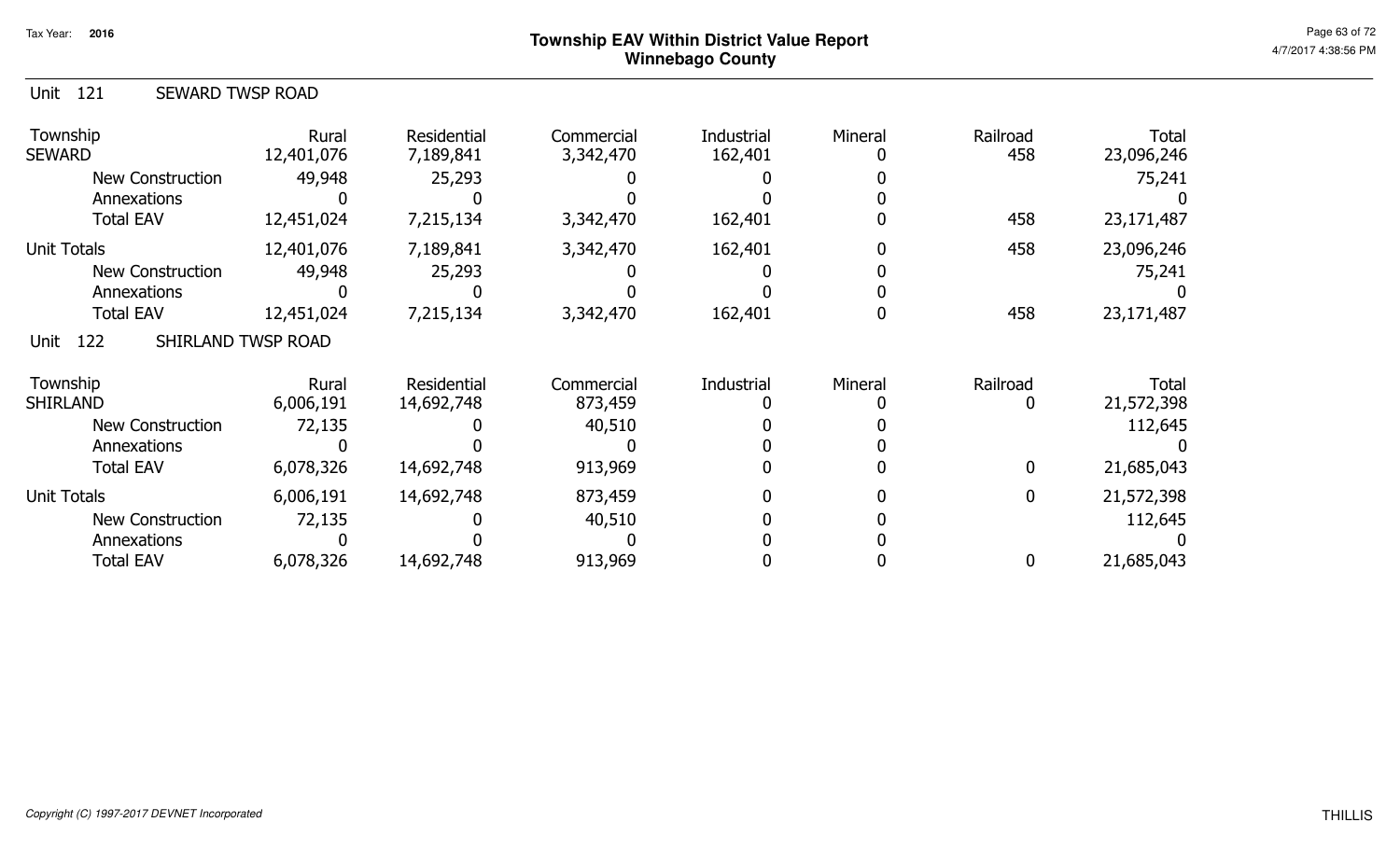| Unit 121 | <b>SEWARD TWSP ROAD</b> |  |
|----------|-------------------------|--|
|          |                         |  |

| Township<br><b>SEWARD</b>         | Rural<br>12,401,076 | Residential<br>7,189,841 | Commercial<br>3,342,470 | Industrial<br>162,401 | Mineral | Railroad<br>458 | <b>Total</b><br>23,096,246 |
|-----------------------------------|---------------------|--------------------------|-------------------------|-----------------------|---------|-----------------|----------------------------|
| New Construction                  | 49,948              | 25,293                   |                         |                       |         |                 | 75,241                     |
| Annexations                       |                     |                          |                         |                       |         |                 |                            |
| <b>Total EAV</b>                  | 12,451,024          | 7,215,134                | 3,342,470               | 162,401               |         | 458             | 23,171,487                 |
| <b>Unit Totals</b>                | 12,401,076          | 7,189,841                | 3,342,470               | 162,401               |         | 458             | 23,096,246                 |
| <b>New Construction</b>           | 49,948              | 25,293                   |                         |                       |         |                 | 75,241                     |
| Annexations                       |                     |                          |                         |                       |         |                 |                            |
| <b>Total EAV</b>                  | 12,451,024          | 7,215,134                | 3,342,470               | 162,401               |         | 458             | 23,171,487                 |
| SHIRLAND TWSP ROAD<br>Unit<br>122 |                     |                          |                         |                       |         |                 |                            |
| Township                          | Rural               | Residential              | Commercial              | Industrial            | Mineral | Railroad        | <b>Total</b>               |
| <b>SHIRLAND</b>                   | 6,006,191           | 14,692,748               | 873,459                 |                       |         |                 | 21,572,398                 |
| New Construction                  | 72,135              |                          | 40,510                  |                       |         |                 | 112,645                    |
| Annexations                       |                     |                          |                         |                       |         |                 |                            |
| <b>Total EAV</b>                  | 6,078,326           | 14,692,748               | 913,969                 |                       |         | 0               | 21,685,043                 |
| <b>Unit Totals</b>                | 6,006,191           | 14,692,748               | 873,459                 |                       |         | $\mathbf 0$     | 21,572,398                 |
| <b>New Construction</b>           | 72,135              |                          | 40,510                  |                       |         |                 | 112,645                    |
| Annexations                       |                     |                          |                         |                       |         |                 |                            |
| <b>Total EAV</b>                  | 6,078,326           | 14,692,748               | 913,969                 |                       |         | 0               | 21,685,043                 |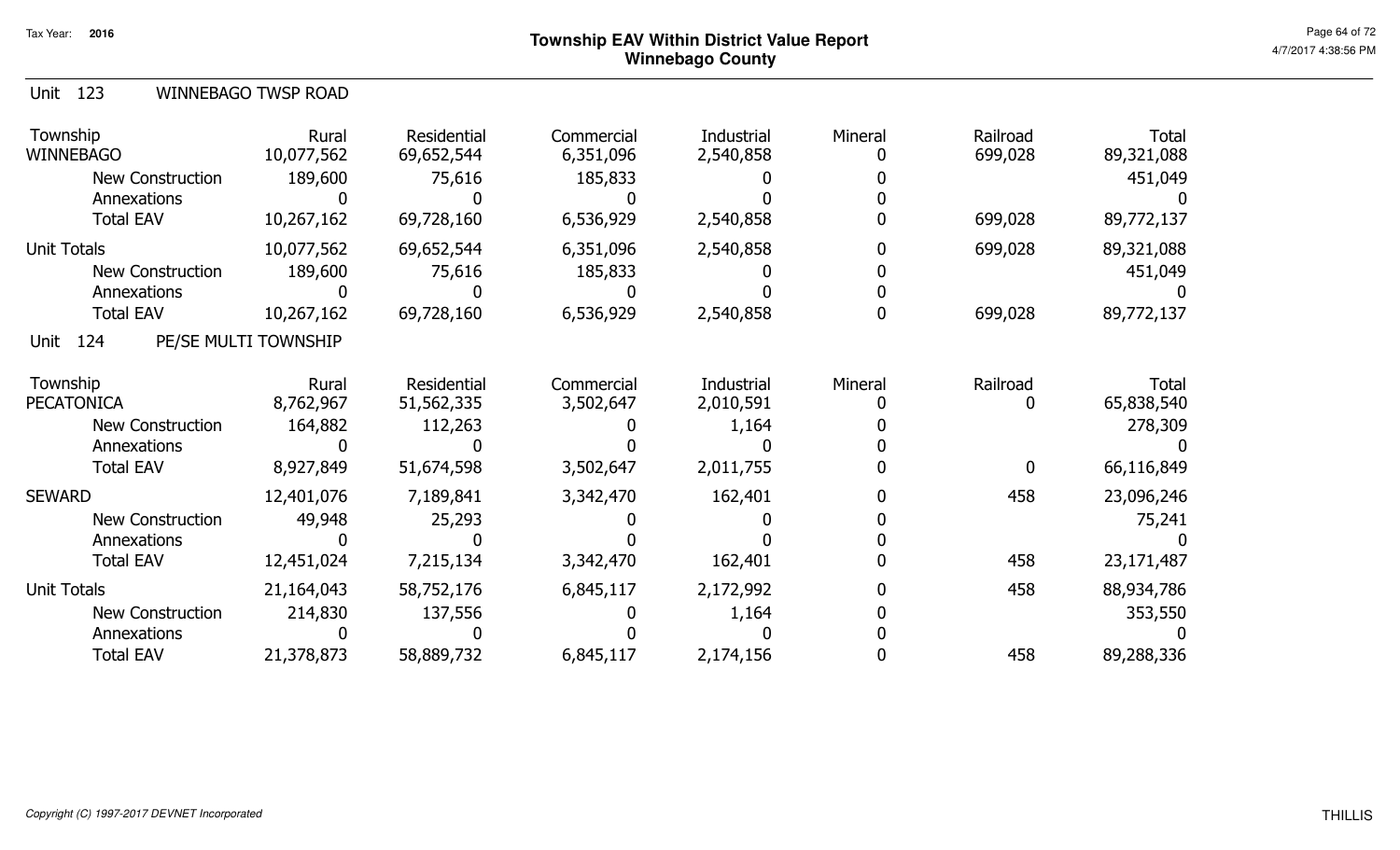| Unit 123 |  | <b>WINNEBAGO TWSP ROAD</b> |  |  |
|----------|--|----------------------------|--|--|
|----------|--|----------------------------|--|--|

| Township<br><b>WINNEBAGO</b> | Rural<br>10,077,562  | Residential<br>69,652,544 | Commercial<br>6,351,096 | Industrial<br>2,540,858 | Mineral | Railroad<br>699,028 | Total<br>89,321,088 |
|------------------------------|----------------------|---------------------------|-------------------------|-------------------------|---------|---------------------|---------------------|
| New Construction             | 189,600              | 75,616                    | 185,833                 |                         |         |                     | 451,049             |
| Annexations                  |                      |                           |                         |                         |         |                     |                     |
| <b>Total EAV</b>             | 10,267,162           | 69,728,160                | 6,536,929               | 2,540,858               |         | 699,028             | 89,772,137          |
| <b>Unit Totals</b>           | 10,077,562           | 69,652,544                | 6,351,096               | 2,540,858               |         | 699,028             | 89,321,088          |
| <b>New Construction</b>      | 189,600              | 75,616                    | 185,833                 |                         |         |                     | 451,049             |
| Annexations                  |                      |                           |                         |                         |         |                     |                     |
| <b>Total EAV</b>             | 10,267,162           | 69,728,160                | 6,536,929               | 2,540,858               |         | 699,028             | 89,772,137          |
| 124<br>Unit                  | PE/SE MULTI TOWNSHIP |                           |                         |                         |         |                     |                     |
| Township                     | Rural                | Residential               | Commercial              | Industrial              | Mineral | Railroad            | Total               |
| <b>PECATONICA</b>            | 8,762,967            | 51,562,335                | 3,502,647               | 2,010,591               |         | 0                   | 65,838,540          |
| <b>New Construction</b>      | 164,882              | 112,263                   |                         | 1,164                   |         |                     | 278,309             |
| Annexations                  |                      |                           |                         |                         |         |                     |                     |
| <b>Total EAV</b>             | 8,927,849            | 51,674,598                | 3,502,647               | 2,011,755               |         | $\mathbf 0$         | 66,116,849          |
| <b>SEWARD</b>                | 12,401,076           | 7,189,841                 | 3,342,470               | 162,401                 |         | 458                 | 23,096,246          |
| <b>New Construction</b>      | 49,948               | 25,293                    |                         |                         |         |                     | 75,241              |
| Annexations                  |                      |                           |                         |                         |         |                     |                     |
| <b>Total EAV</b>             | 12,451,024           | 7,215,134                 | 3,342,470               | 162,401                 |         | 458                 | 23,171,487          |
| <b>Unit Totals</b>           | 21,164,043           | 58,752,176                | 6,845,117               | 2,172,992               |         | 458                 | 88,934,786          |
| New Construction             | 214,830              | 137,556                   |                         | 1,164                   |         |                     | 353,550             |
| Annexations                  |                      |                           |                         |                         |         |                     |                     |
| <b>Total EAV</b>             | 21,378,873           | 58,889,732                | 6,845,117               | 2,174,156               |         | 458                 | 89,288,336          |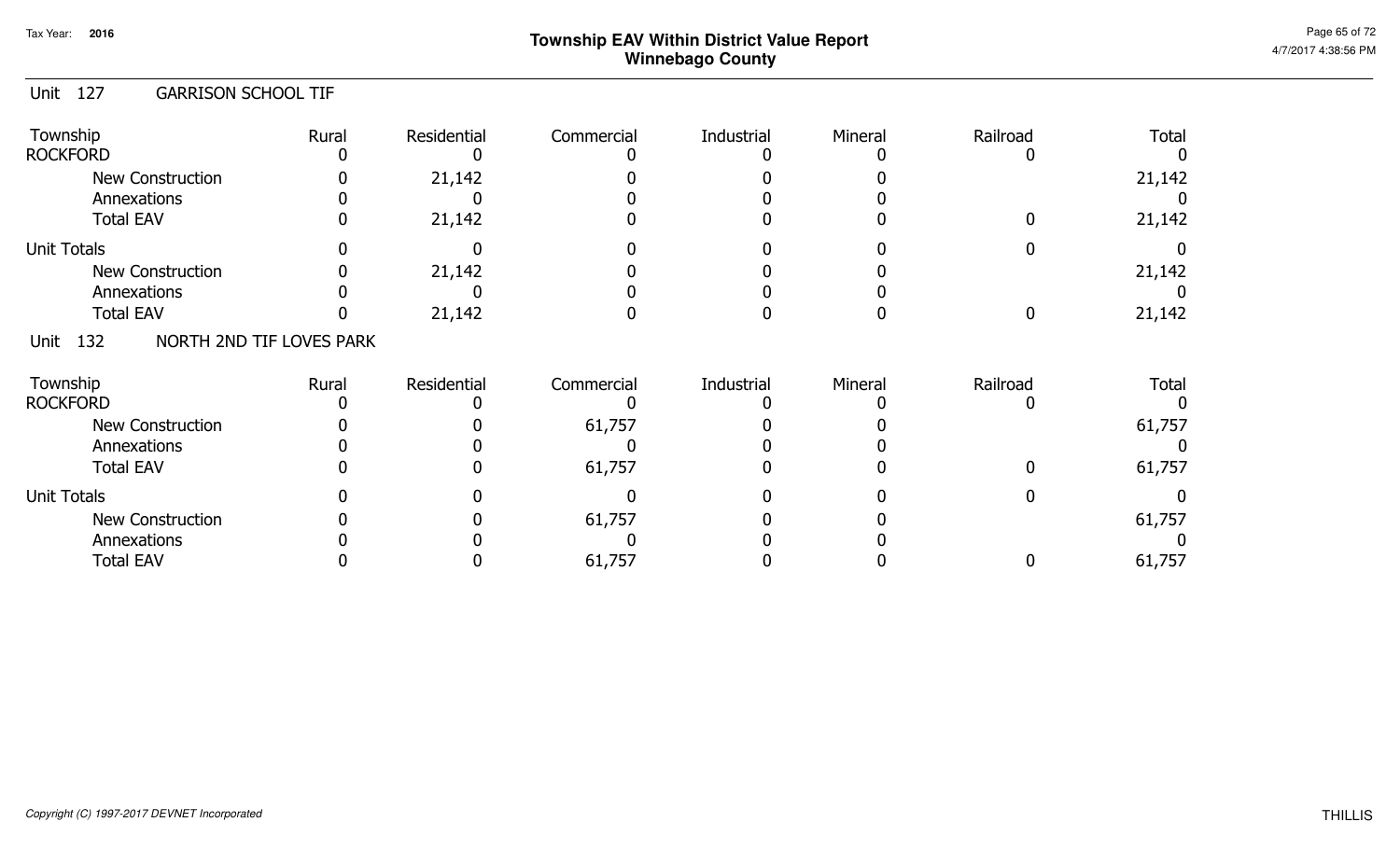#### Unit 127 GARRISON SCHOOL TIF

| Township<br><b>ROCKFORD</b>             | Rural | Residential | Commercial | Industrial | Mineral | Railroad | <b>Total</b> |
|-----------------------------------------|-------|-------------|------------|------------|---------|----------|--------------|
| <b>New Construction</b><br>Annexations  |       | 21,142      |            |            |         |          | 21,142       |
| <b>Total EAV</b>                        |       | 21,142      |            |            |         |          | 21,142       |
| <b>Unit Totals</b>                      |       |             |            |            |         |          |              |
| <b>New Construction</b>                 |       | 21,142      |            |            |         |          | 21,142       |
| Annexations                             |       |             |            |            |         |          |              |
| <b>Total EAV</b>                        |       | 21,142      |            |            |         |          | 21,142       |
| NORTH 2ND TIF LOVES PARK<br>Unit<br>132 |       |             |            |            |         |          |              |
| Township<br><b>ROCKFORD</b>             | Rural | Residential | Commercial | Industrial | Mineral | Railroad | <b>Total</b> |
| <b>New Construction</b>                 |       |             | 61,757     |            |         |          | 61,757       |
| Annexations                             |       |             |            |            |         |          |              |
| <b>Total EAV</b>                        |       |             | 61,757     |            |         |          | 61,757       |
| <b>Unit Totals</b>                      |       |             |            |            |         |          |              |
| New Construction                        |       |             | 61,757     |            |         |          | 61,757       |
| Annexations                             |       |             |            |            |         |          |              |
| <b>Total EAV</b>                        |       |             | 61,757     |            |         |          | 61,757       |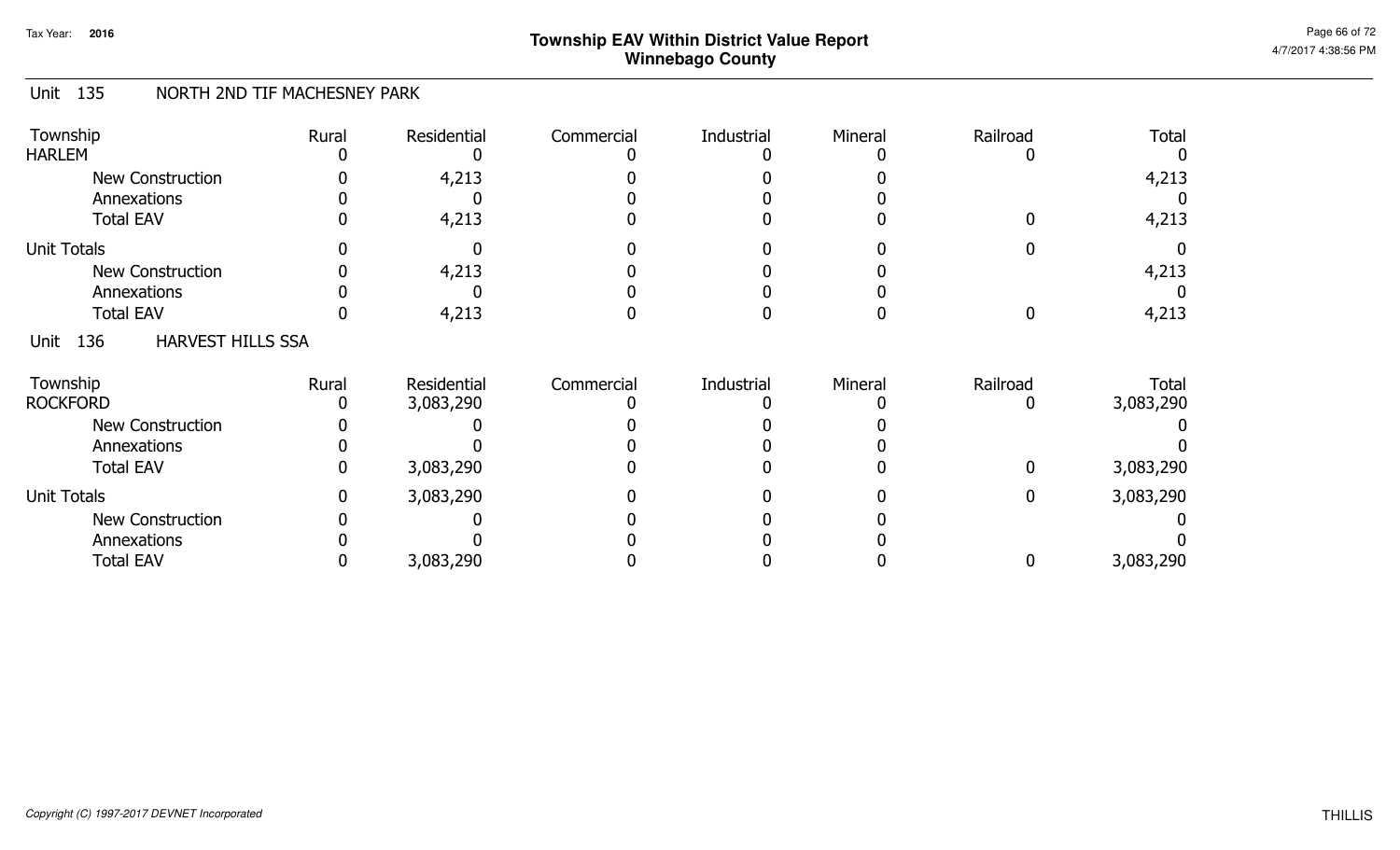#### Unit 135 NORTH 2ND TIF MACHESNEY PARK

| Township<br><b>HARLEM</b>               | Rural | Residential | Commercial | Industrial | Mineral | Railroad | <b>Total</b>              |
|-----------------------------------------|-------|-------------|------------|------------|---------|----------|---------------------------|
| <b>New Construction</b><br>Annexations  |       | 4,213       |            |            |         |          | 4,213                     |
| <b>Total EAV</b>                        |       | 4,213       |            |            |         |          | 4,213                     |
| <b>Unit Totals</b>                      |       |             |            |            |         |          |                           |
| New Construction                        |       | 4,213       |            |            |         |          | 4,213                     |
| Annexations                             |       |             |            |            |         |          |                           |
| <b>Total EAV</b>                        |       | 4,213       |            |            |         |          | 4,213                     |
| <b>HARVEST HILLS SSA</b><br>136<br>Unit |       |             |            |            |         |          |                           |
| Township<br><b>ROCKFORD</b>             | Rural | Residential | Commercial | Industrial | Mineral | Railroad | <b>Total</b><br>3,083,290 |
|                                         |       | 3,083,290   |            |            |         |          |                           |
| <b>New Construction</b>                 |       |             |            |            |         |          |                           |
| Annexations<br><b>Total EAV</b>         |       | 3,083,290   |            |            |         |          | 3,083,290                 |
| <b>Unit Totals</b>                      |       | 3,083,290   |            |            |         | 0        | 3,083,290                 |
| <b>New Construction</b>                 |       |             |            |            |         |          |                           |
| Annexations                             |       |             |            |            |         |          |                           |
| <b>Total EAV</b>                        |       | 3,083,290   |            |            |         |          | 3,083,290                 |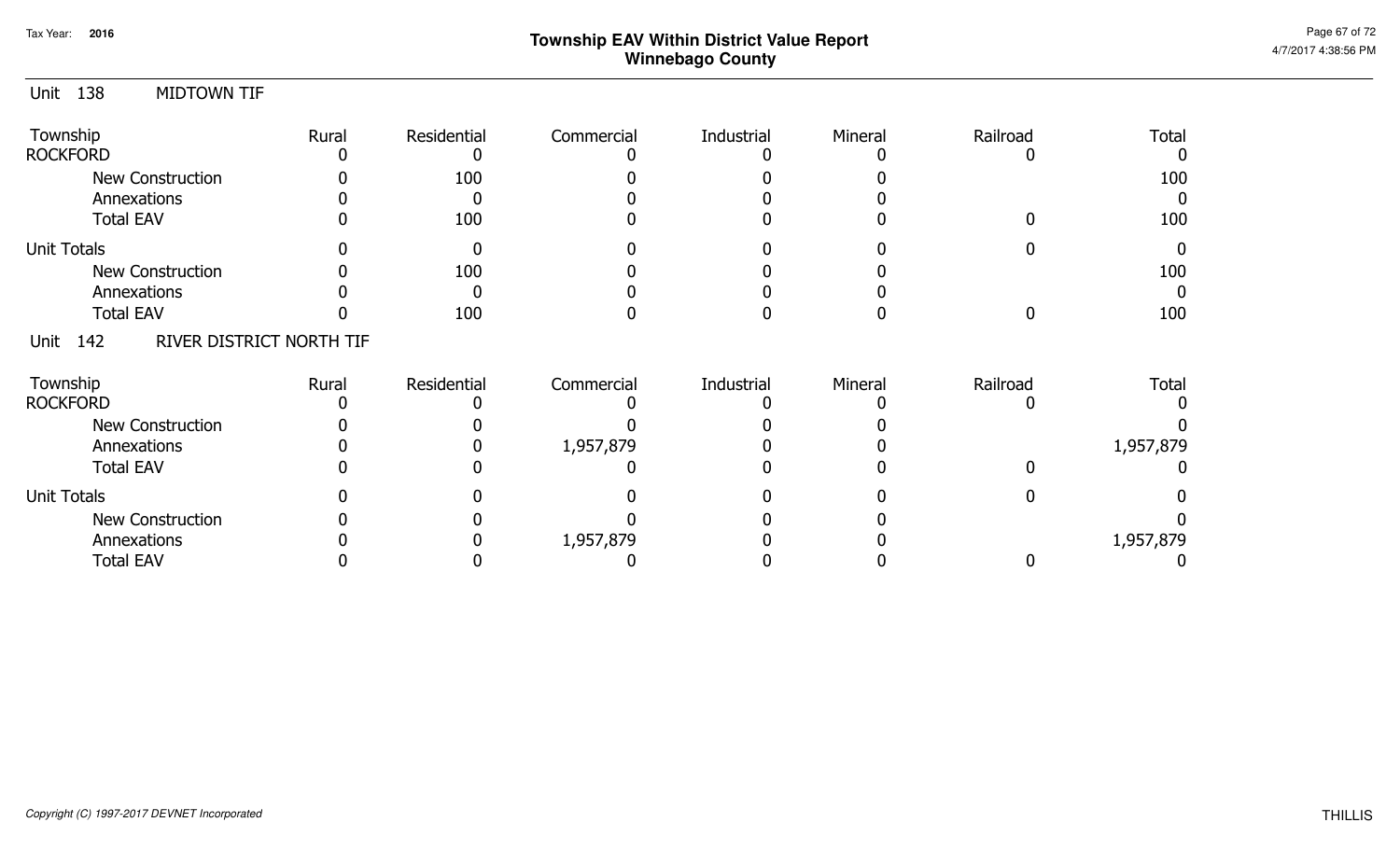| 138<br><b>MIDTOWN TIF</b><br>Unit    |       |             |            |            |         |          |           |
|--------------------------------------|-------|-------------|------------|------------|---------|----------|-----------|
| Township                             | Rural | Residential | Commercial | Industrial | Mineral | Railroad | Total     |
| <b>ROCKFORD</b>                      |       |             |            |            |         |          |           |
| <b>New Construction</b>              |       | 100         |            |            |         |          | 100       |
| Annexations                          |       |             |            |            |         |          | $\Omega$  |
| <b>Total EAV</b>                     |       | 100         |            |            |         |          | 100       |
| <b>Unit Totals</b>                   |       |             |            |            |         |          | $\Omega$  |
| New Construction                     |       | 100         |            |            |         |          | 100       |
| Annexations                          |       |             |            |            |         |          | $\Omega$  |
| <b>Total EAV</b>                     |       | 100         |            |            |         |          | 100       |
| Unit 142<br>RIVER DISTRICT NORTH TIF |       |             |            |            |         |          |           |
| Township                             | Rural | Residential | Commercial | Industrial | Mineral | Railroad | Total     |
| <b>ROCKFORD</b>                      |       |             |            |            |         |          |           |
| New Construction                     |       |             |            |            |         |          |           |
| Annexations                          |       |             | 1,957,879  |            |         |          | 1,957,879 |
| <b>Total EAV</b>                     |       |             |            |            |         |          |           |
| <b>Unit Totals</b>                   |       |             |            |            |         |          |           |
| <b>New Construction</b>              |       |             |            |            |         |          |           |
| Annexations                          |       |             | 1,957,879  |            |         |          | 1,957,879 |
| <b>Total EAV</b>                     |       |             |            |            |         |          |           |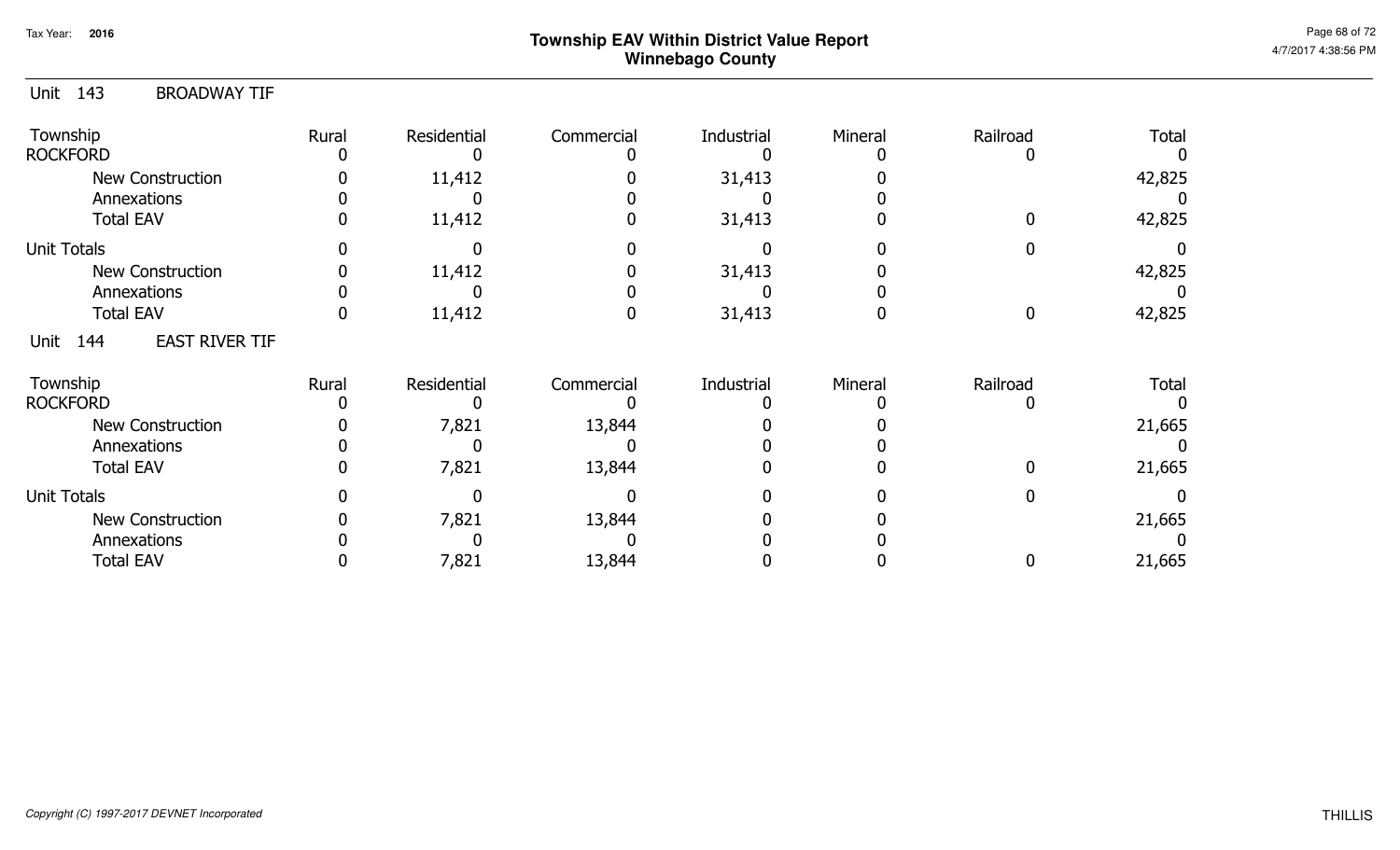| 143<br><b>BROADWAY TIF</b><br>Unit   |       |             |            |            |         |          |              |
|--------------------------------------|-------|-------------|------------|------------|---------|----------|--------------|
| Township<br><b>ROCKFORD</b>          | Rural | Residential | Commercial | Industrial | Mineral | Railroad | <b>Total</b> |
| New Construction                     |       | 11,412      |            | 31,413     |         |          | 42,825       |
| Annexations                          |       |             |            |            |         |          |              |
| <b>Total EAV</b>                     |       | 11,412      |            | 31,413     |         | 0        | 42,825       |
| <b>Unit Totals</b>                   |       |             |            |            |         |          |              |
| New Construction                     |       | 11,412      |            | 31,413     |         |          | 42,825       |
| Annexations                          |       |             |            |            |         |          |              |
| <b>Total EAV</b>                     |       | 11,412      |            | 31,413     |         | $\Omega$ | 42,825       |
| <b>EAST RIVER TIF</b><br>144<br>Unit |       |             |            |            |         |          |              |
| Township                             | Rural | Residential | Commercial | Industrial | Mineral | Railroad | <b>Total</b> |
| <b>ROCKFORD</b>                      |       |             |            |            |         |          |              |
| <b>New Construction</b>              |       | 7,821       | 13,844     |            |         |          | 21,665       |
| Annexations                          |       |             |            |            |         |          |              |
| <b>Total EAV</b>                     |       | 7,821       | 13,844     |            |         | $\Omega$ | 21,665       |
| <b>Unit Totals</b>                   |       |             |            |            |         |          |              |
| <b>New Construction</b>              |       | 7,821       | 13,844     |            |         |          | 21,665       |
| Annexations                          |       |             |            |            |         |          |              |
| <b>Total EAV</b>                     |       | 7,821       | 13,844     |            |         |          | 21,665       |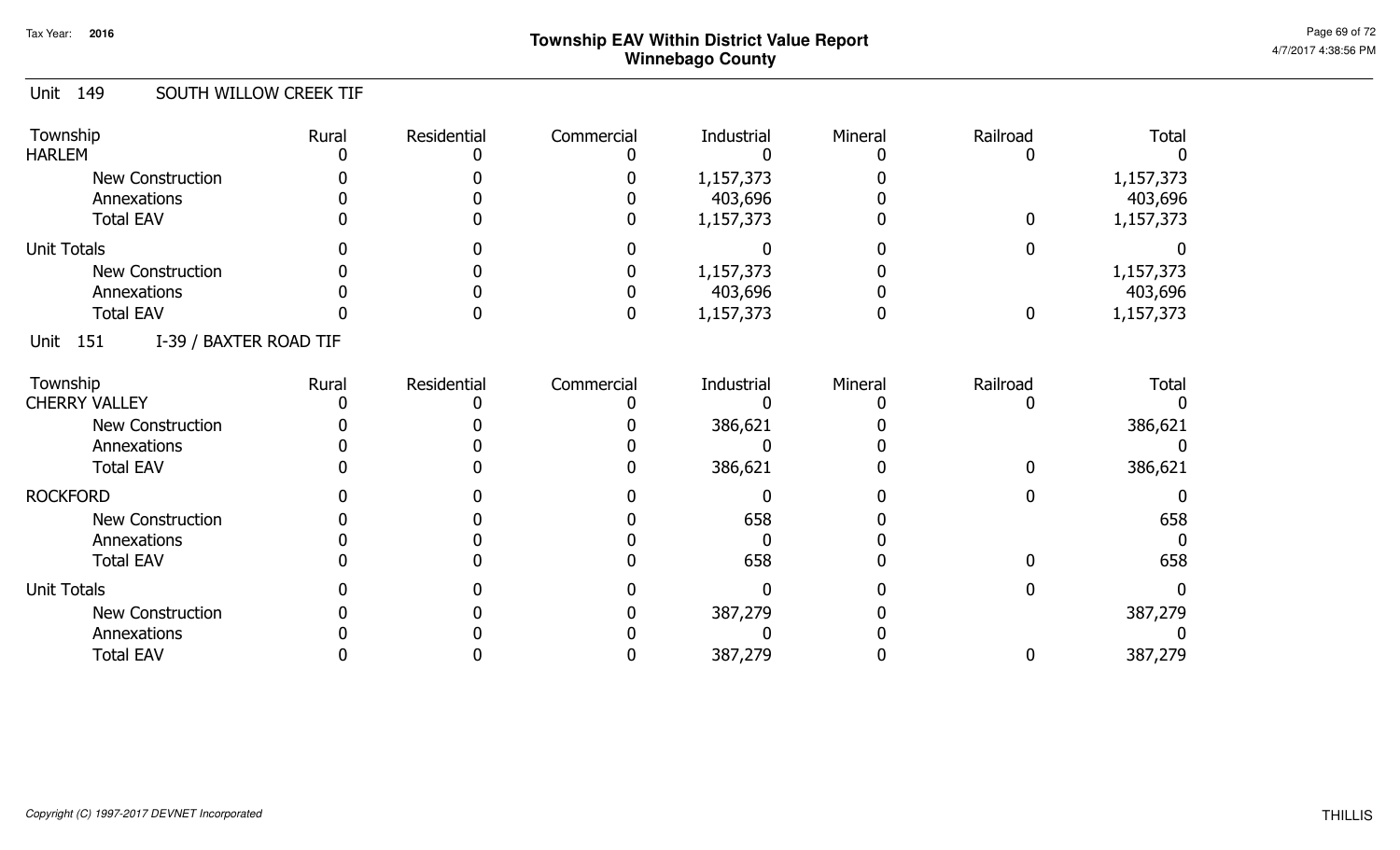#### Unit 149 SOUTH WILLOW CREEK TIF

| Township<br><b>HARLEM</b>             | Rural | Residential | Commercial | Industrial | Mineral | Railroad | <b>Total</b> |
|---------------------------------------|-------|-------------|------------|------------|---------|----------|--------------|
| New Construction                      |       |             |            | 1,157,373  |         |          | 1,157,373    |
| Annexations                           |       |             |            | 403,696    |         |          | 403,696      |
| <b>Total EAV</b>                      |       |             |            | 1,157,373  |         | 0        | 1,157,373    |
| <b>Unit Totals</b>                    |       |             |            |            |         |          |              |
| <b>New Construction</b>               |       |             |            | 1,157,373  |         |          | 1,157,373    |
| Annexations                           |       |             |            | 403,696    |         |          | 403,696      |
| <b>Total EAV</b>                      |       |             |            | 1,157,373  |         | 0        | 1,157,373    |
| I-39 / BAXTER ROAD TIF<br>151<br>Unit |       |             |            |            |         |          |              |
| Township                              | Rural | Residential | Commercial | Industrial | Mineral | Railroad | <b>Total</b> |
| <b>CHERRY VALLEY</b>                  |       |             |            |            |         |          |              |
| New Construction                      |       |             |            | 386,621    |         |          | 386,621      |
| Annexations                           |       |             |            |            |         |          |              |
| <b>Total EAV</b>                      |       |             |            | 386,621    |         |          | 386,621      |
| <b>ROCKFORD</b>                       |       |             |            |            |         |          |              |
| New Construction                      |       |             |            | 658        |         |          | 658          |
| Annexations                           |       |             |            |            |         |          |              |
| <b>Total EAV</b>                      |       |             |            | 658        |         |          | 658          |
| <b>Unit Totals</b>                    |       |             |            |            |         |          |              |
| <b>New Construction</b>               |       |             |            | 387,279    |         |          | 387,279      |
| Annexations                           |       |             |            |            |         |          |              |
| <b>Total EAV</b>                      |       |             |            | 387,279    |         |          | 387,279      |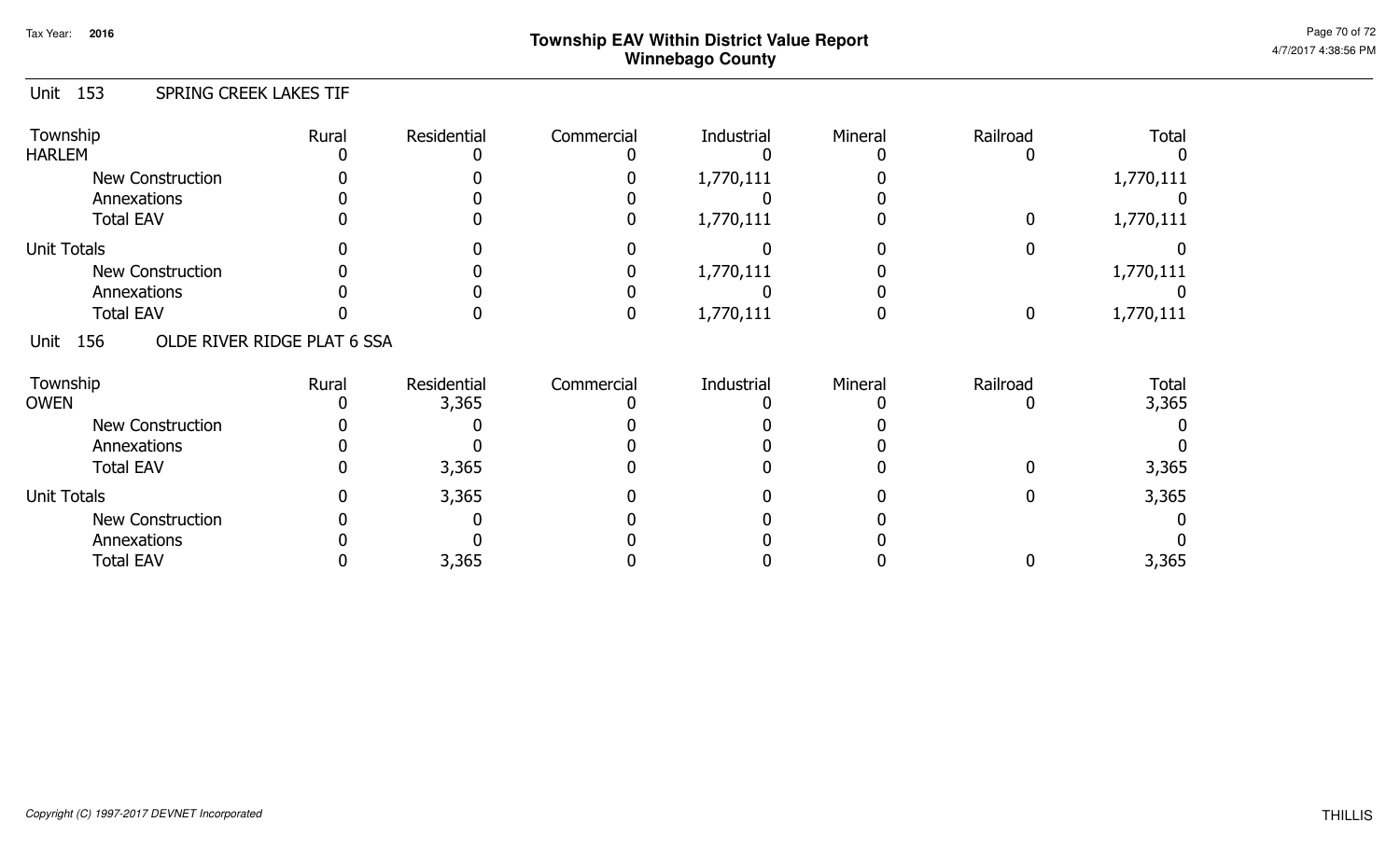#### Unit 153 SPRING CREEK LAKES TIF

| Township<br><b>HARLEM</b>                  | Rural | Residential | Commercial | Industrial | Mineral | Railroad | <b>Total</b> |
|--------------------------------------------|-------|-------------|------------|------------|---------|----------|--------------|
| New Construction                           |       |             |            | 1,770,111  |         |          | 1,770,111    |
| Annexations                                |       |             |            |            |         |          |              |
| <b>Total EAV</b>                           |       |             |            | 1,770,111  |         |          | 1,770,111    |
| <b>Unit Totals</b>                         |       |             |            |            |         |          |              |
| New Construction                           |       |             |            | 1,770,111  |         |          | 1,770,111    |
| Annexations                                |       |             |            |            |         |          |              |
| <b>Total EAV</b>                           |       |             |            | 1,770,111  |         |          | 1,770,111    |
| OLDE RIVER RIDGE PLAT 6 SSA<br>Unit<br>156 |       |             |            |            |         |          |              |
| Township                                   | Rural | Residential | Commercial | Industrial | Mineral | Railroad | Total        |
| <b>OWEN</b>                                |       | 3,365       |            |            |         |          | 3,365        |
| New Construction                           |       |             |            |            |         |          |              |
| Annexations                                |       |             |            |            |         |          |              |
| <b>Total EAV</b>                           |       | 3,365       |            |            |         |          | 3,365        |
| <b>Unit Totals</b>                         |       | 3,365       |            |            |         |          | 3,365        |
| New Construction                           |       |             |            |            |         |          |              |
| Annexations                                |       |             |            |            |         |          |              |
| <b>Total EAV</b>                           |       | 3,365       |            |            |         |          | 3,365        |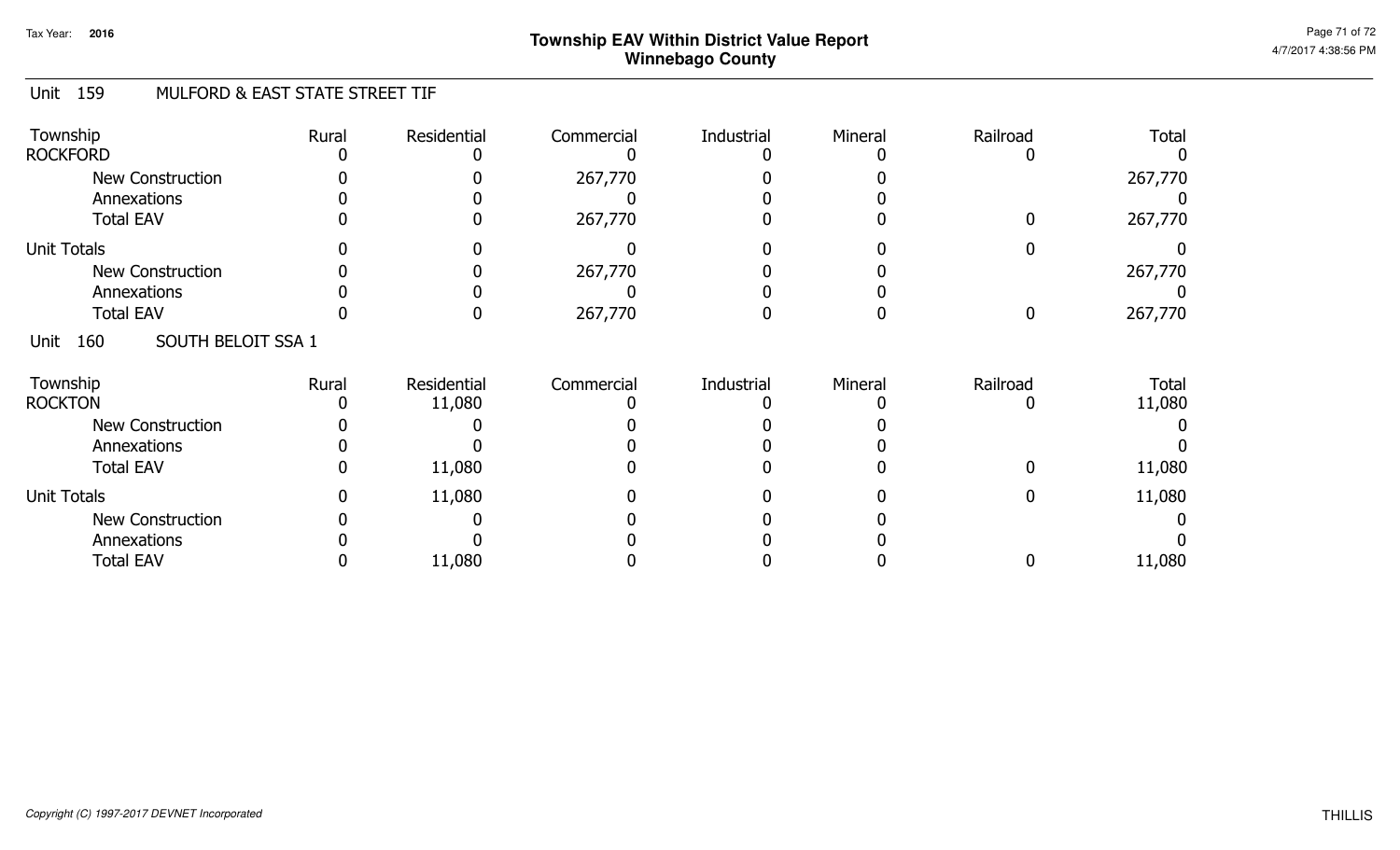#### Unit 159 MULFORD & EAST STATE STREET TIF

| Township<br><b>ROCKFORD</b>            | Rural | Residential           | Commercial | Industrial | Mineral | Railroad | <b>Total</b>           |
|----------------------------------------|-------|-----------------------|------------|------------|---------|----------|------------------------|
| <b>New Construction</b><br>Annexations |       |                       | 267,770    |            |         |          | 267,770                |
| <b>Total EAV</b>                       |       |                       | 267,770    |            |         |          | 267,770                |
| <b>Unit Totals</b>                     |       |                       |            |            |         |          |                        |
| <b>New Construction</b>                |       |                       | 267,770    |            |         |          | 267,770                |
| Annexations                            |       |                       |            |            |         |          |                        |
| <b>Total EAV</b>                       |       |                       | 267,770    |            |         | 0        | 267,770                |
| SOUTH BELOIT SSA 1<br>160<br>Unit      |       |                       |            |            |         |          |                        |
| Township<br><b>ROCKTON</b>             | Rural | Residential<br>11,080 | Commercial | Industrial | Mineral | Railroad | <b>Total</b><br>11,080 |
| <b>New Construction</b>                |       |                       |            |            |         |          |                        |
| Annexations                            |       |                       |            |            |         |          |                        |
| <b>Total EAV</b>                       |       | 11,080                |            |            |         |          | 11,080                 |
| <b>Unit Totals</b>                     |       | 11,080                |            |            |         |          | 11,080                 |
| <b>New Construction</b>                |       |                       |            |            |         |          |                        |
| Annexations                            |       |                       |            |            |         |          |                        |
| <b>Total EAV</b>                       |       | 11,080                |            |            |         |          | 11,080                 |